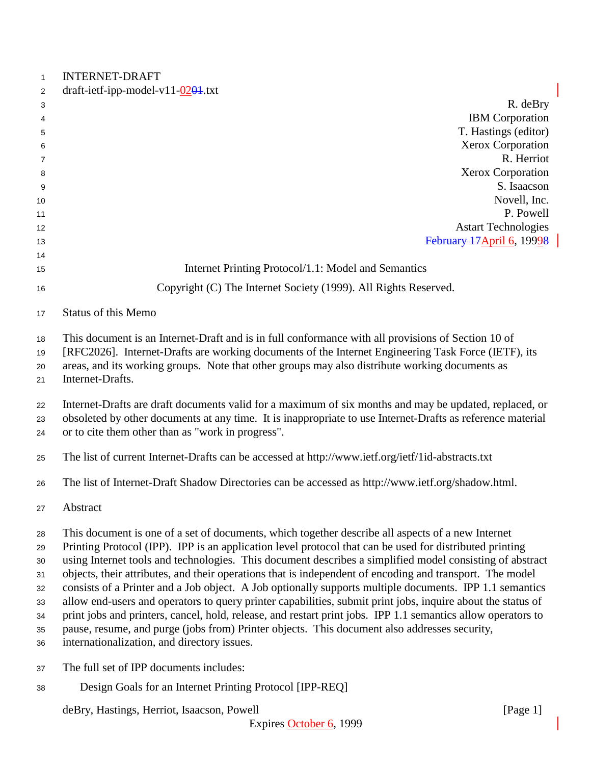| $\mathbf{1}$ | <b>INTERNET-DRAFT</b>                                                                                        |
|--------------|--------------------------------------------------------------------------------------------------------------|
| 2            | draft-ietf-ipp-model-v11- $\frac{0201}{1}$ .txt                                                              |
| 3            | R. deBry                                                                                                     |
| 4            | <b>IBM</b> Corporation<br>T. Hastings (editor)                                                               |
| 5            | Xerox Corporation                                                                                            |
| 6            | R. Herriot                                                                                                   |
| 7<br>8       | Xerox Corporation                                                                                            |
| 9            | S. Isaacson                                                                                                  |
| 10           | Novell, Inc.                                                                                                 |
| 11           | P. Powell                                                                                                    |
| 12           | <b>Astart Technologies</b>                                                                                   |
| 13           | February 17 April 6, 19998                                                                                   |
| 14           |                                                                                                              |
| 15           | Internet Printing Protocol/1.1: Model and Semantics                                                          |
| 16           | Copyright (C) The Internet Society (1999). All Rights Reserved.                                              |
| 17           | <b>Status of this Memo</b>                                                                                   |
| 18           | This document is an Internet-Draft and is in full conformance with all provisions of Section 10 of           |
| 19           | [RFC2026]. Internet-Drafts are working documents of the Internet Engineering Task Force (IETF), its          |
| 20           | areas, and its working groups. Note that other groups may also distribute working documents as               |
| 21           | Internet-Drafts.                                                                                             |
| 22           | Internet-Drafts are draft documents valid for a maximum of six months and may be updated, replaced, or       |
| 23           | obsoleted by other documents at any time. It is inappropriate to use Internet-Drafts as reference material   |
| 24           | or to cite them other than as "work in progress".                                                            |
| 25           | The list of current Internet-Drafts can be accessed at http://www.ietf.org/ietf/1id-abstracts.txt            |
| 26           | The list of Internet-Draft Shadow Directories can be accessed as http://www.ietf.org/shadow.html.            |
| 27           | Abstract                                                                                                     |
| 28           | This document is one of a set of documents, which together describe all aspects of a new Internet            |
| 29           | Printing Protocol (IPP). IPP is an application level protocol that can be used for distributed printing      |
| 30           | using Internet tools and technologies. This document describes a simplified model consisting of abstract     |
| 31           | objects, their attributes, and their operations that is independent of encoding and transport. The model     |
| 32           | consists of a Printer and a Job object. A Job optionally supports multiple documents. IPP 1.1 semantics      |
| 33           | allow end-users and operators to query printer capabilities, submit print jobs, inquire about the status of  |
| 34           | print jobs and printers, cancel, hold, release, and restart print jobs. IPP 1.1 semantics allow operators to |
| 35           | pause, resume, and purge (jobs from) Printer objects. This document also addresses security,                 |
| 36           | internationalization, and directory issues.                                                                  |
| 37           | The full set of IPP documents includes:                                                                      |
| 38           | Design Goals for an Internet Printing Protocol [IPP-REQ]                                                     |
|              | deBry, Hastings, Herriot, Isaacson, Powell<br>[Page 1]                                                       |

 $\overline{\phantom{a}}$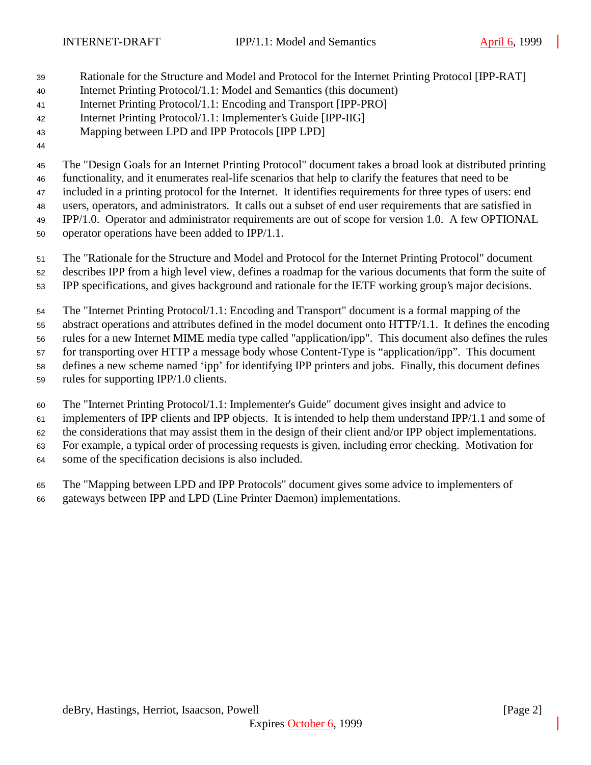- Rationale for the Structure and Model and Protocol for the Internet Printing Protocol [IPP-RAT]
- Internet Printing Protocol/1.1: Model and Semantics (this document)
- Internet Printing Protocol/1.1: Encoding and Transport [IPP-PRO]
- Internet Printing Protocol/1.1: Implementer's Guide [IPP-IIG]
- Mapping between LPD and IPP Protocols [IPP LPD]
- 

The "Design Goals for an Internet Printing Protocol" document takes a broad look at distributed printing

 functionality, and it enumerates real-life scenarios that help to clarify the features that need to be included in a printing protocol for the Internet. It identifies requirements for three types of users: end

users, operators, and administrators. It calls out a subset of end user requirements that are satisfied in

IPP/1.0. Operator and administrator requirements are out of scope for version 1.0. A few OPTIONAL

operator operations have been added to IPP/1.1.

The "Rationale for the Structure and Model and Protocol for the Internet Printing Protocol" document

describes IPP from a high level view, defines a roadmap for the various documents that form the suite of

IPP specifications, and gives background and rationale for the IETF working group's major decisions.

The "Internet Printing Protocol/1.1: Encoding and Transport" document is a formal mapping of the

abstract operations and attributes defined in the model document onto HTTP/1.1. It defines the encoding

rules for a new Internet MIME media type called "application/ipp". This document also defines the rules

for transporting over HTTP a message body whose Content-Type is "application/ipp". This document

defines a new scheme named 'ipp' for identifying IPP printers and jobs. Finally, this document defines

rules for supporting IPP/1.0 clients.

The "Internet Printing Protocol/1.1: Implementer's Guide" document gives insight and advice to

implementers of IPP clients and IPP objects. It is intended to help them understand IPP/1.1 and some of

the considerations that may assist them in the design of their client and/or IPP object implementations.

For example, a typical order of processing requests is given, including error checking. Motivation for

some of the specification decisions is also included.

 The "Mapping between LPD and IPP Protocols" document gives some advice to implementers of gateways between IPP and LPD (Line Printer Daemon) implementations.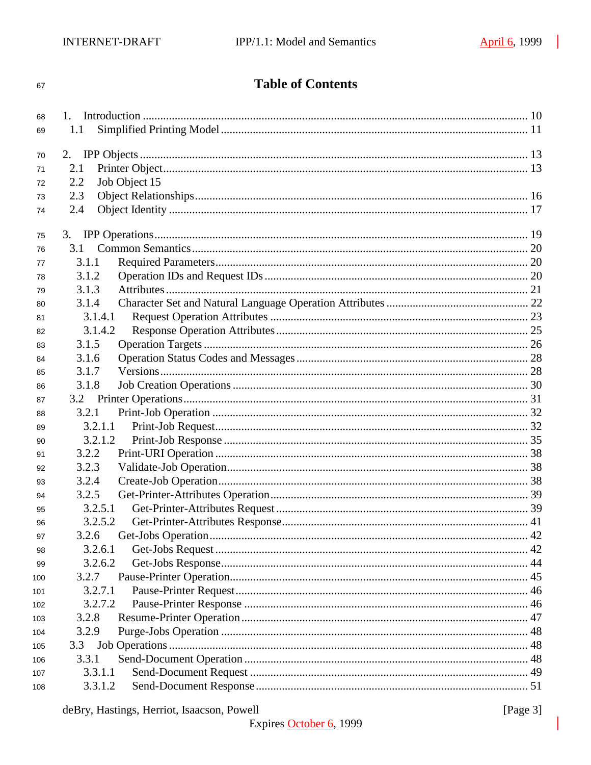#### 67

# **Table of Contents**

| 68  |                      |  |
|-----|----------------------|--|
| 69  | 1.1                  |  |
|     |                      |  |
| 70  | 2.                   |  |
| 71  | 2.1                  |  |
| 72  | Job Object 15<br>2.2 |  |
| 73  | 2.3                  |  |
| 74  | 2.4                  |  |
| 75  |                      |  |
| 76  | 3.1                  |  |
| 77  | 3.1.1                |  |
| 78  | 3.1.2                |  |
| 79  | 3.1.3                |  |
| 80  | 3.1.4                |  |
| 81  | 3.1.4.1              |  |
| 82  | 3.1.4.2              |  |
| 83  | 3.1.5                |  |
| 84  | 3.1.6                |  |
| 85  | 3.1.7                |  |
| 86  | 3.1.8                |  |
| 87  |                      |  |
| 88  | 3.2.1                |  |
| 89  | 3.2.1.1              |  |
| 90  | 3.2.1.2              |  |
| 91  | 3.2.2                |  |
| 92  | 3.2.3                |  |
| 93  | 3.2.4                |  |
| 94  | 3.2.5                |  |
| 95  | 3.2.5.1              |  |
| 96  | 3.2.5.2              |  |
| 97  | 3.2.6                |  |
| 98  | 3.2.6.1              |  |
| 99  | 3.2.6.2              |  |
| 100 | 3.2.7                |  |
| 101 | 3.2.7.1              |  |
| 102 | 3.2.7.2              |  |
| 103 | 3.2.8                |  |
| 104 | 3.2.9                |  |
| 105 | 3.3                  |  |
| 106 | 3.3.1                |  |
| 107 | 3.3.1.1              |  |
| 108 | 3.3.1.2              |  |
|     |                      |  |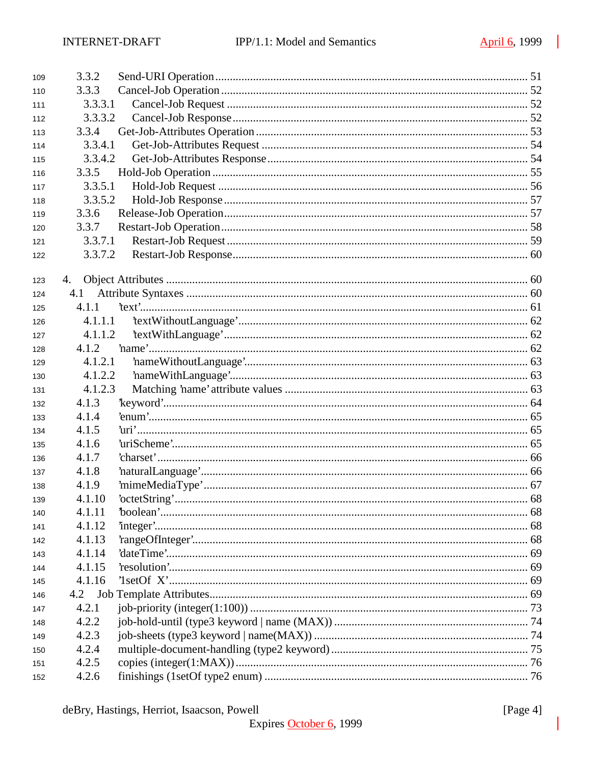| 109 | 3.3.2   |  |
|-----|---------|--|
| 110 | 3.3.3   |  |
| 111 | 3.3.3.1 |  |
| 112 | 3.3.3.2 |  |
| 113 | 3.3.4   |  |
| 114 | 3.3.4.1 |  |
| 115 | 3.3.4.2 |  |
| 116 | 3.3.5   |  |
| 117 | 3.3.5.1 |  |
| 118 | 3.3.5.2 |  |
| 119 | 3.3.6   |  |
| 120 | 3.3.7   |  |
| 121 | 3.3.7.1 |  |
| 122 | 3.3.7.2 |  |
|     |         |  |
| 123 | 4.      |  |
| 124 | 4.1     |  |
| 125 | 4.1.1   |  |
| 126 | 4.1.1.1 |  |
| 127 | 4.1.1.2 |  |
| 128 | 4.1.2   |  |
| 129 | 4.1.2.1 |  |
| 130 | 4.1.2.2 |  |
| 131 | 4.1.2.3 |  |
| 132 | 4.1.3   |  |
| 133 | 4.1.4   |  |
| 134 | 4.1.5   |  |
| 135 | 4.1.6   |  |
| 136 | 4.1.7   |  |
| 137 | 4.1.8   |  |
| 138 | 4.1.9   |  |
| 139 | 4.1.10  |  |
| 140 | 4.1.11  |  |
| 141 | 4.1.12  |  |
| 142 | 4.1.13  |  |
| 143 | 4.1.14  |  |
| 144 | 4.1.15  |  |
| 145 | 4.1.16  |  |
| 146 | 4.2     |  |
| 147 | 4.2.1   |  |
| 148 | 4.2.2   |  |
| 149 | 4.2.3   |  |
| 150 | 4.2.4   |  |
| 151 | 4.2.5   |  |
| 152 | 4.2.6   |  |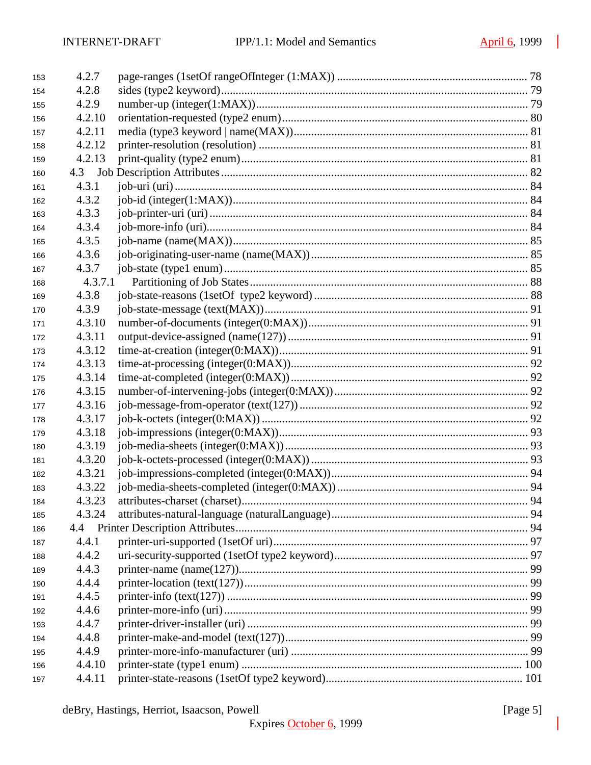| 153 | 4.2.7   |    |
|-----|---------|----|
| 154 | 4.2.8   |    |
| 155 | 4.2.9   |    |
| 156 | 4.2.10  |    |
| 157 | 4.2.11  |    |
| 158 | 4.2.12  |    |
| 159 | 4.2.13  |    |
| 160 |         |    |
| 161 | 4.3.1   |    |
| 162 | 4.3.2   |    |
| 163 | 4.3.3   |    |
| 164 | 4.3.4   |    |
| 165 | 4.3.5   |    |
| 166 | 4.3.6   |    |
| 167 | 4.3.7   |    |
| 168 | 4.3.7.1 |    |
| 169 | 4.3.8   |    |
| 170 | 4.3.9   |    |
| 171 | 4.3.10  |    |
| 172 | 4.3.11  |    |
| 173 | 4.3.12  |    |
| 174 | 4.3.13  |    |
| 175 | 4.3.14  |    |
| 176 | 4.3.15  |    |
| 177 | 4.3.16  |    |
| 178 | 4.3.17  |    |
| 179 | 4.3.18  |    |
| 180 | 4.3.19  |    |
| 181 | 4.3.20  |    |
| 182 | 4.3.21  |    |
| 183 | 4.3.22  |    |
| 184 | 4.3.23  | 94 |
| 185 | 4.3.24  |    |
| 186 |         |    |
| 187 | 4.4.1   |    |
| 188 | 4.4.2   |    |
| 189 | 4.4.3   |    |
| 190 | 4.4.4   |    |
| 191 | 4.4.5   |    |
| 192 | 4.4.6   |    |
| 193 | 4.4.7   |    |
| 194 | 4.4.8   |    |
| 195 | 4.4.9   |    |
| 196 | 4.4.10  |    |
| 197 | 4.4.11  |    |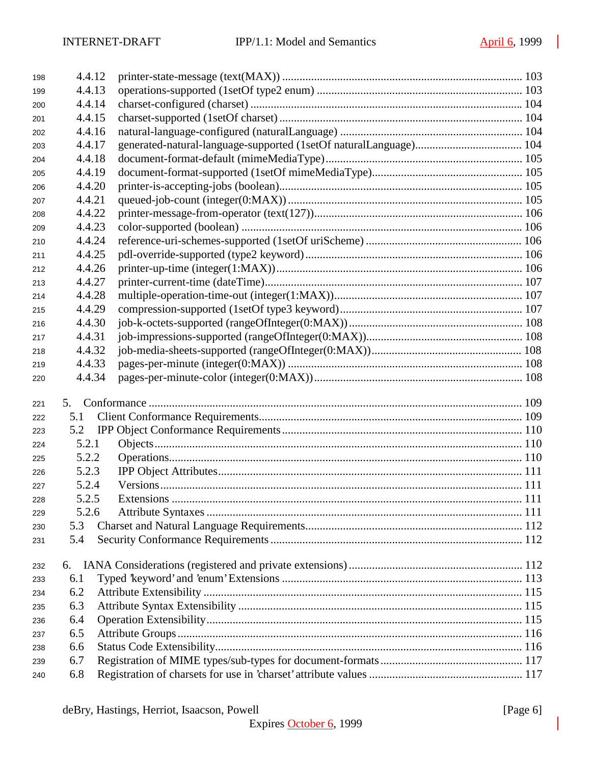| 198        | 4.4.12 |             |  |
|------------|--------|-------------|--|
| 199        | 4.4.13 |             |  |
| 200        | 4.4.14 |             |  |
| 201        | 4.4.15 |             |  |
| 202        | 4.4.16 |             |  |
| 203        | 4.4.17 |             |  |
| 204        | 4.4.18 |             |  |
| 205        | 4.4.19 |             |  |
| 206        | 4.4.20 |             |  |
| 207        | 4.4.21 |             |  |
| 208        | 4.4.22 |             |  |
| 209        | 4.4.23 |             |  |
| 210        | 4.4.24 |             |  |
| 211        | 4.4.25 |             |  |
| 212        | 4.4.26 |             |  |
| 213        | 4.4.27 |             |  |
| 214        | 4.4.28 |             |  |
| 215        | 4.4.29 |             |  |
| 216        | 4.4.30 |             |  |
| 217        | 4.4.31 |             |  |
| 218        | 4.4.32 |             |  |
| 219        | 4.4.33 |             |  |
| 220        | 4.4.34 |             |  |
| 221        | 5.     |             |  |
| 222        | 5.1    |             |  |
| 223        | 5.2    |             |  |
| 224        | 5.2.1  |             |  |
| 225        | 5.2.2  |             |  |
| 226        | 5.2.3  |             |  |
| 227        | 5.2.4  |             |  |
| 228        | 5.2.5  | Extensions. |  |
| 229        | 5.2.6  |             |  |
| 230        | 5.3    |             |  |
| 231        | 5.4    |             |  |
| 232        | 6.     |             |  |
|            | 6.1    |             |  |
| 233        | 6.2    |             |  |
| 234<br>235 | 6.3    |             |  |
|            | 6.4    |             |  |
| 236<br>237 | 6.5    |             |  |
| 238        | 6.6    |             |  |
| 239        | 6.7    |             |  |
| 240        | 6.8    |             |  |
|            |        |             |  |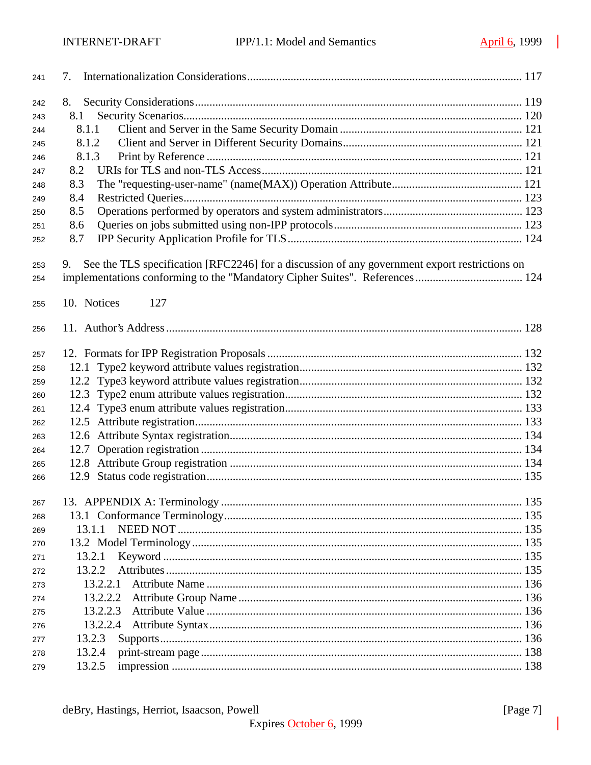| 241 | 7.                                                                                                  |  |
|-----|-----------------------------------------------------------------------------------------------------|--|
| 242 | 8.                                                                                                  |  |
| 243 | 8.1                                                                                                 |  |
| 244 | 8.1.1                                                                                               |  |
| 245 | 8.1.2                                                                                               |  |
| 246 | 8.1.3                                                                                               |  |
| 247 | 8.2                                                                                                 |  |
| 248 | 8.3                                                                                                 |  |
| 249 | 8.4                                                                                                 |  |
| 250 | 8.5                                                                                                 |  |
| 251 | 8.6                                                                                                 |  |
| 252 | 8.7                                                                                                 |  |
|     |                                                                                                     |  |
| 253 | See the TLS specification [RFC2246] for a discussion of any government export restrictions on<br>9. |  |
| 254 |                                                                                                     |  |
| 255 | 10. Notices<br>127                                                                                  |  |
|     |                                                                                                     |  |
| 256 |                                                                                                     |  |
| 257 |                                                                                                     |  |
| 258 |                                                                                                     |  |
| 259 |                                                                                                     |  |
| 260 |                                                                                                     |  |
| 261 |                                                                                                     |  |
| 262 |                                                                                                     |  |
| 263 |                                                                                                     |  |
| 264 | 12.7                                                                                                |  |
| 265 |                                                                                                     |  |
| 266 |                                                                                                     |  |
|     |                                                                                                     |  |
| 267 |                                                                                                     |  |
| 268 |                                                                                                     |  |
| 269 | 13.1.1                                                                                              |  |
| 270 |                                                                                                     |  |
| 271 | 13.2.1                                                                                              |  |
| 272 | 13.2.2                                                                                              |  |
| 273 | 13.2.2.1                                                                                            |  |
| 274 | 13.2.2.2                                                                                            |  |
| 275 | 13.2.2.3                                                                                            |  |
| 276 | 13.2.2.4                                                                                            |  |
| 277 | 13.2.3                                                                                              |  |
| 278 | 13.2.4                                                                                              |  |
| 279 | 13.2.5                                                                                              |  |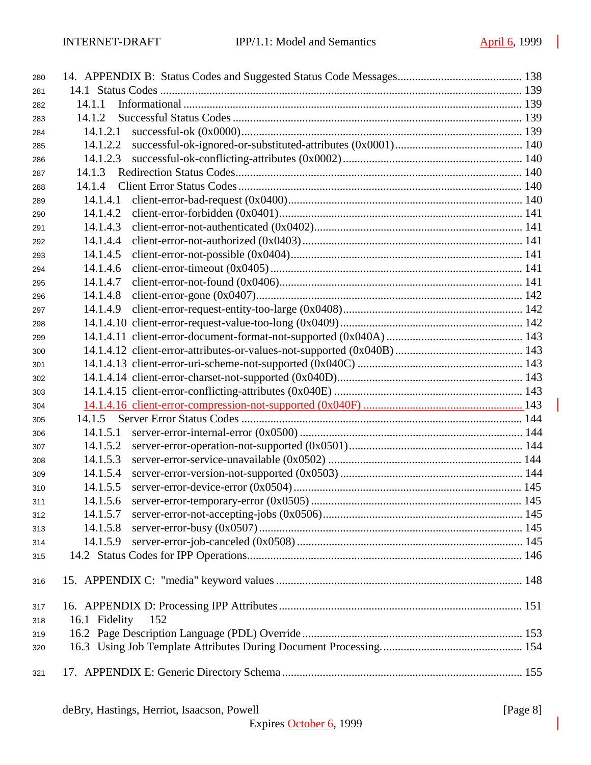| 280 |                      |  |
|-----|----------------------|--|
| 281 |                      |  |
| 282 | 14.1.1               |  |
| 283 | 14.1.2               |  |
| 284 | 14.1.2.1             |  |
| 285 | 14.1.2.2             |  |
| 286 | 14.1.2.3             |  |
| 287 | 14.1.3               |  |
| 288 | 14.1.4               |  |
| 289 | 14.1.4.1             |  |
| 290 | 14.1.4.2             |  |
| 291 | 14.1.4.3             |  |
| 292 | 14.1.4.4             |  |
| 293 | 14.1.4.5             |  |
| 294 | 14.1.4.6             |  |
| 295 | 14.1.4.7             |  |
| 296 | 14.1.4.8             |  |
| 297 | 14.1.4.9             |  |
| 298 |                      |  |
| 299 |                      |  |
| 300 |                      |  |
| 301 |                      |  |
| 302 |                      |  |
| 303 |                      |  |
| 304 |                      |  |
| 305 | 14.1.5               |  |
| 306 | 14.1.5.1             |  |
| 307 | 14.1.5.2             |  |
| 308 | 14.1.5.3             |  |
| 309 | 14.1.5.4             |  |
| 310 | 14.1.5.5             |  |
| 311 | 14.1.5.6             |  |
| 312 |                      |  |
| 313 | 14.1.5.8             |  |
| 314 | 14.1.5.9             |  |
| 315 |                      |  |
|     |                      |  |
| 316 |                      |  |
| 317 |                      |  |
| 318 | 16.1 Fidelity<br>152 |  |
| 319 |                      |  |
| 320 |                      |  |
| 321 |                      |  |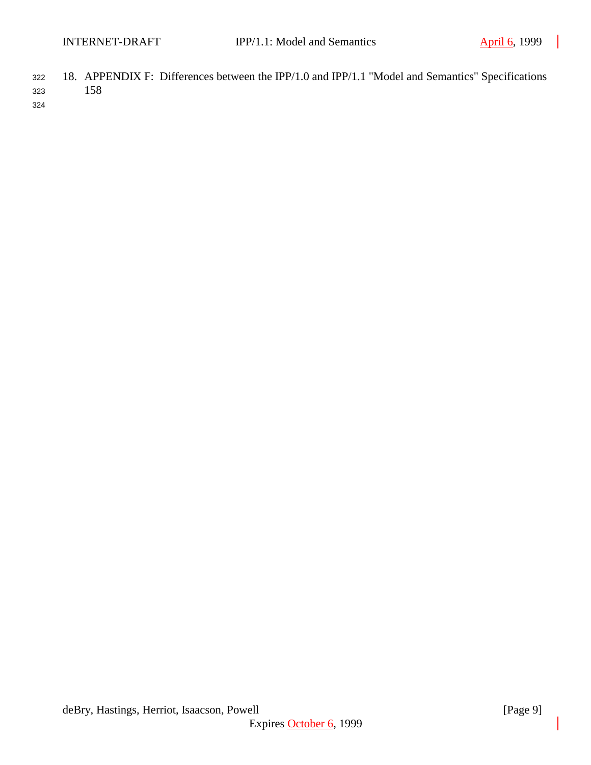<sup>322</sup> 18. APPENDIX F: Differences between the IPP/1.0 and IPP/1.1 "Model and Semantics" Specifications <sup>323</sup> 158

324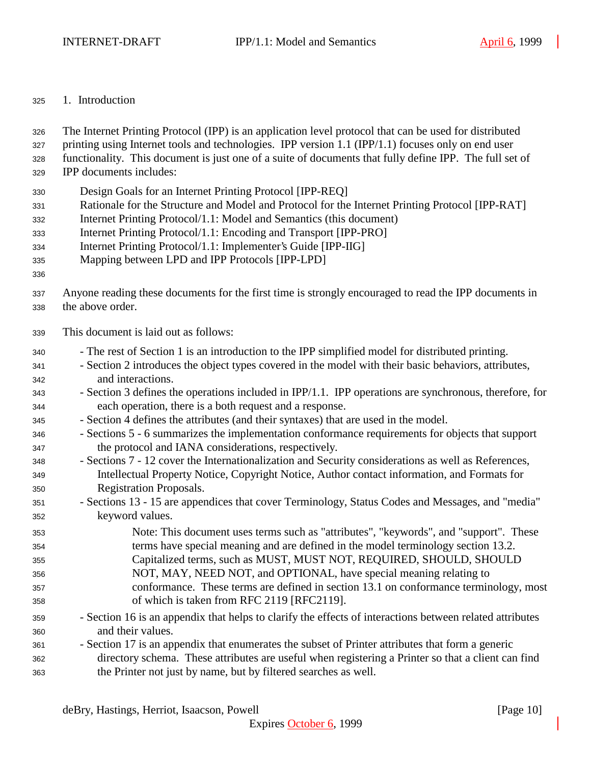#### 1. Introduction

The Internet Printing Protocol (IPP) is an application level protocol that can be used for distributed

- printing using Internet tools and technologies. IPP version 1.1 (IPP/1.1) focuses only on end user
- functionality. This document is just one of a suite of documents that fully define IPP. The full set of
- IPP documents includes:
- Design Goals for an Internet Printing Protocol [IPP-REQ]
- Rationale for the Structure and Model and Protocol for the Internet Printing Protocol [IPP-RAT]
- Internet Printing Protocol/1.1: Model and Semantics (this document)
- Internet Printing Protocol/1.1: Encoding and Transport [IPP-PRO]
- Internet Printing Protocol/1.1: Implementer's Guide [IPP-IIG]
- Mapping between LPD and IPP Protocols [IPP-LPD]
- 
- Anyone reading these documents for the first time is strongly encouraged to read the IPP documents in the above order.
- This document is laid out as follows:
- The rest of Section 1 is an introduction to the IPP simplified model for distributed printing.
- Section 2 introduces the object types covered in the model with their basic behaviors, attributes, and interactions.
- Section 3 defines the operations included in IPP/1.1. IPP operations are synchronous, therefore, for each operation, there is a both request and a response.
- Section 4 defines the attributes (and their syntaxes) that are used in the model.
- Sections 5 6 summarizes the implementation conformance requirements for objects that support the protocol and IANA considerations, respectively.
- Sections 7 12 cover the Internationalization and Security considerations as well as References, Intellectual Property Notice, Copyright Notice, Author contact information, and Formats for Registration Proposals.
- Sections 13 15 are appendices that cover Terminology, Status Codes and Messages, and "media" keyword values.
- Note: This document uses terms such as "attributes", "keywords", and "support". These terms have special meaning and are defined in the model terminology section 13.2. Capitalized terms, such as MUST, MUST NOT, REQUIRED, SHOULD, SHOULD NOT, MAY, NEED NOT, and OPTIONAL, have special meaning relating to conformance. These terms are defined in section 13.1 on conformance terminology, most of which is taken from RFC 2119 [RFC2119].
- Section 16 is an appendix that helps to clarify the effects of interactions between related attributes and their values.
- Section 17 is an appendix that enumerates the subset of Printer attributes that form a generic directory schema. These attributes are useful when registering a Printer so that a client can find the Printer not just by name, but by filtered searches as well.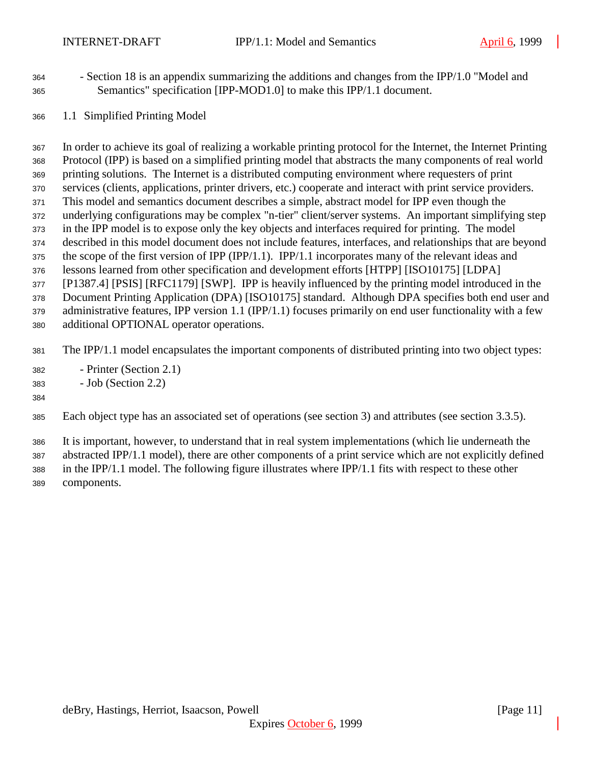- Section 18 is an appendix summarizing the additions and changes from the IPP/1.0 "Model and Semantics" specification [IPP-MOD1.0] to make this IPP/1.1 document.
- 1.1 Simplified Printing Model

 In order to achieve its goal of realizing a workable printing protocol for the Internet, the Internet Printing Protocol (IPP) is based on a simplified printing model that abstracts the many components of real world printing solutions. The Internet is a distributed computing environment where requesters of print services (clients, applications, printer drivers, etc.) cooperate and interact with print service providers. This model and semantics document describes a simple, abstract model for IPP even though the underlying configurations may be complex "n-tier" client/server systems. An important simplifying step in the IPP model is to expose only the key objects and interfaces required for printing. The model described in this model document does not include features, interfaces, and relationships that are beyond the scope of the first version of IPP (IPP/1.1). IPP/1.1 incorporates many of the relevant ideas and lessons learned from other specification and development efforts [HTPP] [ISO10175] [LDPA] [P1387.4] [PSIS] [RFC1179] [SWP]. IPP is heavily influenced by the printing model introduced in the Document Printing Application (DPA) [ISO10175] standard. Although DPA specifies both end user and administrative features, IPP version 1.1 (IPP/1.1) focuses primarily on end user functionality with a few additional OPTIONAL operator operations.

The IPP/1.1 model encapsulates the important components of distributed printing into two object types:

- Printer (Section 2.1)
- Job (Section 2.2)

#### 

Each object type has an associated set of operations (see section 3) and attributes (see section 3.3.5).

It is important, however, to understand that in real system implementations (which lie underneath the

abstracted IPP/1.1 model), there are other components of a print service which are not explicitly defined

 in the IPP/1.1 model. The following figure illustrates where IPP/1.1 fits with respect to these other components.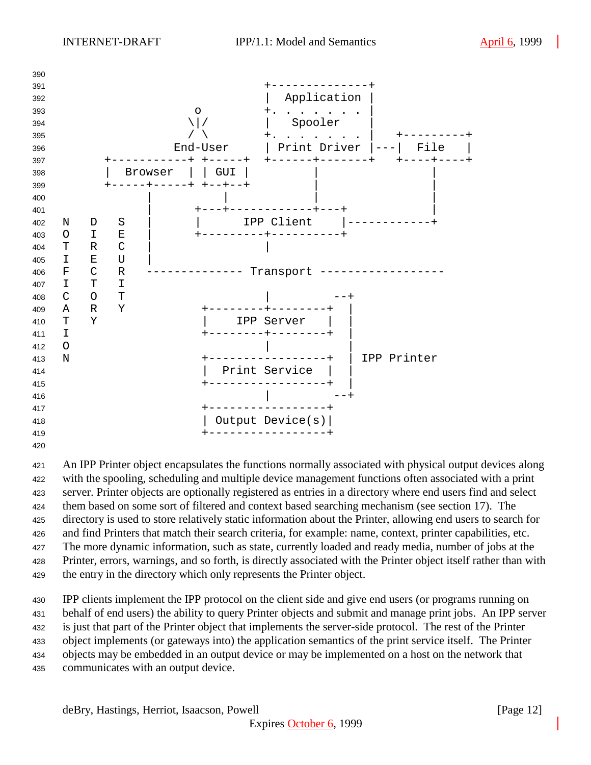

 An IPP Printer object encapsulates the functions normally associated with physical output devices along with the spooling, scheduling and multiple device management functions often associated with a print server. Printer objects are optionally registered as entries in a directory where end users find and select them based on some sort of filtered and context based searching mechanism (see section 17). The directory is used to store relatively static information about the Printer, allowing end users to search for and find Printers that match their search criteria, for example: name, context, printer capabilities, etc. The more dynamic information, such as state, currently loaded and ready media, number of jobs at the Printer, errors, warnings, and so forth, is directly associated with the Printer object itself rather than with the entry in the directory which only represents the Printer object.

 IPP clients implement the IPP protocol on the client side and give end users (or programs running on behalf of end users) the ability to query Printer objects and submit and manage print jobs. An IPP server is just that part of the Printer object that implements the server-side protocol. The rest of the Printer object implements (or gateways into) the application semantics of the print service itself. The Printer objects may be embedded in an output device or may be implemented on a host on the network that communicates with an output device.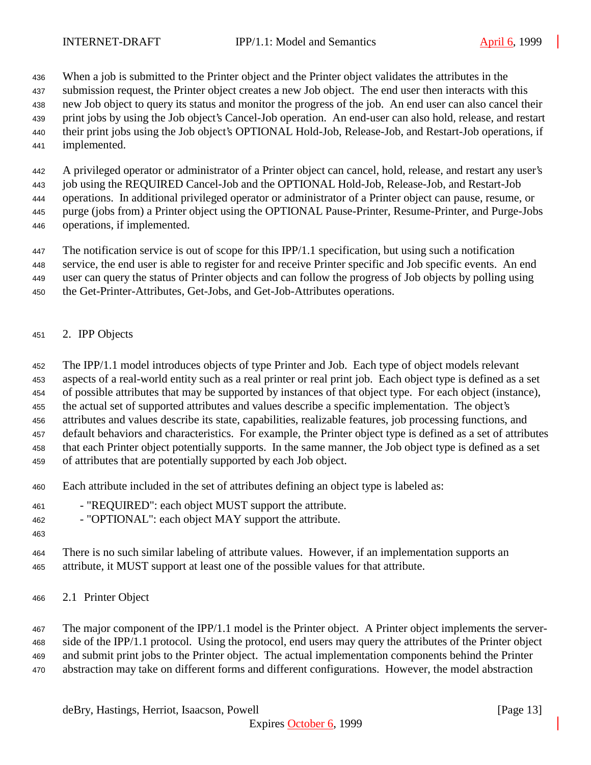When a job is submitted to the Printer object and the Printer object validates the attributes in the

submission request, the Printer object creates a new Job object. The end user then interacts with this

new Job object to query its status and monitor the progress of the job. An end user can also cancel their

- print jobs by using the Job object's Cancel-Job operation. An end-user can also hold, release, and restart
- their print jobs using the Job object's OPTIONAL Hold-Job, Release-Job, and Restart-Job operations, if implemented.
- 

A privileged operator or administrator of a Printer object can cancel, hold, release, and restart any user's

job using the REQUIRED Cancel-Job and the OPTIONAL Hold-Job, Release-Job, and Restart-Job

 operations. In additional privileged operator or administrator of a Printer object can pause, resume, or purge (jobs from) a Printer object using the OPTIONAL Pause-Printer, Resume-Printer, and Purge-Jobs

- 
- operations, if implemented.

The notification service is out of scope for this IPP/1.1 specification, but using such a notification

service, the end user is able to register for and receive Printer specific and Job specific events. An end

user can query the status of Printer objects and can follow the progress of Job objects by polling using

- the Get-Printer-Attributes, Get-Jobs, and Get-Job-Attributes operations.
- 2. IPP Objects

The IPP/1.1 model introduces objects of type Printer and Job. Each type of object models relevant

aspects of a real-world entity such as a real printer or real print job. Each object type is defined as a set

of possible attributes that may be supported by instances of that object type. For each object (instance),

the actual set of supported attributes and values describe a specific implementation. The object's

attributes and values describe its state, capabilities, realizable features, job processing functions, and

 default behaviors and characteristics. For example, the Printer object type is defined as a set of attributes that each Printer object potentially supports. In the same manner, the Job object type is defined as a set

of attributes that are potentially supported by each Job object.

- 
- Each attribute included in the set of attributes defining an object type is labeled as:
- "REQUIRED": each object MUST support the attribute.

- "OPTIONAL": each object MAY support the attribute.

 There is no such similar labeling of attribute values. However, if an implementation supports an attribute, it MUST support at least one of the possible values for that attribute.

2.1 Printer Object

 The major component of the IPP/1.1 model is the Printer object. A Printer object implements the server- side of the IPP/1.1 protocol. Using the protocol, end users may query the attributes of the Printer object and submit print jobs to the Printer object. The actual implementation components behind the Printer abstraction may take on different forms and different configurations. However, the model abstraction

deBry, Hastings, Herriot, Isaacson, Powell [Page 13]

Expires October 6, 1999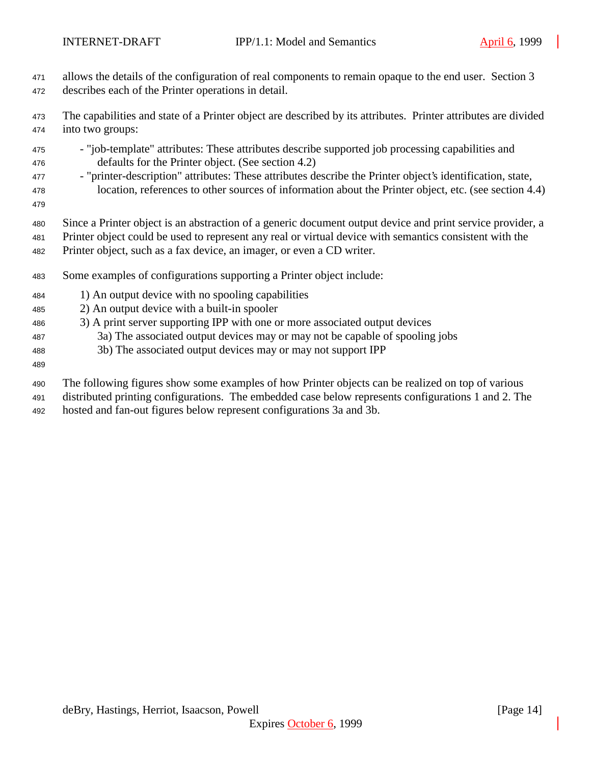- allows the details of the configuration of real components to remain opaque to the end user. Section 3 describes each of the Printer operations in detail.
- The capabilities and state of a Printer object are described by its attributes. Printer attributes are divided into two groups:
- "job-template" attributes: These attributes describe supported job processing capabilities and defaults for the Printer object. (See section 4.2)
- "printer-description" attributes: These attributes describe the Printer object's identification, state, location, references to other sources of information about the Printer object, etc. (see section 4.4)
- 
- Since a Printer object is an abstraction of a generic document output device and print service provider, a
- Printer object could be used to represent any real or virtual device with semantics consistent with the Printer object, such as a fax device, an imager, or even a CD writer.
- Some examples of configurations supporting a Printer object include:
- 1) An output device with no spooling capabilities
- 2) An output device with a built-in spooler
- 3) A print server supporting IPP with one or more associated output devices
- 3a) The associated output devices may or may not be capable of spooling jobs
- 3b) The associated output devices may or may not support IPP
- 
- The following figures show some examples of how Printer objects can be realized on top of various
- distributed printing configurations. The embedded case below represents configurations 1 and 2. The
- hosted and fan-out figures below represent configurations 3a and 3b.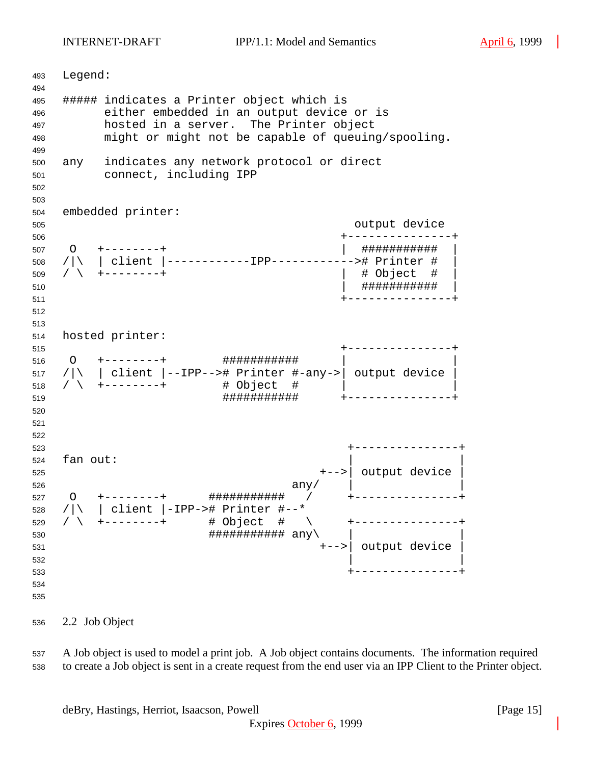INTERNET-DRAFT IPP/1.1: Model and Semantics April 6, 1999

 Legend: ##### indicates a Printer object which is either embedded in an output device or is hosted in a server. The Printer object might or might not be capable of queuing/spooling. any indicates any network protocol or direct connect, including IPP embedded printer: output device +---------------+ O +--------+ | ########### | /|\ | client |------------IPP------------># Printer # | / \ +--------+ | # Object # | | ########### | +---------------+ hosted printer: +---------------+ O +--------+ ########### | | /|\ | client |--IPP--># Printer #-any->| output device | / \ +--------+ # Object # | | ########### +---------------+ +---------------+ fan out: +-->| output device | any/  $\vert$ 527 〇 +-------+ <mark>#################</mark> / +---------------- /|\ | client |-IPP-># Printer #--\* / \ +--------+ # Object # \ +---------------+  $\#$ # $\#$ # $\#$ # $\#$ # $\#$ # $\#$ # $\#$  $\{$  any +-->| output device |  $\frac{1}{2}$  532 +---------------+ 

2.2 Job Object

 A Job object is used to model a print job. A Job object contains documents. The information required to create a Job object is sent in a create request from the end user via an IPP Client to the Printer object.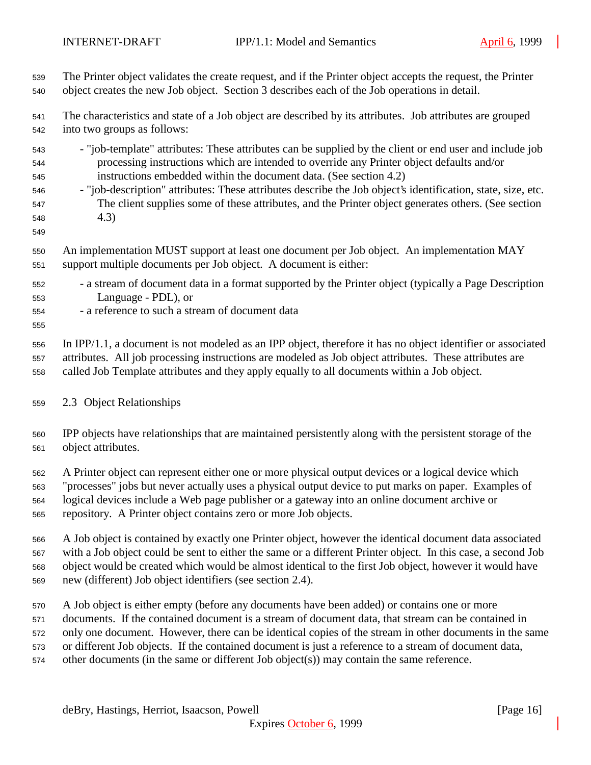| 539                                           | The Printer object validates the create request, and if the Printer object accepts the request, the Printer                                                                                                                                                                                                                                                                                                                                                                                               |
|-----------------------------------------------|-----------------------------------------------------------------------------------------------------------------------------------------------------------------------------------------------------------------------------------------------------------------------------------------------------------------------------------------------------------------------------------------------------------------------------------------------------------------------------------------------------------|
| 540                                           | object creates the new Job object. Section 3 describes each of the Job operations in detail.                                                                                                                                                                                                                                                                                                                                                                                                              |
| 541                                           | The characteristics and state of a Job object are described by its attributes. Job attributes are grouped                                                                                                                                                                                                                                                                                                                                                                                                 |
| 542                                           | into two groups as follows:                                                                                                                                                                                                                                                                                                                                                                                                                                                                               |
| 543<br>544<br>545<br>546<br>547<br>548<br>549 | - "job-template" attributes: These attributes can be supplied by the client or end user and include job<br>processing instructions which are intended to override any Printer object defaults and/or<br>instructions embedded within the document data. (See section 4.2)<br>- "job-description" attributes: These attributes describe the Job object's identification, state, size, etc.<br>The client supplies some of these attributes, and the Printer object generates others. (See section<br>(4.3) |
| 550                                           | An implementation MUST support at least one document per Job object. An implementation MAY                                                                                                                                                                                                                                                                                                                                                                                                                |
| 551                                           | support multiple documents per Job object. A document is either:                                                                                                                                                                                                                                                                                                                                                                                                                                          |
| 552<br>553<br>554<br>555                      | - a stream of document data in a format supported by the Printer object (typically a Page Description<br>Language - PDL), or<br>- a reference to such a stream of document data                                                                                                                                                                                                                                                                                                                           |
| 556                                           | In IPP/1.1, a document is not modeled as an IPP object, therefore it has no object identifier or associated                                                                                                                                                                                                                                                                                                                                                                                               |
| 557                                           | attributes. All job processing instructions are modeled as Job object attributes. These attributes are                                                                                                                                                                                                                                                                                                                                                                                                    |
| 558                                           | called Job Template attributes and they apply equally to all documents within a Job object.                                                                                                                                                                                                                                                                                                                                                                                                               |
| 559                                           | 2.3 Object Relationships                                                                                                                                                                                                                                                                                                                                                                                                                                                                                  |
| 560                                           | IPP objects have relationships that are maintained persistently along with the persistent storage of the                                                                                                                                                                                                                                                                                                                                                                                                  |
| 561                                           | object attributes.                                                                                                                                                                                                                                                                                                                                                                                                                                                                                        |
| 562                                           | A Printer object can represent either one or more physical output devices or a logical device which                                                                                                                                                                                                                                                                                                                                                                                                       |
| 563                                           | "processes" jobs but never actually uses a physical output device to put marks on paper. Examples of                                                                                                                                                                                                                                                                                                                                                                                                      |
| 564                                           | logical devices include a Web page publisher or a gateway into an online document archive or                                                                                                                                                                                                                                                                                                                                                                                                              |
| 565                                           | repository. A Printer object contains zero or more Job objects.                                                                                                                                                                                                                                                                                                                                                                                                                                           |
| 566                                           | A Job object is contained by exactly one Printer object, however the identical document data associated                                                                                                                                                                                                                                                                                                                                                                                                   |
| 567                                           | with a Job object could be sent to either the same or a different Printer object. In this case, a second Job                                                                                                                                                                                                                                                                                                                                                                                              |
| 568                                           | object would be created which would be almost identical to the first Job object, however it would have                                                                                                                                                                                                                                                                                                                                                                                                    |
| 569                                           | new (different) Job object identifiers (see section 2.4).                                                                                                                                                                                                                                                                                                                                                                                                                                                 |
| 570                                           | A Job object is either empty (before any documents have been added) or contains one or more                                                                                                                                                                                                                                                                                                                                                                                                               |
| 571                                           | documents. If the contained document is a stream of document data, that stream can be contained in                                                                                                                                                                                                                                                                                                                                                                                                        |
| 572                                           | only one document. However, there can be identical copies of the stream in other documents in the same                                                                                                                                                                                                                                                                                                                                                                                                    |
| 573                                           | or different Job objects. If the contained document is just a reference to a stream of document data,                                                                                                                                                                                                                                                                                                                                                                                                     |
| 574                                           | other documents (in the same or different Job object(s)) may contain the same reference.                                                                                                                                                                                                                                                                                                                                                                                                                  |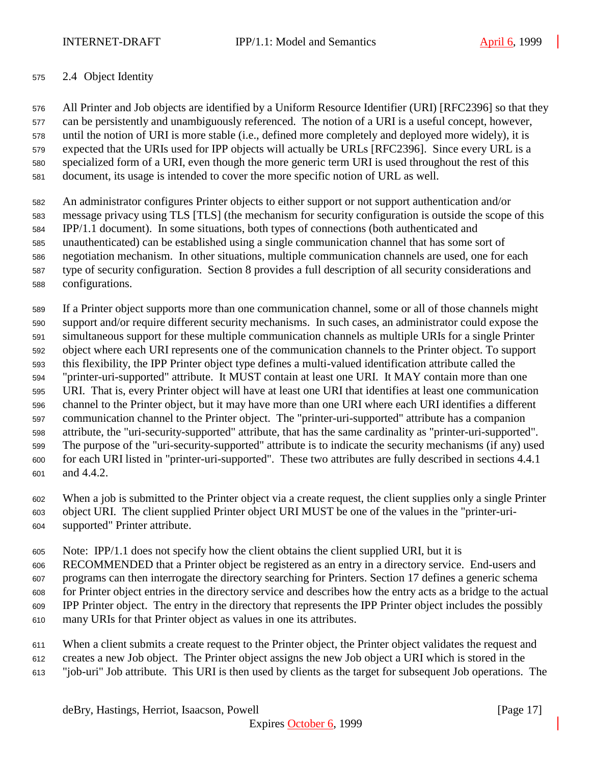### 2.4 Object Identity

 All Printer and Job objects are identified by a Uniform Resource Identifier (URI) [RFC2396] so that they can be persistently and unambiguously referenced. The notion of a URI is a useful concept, however, until the notion of URI is more stable (i.e., defined more completely and deployed more widely), it is expected that the URIs used for IPP objects will actually be URLs [RFC2396]. Since every URL is a specialized form of a URI, even though the more generic term URI is used throughout the rest of this document, its usage is intended to cover the more specific notion of URL as well.

 An administrator configures Printer objects to either support or not support authentication and/or message privacy using TLS [TLS] (the mechanism for security configuration is outside the scope of this IPP/1.1 document). In some situations, both types of connections (both authenticated and unauthenticated) can be established using a single communication channel that has some sort of negotiation mechanism. In other situations, multiple communication channels are used, one for each type of security configuration. Section 8 provides a full description of all security considerations and configurations.

 If a Printer object supports more than one communication channel, some or all of those channels might support and/or require different security mechanisms. In such cases, an administrator could expose the simultaneous support for these multiple communication channels as multiple URIs for a single Printer object where each URI represents one of the communication channels to the Printer object. To support this flexibility, the IPP Printer object type defines a multi-valued identification attribute called the "printer-uri-supported" attribute. It MUST contain at least one URI. It MAY contain more than one URI. That is, every Printer object will have at least one URI that identifies at least one communication channel to the Printer object, but it may have more than one URI where each URI identifies a different communication channel to the Printer object. The "printer-uri-supported" attribute has a companion attribute, the "uri-security-supported" attribute, that has the same cardinality as "printer-uri-supported". The purpose of the "uri-security-supported" attribute is to indicate the security mechanisms (if any) used for each URI listed in "printer-uri-supported". These two attributes are fully described in sections 4.4.1 and 4.4.2.

 When a job is submitted to the Printer object via a create request, the client supplies only a single Printer object URI. The client supplied Printer object URI MUST be one of the values in the "printer-uri-supported" Printer attribute.

Note: IPP/1.1 does not specify how the client obtains the client supplied URI, but it is

RECOMMENDED that a Printer object be registered as an entry in a directory service. End-users and

programs can then interrogate the directory searching for Printers. Section 17 defines a generic schema

for Printer object entries in the directory service and describes how the entry acts as a bridge to the actual

- IPP Printer object. The entry in the directory that represents the IPP Printer object includes the possibly
- many URIs for that Printer object as values in one its attributes.
- When a client submits a create request to the Printer object, the Printer object validates the request and creates a new Job object. The Printer object assigns the new Job object a URI which is stored in the
- "job-uri" Job attribute. This URI is then used by clients as the target for subsequent Job operations. The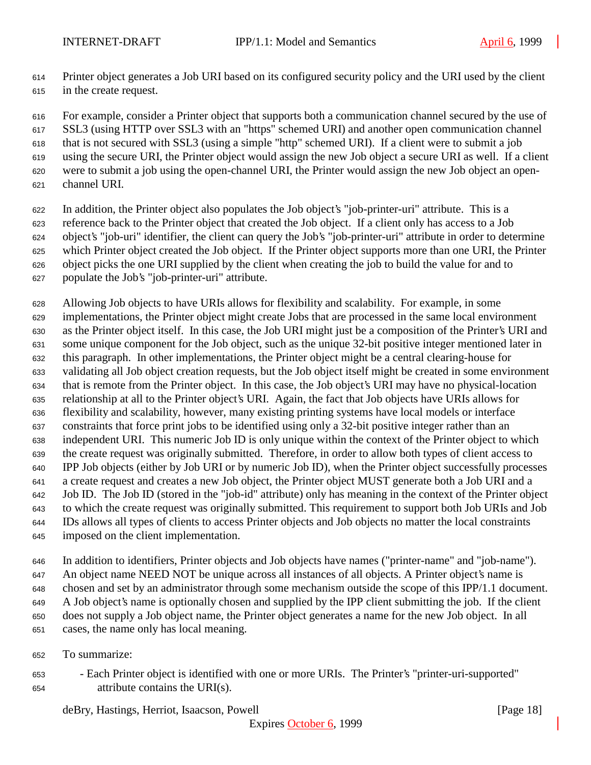Printer object generates a Job URI based on its configured security policy and the URI used by the client in the create request.

 For example, consider a Printer object that supports both a communication channel secured by the use of SSL3 (using HTTP over SSL3 with an "https" schemed URI) and another open communication channel that is not secured with SSL3 (using a simple "http" schemed URI). If a client were to submit a job using the secure URI, the Printer object would assign the new Job object a secure URI as well. If a client were to submit a job using the open-channel URI, the Printer would assign the new Job object an open-

- channel URI.
- In addition, the Printer object also populates the Job object's "job-printer-uri" attribute. This is a reference back to the Printer object that created the Job object. If a client only has access to a Job object's "job-uri" identifier, the client can query the Job's "job-printer-uri" attribute in order to determine which Printer object created the Job object. If the Printer object supports more than one URI, the Printer object picks the one URI supplied by the client when creating the job to build the value for and to populate the Job's "job-printer-uri" attribute.
- Allowing Job objects to have URIs allows for flexibility and scalability. For example, in some implementations, the Printer object might create Jobs that are processed in the same local environment as the Printer object itself. In this case, the Job URI might just be a composition of the Printer's URI and some unique component for the Job object, such as the unique 32-bit positive integer mentioned later in this paragraph. In other implementations, the Printer object might be a central clearing-house for validating all Job object creation requests, but the Job object itself might be created in some environment that is remote from the Printer object. In this case, the Job object's URI may have no physical-location relationship at all to the Printer object's URI. Again, the fact that Job objects have URIs allows for flexibility and scalability, however, many existing printing systems have local models or interface constraints that force print jobs to be identified using only a 32-bit positive integer rather than an independent URI. This numeric Job ID is only unique within the context of the Printer object to which the create request was originally submitted. Therefore, in order to allow both types of client access to IPP Job objects (either by Job URI or by numeric Job ID), when the Printer object successfully processes a create request and creates a new Job object, the Printer object MUST generate both a Job URI and a Job ID. The Job ID (stored in the "job-id" attribute) only has meaning in the context of the Printer object to which the create request was originally submitted. This requirement to support both Job URIs and Job IDs allows all types of clients to access Printer objects and Job objects no matter the local constraints imposed on the client implementation.

 In addition to identifiers, Printer objects and Job objects have names ("printer-name" and "job-name"). An object name NEED NOT be unique across all instances of all objects. A Printer object's name is chosen and set by an administrator through some mechanism outside the scope of this IPP/1.1 document. A Job object's name is optionally chosen and supplied by the IPP client submitting the job. If the client does not supply a Job object name, the Printer object generates a name for the new Job object. In all cases, the name only has local meaning.

- To summarize:
- Each Printer object is identified with one or more URIs. The Printer's "printer-uri-supported" attribute contains the URI(s).

deBry, Hastings, Herriot, Isaacson, Powell [Page 18]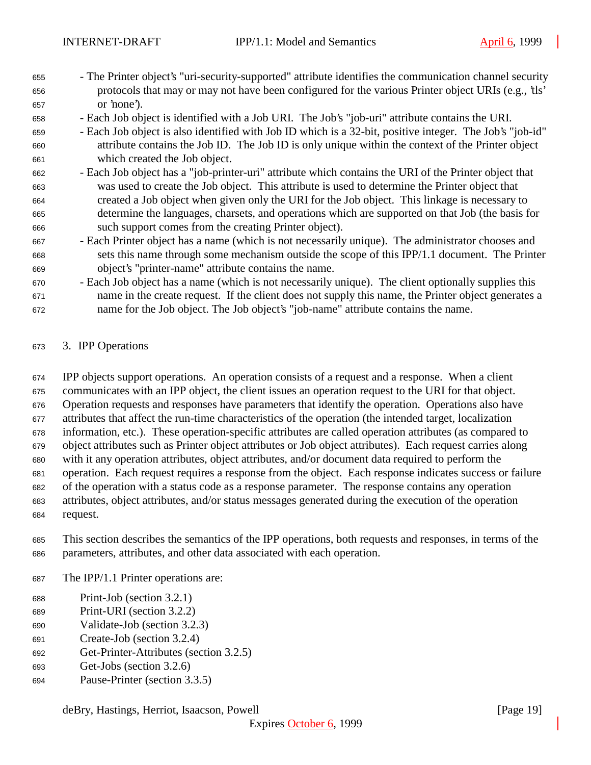- The Printer object's "uri-security-supported" attribute identifies the communication channel security protocols that may or may not have been configured for the various Printer object URIs (e.g., 'tls' or 'none').
- Each Job object is identified with a Job URI. The Job's "job-uri" attribute contains the URI.
- Each Job object is also identified with Job ID which is a 32-bit, positive integer. The Job's "job-id" attribute contains the Job ID. The Job ID is only unique within the context of the Printer object which created the Job object.
- Each Job object has a "job-printer-uri" attribute which contains the URI of the Printer object that was used to create the Job object. This attribute is used to determine the Printer object that created a Job object when given only the URI for the Job object. This linkage is necessary to determine the languages, charsets, and operations which are supported on that Job (the basis for such support comes from the creating Printer object).
- Each Printer object has a name (which is not necessarily unique). The administrator chooses and sets this name through some mechanism outside the scope of this IPP/1.1 document. The Printer object's "printer-name" attribute contains the name.
- Each Job object has a name (which is not necessarily unique). The client optionally supplies this name in the create request. If the client does not supply this name, the Printer object generates a name for the Job object. The Job object's "job-name" attribute contains the name.

#### 3. IPP Operations

 IPP objects support operations. An operation consists of a request and a response. When a client communicates with an IPP object, the client issues an operation request to the URI for that object. Operation requests and responses have parameters that identify the operation. Operations also have attributes that affect the run-time characteristics of the operation (the intended target, localization information, etc.). These operation-specific attributes are called operation attributes (as compared to object attributes such as Printer object attributes or Job object attributes). Each request carries along with it any operation attributes, object attributes, and/or document data required to perform the operation. Each request requires a response from the object. Each response indicates success or failure of the operation with a status code as a response parameter. The response contains any operation attributes, object attributes, and/or status messages generated during the execution of the operation request.

- This section describes the semantics of the IPP operations, both requests and responses, in terms of the parameters, attributes, and other data associated with each operation.
- The IPP/1.1 Printer operations are:
- Print-Job (section 3.2.1)
- Print-URI (section 3.2.2)
- Validate-Job (section 3.2.3)
- Create-Job (section 3.2.4)
- Get-Printer-Attributes (section 3.2.5)
- Get-Jobs (section 3.2.6)
- Pause-Printer (section 3.3.5)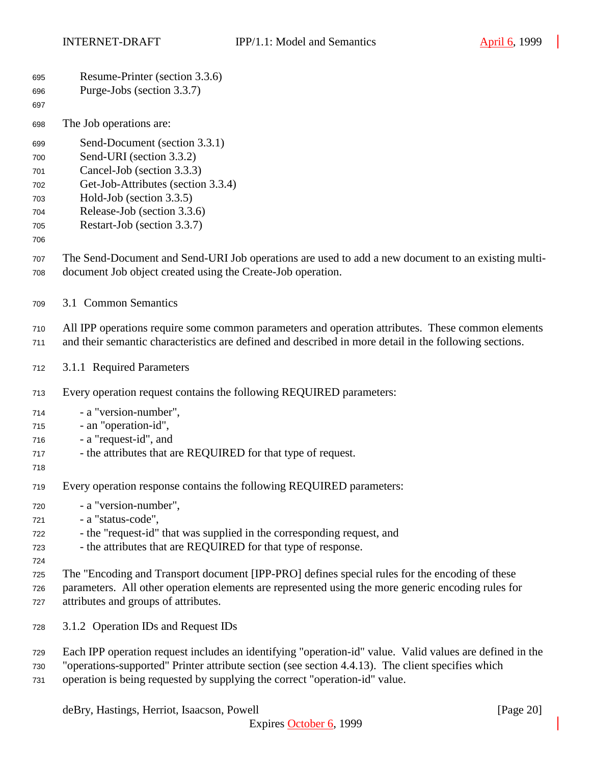| 695<br>696<br>697                                    | Resume-Printer (section 3.3.6)<br>Purge-Jobs (section 3.3.7)                                                                                                                                                                                                                                 |
|------------------------------------------------------|----------------------------------------------------------------------------------------------------------------------------------------------------------------------------------------------------------------------------------------------------------------------------------------------|
| 698                                                  | The Job operations are:                                                                                                                                                                                                                                                                      |
| 699<br>700<br>701<br>702<br>703<br>704<br>705<br>706 | Send-Document (section 3.3.1)<br>Send-URI (section 3.3.2)<br>Cancel-Job (section 3.3.3)<br>Get-Job-Attributes (section 3.3.4)<br>Hold-Job (section 3.3.5)<br>Release-Job (section 3.3.6)<br>Restart-Job (section 3.3.7)                                                                      |
| 707<br>708                                           | The Send-Document and Send-URI Job operations are used to add a new document to an existing multi-<br>document Job object created using the Create-Job operation.                                                                                                                            |
| 709                                                  | 3.1 Common Semantics                                                                                                                                                                                                                                                                         |
| 710<br>711                                           | All IPP operations require some common parameters and operation attributes. These common elements<br>and their semantic characteristics are defined and described in more detail in the following sections.                                                                                  |
| 712                                                  | 3.1.1 Required Parameters                                                                                                                                                                                                                                                                    |
| 713                                                  | Every operation request contains the following REQUIRED parameters:                                                                                                                                                                                                                          |
| 714<br>715<br>716<br>717<br>718                      | - a "version-number",<br>- an "operation-id",<br>- a "request-id", and<br>- the attributes that are REQUIRED for that type of request.                                                                                                                                                       |
| 719                                                  | Every operation response contains the following REQUIRED parameters:                                                                                                                                                                                                                         |
| 720<br>721<br>722<br>723<br>724                      | - a "version-number",<br>- a "status-code",<br>- the "request-id" that was supplied in the corresponding request, and<br>- the attributes that are REQUIRED for that type of response.                                                                                                       |
| 725<br>726<br>727                                    | The "Encoding and Transport document [IPP-PRO] defines special rules for the encoding of these<br>parameters. All other operation elements are represented using the more generic encoding rules for<br>attributes and groups of attributes.                                                 |
| 728                                                  | 3.1.2 Operation IDs and Request IDs                                                                                                                                                                                                                                                          |
| 729<br>730<br>731                                    | Each IPP operation request includes an identifying "operation-id" value. Valid values are defined in the<br>"operations-supported" Printer attribute section (see section 4.4.13). The client specifies which<br>operation is being requested by supplying the correct "operation-id" value. |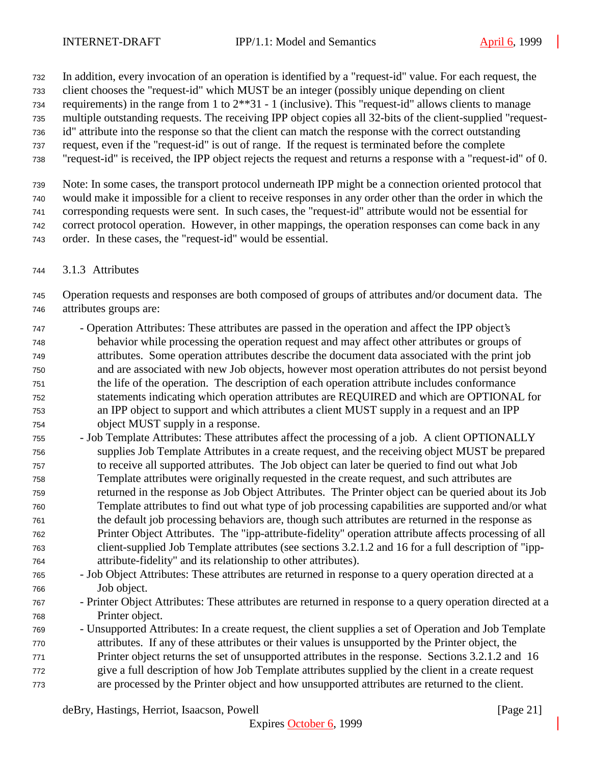In addition, every invocation of an operation is identified by a "request-id" value. For each request, the

client chooses the "request-id" which MUST be an integer (possibly unique depending on client

requirements) in the range from 1 to 2\*\*31 - 1 (inclusive). This "request-id" allows clients to manage

multiple outstanding requests. The receiving IPP object copies all 32-bits of the client-supplied "request-

- id" attribute into the response so that the client can match the response with the correct outstanding request, even if the "request-id" is out of range. If the request is terminated before the complete
- "request-id" is received, the IPP object rejects the request and returns a response with a "request-id" of 0.

 Note: In some cases, the transport protocol underneath IPP might be a connection oriented protocol that would make it impossible for a client to receive responses in any order other than the order in which the corresponding requests were sent. In such cases, the "request-id" attribute would not be essential for correct protocol operation. However, in other mappings, the operation responses can come back in any order. In these cases, the "request-id" would be essential.

3.1.3 Attributes

 Operation requests and responses are both composed of groups of attributes and/or document data. The attributes groups are:

- Operation Attributes: These attributes are passed in the operation and affect the IPP object's behavior while processing the operation request and may affect other attributes or groups of attributes. Some operation attributes describe the document data associated with the print job and are associated with new Job objects, however most operation attributes do not persist beyond the life of the operation. The description of each operation attribute includes conformance statements indicating which operation attributes are REQUIRED and which are OPTIONAL for an IPP object to support and which attributes a client MUST supply in a request and an IPP object MUST supply in a response.
- Job Template Attributes: These attributes affect the processing of a job. A client OPTIONALLY supplies Job Template Attributes in a create request, and the receiving object MUST be prepared to receive all supported attributes. The Job object can later be queried to find out what Job Template attributes were originally requested in the create request, and such attributes are returned in the response as Job Object Attributes. The Printer object can be queried about its Job Template attributes to find out what type of job processing capabilities are supported and/or what the default job processing behaviors are, though such attributes are returned in the response as Printer Object Attributes. The "ipp-attribute-fidelity" operation attribute affects processing of all client-supplied Job Template attributes (see sections 3.2.1.2 and 16 for a full description of "ipp-attribute-fidelity" and its relationship to other attributes).
- Job Object Attributes: These attributes are returned in response to a query operation directed at a Job object.
- Printer Object Attributes: These attributes are returned in response to a query operation directed at a Printer object.
- Unsupported Attributes: In a create request, the client supplies a set of Operation and Job Template attributes. If any of these attributes or their values is unsupported by the Printer object, the Printer object returns the set of unsupported attributes in the response. Sections 3.2.1.2 and 16 give a full description of how Job Template attributes supplied by the client in a create request are processed by the Printer object and how unsupported attributes are returned to the client.

deBry, Hastings, Herriot, Isaacson, Powell [Page 21]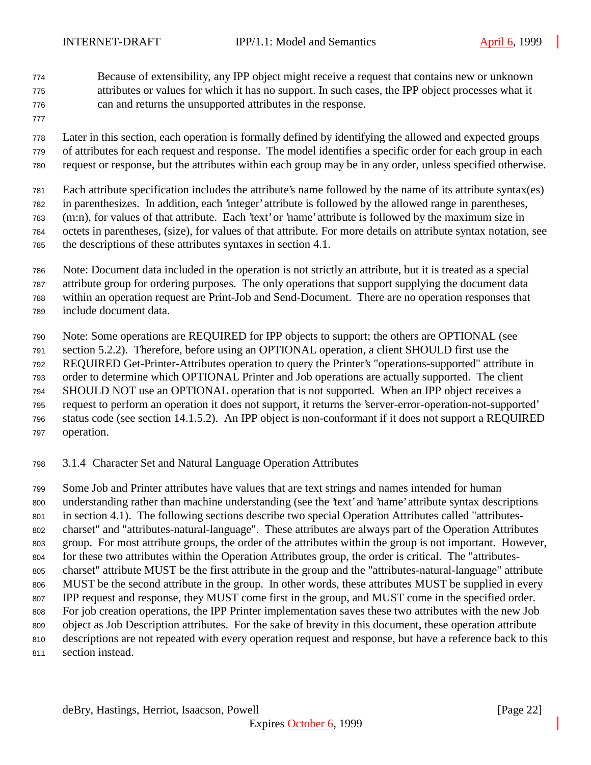- Because of extensibility, any IPP object might receive a request that contains new or unknown attributes or values for which it has no support. In such cases, the IPP object processes what it can and returns the unsupported attributes in the response.
- 

 Later in this section, each operation is formally defined by identifying the allowed and expected groups of attributes for each request and response. The model identifies a specific order for each group in each request or response, but the attributes within each group may be in any order, unless specified otherwise.

Each attribute specification includes the attribute's name followed by the name of its attribute syntax(es)

in parenthesizes. In addition, each 'integer' attribute is followed by the allowed range in parentheses,

(m:n), for values of that attribute. Each 'text' or 'name' attribute is followed by the maximum size in

octets in parentheses, (size), for values of that attribute. For more details on attribute syntax notation, see

the descriptions of these attributes syntaxes in section 4.1.

Note: Document data included in the operation is not strictly an attribute, but it is treated as a special

attribute group for ordering purposes. The only operations that support supplying the document data

within an operation request are Print-Job and Send-Document. There are no operation responses that

include document data.

Note: Some operations are REQUIRED for IPP objects to support; the others are OPTIONAL (see

section 5.2.2). Therefore, before using an OPTIONAL operation, a client SHOULD first use the

REQUIRED Get-Printer-Attributes operation to query the Printer's "operations-supported" attribute in

order to determine which OPTIONAL Printer and Job operations are actually supported. The client

SHOULD NOT use an OPTIONAL operation that is not supported. When an IPP object receives a

- request to perform an operation it does not support, it returns the 'server-error-operation-not-supported' status code (see section 14.1.5.2). An IPP object is non-conformant if it does not support a REQUIRED
- operation.

3.1.4 Character Set and Natural Language Operation Attributes

 Some Job and Printer attributes have values that are text strings and names intended for human understanding rather than machine understanding (see the 'text' and 'name' attribute syntax descriptions 801 in section 4.1). The following sections describe two special Operation Attributes called "attributes- charset" and "attributes-natural-language". These attributes are always part of the Operation Attributes group. For most attribute groups, the order of the attributes within the group is not important. However, for these two attributes within the Operation Attributes group, the order is critical. The "attributes- charset" attribute MUST be the first attribute in the group and the "attributes-natural-language" attribute MUST be the second attribute in the group. In other words, these attributes MUST be supplied in every IPP request and response, they MUST come first in the group, and MUST come in the specified order. For job creation operations, the IPP Printer implementation saves these two attributes with the new Job object as Job Description attributes. For the sake of brevity in this document, these operation attribute descriptions are not repeated with every operation request and response, but have a reference back to this

section instead.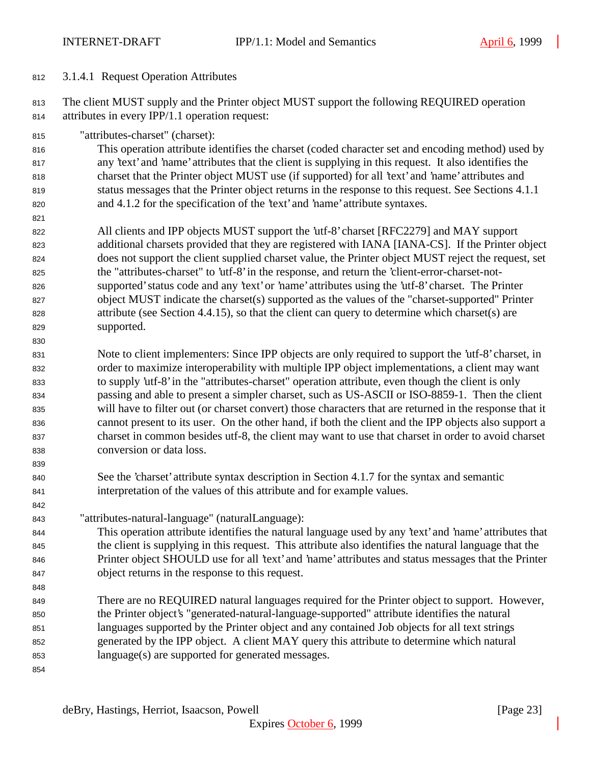## 3.1.4.1 Request Operation Attributes

 The client MUST supply and the Printer object MUST support the following REQUIRED operation attributes in every IPP/1.1 operation request:

"attributes-charset" (charset):

 This operation attribute identifies the charset (coded character set and encoding method) used by any 'text' and 'name' attributes that the client is supplying in this request. It also identifies the charset that the Printer object MUST use (if supported) for all 'text' and 'name' attributes and status messages that the Printer object returns in the response to this request. See Sections 4.1.1 and 4.1.2 for the specification of the 'text' and 'name' attribute syntaxes.

 All clients and IPP objects MUST support the 'utf-8' charset [RFC2279] and MAY support additional charsets provided that they are registered with IANA [IANA-CS]. If the Printer object does not support the client supplied charset value, the Printer object MUST reject the request, set the "attributes-charset" to 'utf-8' in the response, and return the 'client-error-charset-not- supported' status code and any 'text' or 'name' attributes using the 'utf-8' charset. The Printer object MUST indicate the charset(s) supported as the values of the "charset-supported" Printer attribute (see Section 4.4.15), so that the client can query to determine which charset(s) are supported.

 Note to client implementers: Since IPP objects are only required to support the 'utf-8' charset, in order to maximize interoperability with multiple IPP object implementations, a client may want to supply 'utf-8' in the "attributes-charset" operation attribute, even though the client is only passing and able to present a simpler charset, such as US-ASCII or ISO-8859-1. Then the client will have to filter out (or charset convert) those characters that are returned in the response that it cannot present to its user. On the other hand, if both the client and the IPP objects also support a charset in common besides utf-8, the client may want to use that charset in order to avoid charset conversion or data loss.

- See the 'charset' attribute syntax description in Section 4.1.7 for the syntax and semantic interpretation of the values of this attribute and for example values.
- "attributes-natural-language" (naturalLanguage):

 This operation attribute identifies the natural language used by any 'text' and 'name' attributes that the client is supplying in this request. This attribute also identifies the natural language that the Printer object SHOULD use for all 'text' and 'name' attributes and status messages that the Printer object returns in the response to this request.

- There are no REQUIRED natural languages required for the Printer object to support. However, the Printer object's "generated-natural-language-supported" attribute identifies the natural languages supported by the Printer object and any contained Job objects for all text strings generated by the IPP object. A client MAY query this attribute to determine which natural language(s) are supported for generated messages.
-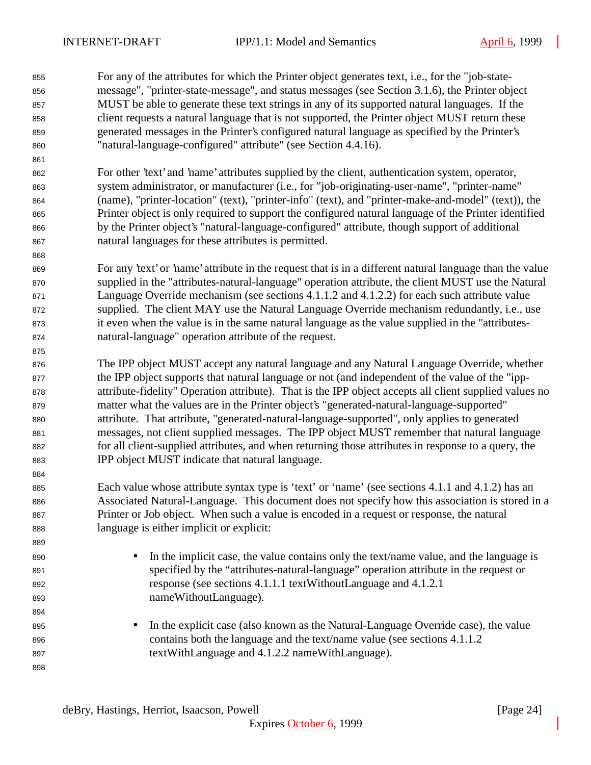For any of the attributes for which the Printer object generates text, i.e., for the "job-state- message", "printer-state-message", and status messages (see Section 3.1.6), the Printer object MUST be able to generate these text strings in any of its supported natural languages. If the client requests a natural language that is not supported, the Printer object MUST return these generated messages in the Printer's configured natural language as specified by the Printer's "natural-language-configured" attribute" (see Section 4.4.16).

- For other 'text' and 'name' attributes supplied by the client, authentication system, operator, system administrator, or manufacturer (i.e., for "job-originating-user-name", "printer-name" (name), "printer-location" (text), "printer-info" (text), and "printer-make-and-model" (text)), the Printer object is only required to support the configured natural language of the Printer identified by the Printer object's "natural-language-configured" attribute, though support of additional natural languages for these attributes is permitted.
- For any 'text' or 'name' attribute in the request that is in a different natural language than the value supplied in the "attributes-natural-language" operation attribute, the client MUST use the Natural Language Override mechanism (see sections 4.1.1.2 and 4.1.2.2) for each such attribute value supplied. The client MAY use the Natural Language Override mechanism redundantly, i.e., use it even when the value is in the same natural language as the value supplied in the "attributes-natural-language" operation attribute of the request.
- The IPP object MUST accept any natural language and any Natural Language Override, whether the IPP object supports that natural language or not (and independent of the value of the "ipp- attribute-fidelity" Operation attribute). That is the IPP object accepts all client supplied values no matter what the values are in the Printer object's "generated-natural-language-supported" attribute. That attribute, "generated-natural-language-supported", only applies to generated messages, not client supplied messages. The IPP object MUST remember that natural language for all client-supplied attributes, and when returning those attributes in response to a query, the IPP object MUST indicate that natural language.
- Each value whose attribute syntax type is 'text' or 'name' (see sections 4.1.1 and 4.1.2) has an Associated Natural-Language. This document does not specify how this association is stored in a Printer or Job object. When such a value is encoded in a request or response, the natural language is either implicit or explicit:
- 890 In the implicit case, the value contains only the text/name value, and the language is specified by the "attributes-natural-language" operation attribute in the request or response (see sections 4.1.1.1 textWithoutLanguage and 4.1.2.1 nameWithoutLanguage).
- 895 In the explicit case (also known as the Natural-Language Override case), the value contains both the language and the text/name value (see sections 4.1.1.2 textWithLanguage and 4.1.2.2 nameWithLanguage).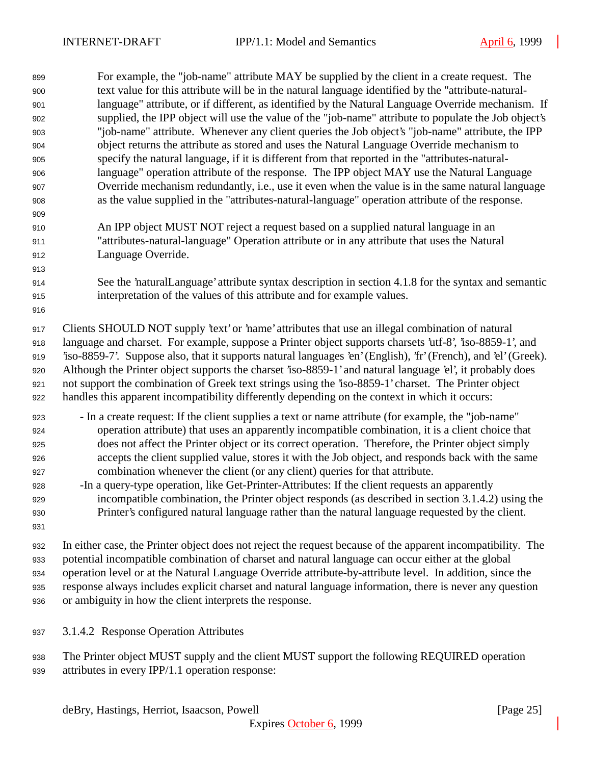| 899 | For example, the "job-name" attribute MAY be supplied by the client in a create request. The                    |
|-----|-----------------------------------------------------------------------------------------------------------------|
| 900 | text value for this attribute will be in the natural language identified by the "attribute-natural-             |
| 901 | language" attribute, or if different, as identified by the Natural Language Override mechanism. If              |
| 902 | supplied, the IPP object will use the value of the "job-name" attribute to populate the Job object's            |
| 903 | "job-name" attribute. Whenever any client queries the Job object's "job-name" attribute, the IPP                |
| 904 | object returns the attribute as stored and uses the Natural Language Override mechanism to                      |
| 905 | specify the natural language, if it is different from that reported in the "attributes-natural-                 |
| 906 | language" operation attribute of the response. The IPP object MAY use the Natural Language                      |
| 907 | Override mechanism redundantly, i.e., use it even when the value is in the same natural language                |
| 908 | as the value supplied in the "attributes-natural-language" operation attribute of the response.                 |
| 909 |                                                                                                                 |
| 910 | An IPP object MUST NOT reject a request based on a supplied natural language in an                              |
| 911 | "attributes-natural-language" Operation attribute or in any attribute that uses the Natural                     |
| 912 | Language Override.                                                                                              |
| 913 |                                                                                                                 |
| 914 | See the 'naturalLanguage' attribute syntax description in section 4.1.8 for the syntax and semantic             |
| 915 | interpretation of the values of this attribute and for example values.                                          |
| 916 |                                                                                                                 |
| 917 | Clients SHOULD NOT supply 'text' or 'name' attributes that use an illegal combination of natural                |
| 918 | language and charset. For example, suppose a Printer object supports charsets 'utf-8', 'iso-8859-1', and        |
| 919 | 'iso-8859-7'. Suppose also, that it supports natural languages 'en' (English), 'fr' (French), and 'el' (Greek). |
| 920 | Although the Printer object supports the charset 'iso-8859-1' and natural language 'el', it probably does       |
| 921 | not support the combination of Greek text strings using the 'iso-8859-1' charset. The Printer object            |
| 922 | handles this apparent incompatibility differently depending on the context in which it occurs:                  |
| 923 | - In a create request: If the client supplies a text or name attribute (for example, the "job-name"             |
| 924 | operation attribute) that uses an apparently incompatible combination, it is a client choice that               |
| 925 | does not affect the Printer object or its correct operation. Therefore, the Printer object simply               |
| 926 | accepts the client supplied value, stores it with the Job object, and responds back with the same               |
| 927 | combination whenever the client (or any client) queries for that attribute.                                     |
| 928 | -In a query-type operation, like Get-Printer-Attributes: If the client requests an apparently                   |
| 929 | incompatible combination, the Printer object responds (as described in section 3.1.4.2) using the               |
| 930 | Printer's configured natural language rather than the natural language requested by the client.                 |
| 931 |                                                                                                                 |
| 932 | In either case, the Printer object does not reject the request because of the apparent incompatibility. The     |
| 933 | potential incompatible combination of charset and natural language can occur either at the global               |
| 934 | operation level or at the Natural Language Override attribute-by-attribute level. In addition, since the        |
| 935 | response always includes explicit charset and natural language information, there is never any question         |

- or ambiguity in how the client interprets the response.
- 3.1.4.2 Response Operation Attributes
- The Printer object MUST supply and the client MUST support the following REQUIRED operation attributes in every IPP/1.1 operation response: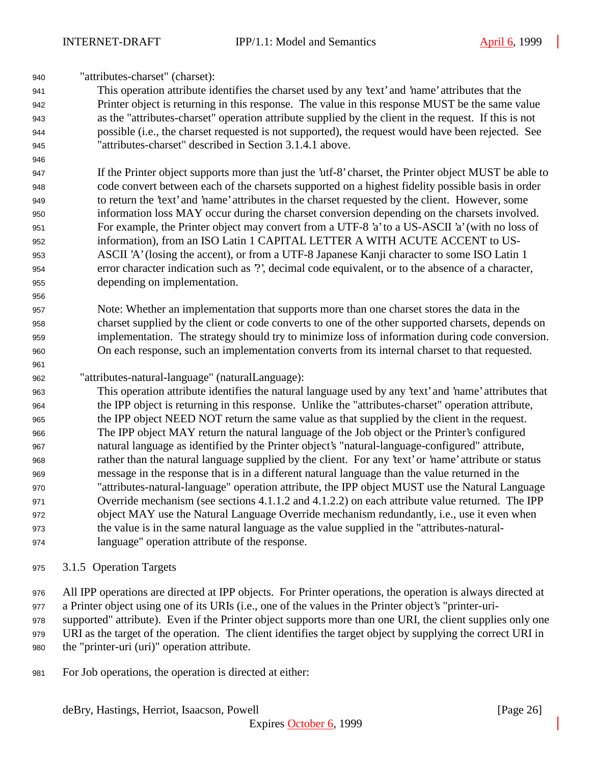"attributes-charset" (charset):

 This operation attribute identifies the charset used by any 'text' and 'name' attributes that the Printer object is returning in this response. The value in this response MUST be the same value as the "attributes-charset" operation attribute supplied by the client in the request. If this is not possible (i.e., the charset requested is not supported), the request would have been rejected. See "attributes-charset" described in Section 3.1.4.1 above.

 If the Printer object supports more than just the 'utf-8' charset, the Printer object MUST be able to code convert between each of the charsets supported on a highest fidelity possible basis in order to return the 'text' and 'name' attributes in the charset requested by the client. However, some information loss MAY occur during the charset conversion depending on the charsets involved. For example, the Printer object may convert from a UTF-8 'a' to a US-ASCII 'a' (with no loss of information), from an ISO Latin 1 CAPITAL LETTER A WITH ACUTE ACCENT to US- ASCII 'A' (losing the accent), or from a UTF-8 Japanese Kanji character to some ISO Latin 1 error character indication such as '?', decimal code equivalent, or to the absence of a character, depending on implementation.

- Note: Whether an implementation that supports more than one charset stores the data in the charset supplied by the client or code converts to one of the other supported charsets, depends on implementation. The strategy should try to minimize loss of information during code conversion. On each response, such an implementation converts from its internal charset to that requested.
- "attributes-natural-language" (naturalLanguage):

 This operation attribute identifies the natural language used by any 'text' and 'name' attributes that the IPP object is returning in this response. Unlike the "attributes-charset" operation attribute, the IPP object NEED NOT return the same value as that supplied by the client in the request. The IPP object MAY return the natural language of the Job object or the Printer's configured natural language as identified by the Printer object's "natural-language-configured" attribute, rather than the natural language supplied by the client. For any 'text' or 'name' attribute or status message in the response that is in a different natural language than the value returned in the "attributes-natural-language" operation attribute, the IPP object MUST use the Natural Language 971 Override mechanism (see sections 4.1.1.2 and 4.1.2.2) on each attribute value returned. The IPP object MAY use the Natural Language Override mechanism redundantly, i.e., use it even when the value is in the same natural language as the value supplied in the "attributes-natural-language" operation attribute of the response.

- 3.1.5 Operation Targets
- All IPP operations are directed at IPP objects. For Printer operations, the operation is always directed at

a Printer object using one of its URIs (i.e., one of the values in the Printer object's "printer-uri-

supported" attribute). Even if the Printer object supports more than one URI, the client supplies only one

 URI as the target of the operation. The client identifies the target object by supplying the correct URI in the "printer-uri (uri)" operation attribute.

For Job operations, the operation is directed at either: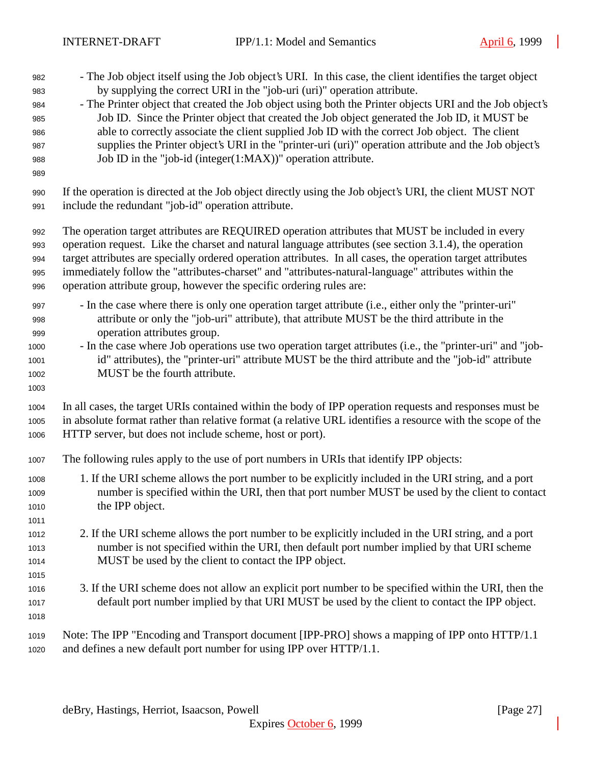- The Job object itself using the Job object's URI. In this case, the client identifies the target object by supplying the correct URI in the "job-uri (uri)" operation attribute. - The Printer object that created the Job object using both the Printer objects URI and the Job object's Job ID. Since the Printer object that created the Job object generated the Job ID, it MUST be able to correctly associate the client supplied Job ID with the correct Job object. The client supplies the Printer object's URI in the "printer-uri (uri)" operation attribute and the Job object's Job ID in the "job-id (integer(1:MAX))" operation attribute.
- 
- If the operation is directed at the Job object directly using the Job object's URI, the client MUST NOT include the redundant "job-id" operation attribute.

 The operation target attributes are REQUIRED operation attributes that MUST be included in every operation request. Like the charset and natural language attributes (see section 3.1.4), the operation target attributes are specially ordered operation attributes. In all cases, the operation target attributes immediately follow the "attributes-charset" and "attributes-natural-language" attributes within the operation attribute group, however the specific ordering rules are:

- In the case where there is only one operation target attribute (i.e., either only the "printer-uri" attribute or only the "job-uri" attribute), that attribute MUST be the third attribute in the operation attributes group.
- In the case where Job operations use two operation target attributes (i.e., the "printer-uri" and "job- id" attributes), the "printer-uri" attribute MUST be the third attribute and the "job-id" attribute MUST be the fourth attribute.
- 

 In all cases, the target URIs contained within the body of IPP operation requests and responses must be in absolute format rather than relative format (a relative URL identifies a resource with the scope of the HTTP server, but does not include scheme, host or port).

- The following rules apply to the use of port numbers in URIs that identify IPP objects:
- 1. If the URI scheme allows the port number to be explicitly included in the URI string, and a port number is specified within the URI, then that port number MUST be used by the client to contact the IPP object.
- 2. If the URI scheme allows the port number to be explicitly included in the URI string, and a port number is not specified within the URI, then default port number implied by that URI scheme MUST be used by the client to contact the IPP object.
- 3. If the URI scheme does not allow an explicit port number to be specified within the URI, then the default port number implied by that URI MUST be used by the client to contact the IPP object.
- 

 Note: The IPP "Encoding and Transport document [IPP-PRO] shows a mapping of IPP onto HTTP/1.1 and defines a new default port number for using IPP over HTTP/1.1.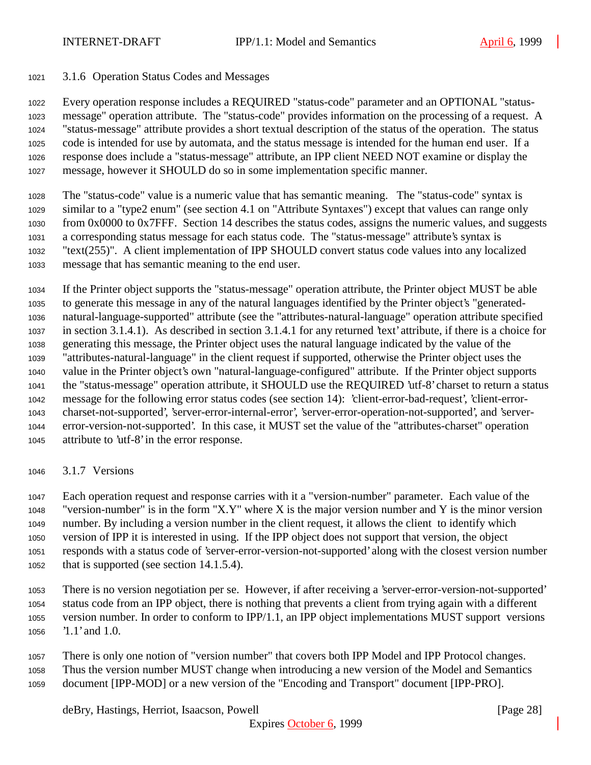#### 3.1.6 Operation Status Codes and Messages

 Every operation response includes a REQUIRED "status-code" parameter and an OPTIONAL "status- message" operation attribute. The "status-code" provides information on the processing of a request. A "status-message" attribute provides a short textual description of the status of the operation. The status code is intended for use by automata, and the status message is intended for the human end user. If a response does include a "status-message" attribute, an IPP client NEED NOT examine or display the message, however it SHOULD do so in some implementation specific manner.

 The "status-code" value is a numeric value that has semantic meaning. The "status-code" syntax is similar to a "type2 enum" (see section 4.1 on "Attribute Syntaxes") except that values can range only from 0x0000 to 0x7FFF. Section 14 describes the status codes, assigns the numeric values, and suggests a corresponding status message for each status code. The "status-message" attribute's syntax is "text(255)". A client implementation of IPP SHOULD convert status code values into any localized message that has semantic meaning to the end user.

 If the Printer object supports the "status-message" operation attribute, the Printer object MUST be able to generate this message in any of the natural languages identified by the Printer object's "generated- natural-language-supported" attribute (see the "attributes-natural-language" operation attribute specified in section 3.1.4.1). As described in section 3.1.4.1 for any returned 'text' attribute, if there is a choice for generating this message, the Printer object uses the natural language indicated by the value of the "attributes-natural-language" in the client request if supported, otherwise the Printer object uses the value in the Printer object's own "natural-language-configured" attribute. If the Printer object supports the "status-message" operation attribute, it SHOULD use the REQUIRED 'utf-8' charset to return a status message for the following error status codes (see section 14): 'client-error-bad-request', 'client-error- charset-not-supported', 'server-error-internal-error', 'server-error-operation-not-supported', and 'server- error-version-not-supported'. In this case, it MUST set the value of the "attributes-charset" operation attribute to 'utf-8' in the error response.

3.1.7 Versions

 Each operation request and response carries with it a "version-number" parameter. Each value of the 1048 "version-number" is in the form "X.Y" where X is the major version number and Y is the minor version number. By including a version number in the client request, it allows the client to identify which version of IPP it is interested in using. If the IPP object does not support that version, the object responds with a status code of 'server-error-version-not-supported' along with the closest version number that is supported (see section 14.1.5.4).

- There is no version negotiation per se. However, if after receiving a 'server-error-version-not-supported' status code from an IPP object, there is nothing that prevents a client from trying again with a different version number. In order to conform to IPP/1.1, an IPP object implementations MUST support versions '1.1' and 1.0.
- There is only one notion of "version number" that covers both IPP Model and IPP Protocol changes. Thus the version number MUST change when introducing a new version of the Model and Semantics document [IPP-MOD] or a new version of the "Encoding and Transport" document [IPP-PRO].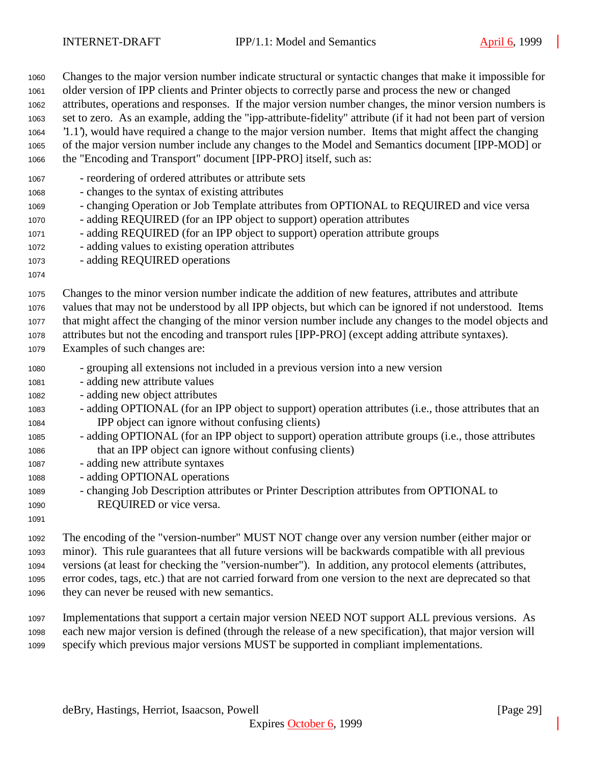| 1060 | Changes to the major version number indicate structural or syntactic changes that make it impossible for      |
|------|---------------------------------------------------------------------------------------------------------------|
| 1061 | older version of IPP clients and Printer objects to correctly parse and process the new or changed            |
| 1062 | attributes, operations and responses. If the major version number changes, the minor version numbers is       |
| 1063 | set to zero. As an example, adding the "ipp-attribute-fidelity" attribute (if it had not been part of version |
| 1064 | 1.1), would have required a change to the major version number. Items that might affect the changing          |
| 1065 | of the major version number include any changes to the Model and Semantics document [IPP-MOD] or              |
| 1066 | the "Encoding and Transport" document [IPP-PRO] itself, such as:                                              |
| 1067 | - reordering of ordered attributes or attribute sets                                                          |
| 1068 | - changes to the syntax of existing attributes                                                                |
| 1069 | - changing Operation or Job Template attributes from OPTIONAL to REQUIRED and vice versa                      |
| 1070 | - adding REQUIRED (for an IPP object to support) operation attributes                                         |
| 1071 | - adding REQUIRED (for an IPP object to support) operation attribute groups                                   |
| 1072 | - adding values to existing operation attributes                                                              |
| 1073 | - adding REQUIRED operations                                                                                  |
| 1074 |                                                                                                               |
| 1075 | Changes to the minor version number indicate the addition of new features, attributes and attribute           |
| 1076 | values that may not be understood by all IPP objects, but which can be ignored if not understood. Items       |
| 1077 | that might affect the changing of the minor version number include any changes to the model objects and       |
| 1078 | attributes but not the encoding and transport rules [IPP-PRO] (except adding attribute syntaxes).             |
| 1079 | Examples of such changes are:                                                                                 |
| 1080 | - grouping all extensions not included in a previous version into a new version                               |
| 1081 | - adding new attribute values                                                                                 |
| 1082 | - adding new object attributes                                                                                |
| 1083 | - adding OPTIONAL (for an IPP object to support) operation attributes (i.e., those attributes that an         |
| 1084 | IPP object can ignore without confusing clients)                                                              |
| 1085 | - adding OPTIONAL (for an IPP object to support) operation attribute groups (i.e., those attributes           |
| 1086 | that an IPP object can ignore without confusing clients)                                                      |
| 1087 | - adding new attribute syntaxes                                                                               |
| 1088 | - adding OPTIONAL operations                                                                                  |
| 1089 | - changing Job Description attributes or Printer Description attributes from OPTIONAL to                      |
| 1090 | REQUIRED or vice versa.                                                                                       |
| 1091 |                                                                                                               |
| 1092 | The encoding of the "version-number" MUST NOT change over any version number (either major or                 |
| 1093 | minor). This rule guarantees that all future versions will be backwards compatible with all previous          |
| 1094 | versions (at least for checking the "version-number"). In addition, any protocol elements (attributes,        |
| 1095 | error codes, tags, etc.) that are not carried forward from one version to the next are deprecated so that     |

- they can never be reused with new semantics.
- Implementations that support a certain major version NEED NOT support ALL previous versions. As each new major version is defined (through the release of a new specification), that major version will specify which previous major versions MUST be supported in compliant implementations.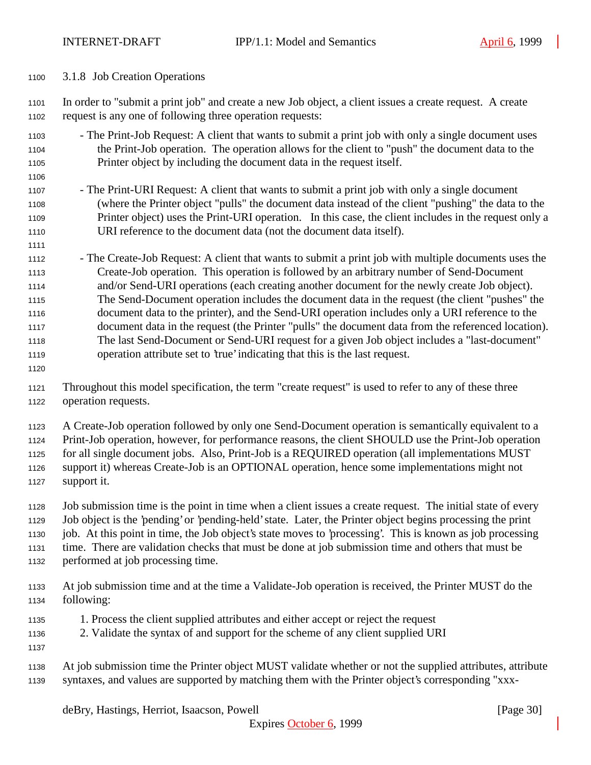3.1.8 Job Creation Operations

 In order to "submit a print job" and create a new Job object, a client issues a create request. A create request is any one of following three operation requests:

- The Print-Job Request: A client that wants to submit a print job with only a single document uses the Print-Job operation. The operation allows for the client to "push" the document data to the Printer object by including the document data in the request itself.
- The Print-URI Request: A client that wants to submit a print job with only a single document (where the Printer object "pulls" the document data instead of the client "pushing" the data to the Printer object) uses the Print-URI operation. In this case, the client includes in the request only a URI reference to the document data (not the document data itself).
- The Create-Job Request: A client that wants to submit a print job with multiple documents uses the Create-Job operation. This operation is followed by an arbitrary number of Send-Document and/or Send-URI operations (each creating another document for the newly create Job object). The Send-Document operation includes the document data in the request (the client "pushes" the document data to the printer), and the Send-URI operation includes only a URI reference to the document data in the request (the Printer "pulls" the document data from the referenced location). The last Send-Document or Send-URI request for a given Job object includes a "last-document" operation attribute set to 'true' indicating that this is the last request.
- 

 Throughout this model specification, the term "create request" is used to refer to any of these three operation requests.

A Create-Job operation followed by only one Send-Document operation is semantically equivalent to a

 Print-Job operation, however, for performance reasons, the client SHOULD use the Print-Job operation for all single document jobs. Also, Print-Job is a REQUIRED operation (all implementations MUST

 support it) whereas Create-Job is an OPTIONAL operation, hence some implementations might not support it.

- Job submission time is the point in time when a client issues a create request. The initial state of every Job object is the 'pending' or 'pending-held' state. Later, the Printer object begins processing the print job. At this point in time, the Job object's state moves to 'processing'. This is known as job processing time. There are validation checks that must be done at job submission time and others that must be performed at job processing time.
- At job submission time and at the time a Validate-Job operation is received, the Printer MUST do the following:
- 1. Process the client supplied attributes and either accept or reject the request
- 2. Validate the syntax of and support for the scheme of any client supplied URI
- 
- At job submission time the Printer object MUST validate whether or not the supplied attributes, attribute syntaxes, and values are supported by matching them with the Printer object's corresponding "xxx-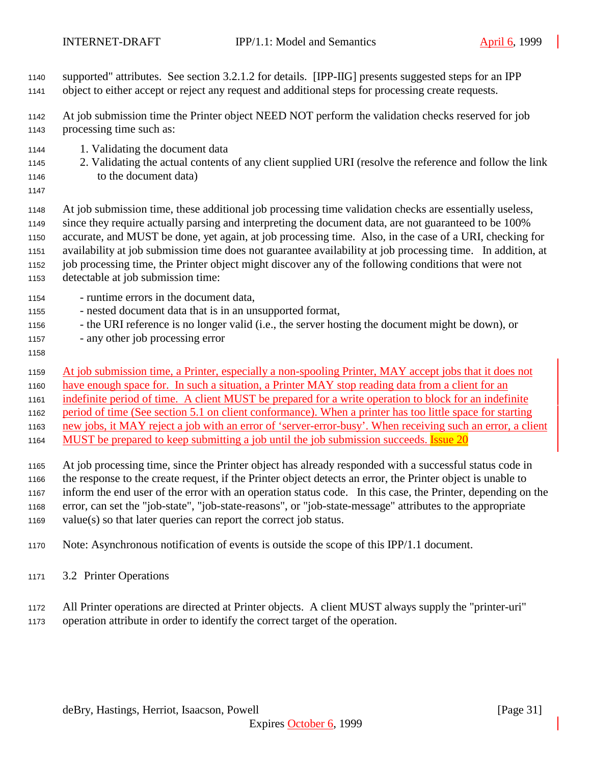- supported" attributes. See section 3.2.1.2 for details. [IPP-IIG] presents suggested steps for an IPP
- object to either accept or reject any request and additional steps for processing create requests.
- At job submission time the Printer object NEED NOT perform the validation checks reserved for job processing time such as:
- 1. Validating the document data
- 2. Validating the actual contents of any client supplied URI (resolve the reference and follow the link 1146 to the document data)
- 

 At job submission time, these additional job processing time validation checks are essentially useless, since they require actually parsing and interpreting the document data, are not guaranteed to be 100% accurate, and MUST be done, yet again, at job processing time. Also, in the case of a URI, checking for availability at job submission time does not guarantee availability at job processing time. In addition, at job processing time, the Printer object might discover any of the following conditions that were not

- detectable at job submission time:
- runtime errors in the document data,
- nested document data that is in an unsupported format,
- the URI reference is no longer valid (i.e., the server hosting the document might be down), or
- any other job processing error
- 

At job submission time, a Printer, especially a non-spooling Printer, MAY accept jobs that it does not

have enough space for. In such a situation, a Printer MAY stop reading data from a client for an

indefinite period of time. A client MUST be prepared for a write operation to block for an indefinite

period of time (See section 5.1 on client conformance). When a printer has too little space for starting

- new jobs, it MAY reject a job with an error of 'server-error-busy'. When receiving such an error, a client
- 1164 MUST be prepared to keep submitting a job until the job submission succeeds. Issue 20

 At job processing time, since the Printer object has already responded with a successful status code in the response to the create request, if the Printer object detects an error, the Printer object is unable to inform the end user of the error with an operation status code. In this case, the Printer, depending on the error, can set the "job-state", "job-state-reasons", or "job-state-message" attributes to the appropriate value(s) so that later queries can report the correct job status.

Note: Asynchronous notification of events is outside the scope of this IPP/1.1 document.

3.2 Printer Operations

All Printer operations are directed at Printer objects. A client MUST always supply the "printer-uri"

operation attribute in order to identify the correct target of the operation.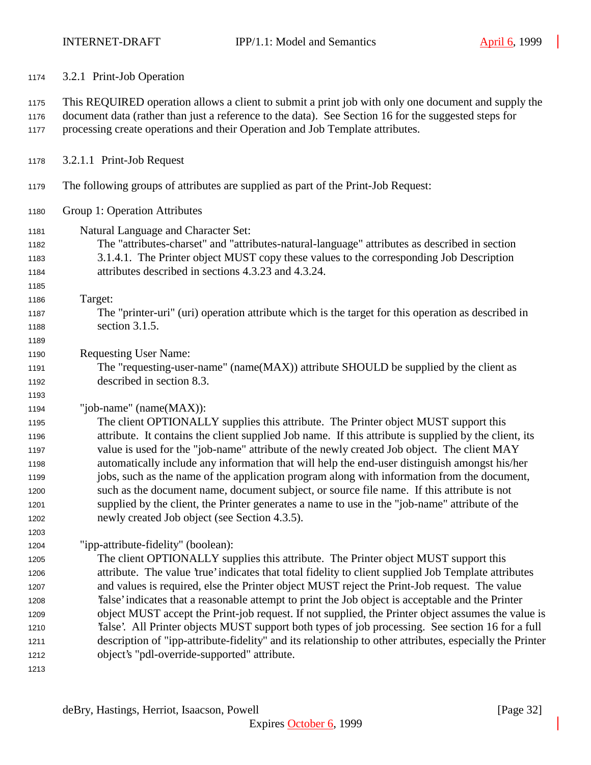| 1174                                                                         | 3.2.1 Print-Job Operation                                                                                                                                                                                                                                                                                                                                                                                                                                                                                                                                                                                                                                                                                                                                                                                      |
|------------------------------------------------------------------------------|----------------------------------------------------------------------------------------------------------------------------------------------------------------------------------------------------------------------------------------------------------------------------------------------------------------------------------------------------------------------------------------------------------------------------------------------------------------------------------------------------------------------------------------------------------------------------------------------------------------------------------------------------------------------------------------------------------------------------------------------------------------------------------------------------------------|
| 1175<br>1176<br>1177                                                         | This REQUIRED operation allows a client to submit a print job with only one document and supply the<br>document data (rather than just a reference to the data). See Section 16 for the suggested steps for<br>processing create operations and their Operation and Job Template attributes.                                                                                                                                                                                                                                                                                                                                                                                                                                                                                                                   |
| 1178                                                                         | 3.2.1.1 Print-Job Request                                                                                                                                                                                                                                                                                                                                                                                                                                                                                                                                                                                                                                                                                                                                                                                      |
| 1179                                                                         | The following groups of attributes are supplied as part of the Print-Job Request:                                                                                                                                                                                                                                                                                                                                                                                                                                                                                                                                                                                                                                                                                                                              |
| 1180                                                                         | Group 1: Operation Attributes                                                                                                                                                                                                                                                                                                                                                                                                                                                                                                                                                                                                                                                                                                                                                                                  |
| 1181<br>1182<br>1183<br>1184<br>1185                                         | Natural Language and Character Set:<br>The "attributes-charset" and "attributes-natural-language" attributes as described in section<br>3.1.4.1. The Printer object MUST copy these values to the corresponding Job Description<br>attributes described in sections 4.3.23 and 4.3.24.                                                                                                                                                                                                                                                                                                                                                                                                                                                                                                                         |
| 1186<br>1187<br>1188<br>1189                                                 | Target:<br>The "printer-uri" (uri) operation attribute which is the target for this operation as described in<br>section 3.1.5.                                                                                                                                                                                                                                                                                                                                                                                                                                                                                                                                                                                                                                                                                |
| 1190<br>1191<br>1192<br>1193                                                 | <b>Requesting User Name:</b><br>The "requesting-user-name" (name(MAX)) attribute SHOULD be supplied by the client as<br>described in section 8.3.                                                                                                                                                                                                                                                                                                                                                                                                                                                                                                                                                                                                                                                              |
| 1194<br>1195<br>1196<br>1197<br>1198<br>1199<br>1200<br>1201<br>1202<br>1203 | "job-name" (name(MAX)):<br>The client OPTIONALLY supplies this attribute. The Printer object MUST support this<br>attribute. It contains the client supplied Job name. If this attribute is supplied by the client, its<br>value is used for the "job-name" attribute of the newly created Job object. The client MAY<br>automatically include any information that will help the end-user distinguish amongst his/her<br>jobs, such as the name of the application program along with information from the document,<br>such as the document name, document subject, or source file name. If this attribute is not<br>supplied by the client, the Printer generates a name to use in the "job-name" attribute of the<br>newly created Job object (see Section 4.3.5).                                         |
| 1204<br>1205<br>1206<br>1207<br>1208<br>1209<br>1210<br>1211<br>1212<br>1213 | "ipp-attribute-fidelity" (boolean):<br>The client OPTIONALLY supplies this attribute. The Printer object MUST support this<br>attribute. The value 'true' indicates that total fidelity to client supplied Job Template attributes<br>and values is required, else the Printer object MUST reject the Print-Job request. The value<br>'false' indicates that a reasonable attempt to print the Job object is acceptable and the Printer<br>object MUST accept the Print-job request. If not supplied, the Printer object assumes the value is<br>'false'. All Printer objects MUST support both types of job processing. See section 16 for a full<br>description of "ipp-attribute-fidelity" and its relationship to other attributes, especially the Printer<br>object's "pdl-override-supported" attribute. |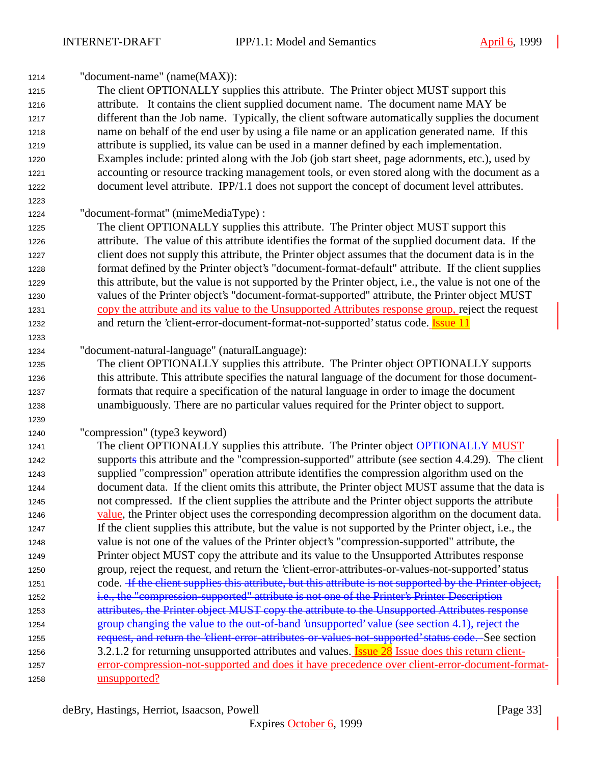| 1214 | "document-name" (name(MAX)):                                                                            |
|------|---------------------------------------------------------------------------------------------------------|
| 1215 | The client OPTIONALLY supplies this attribute. The Printer object MUST support this                     |
| 1216 | attribute. It contains the client supplied document name. The document name MAY be                      |
| 1217 | different than the Job name. Typically, the client software automatically supplies the document         |
| 1218 | name on behalf of the end user by using a file name or an application generated name. If this           |
| 1219 | attribute is supplied, its value can be used in a manner defined by each implementation.                |
| 1220 | Examples include: printed along with the Job (job start sheet, page adornments, etc.), used by          |
| 1221 | accounting or resource tracking management tools, or even stored along with the document as a           |
| 1222 | document level attribute. IPP/1.1 does not support the concept of document level attributes.            |
| 1223 |                                                                                                         |
| 1224 | "document-format" (mimeMediaType) :                                                                     |
| 1225 | The client OPTIONALLY supplies this attribute. The Printer object MUST support this                     |
| 1226 | attribute. The value of this attribute identifies the format of the supplied document data. If the      |
| 1227 | client does not supply this attribute, the Printer object assumes that the document data is in the      |
| 1228 | format defined by the Printer object's "document-format-default" attribute. If the client supplies      |
| 1229 | this attribute, but the value is not supported by the Printer object, i.e., the value is not one of the |
| 1230 | values of the Printer object's "document-format-supported" attribute, the Printer object MUST           |
| 1231 | copy the attribute and its value to the Unsupported Attributes response group, reject the request       |
| 1232 | and return the 'client-error-document-format-not-supported' status code. <b>Issue 11</b>                |
| 1233 |                                                                                                         |
| 1234 | "document-natural-language" (naturalLanguage):                                                          |
| 1235 | The client OPTIONALLY supplies this attribute. The Printer object OPTIONALLY supports                   |
| 1236 | this attribute. This attribute specifies the natural language of the document for those document-       |
| 1237 | formats that require a specification of the natural language in order to image the document             |
| 1238 | unambiguously. There are no particular values required for the Printer object to support.               |
| 1239 |                                                                                                         |
| 1240 | "compression" (type3 keyword)                                                                           |
| 1241 | The client OPTIONALLY supplies this attribute. The Printer object OPTIONALLY MUST                       |
| 1242 | supports this attribute and the "compression-supported" attribute (see section 4.4.29). The client      |
| 1243 | supplied "compression" operation attribute identifies the compression algorithm used on the             |
| 1244 | document data. If the client omits this attribute, the Printer object MUST assume that the data is      |
| 1245 | not compressed. If the client supplies the attribute and the Printer object supports the attribute      |
| 1246 | value, the Printer object uses the corresponding decompression algorithm on the document data.          |
| 1247 | If the client supplies this attribute, but the value is not supported by the Printer object, i.e., the  |
| 1248 | value is not one of the values of the Printer object's "compression-supported" attribute, the           |
| 1249 | Printer object MUST copy the attribute and its value to the Unsupported Attributes response             |
| 1250 | group, reject the request, and return the 'client-error-attributes-or-values-not-supported' status      |
| 1251 | code. H the client supplies this attribute, but this attribute is not supported by the Printer object,  |
| 1252 | i.e., the "compression-supported" attribute is not one of the Printer's Printer Description             |
| 1253 | attributes, the Printer object MUST copy the attribute to the Unsupported Attributes response           |
| 1254 | group changing the value to the out-of-band 'unsupported' value (see section 4.1), reject the           |
| 1255 | request, and return the 'client error-attributes or values not supported' status code. See section      |
| 1256 | 3.2.1.2 for returning unsupported attributes and values. <b>Issue 28</b> Issue does this return client- |
| 1257 | error-compression-not-supported and does it have precedence over client-error-document-format-          |
| 1258 | unsupported?                                                                                            |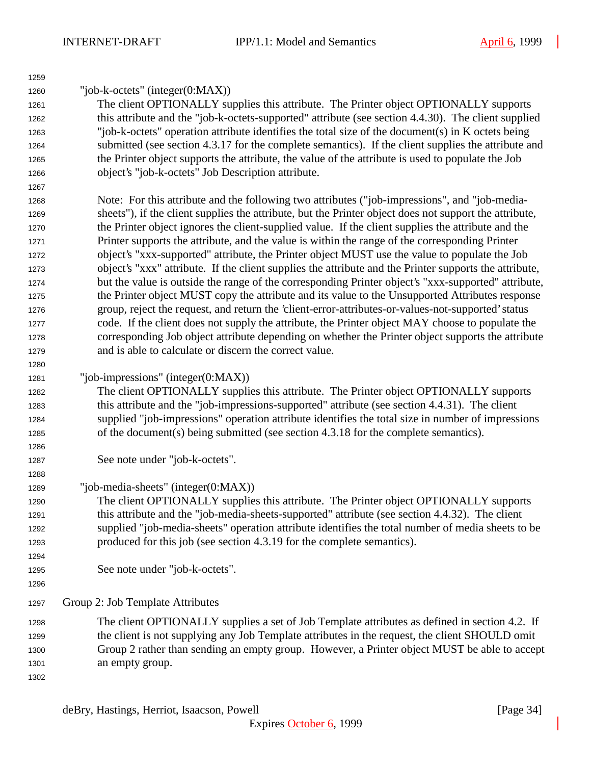| 1259 |                                                                                                        |
|------|--------------------------------------------------------------------------------------------------------|
| 1260 | "job-k-octets" (integer( $0:MAX$ ))                                                                    |
| 1261 | The client OPTIONALLY supplies this attribute. The Printer object OPTIONALLY supports                  |
| 1262 | this attribute and the "job-k-octets-supported" attribute (see section 4.4.30). The client supplied    |
| 1263 | "job-k-octets" operation attribute identifies the total size of the document(s) in K octets being      |
| 1264 | submitted (see section 4.3.17 for the complete semantics). If the client supplies the attribute and    |
| 1265 | the Printer object supports the attribute, the value of the attribute is used to populate the Job      |
| 1266 | object's "job-k-octets" Job Description attribute.                                                     |
| 1267 |                                                                                                        |
| 1268 | Note: For this attribute and the following two attributes ("job-impressions", and "job-media-          |
| 1269 | sheets"), if the client supplies the attribute, but the Printer object does not support the attribute, |
| 1270 | the Printer object ignores the client-supplied value. If the client supplies the attribute and the     |
| 1271 | Printer supports the attribute, and the value is within the range of the corresponding Printer         |
| 1272 | object's "xxx-supported" attribute, the Printer object MUST use the value to populate the Job          |
| 1273 | object's "xxx" attribute. If the client supplies the attribute and the Printer supports the attribute, |
| 1274 | but the value is outside the range of the corresponding Printer object's "xxx-supported" attribute,    |
| 1275 | the Printer object MUST copy the attribute and its value to the Unsupported Attributes response        |
| 1276 | group, reject the request, and return the 'client-error-attributes-or-values-not-supported' status     |
| 1277 | code. If the client does not supply the attribute, the Printer object MAY choose to populate the       |
| 1278 | corresponding Job object attribute depending on whether the Printer object supports the attribute      |
| 1279 | and is able to calculate or discern the correct value.                                                 |
| 1280 |                                                                                                        |
| 1281 | "job-impressions" (integer $(0:MAX)$ )                                                                 |
| 1282 | The client OPTIONALLY supplies this attribute. The Printer object OPTIONALLY supports                  |
| 1283 | this attribute and the "job-impressions-supported" attribute (see section 4.4.31). The client          |
| 1284 | supplied "job-impressions" operation attribute identifies the total size in number of impressions      |
| 1285 | of the document(s) being submitted (see section 4.3.18 for the complete semantics).                    |
| 1286 |                                                                                                        |
| 1287 | See note under "job-k-octets".                                                                         |
| 1288 |                                                                                                        |
| 1289 | "job-media-sheets" (integer(0:MAX))                                                                    |
| 1290 | The client OPTIONALLY supplies this attribute. The Printer object OPTIONALLY supports                  |
| 1291 | this attribute and the "job-media-sheets-supported" attribute (see section 4.4.32). The client         |
| 1292 | supplied "job-media-sheets" operation attribute identifies the total number of media sheets to be      |
| 1293 | produced for this job (see section 4.3.19 for the complete semantics).                                 |
| 1294 |                                                                                                        |
| 1295 | See note under "job-k-octets".                                                                         |
| 1296 |                                                                                                        |
| 1297 | Group 2: Job Template Attributes                                                                       |
| 1298 | The client OPTIONALLY supplies a set of Job Template attributes as defined in section 4.2. If          |
| 1299 | the client is not supplying any Job Template attributes in the request, the client SHOULD omit         |
| 1300 | Group 2 rather than sending an empty group. However, a Printer object MUST be able to accept           |
| 1301 | an empty group.                                                                                        |
| 1302 |                                                                                                        |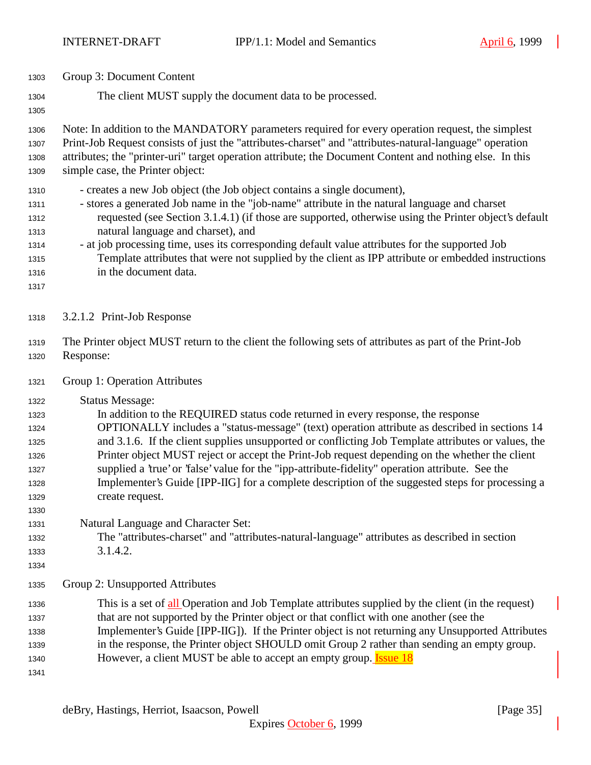| 1303                                                                 | Group 3: Document Content                                                                                                                                                                                                                                                                                                                                                                                                                                                                                                                                                                                                                       |
|----------------------------------------------------------------------|-------------------------------------------------------------------------------------------------------------------------------------------------------------------------------------------------------------------------------------------------------------------------------------------------------------------------------------------------------------------------------------------------------------------------------------------------------------------------------------------------------------------------------------------------------------------------------------------------------------------------------------------------|
| 1304<br>1305                                                         | The client MUST supply the document data to be processed.                                                                                                                                                                                                                                                                                                                                                                                                                                                                                                                                                                                       |
| 1306<br>1307<br>1308<br>1309                                         | Note: In addition to the MANDATORY parameters required for every operation request, the simplest<br>Print-Job Request consists of just the "attributes-charset" and "attributes-natural-language" operation<br>attributes; the "printer-uri" target operation attribute; the Document Content and nothing else. In this<br>simple case, the Printer object:                                                                                                                                                                                                                                                                                     |
| 1310<br>1311<br>1312<br>1313<br>1314<br>1315<br>1316<br>1317         | - creates a new Job object (the Job object contains a single document),<br>- stores a generated Job name in the "job-name" attribute in the natural language and charset<br>requested (see Section 3.1.4.1) (if those are supported, otherwise using the Printer object's default<br>natural language and charset), and<br>- at job processing time, uses its corresponding default value attributes for the supported Job<br>Template attributes that were not supplied by the client as IPP attribute or embedded instructions<br>in the document data.                                                                                       |
| 1318                                                                 | 3.2.1.2 Print-Job Response                                                                                                                                                                                                                                                                                                                                                                                                                                                                                                                                                                                                                      |
| 1319<br>1320                                                         | The Printer object MUST return to the client the following sets of attributes as part of the Print-Job<br>Response:                                                                                                                                                                                                                                                                                                                                                                                                                                                                                                                             |
| 1321                                                                 | Group 1: Operation Attributes                                                                                                                                                                                                                                                                                                                                                                                                                                                                                                                                                                                                                   |
| 1322<br>1323<br>1324<br>1325<br>1326<br>1327<br>1328<br>1329<br>1330 | <b>Status Message:</b><br>In addition to the REQUIRED status code returned in every response, the response<br>OPTIONALLY includes a "status-message" (text) operation attribute as described in sections 14<br>and 3.1.6. If the client supplies unsupported or conflicting Job Template attributes or values, the<br>Printer object MUST reject or accept the Print-Job request depending on the whether the client<br>supplied a 'true' or 'false' value for the "ipp-attribute-fidelity" operation attribute. See the<br>Implementer's Guide [IPP-IIG] for a complete description of the suggested steps for processing a<br>create request. |
| 1331<br>1332<br>1333<br>1334                                         | Natural Language and Character Set:<br>The "attributes-charset" and "attributes-natural-language" attributes as described in section<br>3.1.4.2.                                                                                                                                                                                                                                                                                                                                                                                                                                                                                                |
| 1335                                                                 | Group 2: Unsupported Attributes                                                                                                                                                                                                                                                                                                                                                                                                                                                                                                                                                                                                                 |
| 1336<br>1337<br>1338<br>1339<br>1340<br>1341                         | This is a set of all Operation and Job Template attributes supplied by the client (in the request)<br>that are not supported by the Printer object or that conflict with one another (see the<br>Implementer's Guide [IPP-IIG]). If the Printer object is not returning any Unsupported Attributes<br>in the response, the Printer object SHOULD omit Group 2 rather than sending an empty group.<br>However, a client MUST be able to accept an empty group. <b>Issue 18</b>                                                                                                                                                                   |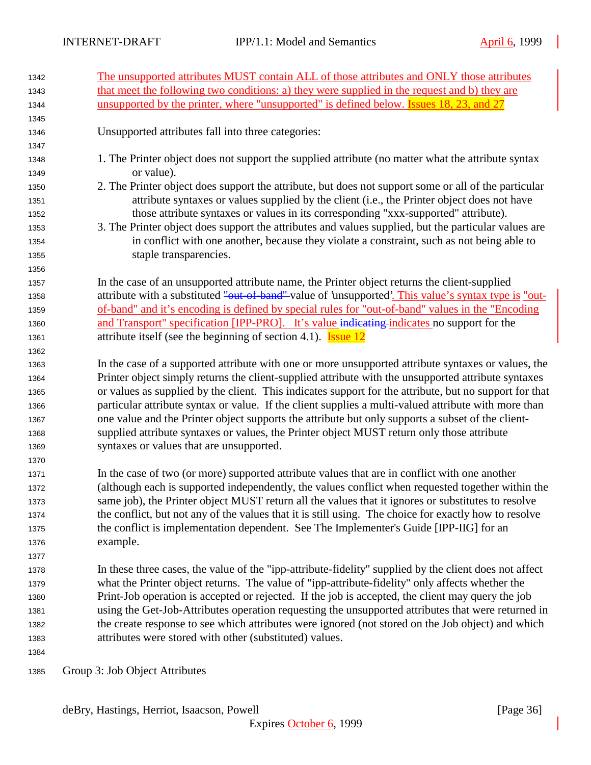| 1342 | The unsupported attributes MUST contain ALL of those attributes and ONLY those attributes              |
|------|--------------------------------------------------------------------------------------------------------|
| 1343 | that meet the following two conditions: a) they were supplied in the request and b) they are           |
| 1344 | unsupported by the printer, where "unsupported" is defined below. Issues 18, 23, and 27                |
| 1345 |                                                                                                        |
| 1346 | Unsupported attributes fall into three categories:                                                     |
| 1347 |                                                                                                        |
| 1348 | 1. The Printer object does not support the supplied attribute (no matter what the attribute syntax     |
| 1349 | or value).                                                                                             |
| 1350 | 2. The Printer object does support the attribute, but does not support some or all of the particular   |
| 1351 | attribute syntaxes or values supplied by the client (i.e., the Printer object does not have            |
| 1352 | those attribute syntaxes or values in its corresponding "xxx-supported" attribute).                    |
| 1353 | 3. The Printer object does support the attributes and values supplied, but the particular values are   |
| 1354 | in conflict with one another, because they violate a constraint, such as not being able to             |
| 1355 | staple transparencies.                                                                                 |
| 1356 |                                                                                                        |
| 1357 | In the case of an unsupported attribute name, the Printer object returns the client-supplied           |
| 1358 | attribute with a substituted "out of band" value of 'unsupported'. This value's syntax type is "out-   |
| 1359 | of-band" and it's encoding is defined by special rules for "out-of-band" values in the "Encoding"      |
| 1360 | and Transport" specification [IPP-PRO]. It's value indicating indicates no support for the             |
| 1361 | attribute itself (see the beginning of section 4.1). <b>Issue 12</b>                                   |
| 1362 |                                                                                                        |
| 1363 | In the case of a supported attribute with one or more unsupported attribute syntaxes or values, the    |
| 1364 | Printer object simply returns the client-supplied attribute with the unsupported attribute syntaxes    |
| 1365 | or values as supplied by the client. This indicates support for the attribute, but no support for that |
| 1366 | particular attribute syntax or value. If the client supplies a multi-valued attribute with more than   |
| 1367 | one value and the Printer object supports the attribute but only supports a subset of the client-      |
| 1368 | supplied attribute syntaxes or values, the Printer object MUST return only those attribute             |
| 1369 | syntaxes or values that are unsupported.                                                               |
| 1370 |                                                                                                        |
| 1371 | In the case of two (or more) supported attribute values that are in conflict with one another          |
| 1372 | (although each is supported independently, the values conflict when requested together within the      |
| 1373 | same job), the Printer object MUST return all the values that it ignores or substitutes to resolve     |
| 1374 | the conflict, but not any of the values that it is still using. The choice for exactly how to resolve  |
| 1375 | the conflict is implementation dependent. See The Implementer's Guide [IPP-IIG] for an                 |
| 1376 | example.                                                                                               |
| 1377 |                                                                                                        |
| 1378 | In these three cases, the value of the "ipp-attribute-fidelity" supplied by the client does not affect |
| 1379 | what the Printer object returns. The value of "ipp-attribute-fidelity" only affects whether the        |
| 1380 | Print-Job operation is accepted or rejected. If the job is accepted, the client may query the job      |
| 1381 | using the Get-Job-Attributes operation requesting the unsupported attributes that were returned in     |
| 1382 | the create response to see which attributes were ignored (not stored on the Job object) and which      |
| 1383 | attributes were stored with other (substituted) values.                                                |
| 1384 |                                                                                                        |
| 1385 | Group 3: Job Object Attributes                                                                         |

deBry, Hastings, Herriot, Isaacson, Powell [Page 36]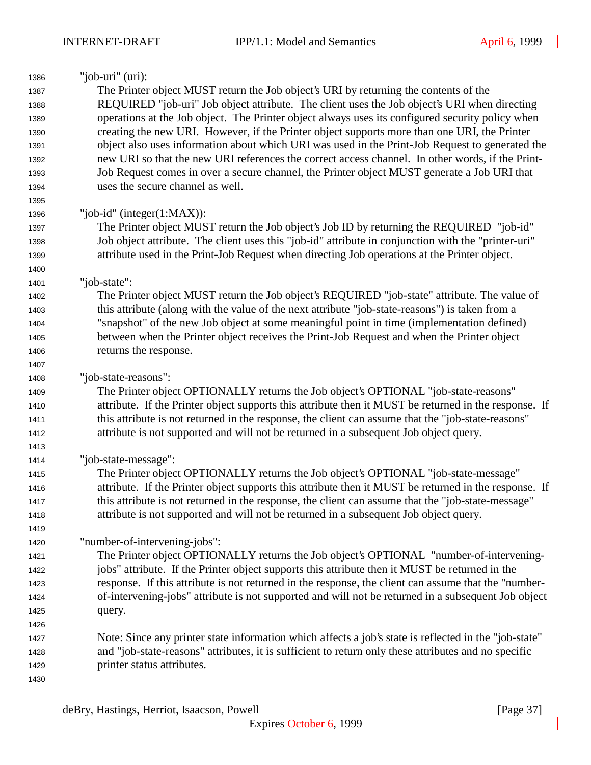| 1386 | "job-uri" $(i)$ :                                                                                     |
|------|-------------------------------------------------------------------------------------------------------|
| 1387 | The Printer object MUST return the Job object's URI by returning the contents of the                  |
| 1388 | REQUIRED "job-uri" Job object attribute. The client uses the Job object's URI when directing          |
| 1389 | operations at the Job object. The Printer object always uses its configured security policy when      |
| 1390 | creating the new URI. However, if the Printer object supports more than one URI, the Printer          |
| 1391 | object also uses information about which URI was used in the Print-Job Request to generated the       |
| 1392 | new URI so that the new URI references the correct access channel. In other words, if the Print-      |
| 1393 | Job Request comes in over a secure channel, the Printer object MUST generate a Job URI that           |
| 1394 | uses the secure channel as well.                                                                      |
| 1395 |                                                                                                       |
| 1396 | "job-id" (integer $(1:MAX)$ ):                                                                        |
| 1397 | The Printer object MUST return the Job object's Job ID by returning the REQUIRED "job-id"             |
| 1398 | Job object attribute. The client uses this "job-id" attribute in conjunction with the "printer-uri"   |
| 1399 | attribute used in the Print-Job Request when directing Job operations at the Printer object.          |
| 1400 |                                                                                                       |
| 1401 | "job-state":                                                                                          |
| 1402 | The Printer object MUST return the Job object's REQUIRED "job-state" attribute. The value of          |
| 1403 | this attribute (along with the value of the next attribute "job-state-reasons") is taken from a       |
| 1404 | "snapshot" of the new Job object at some meaningful point in time (implementation defined)            |
| 1405 | between when the Printer object receives the Print-Job Request and when the Printer object            |
| 1406 | returns the response.                                                                                 |
| 1407 |                                                                                                       |
| 1408 | "job-state-reasons":                                                                                  |
| 1409 | The Printer object OPTIONALLY returns the Job object's OPTIONAL "job-state-reasons"                   |
| 1410 | attribute. If the Printer object supports this attribute then it MUST be returned in the response. If |
| 1411 | this attribute is not returned in the response, the client can assume that the "job-state-reasons"    |
| 1412 | attribute is not supported and will not be returned in a subsequent Job object query.                 |
| 1413 |                                                                                                       |
| 1414 | "job-state-message":                                                                                  |
| 1415 | The Printer object OPTIONALLY returns the Job object's OPTIONAL "job-state-message"                   |
| 1416 | attribute. If the Printer object supports this attribute then it MUST be returned in the response. If |
| 1417 | this attribute is not returned in the response, the client can assume that the "job-state-message"    |
| 1418 | attribute is not supported and will not be returned in a subsequent Job object query.                 |
| 1419 |                                                                                                       |
| 1420 | "number-of-intervening-jobs":                                                                         |
| 1421 | The Printer object OPTIONALLY returns the Job object's OPTIONAL "number-of-intervening-               |
| 1422 | jobs" attribute. If the Printer object supports this attribute then it MUST be returned in the        |
| 1423 | response. If this attribute is not returned in the response, the client can assume that the "number-  |
| 1424 | of-intervening-jobs" attribute is not supported and will not be returned in a subsequent Job object   |
| 1425 | query.                                                                                                |
| 1426 |                                                                                                       |
| 1427 | Note: Since any printer state information which affects a job's state is reflected in the "job-state" |
| 1428 | and "job-state-reasons" attributes, it is sufficient to return only these attributes and no specific  |
| 1429 | printer status attributes.                                                                            |
| 1430 |                                                                                                       |
|      |                                                                                                       |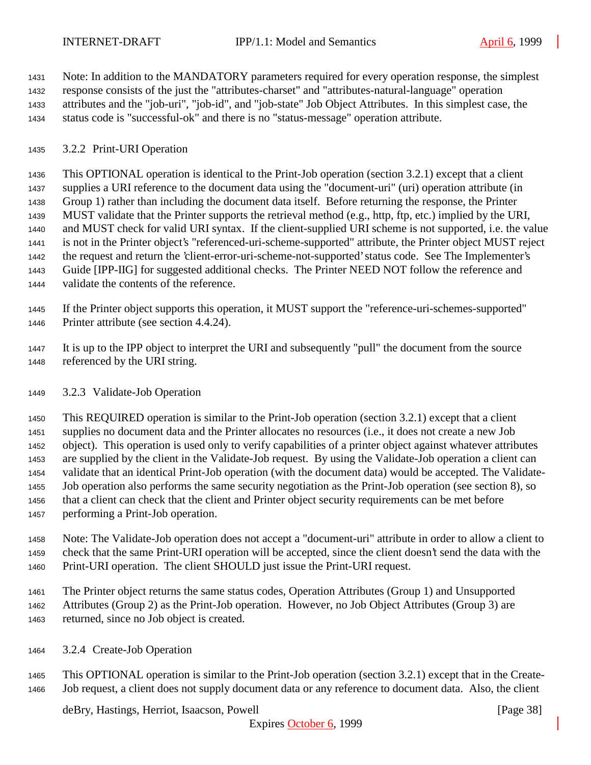Note: In addition to the MANDATORY parameters required for every operation response, the simplest response consists of the just the "attributes-charset" and "attributes-natural-language" operation attributes and the "job-uri", "job-id", and "job-state" Job Object Attributes. In this simplest case, the status code is "successful-ok" and there is no "status-message" operation attribute.

## 3.2.2 Print-URI Operation

 This OPTIONAL operation is identical to the Print-Job operation (section 3.2.1) except that a client supplies a URI reference to the document data using the "document-uri" (uri) operation attribute (in Group 1) rather than including the document data itself. Before returning the response, the Printer MUST validate that the Printer supports the retrieval method (e.g., http, ftp, etc.) implied by the URI, and MUST check for valid URI syntax. If the client-supplied URI scheme is not supported, i.e. the value is not in the Printer object's "referenced-uri-scheme-supported" attribute, the Printer object MUST reject the request and return the 'client-error-uri-scheme-not-supported' status code. See The Implementer's Guide [IPP-IIG] for suggested additional checks. The Printer NEED NOT follow the reference and validate the contents of the reference.

 If the Printer object supports this operation, it MUST support the "reference-uri-schemes-supported" Printer attribute (see section 4.4.24).

 It is up to the IPP object to interpret the URI and subsequently "pull" the document from the source referenced by the URI string.

## 3.2.3 Validate-Job Operation

 This REQUIRED operation is similar to the Print-Job operation (section 3.2.1) except that a client supplies no document data and the Printer allocates no resources (i.e., it does not create a new Job object). This operation is used only to verify capabilities of a printer object against whatever attributes are supplied by the client in the Validate-Job request. By using the Validate-Job operation a client can validate that an identical Print-Job operation (with the document data) would be accepted. The Validate- Job operation also performs the same security negotiation as the Print-Job operation (see section 8), so that a client can check that the client and Printer object security requirements can be met before performing a Print-Job operation.

 Note: The Validate-Job operation does not accept a "document-uri" attribute in order to allow a client to check that the same Print-URI operation will be accepted, since the client doesn't send the data with the Print-URI operation. The client SHOULD just issue the Print-URI request.

 The Printer object returns the same status codes, Operation Attributes (Group 1) and Unsupported Attributes (Group 2) as the Print-Job operation. However, no Job Object Attributes (Group 3) are returned, since no Job object is created.

3.2.4 Create-Job Operation

 This OPTIONAL operation is similar to the Print-Job operation (section 3.2.1) except that in the Create-Job request, a client does not supply document data or any reference to document data. Also, the client

deBry, Hastings, Herriot, Isaacson, Powell [Page 38]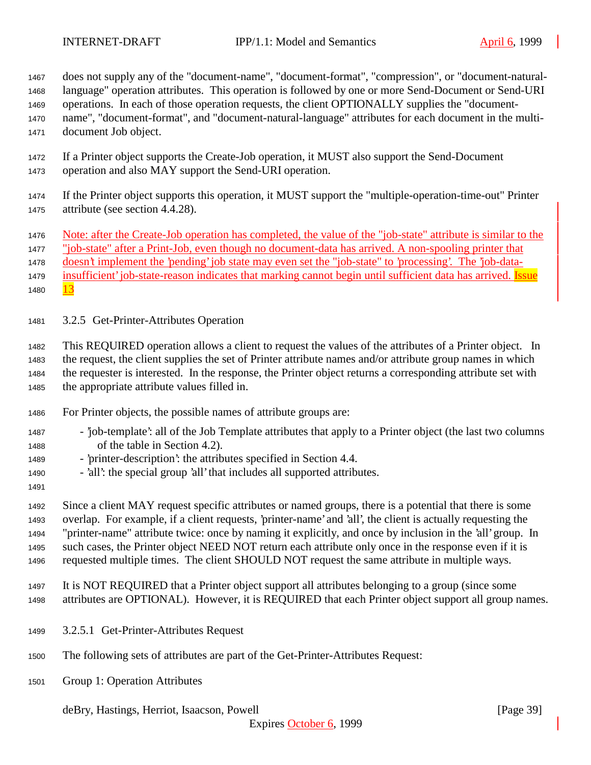does not supply any of the "document-name", "document-format", "compression", or "document-natural-

 language" operation attributes. This operation is followed by one or more Send-Document or Send-URI operations. In each of those operation requests, the client OPTIONALLY supplies the "document-

name", "document-format", and "document-natural-language" attributes for each document in the multi-

document Job object.

- If a Printer object supports the Create-Job operation, it MUST also support the Send-Document operation and also MAY support the Send-URI operation.
- If the Printer object supports this operation, it MUST support the "multiple-operation-time-out" Printer attribute (see section 4.4.28).

1476 Note: after the Create-Job operation has completed, the value of the "job-state" attribute is similar to the

"job-state" after a Print-Job, even though no document-data has arrived. A non-spooling printer that

doesn't implement the 'pending' job state may even set the "job-state" to 'processing'. The 'job-data-

1479 insufficient' job-state-reason indicates that marking cannot begin until sufficient data has arrived. Issue 1480

3.2.5 Get-Printer-Attributes Operation

 This REQUIRED operation allows a client to request the values of the attributes of a Printer object. In the request, the client supplies the set of Printer attribute names and/or attribute group names in which the requester is interested. In the response, the Printer object returns a corresponding attribute set with the appropriate attribute values filled in.

- For Printer objects, the possible names of attribute groups are:
- 'job-template': all of the Job Template attributes that apply to a Printer object (the last two columns of the table in Section 4.2).
- 'printer-description': the attributes specified in Section 4.4.
- 'all': the special group 'all' that includes all supported attributes.
- 

 Since a client MAY request specific attributes or named groups, there is a potential that there is some overlap. For example, if a client requests, 'printer-name' and 'all', the client is actually requesting the "printer-name" attribute twice: once by naming it explicitly, and once by inclusion in the 'all' group. In such cases, the Printer object NEED NOT return each attribute only once in the response even if it is requested multiple times. The client SHOULD NOT request the same attribute in multiple ways.

 It is NOT REQUIRED that a Printer object support all attributes belonging to a group (since some attributes are OPTIONAL). However, it is REQUIRED that each Printer object support all group names.

- 3.2.5.1 Get-Printer-Attributes Request
- The following sets of attributes are part of the Get-Printer-Attributes Request:
- Group 1: Operation Attributes

deBry, Hastings, Herriot, Isaacson, Powell [Page 39]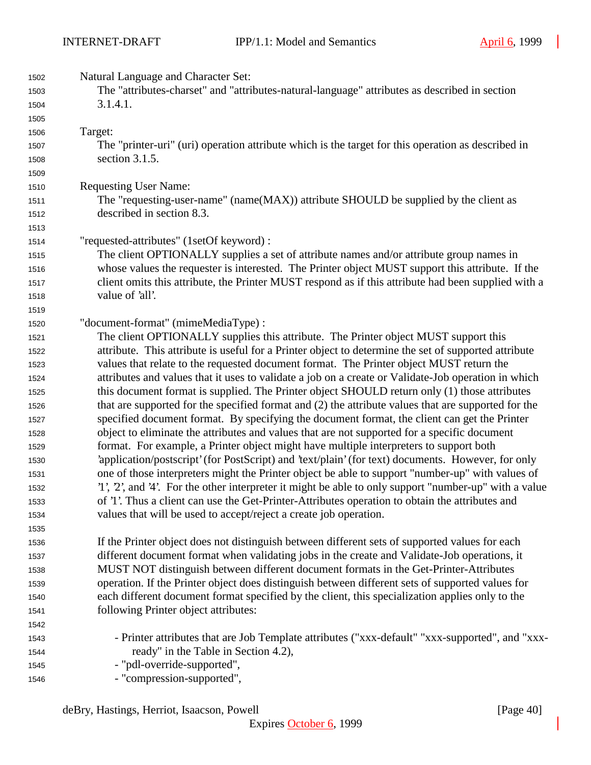| 1502 | Natural Language and Character Set:                                                                   |
|------|-------------------------------------------------------------------------------------------------------|
| 1503 | The "attributes-charset" and "attributes-natural-language" attributes as described in section         |
| 1504 | 3.1.4.1.                                                                                              |
| 1505 |                                                                                                       |
| 1506 | Target:                                                                                               |
| 1507 | The "printer-uri" (uri) operation attribute which is the target for this operation as described in    |
| 1508 | section 3.1.5.                                                                                        |
| 1509 |                                                                                                       |
| 1510 | <b>Requesting User Name:</b>                                                                          |
| 1511 | The "requesting-user-name" (name(MAX)) attribute SHOULD be supplied by the client as                  |
| 1512 | described in section 8.3.                                                                             |
| 1513 |                                                                                                       |
| 1514 | "requested-attributes" (1setOf keyword) :                                                             |
| 1515 | The client OPTIONALLY supplies a set of attribute names and/or attribute group names in               |
| 1516 | whose values the requester is interested. The Printer object MUST support this attribute. If the      |
| 1517 | client omits this attribute, the Printer MUST respond as if this attribute had been supplied with a   |
| 1518 | value of 'all'.                                                                                       |
| 1519 |                                                                                                       |
| 1520 | "document-format" (mimeMediaType) :                                                                   |
| 1521 | The client OPTIONALLY supplies this attribute. The Printer object MUST support this                   |
| 1522 | attribute. This attribute is useful for a Printer object to determine the set of supported attribute  |
| 1523 | values that relate to the requested document format. The Printer object MUST return the               |
| 1524 | attributes and values that it uses to validate a job on a create or Validate-Job operation in which   |
| 1525 | this document format is supplied. The Printer object SHOULD return only (1) those attributes          |
| 1526 | that are supported for the specified format and (2) the attribute values that are supported for the   |
| 1527 | specified document format. By specifying the document format, the client can get the Printer          |
| 1528 | object to eliminate the attributes and values that are not supported for a specific document          |
| 1529 | format. For example, a Printer object might have multiple interpreters to support both                |
| 1530 | 'application/postscript' (for PostScript) and 'text/plain' (for text) documents. However, for only    |
| 1531 | one of those interpreters might the Printer object be able to support "number-up" with values of      |
| 1532 | '1', 2', and '4'. For the other interpreter it might be able to only support "number-up" with a value |
| 1533 | of '1'. Thus a client can use the Get-Printer-Attributes operation to obtain the attributes and       |
| 1534 | values that will be used to accept/reject a create job operation.                                     |
| 1535 |                                                                                                       |
| 1536 | If the Printer object does not distinguish between different sets of supported values for each        |
| 1537 | different document format when validating jobs in the create and Validate-Job operations, it          |
| 1538 | MUST NOT distinguish between different document formats in the Get-Printer-Attributes                 |
| 1539 | operation. If the Printer object does distinguish between different sets of supported values for      |
| 1540 | each different document format specified by the client, this specialization applies only to the       |
| 1541 | following Printer object attributes:                                                                  |
| 1542 |                                                                                                       |
| 1543 | - Printer attributes that are Job Template attributes ("xxx-default" "xxx-supported", and "xxx-       |
| 1544 | ready" in the Table in Section 4.2),                                                                  |
| 1545 | - "pdl-override-supported",                                                                           |
| 1546 | - "compression-supported",                                                                            |
|      |                                                                                                       |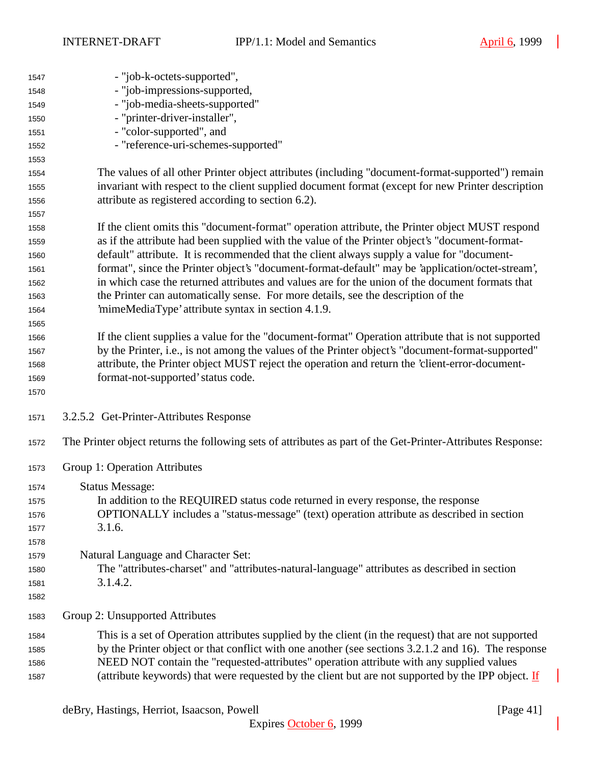| 1547 | - "job-k-octets-supported",                                                                                 |
|------|-------------------------------------------------------------------------------------------------------------|
| 1548 | - "job-impressions-supported,                                                                               |
| 1549 | - "job-media-sheets-supported"                                                                              |
| 1550 | - "printer-driver-installer",                                                                               |
| 1551 | - "color-supported", and                                                                                    |
| 1552 | - "reference-uri-schemes-supported"                                                                         |
| 1553 |                                                                                                             |
| 1554 | The values of all other Printer object attributes (including "document-format-supported") remain            |
| 1555 | invariant with respect to the client supplied document format (except for new Printer description           |
| 1556 | attribute as registered according to section 6.2).                                                          |
| 1557 |                                                                                                             |
| 1558 | If the client omits this "document-format" operation attribute, the Printer object MUST respond             |
| 1559 | as if the attribute had been supplied with the value of the Printer object's "document-format-              |
| 1560 | default" attribute. It is recommended that the client always supply a value for "document-                  |
| 1561 | format", since the Printer object's "document-format-default" may be 'application/octet-stream',            |
| 1562 | in which case the returned attributes and values are for the union of the document formats that             |
| 1563 | the Printer can automatically sense. For more details, see the description of the                           |
| 1564 | 'mimeMediaType' attribute syntax in section 4.1.9.                                                          |
| 1565 |                                                                                                             |
| 1566 | If the client supplies a value for the "document-format" Operation attribute that is not supported          |
| 1567 | by the Printer, i.e., is not among the values of the Printer object's "document-format-supported"           |
| 1568 | attribute, the Printer object MUST reject the operation and return the 'client-error-document-              |
| 1569 | format-not-supported' status code.                                                                          |
| 1570 |                                                                                                             |
| 1571 | 3.2.5.2 Get-Printer-Attributes Response                                                                     |
| 1572 | The Printer object returns the following sets of attributes as part of the Get-Printer-Attributes Response: |
| 1573 | Group 1: Operation Attributes                                                                               |
| 1574 | <b>Status Message:</b>                                                                                      |
| 1575 | In addition to the REQUIRED status code returned in every response, the response                            |
| 1576 | OPTIONALLY includes a "status-message" (text) operation attribute as described in section                   |
| 1577 | 3.1.6.                                                                                                      |
| 1578 |                                                                                                             |
| 1579 | Natural Language and Character Set:                                                                         |
| 1580 | The "attributes-charset" and "attributes-natural-language" attributes as described in section               |
| 1581 | 3.1.4.2.                                                                                                    |
| 1582 |                                                                                                             |
| 1583 | Group 2: Unsupported Attributes                                                                             |
| 1584 | This is a set of Operation attributes supplied by the client (in the request) that are not supported        |
| 1585 | by the Printer object or that conflict with one another (see sections 3.2.1.2 and 16). The response         |
| 1586 | NEED NOT contain the "requested-attributes" operation attribute with any supplied values                    |
| 1587 | (attribute keywords) that were requested by the client but are not supported by the IPP object. If          |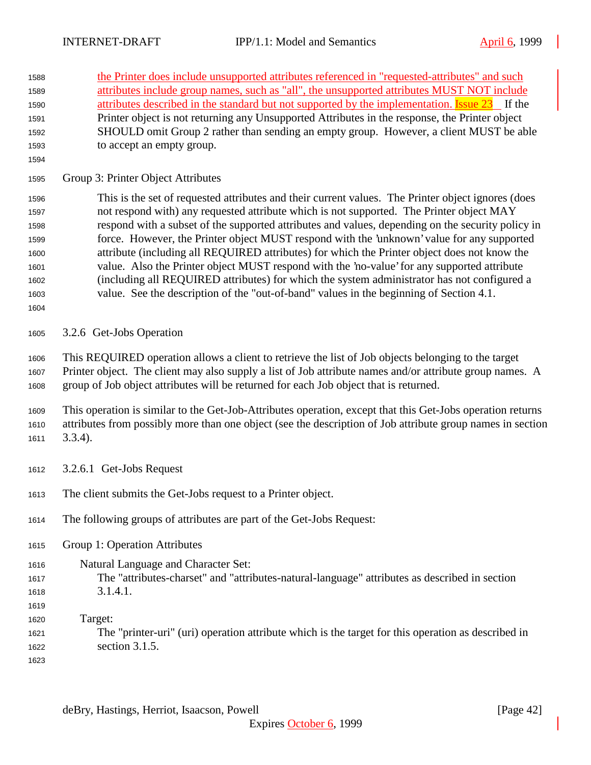| 1588 | the Printer does include unsupported attributes referenced in "requested-attributes" and such              |
|------|------------------------------------------------------------------------------------------------------------|
| 1589 | attributes include group names, such as "all", the unsupported attributes MUST NOT include                 |
| 1590 | attributes described in the standard but not supported by the implementation. <b>Issue 23</b> If the       |
| 1591 | Printer object is not returning any Unsupported Attributes in the response, the Printer object             |
| 1592 | SHOULD omit Group 2 rather than sending an empty group. However, a client MUST be able                     |
| 1593 | to accept an empty group.                                                                                  |
| 1594 |                                                                                                            |
| 1595 | Group 3: Printer Object Attributes                                                                         |
| 1596 | This is the set of requested attributes and their current values. The Printer object ignores (does         |
| 1597 | not respond with) any requested attribute which is not supported. The Printer object MAY                   |
| 1598 | respond with a subset of the supported attributes and values, depending on the security policy in          |
| 1599 | force. However, the Printer object MUST respond with the 'unknown' value for any supported                 |
| 1600 | attribute (including all REQUIRED attributes) for which the Printer object does not know the               |
| 1601 | value. Also the Printer object MUST respond with the 'no-value' for any supported attribute                |
| 1602 | (including all REQUIRED attributes) for which the system administrator has not configured a                |
| 1603 | value. See the description of the "out-of-band" values in the beginning of Section 4.1.                    |
| 1604 |                                                                                                            |
| 1605 | 3.2.6 Get-Jobs Operation                                                                                   |
| 1606 | This REQUIRED operation allows a client to retrieve the list of Job objects belonging to the target        |
| 1607 | Printer object. The client may also supply a list of Job attribute names and/or attribute group names. A   |
| 1608 | group of Job object attributes will be returned for each Job object that is returned.                      |
| 1609 | This operation is similar to the Get-Job-Attributes operation, except that this Get-Jobs operation returns |
| 1610 | attributes from possibly more than one object (see the description of Job attribute group names in section |
| 1611 | $3.3.4$ ).                                                                                                 |
| 1612 | 3.2.6.1 Get-Jobs Request                                                                                   |
| 1613 | The client submits the Get-Jobs request to a Printer object.                                               |
| 1614 | The following groups of attributes are part of the Get-Jobs Request:                                       |
| 1615 | Group 1: Operation Attributes                                                                              |
| 1616 | Natural Language and Character Set:                                                                        |
| 1617 | The "attributes-charset" and "attributes-natural-language" attributes as described in section              |
| 1618 | 3.1.4.1.                                                                                                   |
| 1619 |                                                                                                            |
| 1620 | Target:                                                                                                    |
| 1621 | The "printer-uri" (uri) operation attribute which is the target for this operation as described in         |
| 1622 | section 3.1.5.                                                                                             |
| 1623 |                                                                                                            |
|      |                                                                                                            |
|      |                                                                                                            |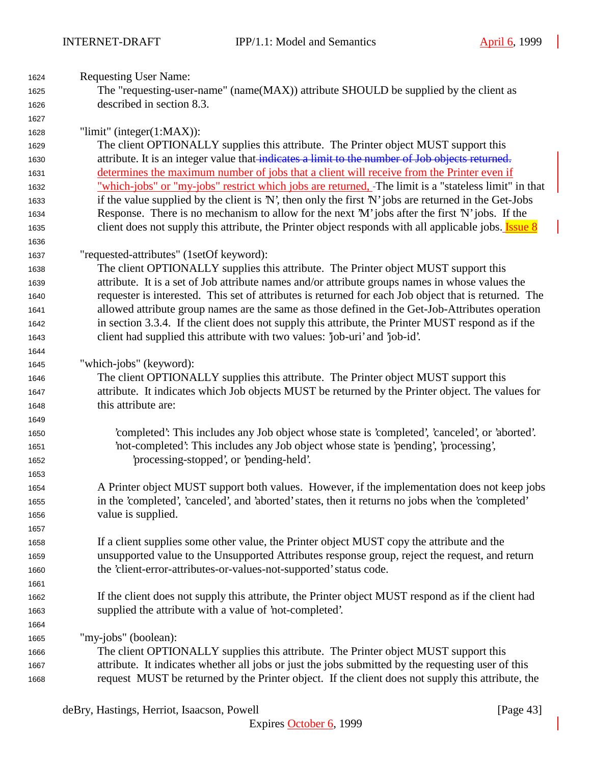| 1624 | <b>Requesting User Name:</b>                                                                                |
|------|-------------------------------------------------------------------------------------------------------------|
| 1625 | The "requesting-user-name" (name(MAX)) attribute SHOULD be supplied by the client as                        |
| 1626 | described in section 8.3.                                                                                   |
| 1627 |                                                                                                             |
| 1628 | "limit" (integer $(1:MAX)$ ):                                                                               |
| 1629 | The client OPTIONALLY supplies this attribute. The Printer object MUST support this                         |
| 1630 | attribute. It is an integer value that indicates a limit to the number of Job objects returned.             |
| 1631 | determines the maximum number of jobs that a client will receive from the Printer even if                   |
| 1632 | "which-jobs" or "my-jobs" restrict which jobs are returned, -The limit is a "stateless limit" in that       |
| 1633 | if the value supplied by the client is $N'$ , then only the first $N'$ jobs are returned in the Get-Jobs    |
| 1634 | Response. There is no mechanism to allow for the next 'M' jobs after the first 'N' jobs. If the             |
| 1635 | client does not supply this attribute, the Printer object responds with all applicable jobs. <b>Issue 8</b> |
| 1636 |                                                                                                             |
| 1637 | "requested-attributes" (1setOf keyword):                                                                    |
| 1638 | The client OPTIONALLY supplies this attribute. The Printer object MUST support this                         |
| 1639 | attribute. It is a set of Job attribute names and/or attribute groups names in whose values the             |
| 1640 | requester is interested. This set of attributes is returned for each Job object that is returned. The       |
| 1641 | allowed attribute group names are the same as those defined in the Get-Job-Attributes operation             |
| 1642 | in section 3.3.4. If the client does not supply this attribute, the Printer MUST respond as if the          |
| 1643 | client had supplied this attribute with two values: 'job-uri' and 'job-id'.                                 |
| 1644 |                                                                                                             |
| 1645 | "which-jobs" (keyword):                                                                                     |
| 1646 | The client OPTIONALLY supplies this attribute. The Printer object MUST support this                         |
| 1647 | attribute. It indicates which Job objects MUST be returned by the Printer object. The values for            |
| 1648 | this attribute are:                                                                                         |
| 1649 |                                                                                                             |
| 1650 | 'completed': This includes any Job object whose state is 'completed', 'canceled', or 'aborted'.             |
| 1651 | 'not-completed': This includes any Job object whose state is 'pending', 'processing',                       |
| 1652 | processing-stopped', or 'pending-held'.                                                                     |
| 1653 |                                                                                                             |
| 1654 | A Printer object MUST support both values. However, if the implementation does not keep jobs                |
| 1655 | in the 'completed', 'canceled', and 'aborted' states, then it returns no jobs when the 'completed'          |
| 1656 | value is supplied.                                                                                          |
| 1657 |                                                                                                             |
| 1658 | If a client supplies some other value, the Printer object MUST copy the attribute and the                   |
| 1659 | unsupported value to the Unsupported Attributes response group, reject the request, and return              |
| 1660 | the 'client-error-attributes-or-values-not-supported' status code.                                          |
| 1661 |                                                                                                             |
| 1662 | If the client does not supply this attribute, the Printer object MUST respond as if the client had          |
| 1663 | supplied the attribute with a value of 'not-completed'.                                                     |
| 1664 |                                                                                                             |
| 1665 | "my-jobs" (boolean):                                                                                        |
| 1666 | The client OPTIONALLY supplies this attribute. The Printer object MUST support this                         |
| 1667 | attribute. It indicates whether all jobs or just the jobs submitted by the requesting user of this          |
| 1668 | request MUST be returned by the Printer object. If the client does not supply this attribute, the           |
|      |                                                                                                             |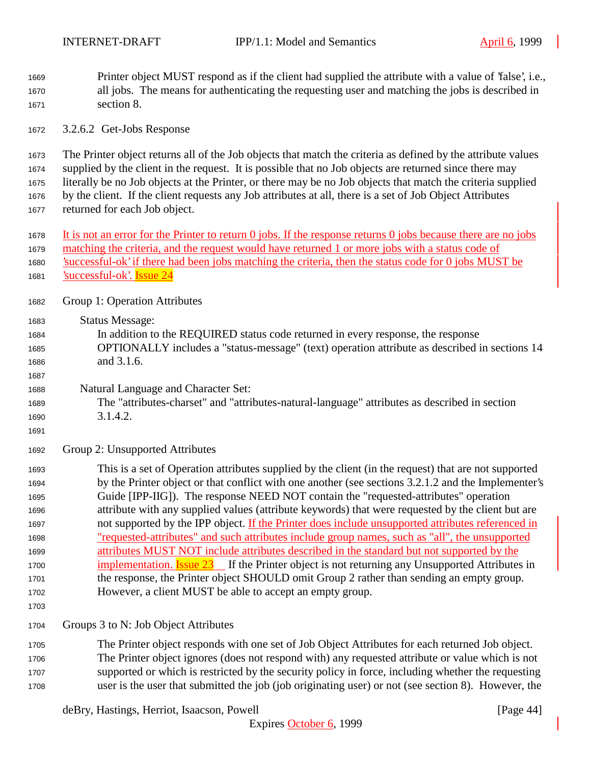- Printer object MUST respond as if the client had supplied the attribute with a value of 'false', i.e., all jobs. The means for authenticating the requesting user and matching the jobs is described in section 8.
- 3.2.6.2 Get-Jobs Response

 The Printer object returns all of the Job objects that match the criteria as defined by the attribute values supplied by the client in the request. It is possible that no Job objects are returned since there may literally be no Job objects at the Printer, or there may be no Job objects that match the criteria supplied by the client. If the client requests any Job attributes at all, there is a set of Job Object Attributes returned for each Job object.

- It is not an error for the Printer to return 0 jobs. If the response returns 0 jobs because there are no jobs matching the criteria, and the request would have returned 1 or more jobs with a status code of 'successful-ok' if there had been jobs matching the criteria, then the status code for 0 jobs MUST be
- 1681 <u>'successful-ok'</u>. **Issue 24**
- Group 1: Operation Attributes

Status Message:

- In addition to the REQUIRED status code returned in every response, the response OPTIONALLY includes a "status-message" (text) operation attribute as described in sections 14 and 3.1.6.
- Natural Language and Character Set:
- The "attributes-charset" and "attributes-natural-language" attributes as described in section 3.1.4.2.
- 

Group 2: Unsupported Attributes

 This is a set of Operation attributes supplied by the client (in the request) that are not supported by the Printer object or that conflict with one another (see sections 3.2.1.2 and the Implementer's Guide [IPP-IIG]). The response NEED NOT contain the "requested-attributes" operation attribute with any supplied values (attribute keywords) that were requested by the client but are not supported by the IPP object. If the Printer does include unsupported attributes referenced in "requested-attributes" and such attributes include group names, such as "all", the unsupported attributes MUST NOT include attributes described in the standard but not supported by the 1700 implementation. **Issue 23** If the Printer object is not returning any Unsupported Attributes in the response, the Printer object SHOULD omit Group 2 rather than sending an empty group. However, a client MUST be able to accept an empty group.

Groups 3 to N: Job Object Attributes

 The Printer object responds with one set of Job Object Attributes for each returned Job object. The Printer object ignores (does not respond with) any requested attribute or value which is not supported or which is restricted by the security policy in force, including whether the requesting user is the user that submitted the job (job originating user) or not (see section 8). However, the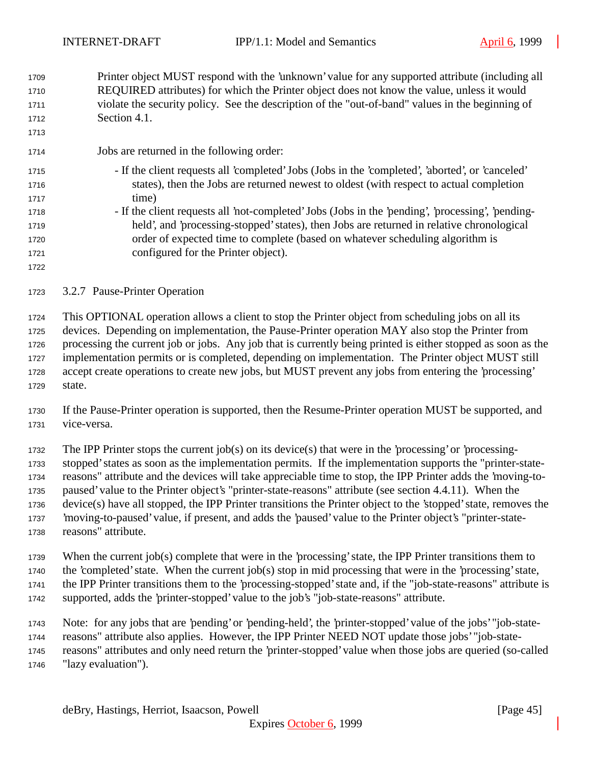Printer object MUST respond with the 'unknown' value for any supported attribute (including all REQUIRED attributes) for which the Printer object does not know the value, unless it would violate the security policy. See the description of the "out-of-band" values in the beginning of Section 4.1.

- Jobs are returned in the following order:
- If the client requests all 'completed' Jobs (Jobs in the 'completed', 'aborted', or 'canceled' states), then the Jobs are returned newest to oldest (with respect to actual completion 1717 time)
- If the client requests all 'not-completed' Jobs (Jobs in the 'pending', 'processing', 'pending- held', and 'processing-stopped' states), then Jobs are returned in relative chronological order of expected time to complete (based on whatever scheduling algorithm is configured for the Printer object).
- 3.2.7 Pause-Printer Operation

 This OPTIONAL operation allows a client to stop the Printer object from scheduling jobs on all its devices. Depending on implementation, the Pause-Printer operation MAY also stop the Printer from processing the current job or jobs. Any job that is currently being printed is either stopped as soon as the implementation permits or is completed, depending on implementation. The Printer object MUST still accept create operations to create new jobs, but MUST prevent any jobs from entering the 'processing' state.

 If the Pause-Printer operation is supported, then the Resume-Printer operation MUST be supported, and vice-versa.

The IPP Printer stops the current job(s) on its device(s) that were in the 'processing' or 'processing-

 stopped' states as soon as the implementation permits. If the implementation supports the "printer-state-reasons" attribute and the devices will take appreciable time to stop, the IPP Printer adds the 'moving-to-

- paused' value to the Printer object's "printer-state-reasons" attribute (see section 4.4.11). When the device(s) have all stopped, the IPP Printer transitions the Printer object to the 'stopped' state, removes the 'moving-to-paused' value, if present, and adds the 'paused' value to the Printer object's "printer-state-
- reasons" attribute.

When the current job(s) complete that were in the 'processing' state, the IPP Printer transitions them to

- the 'completed' state. When the current job(s) stop in mid processing that were in the 'processing' state,
- the IPP Printer transitions them to the 'processing-stopped' state and, if the "job-state-reasons" attribute is
- supported, adds the 'printer-stopped' value to the job's "job-state-reasons" attribute.
- Note: for any jobs that are 'pending' or 'pending-held', the 'printer-stopped' value of the jobs' "job-state-
- reasons" attribute also applies. However, the IPP Printer NEED NOT update those jobs' "job-state-
- reasons" attributes and only need return the 'printer-stopped' value when those jobs are queried (so-called "lazy evaluation").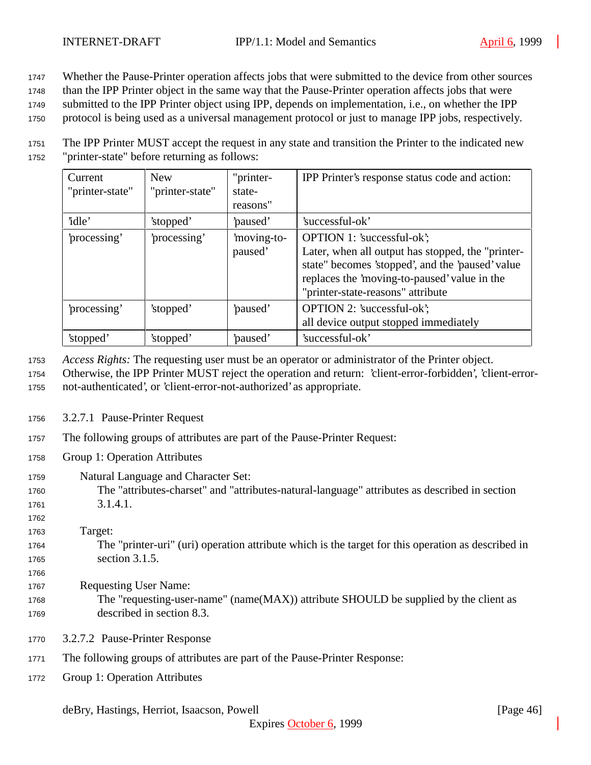<sup>1747</sup> Whether the Pause-Printer operation affects jobs that were submitted to the device from other sources

<sup>1748</sup> than the IPP Printer object in the same way that the Pause-Printer operation affects jobs that were

<sup>1749</sup> submitted to the IPP Printer object using IPP, depends on implementation, i.e., on whether the IPP

<sup>1750</sup> protocol is being used as a universal management protocol or just to manage IPP jobs, respectively.

<sup>1751</sup> The IPP Printer MUST accept the request in any state and transition the Printer to the indicated new <sup>1752</sup> "printer-state" before returning as follows:

| Current<br>"printer-state" | <b>New</b><br>"printer-state" | "printer-<br>state-<br>reasons" | IPP Printer's response status code and action:                                                                                                                                                                           |
|----------------------------|-------------------------------|---------------------------------|--------------------------------------------------------------------------------------------------------------------------------------------------------------------------------------------------------------------------|
| 'idle'                     | 'stopped'                     | paused'                         | 'successful-ok'                                                                                                                                                                                                          |
| processing'                | processing'                   | 'moving-to-<br>paused'          | OPTION 1: 'successful-ok';<br>Later, when all output has stopped, the "printer-<br>state" becomes 'stopped', and the 'paused' value<br>replaces the 'moving-to-paused' value in the<br>"printer-state-reasons" attribute |
| processing'                | 'stopped'                     | paused'                         | OPTION 2: 'successful-ok';<br>all device output stopped immediately                                                                                                                                                      |
| 'stopped'                  | 'stopped'                     | 'paused'                        | 'successful-ok'                                                                                                                                                                                                          |

<sup>1753</sup> *Access Rights:* The requesting user must be an operator or administrator of the Printer object.

- <sup>1754</sup> Otherwise, the IPP Printer MUST reject the operation and return: 'client-error-forbidden', 'client-error-<sup>1755</sup> not-authenticated', or 'client-error-not-authorized' as appropriate.
- <sup>1756</sup> 3.2.7.1 Pause-Printer Request
- <sup>1757</sup> The following groups of attributes are part of the Pause-Printer Request:
- <sup>1758</sup> Group 1: Operation Attributes
- <sup>1759</sup> Natural Language and Character Set:
- <sup>1760</sup> The "attributes-charset" and "attributes-natural-language" attributes as described in section <sup>1761</sup> 3.1.4.1.
- 1762

1766

<sup>1763</sup> Target:

- <sup>1764</sup> The "printer-uri" (uri) operation attribute which is the target for this operation as described in <sup>1765</sup> section 3.1.5.
- <sup>1767</sup> Requesting User Name:
- <sup>1768</sup> The "requesting-user-name" (name(MAX)) attribute SHOULD be supplied by the client as <sup>1769</sup> described in section 8.3.
- <sup>1770</sup> 3.2.7.2 Pause-Printer Response
- <sup>1771</sup> The following groups of attributes are part of the Pause-Printer Response:
- <sup>1772</sup> Group 1: Operation Attributes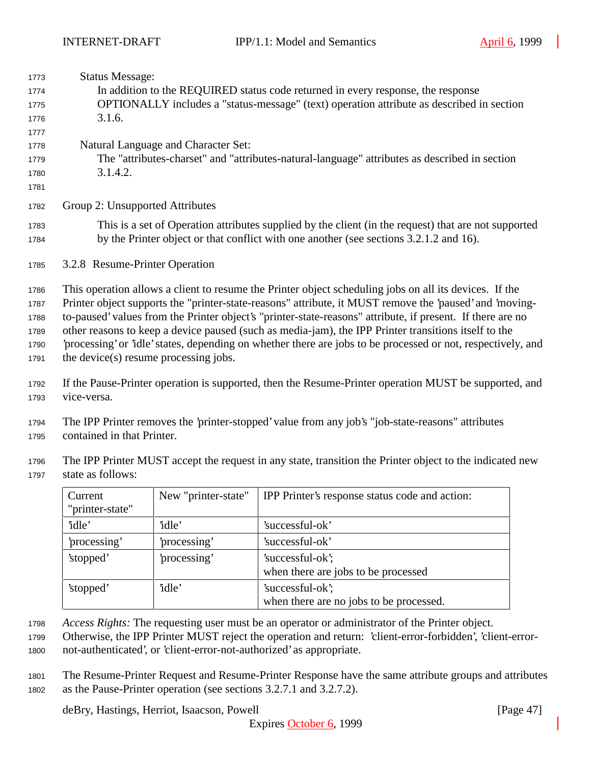| 1773 | <b>Status Message:</b>                                                                                      |
|------|-------------------------------------------------------------------------------------------------------------|
| 1774 | In addition to the REQUIRED status code returned in every response, the response                            |
| 1775 | OPTIONALLY includes a "status-message" (text) operation attribute as described in section                   |
| 1776 | 3.1.6.                                                                                                      |
| 1777 |                                                                                                             |
| 1778 | Natural Language and Character Set:                                                                         |
| 1779 | The "attributes-charset" and "attributes-natural-language" attributes as described in section               |
| 1780 | 3.1.4.2.                                                                                                    |
| 1781 |                                                                                                             |
| 1782 | Group 2: Unsupported Attributes                                                                             |
| 1783 | This is a set of Operation attributes supplied by the client (in the request) that are not supported        |
| 1784 | by the Printer object or that conflict with one another (see sections 3.2.1.2 and 16).                      |
| 1785 | 3.2.8 Resume-Printer Operation                                                                              |
| 1786 | This operation allows a client to resume the Printer object scheduling jobs on all its devices. If the      |
| 1787 | Printer object supports the "printer-state-reasons" attribute, it MUST remove the 'paused' and 'moving-     |
| 1788 | to-paused' values from the Printer object's "printer-state-reasons" attribute, if present. If there are no  |
| 1789 | other reasons to keep a device paused (such as media-jam), the IPP Printer transitions itself to the        |
| 1790 | processing' or 'idle' states, depending on whether there are jobs to be processed or not, respectively, and |
| 1791 | the device(s) resume processing jobs.                                                                       |
| 1792 | If the Pause-Printer operation is supported, then the Resume-Printer operation MUST be supported, and       |
| 1793 | vice-versa.                                                                                                 |
| 1794 | The IPP Printer removes the 'printer-stopped' value from any job's "job-state-reasons" attributes           |
| 1795 | contained in that Printer.                                                                                  |

 The IPP Printer MUST accept the request in any state, transition the Printer object to the indicated new state as follows:

| Current<br>"printer-state" | New "printer-state" | IPP Printer's response status code and action:              |
|----------------------------|---------------------|-------------------------------------------------------------|
| 'idle'                     | 'idle'              | 'successful-ok'                                             |
| processing'                | 'processing'        | 'successful-ok'                                             |
| 'stopped'                  | processing'         | 'successful-ok';<br>when there are jobs to be processed     |
| 'stopped'                  | 'idle'              | 'successful-ok';<br>when there are no jobs to be processed. |

*Access Rights:* The requesting user must be an operator or administrator of the Printer object.

 The Resume-Printer Request and Resume-Printer Response have the same attribute groups and attributes as the Pause-Printer operation (see sections 3.2.7.1 and 3.2.7.2).

deBry, Hastings, Herriot, Isaacson, Powell [Page 47]

Otherwise, the IPP Printer MUST reject the operation and return: 'client-error-forbidden', 'client-error-

not-authenticated', or 'client-error-not-authorized' as appropriate.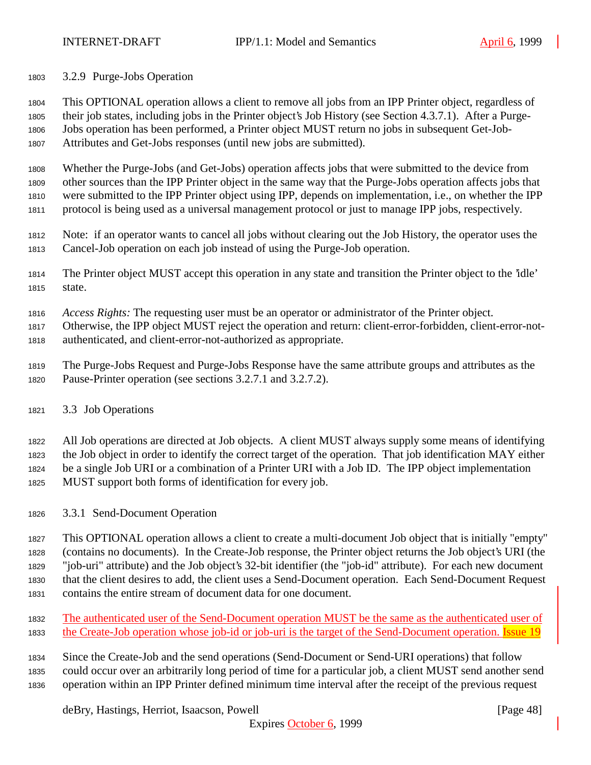3.2.9 Purge-Jobs Operation

 This OPTIONAL operation allows a client to remove all jobs from an IPP Printer object, regardless of their job states, including jobs in the Printer object's Job History (see Section 4.3.7.1). After a Purge-Jobs operation has been performed, a Printer object MUST return no jobs in subsequent Get-Job-

Attributes and Get-Jobs responses (until new jobs are submitted).

 Whether the Purge-Jobs (and Get-Jobs) operation affects jobs that were submitted to the device from other sources than the IPP Printer object in the same way that the Purge-Jobs operation affects jobs that were submitted to the IPP Printer object using IPP, depends on implementation, i.e., on whether the IPP protocol is being used as a universal management protocol or just to manage IPP jobs, respectively.

 Note: if an operator wants to cancel all jobs without clearing out the Job History, the operator uses the Cancel-Job operation on each job instead of using the Purge-Job operation.

 The Printer object MUST accept this operation in any state and transition the Printer object to the 'idle' state.

*Access Rights:* The requesting user must be an operator or administrator of the Printer object.

 Otherwise, the IPP object MUST reject the operation and return: client-error-forbidden, client-error-not-authenticated, and client-error-not-authorized as appropriate.

- The Purge-Jobs Request and Purge-Jobs Response have the same attribute groups and attributes as the Pause-Printer operation (see sections 3.2.7.1 and 3.2.7.2).
- 3.3 Job Operations

 All Job operations are directed at Job objects. A client MUST always supply some means of identifying the Job object in order to identify the correct target of the operation. That job identification MAY either be a single Job URI or a combination of a Printer URI with a Job ID. The IPP object implementation MUST support both forms of identification for every job.

3.3.1 Send-Document Operation

 This OPTIONAL operation allows a client to create a multi-document Job object that is initially "empty" (contains no documents). In the Create-Job response, the Printer object returns the Job object's URI (the "job-uri" attribute) and the Job object's 32-bit identifier (the "job-id" attribute). For each new document that the client desires to add, the client uses a Send-Document operation. Each Send-Document Request contains the entire stream of document data for one document.

 The authenticated user of the Send-Document operation MUST be the same as the authenticated user of 1833 the Create-Job operation whose job-id or job-uri is the target of the Send-Document operation. **Issue 19** 

 Since the Create-Job and the send operations (Send-Document or Send-URI operations) that follow could occur over an arbitrarily long period of time for a particular job, a client MUST send another send operation within an IPP Printer defined minimum time interval after the receipt of the previous request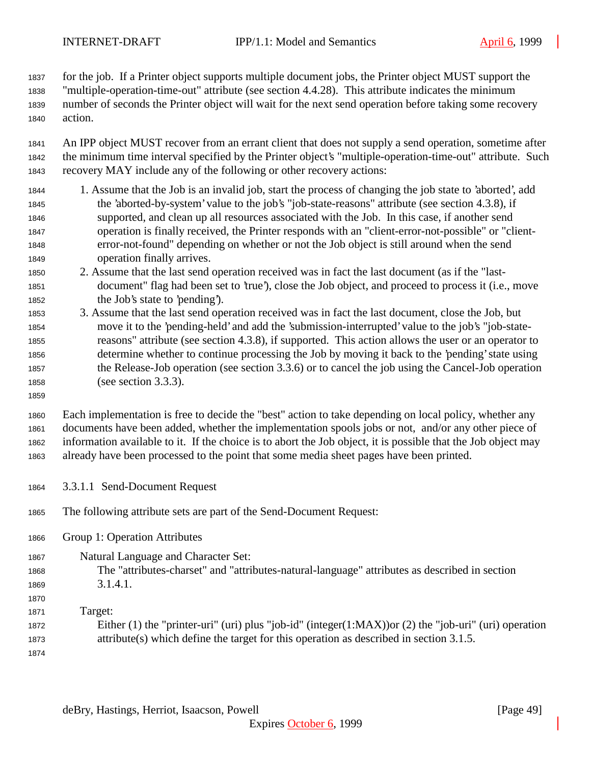for the job. If a Printer object supports multiple document jobs, the Printer object MUST support the "multiple-operation-time-out" attribute (see section 4.4.28). This attribute indicates the minimum number of seconds the Printer object will wait for the next send operation before taking some recovery action.

 An IPP object MUST recover from an errant client that does not supply a send operation, sometime after the minimum time interval specified by the Printer object's "multiple-operation-time-out" attribute. Such recovery MAY include any of the following or other recovery actions:

- 1. Assume that the Job is an invalid job, start the process of changing the job state to 'aborted', add the 'aborted-by-system' value to the job's "job-state-reasons" attribute (see section 4.3.8), if supported, and clean up all resources associated with the Job. In this case, if another send operation is finally received, the Printer responds with an "client-error-not-possible" or "client- error-not-found" depending on whether or not the Job object is still around when the send operation finally arrives.
- 2. Assume that the last send operation received was in fact the last document (as if the "last- document" flag had been set to 'true'), close the Job object, and proceed to process it (i.e., move the Job's state to 'pending').
- 3. Assume that the last send operation received was in fact the last document, close the Job, but move it to the 'pending-held' and add the 'submission-interrupted' value to the job's "job-state- reasons" attribute (see section 4.3.8), if supported. This action allows the user or an operator to determine whether to continue processing the Job by moving it back to the 'pending' state using the Release-Job operation (see section 3.3.6) or to cancel the job using the Cancel-Job operation (see section 3.3.3).
- 

 Each implementation is free to decide the "best" action to take depending on local policy, whether any documents have been added, whether the implementation spools jobs or not, and/or any other piece of information available to it. If the choice is to abort the Job object, it is possible that the Job object may already have been processed to the point that some media sheet pages have been printed.

- 3.3.1.1 Send-Document Request
- The following attribute sets are part of the Send-Document Request:
- Group 1: Operation Attributes
- Natural Language and Character Set: The "attributes-charset" and "attributes-natural-language" attributes as described in section 3.1.4.1.
- Target: Either (1) the "printer-uri" (uri) plus "job-id" (integer(1:MAX))or (2) the "job-uri" (uri) operation attribute(s) which define the target for this operation as described in section 3.1.5.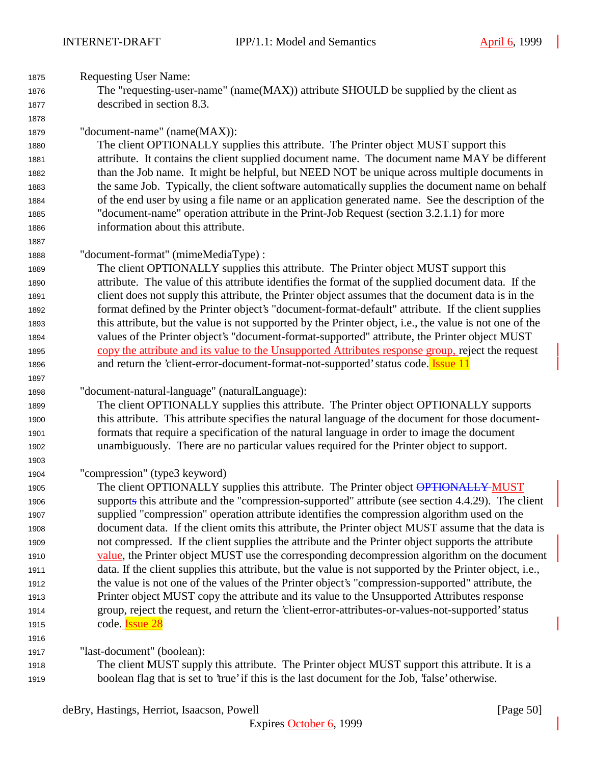| 1875         | <b>Requesting User Name:</b>                                                                             |
|--------------|----------------------------------------------------------------------------------------------------------|
| 1876         | The "requesting-user-name" (name(MAX)) attribute SHOULD be supplied by the client as                     |
| 1877         | described in section 8.3.                                                                                |
| 1878         |                                                                                                          |
| 1879         | "document-name" (name(MAX)):                                                                             |
| 1880         | The client OPTIONALLY supplies this attribute. The Printer object MUST support this                      |
| 1881         | attribute. It contains the client supplied document name. The document name MAY be different             |
| 1882         | than the Job name. It might be helpful, but NEED NOT be unique across multiple documents in              |
| 1883         | the same Job. Typically, the client software automatically supplies the document name on behalf          |
| 1884         | of the end user by using a file name or an application generated name. See the description of the        |
| 1885         | "document-name" operation attribute in the Print-Job Request (section 3.2.1.1) for more                  |
| 1886         | information about this attribute.                                                                        |
| 1887         |                                                                                                          |
| 1888         | "document-format" (mimeMediaType) :                                                                      |
| 1889         | The client OPTIONALLY supplies this attribute. The Printer object MUST support this                      |
| 1890         | attribute. The value of this attribute identifies the format of the supplied document data. If the       |
| 1891         | client does not supply this attribute, the Printer object assumes that the document data is in the       |
| 1892         | format defined by the Printer object's "document-format-default" attribute. If the client supplies       |
| 1893         | this attribute, but the value is not supported by the Printer object, i.e., the value is not one of the  |
| 1894         | values of the Printer object's "document-format-supported" attribute, the Printer object MUST            |
| 1895         | copy the attribute and its value to the Unsupported Attributes response group, reject the request        |
| 1896         | and return the 'client-error-document-format-not-supported' status code. Issue 11                        |
|              |                                                                                                          |
| 1897         |                                                                                                          |
|              |                                                                                                          |
| 1898<br>1899 | "document-natural-language" (naturalLanguage):                                                           |
| 1900         | The client OPTIONALLY supplies this attribute. The Printer object OPTIONALLY supports                    |
| 1901         | this attribute. This attribute specifies the natural language of the document for those document-        |
| 1902         | formats that require a specification of the natural language in order to image the document              |
| 1903         | unambiguously. There are no particular values required for the Printer object to support.                |
| 1904         | "compression" (type3 keyword)                                                                            |
| 1905         | The client OPTIONALLY supplies this attribute. The Printer object OPTIONALLY MUST                        |
| 1906         | supports this attribute and the "compression-supported" attribute (see section 4.4.29). The client       |
| 1907         | supplied "compression" operation attribute identifies the compression algorithm used on the              |
| 1908         | document data. If the client omits this attribute, the Printer object MUST assume that the data is       |
| 1909         | not compressed. If the client supplies the attribute and the Printer object supports the attribute       |
| 1910         | value, the Printer object MUST use the corresponding decompression algorithm on the document             |
| 1911         | data. If the client supplies this attribute, but the value is not supported by the Printer object, i.e., |
| 1912         | the value is not one of the values of the Printer object's "compression-supported" attribute, the        |
| 1913         | Printer object MUST copy the attribute and its value to the Unsupported Attributes response              |
| 1914         | group, reject the request, and return the 'client-error-attributes-or-values-not-supported' status       |
| 1915         | code. <b>Issue 28</b>                                                                                    |
| 1916         |                                                                                                          |
| 1917         | "last-document" (boolean):                                                                               |
| 1918         | The client MUST supply this attribute. The Printer object MUST support this attribute. It is a           |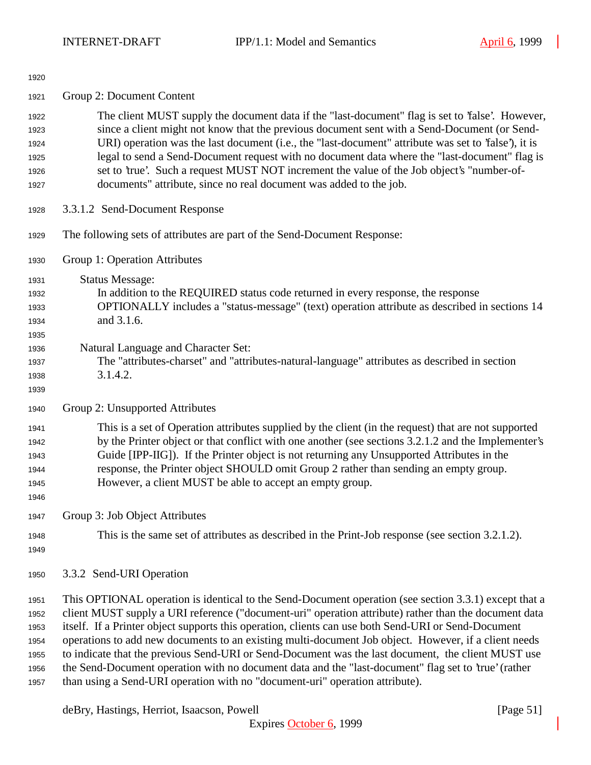| 1920                                                 |                                                                                                                                                                                                                                                                                                                                                                                                                                                                                                                                                                                                                                                                                                                             |
|------------------------------------------------------|-----------------------------------------------------------------------------------------------------------------------------------------------------------------------------------------------------------------------------------------------------------------------------------------------------------------------------------------------------------------------------------------------------------------------------------------------------------------------------------------------------------------------------------------------------------------------------------------------------------------------------------------------------------------------------------------------------------------------------|
| 1921                                                 | Group 2: Document Content                                                                                                                                                                                                                                                                                                                                                                                                                                                                                                                                                                                                                                                                                                   |
| 1922<br>1923<br>1924<br>1925<br>1926<br>1927         | The client MUST supply the document data if the "last-document" flag is set to 'false'. However,<br>since a client might not know that the previous document sent with a Send-Document (or Send-<br>URI) operation was the last document (i.e., the "last-document" attribute was set to 'false'), it is<br>legal to send a Send-Document request with no document data where the "last-document" flag is<br>set to 'true'. Such a request MUST NOT increment the value of the Job object's "number-of-<br>documents" attribute, since no real document was added to the job.                                                                                                                                               |
| 1928                                                 | 3.3.1.2 Send-Document Response                                                                                                                                                                                                                                                                                                                                                                                                                                                                                                                                                                                                                                                                                              |
| 1929                                                 | The following sets of attributes are part of the Send-Document Response:                                                                                                                                                                                                                                                                                                                                                                                                                                                                                                                                                                                                                                                    |
| 1930                                                 | Group 1: Operation Attributes                                                                                                                                                                                                                                                                                                                                                                                                                                                                                                                                                                                                                                                                                               |
| 1931<br>1932<br>1933<br>1934<br>1935<br>1936         | <b>Status Message:</b><br>In addition to the REQUIRED status code returned in every response, the response<br>OPTIONALLY includes a "status-message" (text) operation attribute as described in sections 14<br>and 3.1.6.<br>Natural Language and Character Set:                                                                                                                                                                                                                                                                                                                                                                                                                                                            |
| 1937<br>1938<br>1939                                 | The "attributes-charset" and "attributes-natural-language" attributes as described in section<br>3.1.4.2.                                                                                                                                                                                                                                                                                                                                                                                                                                                                                                                                                                                                                   |
| 1940                                                 | Group 2: Unsupported Attributes                                                                                                                                                                                                                                                                                                                                                                                                                                                                                                                                                                                                                                                                                             |
| 1941<br>1942<br>1943<br>1944<br>1945<br>1946         | This is a set of Operation attributes supplied by the client (in the request) that are not supported<br>by the Printer object or that conflict with one another (see sections 3.2.1.2 and the Implementer's<br>Guide [IPP-IIG]). If the Printer object is not returning any Unsupported Attributes in the<br>response, the Printer object SHOULD omit Group 2 rather than sending an empty group.<br>However, a client MUST be able to accept an empty group.                                                                                                                                                                                                                                                               |
| 1947                                                 | Group 3: Job Object Attributes                                                                                                                                                                                                                                                                                                                                                                                                                                                                                                                                                                                                                                                                                              |
| 1948<br>1949                                         | This is the same set of attributes as described in the Print-Job response (see section 3.2.1.2).                                                                                                                                                                                                                                                                                                                                                                                                                                                                                                                                                                                                                            |
| 1950                                                 | 3.3.2 Send-URI Operation                                                                                                                                                                                                                                                                                                                                                                                                                                                                                                                                                                                                                                                                                                    |
| 1951<br>1952<br>1953<br>1954<br>1955<br>1956<br>1957 | This OPTIONAL operation is identical to the Send-Document operation (see section 3.3.1) except that a<br>client MUST supply a URI reference ("document-uri" operation attribute) rather than the document data<br>itself. If a Printer object supports this operation, clients can use both Send-URI or Send-Document<br>operations to add new documents to an existing multi-document Job object. However, if a client needs<br>to indicate that the previous Send-URI or Send-Document was the last document, the client MUST use<br>the Send-Document operation with no document data and the "last-document" flag set to 'true' (rather<br>than using a Send-URI operation with no "document-uri" operation attribute). |

deBry, Hastings, Herriot, Isaacson, Powell [Page 51]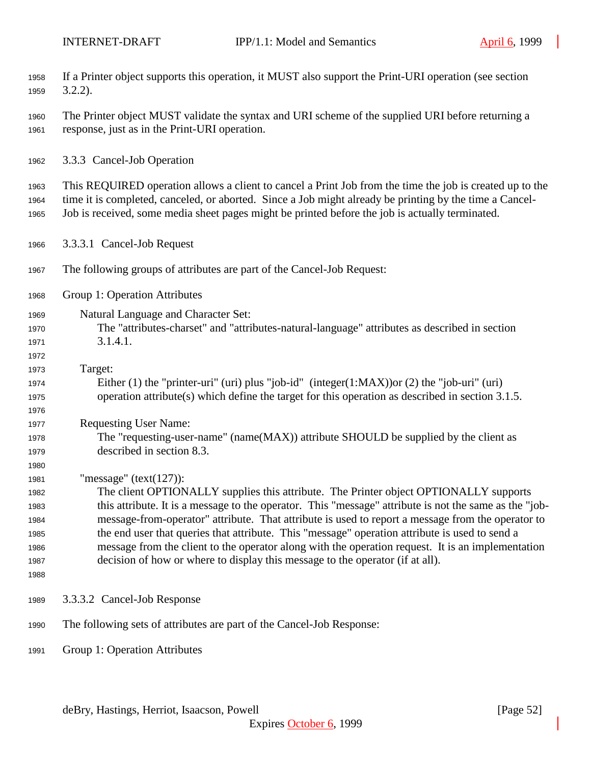| 1958<br>1959         | If a Printer object supports this operation, it MUST also support the Print-URI operation (see section<br>$3.2.2$ ).                                                                                                                                                                                                   |
|----------------------|------------------------------------------------------------------------------------------------------------------------------------------------------------------------------------------------------------------------------------------------------------------------------------------------------------------------|
| 1960<br>1961         | The Printer object MUST validate the syntax and URI scheme of the supplied URI before returning a<br>response, just as in the Print-URI operation.                                                                                                                                                                     |
| 1962                 | 3.3.3 Cancel-Job Operation                                                                                                                                                                                                                                                                                             |
| 1963<br>1964<br>1965 | This REQUIRED operation allows a client to cancel a Print Job from the time the job is created up to the<br>time it is completed, canceled, or aborted. Since a Job might already be printing by the time a Cancel-<br>Job is received, some media sheet pages might be printed before the job is actually terminated. |
| 1966                 | 3.3.3.1 Cancel-Job Request                                                                                                                                                                                                                                                                                             |
| 1967                 | The following groups of attributes are part of the Cancel-Job Request:                                                                                                                                                                                                                                                 |
| 1968                 | Group 1: Operation Attributes                                                                                                                                                                                                                                                                                          |
| 1969                 | Natural Language and Character Set:                                                                                                                                                                                                                                                                                    |
| 1970                 | The "attributes-charset" and "attributes-natural-language" attributes as described in section                                                                                                                                                                                                                          |
| 1971                 | 3.1.4.1.                                                                                                                                                                                                                                                                                                               |
| 1972                 |                                                                                                                                                                                                                                                                                                                        |
| 1973                 | Target:                                                                                                                                                                                                                                                                                                                |
| 1974                 | Either (1) the "printer-uri" (uri) plus "job-id" (integer(1:MAX)) or (2) the "job-uri" (uri)                                                                                                                                                                                                                           |
| 1975                 | operation attribute(s) which define the target for this operation as described in section 3.1.5.                                                                                                                                                                                                                       |
| 1976                 |                                                                                                                                                                                                                                                                                                                        |
| 1977                 | <b>Requesting User Name:</b>                                                                                                                                                                                                                                                                                           |
| 1978                 | The "requesting-user-name" (name(MAX)) attribute SHOULD be supplied by the client as                                                                                                                                                                                                                                   |
| 1979                 | described in section 8.3.                                                                                                                                                                                                                                                                                              |
| 1980                 |                                                                                                                                                                                                                                                                                                                        |
| 1981                 | "message" $(text(127))$ :                                                                                                                                                                                                                                                                                              |
| 1982                 | The client OPTIONALLY supplies this attribute. The Printer object OPTIONALLY supports                                                                                                                                                                                                                                  |
| 1983                 | this attribute. It is a message to the operator. This "message" attribute is not the same as the "job-                                                                                                                                                                                                                 |
| 1984                 | message-from-operator" attribute. That attribute is used to report a message from the operator to                                                                                                                                                                                                                      |
| 1985                 | the end user that queries that attribute. This "message" operation attribute is used to send a                                                                                                                                                                                                                         |
| 1986                 | message from the client to the operator along with the operation request. It is an implementation                                                                                                                                                                                                                      |
| 1987                 | decision of how or where to display this message to the operator (if at all).                                                                                                                                                                                                                                          |
| 1988                 |                                                                                                                                                                                                                                                                                                                        |
| 1989                 | 3.3.3.2 Cancel-Job Response                                                                                                                                                                                                                                                                                            |
| 1990                 | The following sets of attributes are part of the Cancel-Job Response:                                                                                                                                                                                                                                                  |
| 1991                 | Group 1: Operation Attributes                                                                                                                                                                                                                                                                                          |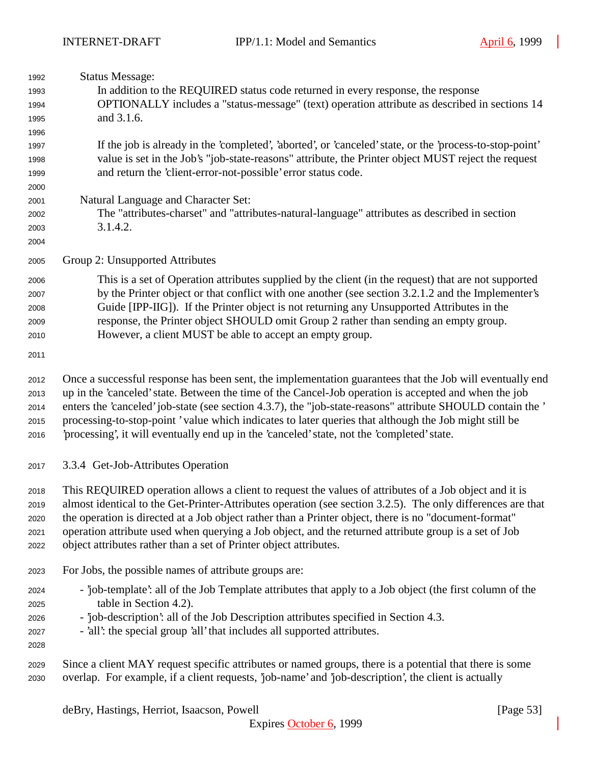| 1992<br>1993<br>1994<br>1995<br>1996         | <b>Status Message:</b><br>In addition to the REQUIRED status code returned in every response, the response<br>OPTIONALLY includes a "status-message" (text) operation attribute as described in sections 14<br>and 3.1.6.                                                                                                                                                                                                                                                                                                                |
|----------------------------------------------|------------------------------------------------------------------------------------------------------------------------------------------------------------------------------------------------------------------------------------------------------------------------------------------------------------------------------------------------------------------------------------------------------------------------------------------------------------------------------------------------------------------------------------------|
| 1997<br>1998<br>1999<br>2000                 | If the job is already in the 'completed', 'aborted', or 'canceled' state, or the 'process-to-stop-point'<br>value is set in the Job's "job-state-reasons" attribute, the Printer object MUST reject the request<br>and return the 'client-error-not-possible' error status code.                                                                                                                                                                                                                                                         |
| 2001<br>2002<br>2003<br>2004                 | Natural Language and Character Set:<br>The "attributes-charset" and "attributes-natural-language" attributes as described in section<br>3.1.4.2.                                                                                                                                                                                                                                                                                                                                                                                         |
| 2005                                         | Group 2: Unsupported Attributes                                                                                                                                                                                                                                                                                                                                                                                                                                                                                                          |
| 2006<br>2007<br>2008<br>2009<br>2010<br>2011 | This is a set of Operation attributes supplied by the client (in the request) that are not supported<br>by the Printer object or that conflict with one another (see section 3.2.1.2 and the Implementer's<br>Guide [IPP-IIG]). If the Printer object is not returning any Unsupported Attributes in the<br>response, the Printer object SHOULD omit Group 2 rather than sending an empty group.<br>However, a client MUST be able to accept an empty group.                                                                             |
| 2012<br>2013<br>2014<br>2015<br>2016         | Once a successful response has been sent, the implementation guarantees that the Job will eventually end<br>up in the 'canceled' state. Between the time of the Cancel-Job operation is accepted and when the job<br>enters the 'canceled' job-state (see section 4.3.7), the "job-state-reasons" attribute SHOULD contain the '<br>processing-to-stop-point 'value which indicates to later queries that although the Job might still be<br>'processing', it will eventually end up in the 'canceled' state, not the 'completed' state. |
| 2017                                         | 3.3.4 Get-Job-Attributes Operation                                                                                                                                                                                                                                                                                                                                                                                                                                                                                                       |
| 2018<br>2019<br>2020<br>2021<br>2022         | This REQUIRED operation allows a client to request the values of attributes of a Job object and it is<br>almost identical to the Get-Printer-Attributes operation (see section 3.2.5). The only differences are that<br>the operation is directed at a Job object rather than a Printer object, there is no "document-format"<br>operation attribute used when querying a Job object, and the returned attribute group is a set of Job<br>object attributes rather than a set of Printer object attributes.                              |
| 2023                                         | For Jobs, the possible names of attribute groups are:                                                                                                                                                                                                                                                                                                                                                                                                                                                                                    |
| 2024<br>2025<br>2026<br>2027<br>2028         | - job-template': all of the Job Template attributes that apply to a Job object (the first column of the<br>table in Section 4.2).<br>- job-description: all of the Job Description attributes specified in Section 4.3.<br>- 'all': the special group 'all' that includes all supported attributes.                                                                                                                                                                                                                                      |
| 2029<br>2030                                 | Since a client MAY request specific attributes or named groups, there is a potential that there is some<br>overlap. For example, if a client requests, job-name' and job-description', the client is actually                                                                                                                                                                                                                                                                                                                            |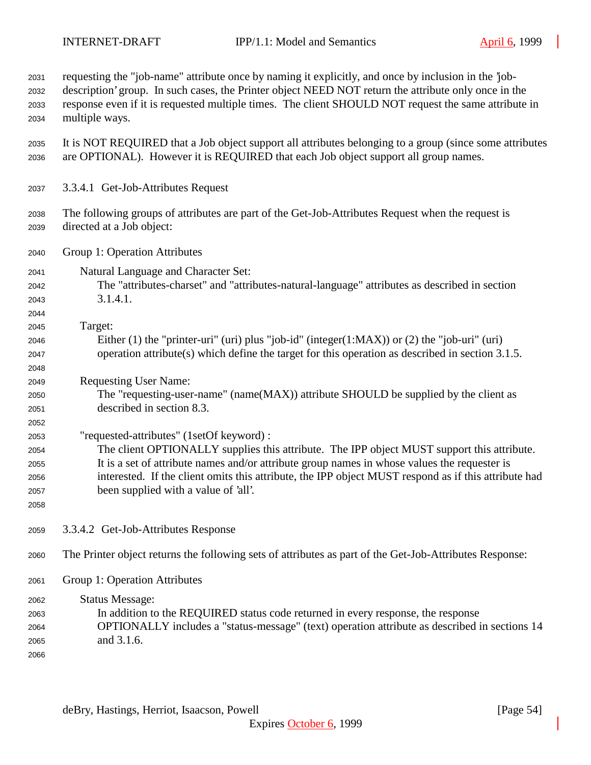| 2031<br>2032<br>2033<br>2034                 | requesting the "job-name" attribute once by naming it explicitly, and once by inclusion in the 'job-<br>description' group. In such cases, the Printer object NEED NOT return the attribute only once in the<br>response even if it is requested multiple times. The client SHOULD NOT request the same attribute in<br>multiple ways.                                                  |
|----------------------------------------------|-----------------------------------------------------------------------------------------------------------------------------------------------------------------------------------------------------------------------------------------------------------------------------------------------------------------------------------------------------------------------------------------|
| 2035<br>2036                                 | It is NOT REQUIRED that a Job object support all attributes belonging to a group (since some attributes<br>are OPTIONAL). However it is REQUIRED that each Job object support all group names.                                                                                                                                                                                          |
| 2037                                         | 3.3.4.1 Get-Job-Attributes Request                                                                                                                                                                                                                                                                                                                                                      |
| 2038<br>2039                                 | The following groups of attributes are part of the Get-Job-Attributes Request when the request is<br>directed at a Job object:                                                                                                                                                                                                                                                          |
| 2040                                         | Group 1: Operation Attributes                                                                                                                                                                                                                                                                                                                                                           |
| 2041<br>2042<br>2043<br>2044                 | Natural Language and Character Set:<br>The "attributes-charset" and "attributes-natural-language" attributes as described in section<br>3.1.4.1.                                                                                                                                                                                                                                        |
| 2045<br>2046<br>2047<br>2048                 | Target:<br>Either (1) the "printer-uri" (uri) plus "job-id" (integer(1:MAX)) or (2) the "job-uri" (uri)<br>operation attribute(s) which define the target for this operation as described in section 3.1.5.                                                                                                                                                                             |
| 2049<br>2050<br>2051<br>2052                 | <b>Requesting User Name:</b><br>The "requesting-user-name" (name(MAX)) attribute SHOULD be supplied by the client as<br>described in section 8.3.                                                                                                                                                                                                                                       |
| 2053<br>2054<br>2055<br>2056<br>2057<br>2058 | "requested-attributes" (1setOf keyword) :<br>The client OPTIONALLY supplies this attribute. The IPP object MUST support this attribute.<br>It is a set of attribute names and/or attribute group names in whose values the requester is<br>interested. If the client omits this attribute, the IPP object MUST respond as if this attribute had<br>been supplied with a value of 'all'. |
| 2059                                         | 3.3.4.2 Get-Job-Attributes Response                                                                                                                                                                                                                                                                                                                                                     |
| 2060                                         | The Printer object returns the following sets of attributes as part of the Get-Job-Attributes Response:                                                                                                                                                                                                                                                                                 |
| 2061                                         | Group 1: Operation Attributes                                                                                                                                                                                                                                                                                                                                                           |
| 2062<br>2063<br>2064<br>2065<br>2066         | <b>Status Message:</b><br>In addition to the REQUIRED status code returned in every response, the response<br>OPTIONALLY includes a "status-message" (text) operation attribute as described in sections 14<br>and 3.1.6.                                                                                                                                                               |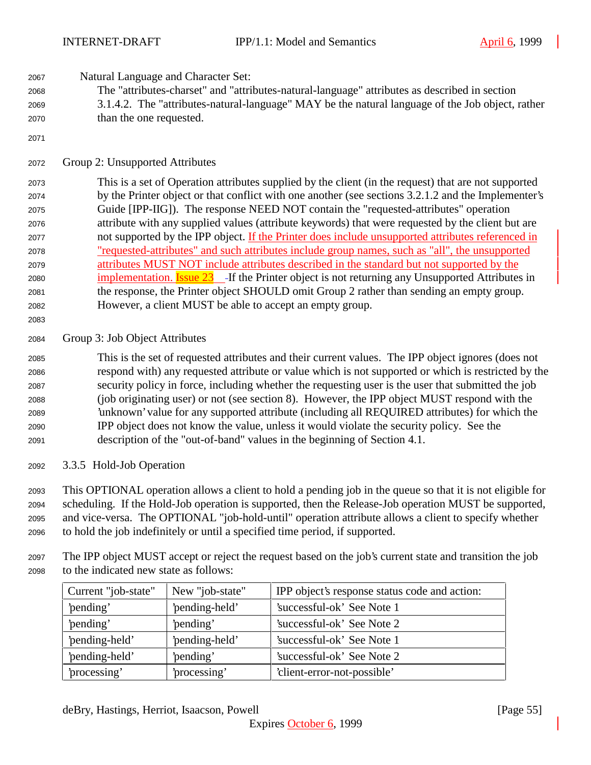Natural Language and Character Set:

- The "attributes-charset" and "attributes-natural-language" attributes as described in section 3.1.4.2. The "attributes-natural-language" MAY be the natural language of the Job object, rather than the one requested.
- 

Group 2: Unsupported Attributes

 This is a set of Operation attributes supplied by the client (in the request) that are not supported by the Printer object or that conflict with one another (see sections 3.2.1.2 and the Implementer's Guide [IPP-IIG]). The response NEED NOT contain the "requested-attributes" operation attribute with any supplied values (attribute keywords) that were requested by the client but are 2077 not supported by the IPP object. If the Printer does include unsupported attributes referenced in "requested-attributes" and such attributes include group names, such as "all", the unsupported attributes MUST NOT include attributes described in the standard but not supported by the 2080 implementation. **Issue 23** If the Printer object is not returning any Unsupported Attributes in the response, the Printer object SHOULD omit Group 2 rather than sending an empty group. However, a client MUST be able to accept an empty group.

Group 3: Job Object Attributes

 This is the set of requested attributes and their current values. The IPP object ignores (does not respond with) any requested attribute or value which is not supported or which is restricted by the security policy in force, including whether the requesting user is the user that submitted the job (job originating user) or not (see section 8). However, the IPP object MUST respond with the 'unknown' value for any supported attribute (including all REQUIRED attributes) for which the IPP object does not know the value, unless it would violate the security policy. See the description of the "out-of-band" values in the beginning of Section 4.1.

3.3.5 Hold-Job Operation

 This OPTIONAL operation allows a client to hold a pending job in the queue so that it is not eligible for scheduling. If the Hold-Job operation is supported, then the Release-Job operation MUST be supported, and vice-versa. The OPTIONAL "job-hold-until" operation attribute allows a client to specify whether to hold the job indefinitely or until a specified time period, if supported.

 The IPP object MUST accept or reject the request based on the job's current state and transition the job to the indicated new state as follows:

| Current "job-state" | New "job-state" | IPP object's response status code and action: |
|---------------------|-----------------|-----------------------------------------------|
| 'pending'           | 'pending-held'  | 'successful-ok' See Note 1                    |
| 'pending'           | 'pending'       | 'successful-ok' See Note 2                    |
| 'pending-held'      | 'pending-held'  | 'successful-ok' See Note 1                    |
| 'pending-held'      | 'pending'       | 'successful-ok' See Note 2                    |
| 'processing'        | 'processing'    | 'client-error-not-possible'                   |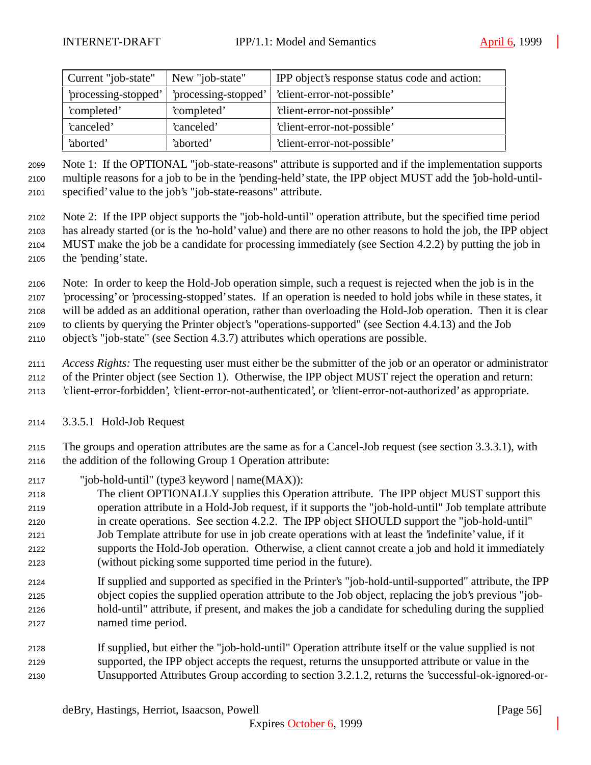| Current "job-state"  | New "job-state"      | IPP object's response status code and action: |
|----------------------|----------------------|-----------------------------------------------|
| 'processing-stopped' | 'processing-stopped' | 'client-error-not-possible'                   |
| 'completed'          | 'completed'          | 'client-error-not-possible'                   |
| 'canceled'           | 'canceled'           | 'client-error-not-possible'                   |
| 'aborted'            | 'aborted'            | 'client-error-not-possible'                   |

 Note 1: If the OPTIONAL "job-state-reasons" attribute is supported and if the implementation supports multiple reasons for a job to be in the 'pending-held' state, the IPP object MUST add the 'job-hold-until-specified' value to the job's "job-state-reasons" attribute.

 Note 2: If the IPP object supports the "job-hold-until" operation attribute, but the specified time period has already started (or is the 'no-hold' value) and there are no other reasons to hold the job, the IPP object MUST make the job be a candidate for processing immediately (see Section 4.2.2) by putting the job in the 'pending' state.

 Note: In order to keep the Hold-Job operation simple, such a request is rejected when the job is in the 'processing' or 'processing-stopped' states. If an operation is needed to hold jobs while in these states, it will be added as an additional operation, rather than overloading the Hold-Job operation. Then it is clear to clients by querying the Printer object's "operations-supported" (see Section 4.4.13) and the Job object's "job-state" (see Section 4.3.7) attributes which operations are possible.

 *Access Rights:* The requesting user must either be the submitter of the job or an operator or administrator of the Printer object (see Section 1). Otherwise, the IPP object MUST reject the operation and return: 'client-error-forbidden', 'client-error-not-authenticated', or 'client-error-not-authorized' as appropriate.

3.3.5.1 Hold-Job Request

 The groups and operation attributes are the same as for a Cancel-Job request (see section 3.3.3.1), with the addition of the following Group 1 Operation attribute:

- "job-hold-until" (type3 keyword | name(MAX)):
- The client OPTIONALLY supplies this Operation attribute. The IPP object MUST support this operation attribute in a Hold-Job request, if it supports the "job-hold-until" Job template attribute in create operations. See section 4.2.2. The IPP object SHOULD support the "job-hold-until" Job Template attribute for use in job create operations with at least the 'indefinite' value, if it supports the Hold-Job operation. Otherwise, a client cannot create a job and hold it immediately (without picking some supported time period in the future).
- If supplied and supported as specified in the Printer's "job-hold-until-supported" attribute, the IPP object copies the supplied operation attribute to the Job object, replacing the job's previous "job- hold-until" attribute, if present, and makes the job a candidate for scheduling during the supplied named time period.
- If supplied, but either the "job-hold-until" Operation attribute itself or the value supplied is not supported, the IPP object accepts the request, returns the unsupported attribute or value in the Unsupported Attributes Group according to section 3.2.1.2, returns the 'successful-ok-ignored-or-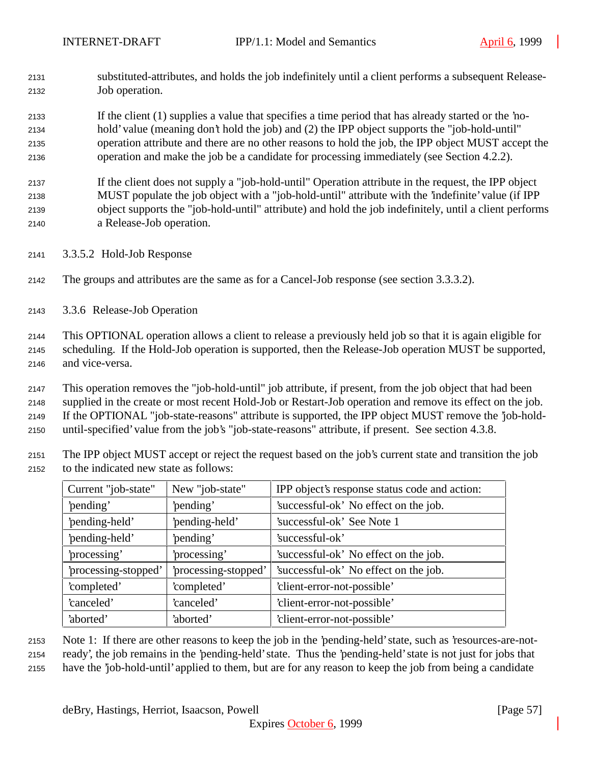substituted-attributes, and holds the job indefinitely until a client performs a subsequent Release-Job operation.

 If the client (1) supplies a value that specifies a time period that has already started or the 'no- hold' value (meaning don't hold the job) and (2) the IPP object supports the "job-hold-until" operation attribute and there are no other reasons to hold the job, the IPP object MUST accept the operation and make the job be a candidate for processing immediately (see Section 4.2.2).

 If the client does not supply a "job-hold-until" Operation attribute in the request, the IPP object MUST populate the job object with a "job-hold-until" attribute with the 'indefinite' value (if IPP object supports the "job-hold-until" attribute) and hold the job indefinitely, until a client performs a Release-Job operation.

- 3.3.5.2 Hold-Job Response
- The groups and attributes are the same as for a Cancel-Job response (see section 3.3.3.2).
- 3.3.6 Release-Job Operation

 This OPTIONAL operation allows a client to release a previously held job so that it is again eligible for scheduling. If the Hold-Job operation is supported, then the Release-Job operation MUST be supported, and vice-versa.

 This operation removes the "job-hold-until" job attribute, if present, from the job object that had been supplied in the create or most recent Hold-Job or Restart-Job operation and remove its effect on the job. If the OPTIONAL "job-state-reasons" attribute is supported, the IPP object MUST remove the 'job-hold-until-specified' value from the job's "job-state-reasons" attribute, if present. See section 4.3.8.

 The IPP object MUST accept or reject the request based on the job's current state and transition the job to the indicated new state as follows:

| Current "job-state"  | New "job-state"      | IPP object's response status code and action: |  |
|----------------------|----------------------|-----------------------------------------------|--|
| 'pending'            | 'pending'            | 'successful-ok' No effect on the job.         |  |
| 'pending-held'       | 'pending-held'       | 'successful-ok' See Note 1                    |  |
| 'pending-held'       | 'pending'            | 'successful-ok'                               |  |
| 'processing'         | 'processing'         | 'successful-ok' No effect on the job.         |  |
| 'processing-stopped' | 'processing-stopped' | 'successful-ok' No effect on the job.         |  |
| 'completed'          | 'completed'          | 'client-error-not-possible'                   |  |
| 'canceled'           | 'canceled'           | 'client-error-not-possible'                   |  |
| 'aborted'            | 'aborted'            | 'client-error-not-possible'                   |  |

 Note 1: If there are other reasons to keep the job in the 'pending-held' state, such as 'resources-are-not-ready', the job remains in the 'pending-held' state. Thus the 'pending-held' state is not just for jobs that

have the 'job-hold-until' applied to them, but are for any reason to keep the job from being a candidate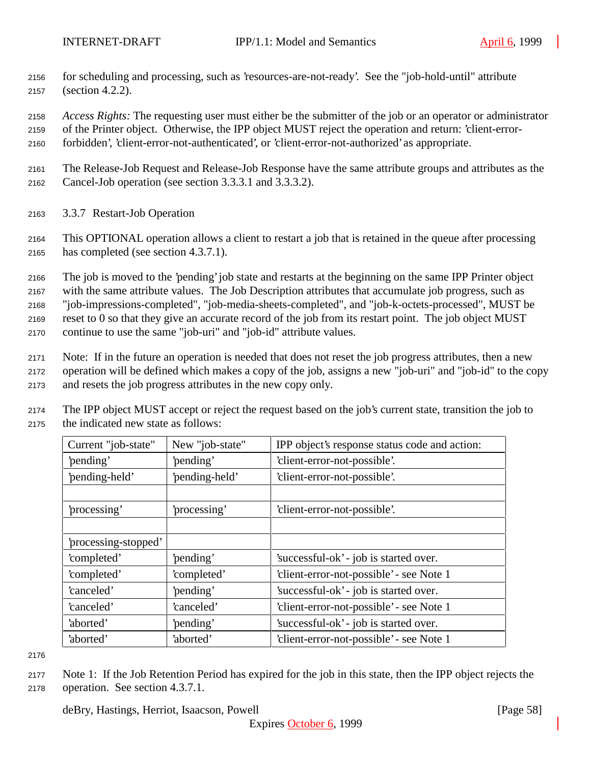- for scheduling and processing, such as 'resources-are-not-ready'. See the "job-hold-until" attribute (section 4.2.2).
- *Access Rights:* The requesting user must either be the submitter of the job or an operator or administrator
- of the Printer object. Otherwise, the IPP object MUST reject the operation and return: 'client-error-
- forbidden', 'client-error-not-authenticated', or 'client-error-not-authorized' as appropriate.
- The Release-Job Request and Release-Job Response have the same attribute groups and attributes as the Cancel-Job operation (see section 3.3.3.1 and 3.3.3.2).
- 3.3.7 Restart-Job Operation
- This OPTIONAL operation allows a client to restart a job that is retained in the queue after processing has completed (see section 4.3.7.1).
- The job is moved to the 'pending' job state and restarts at the beginning on the same IPP Printer object with the same attribute values. The Job Description attributes that accumulate job progress, such as "job-impressions-completed", "job-media-sheets-completed", and "job-k-octets-processed", MUST be reset to 0 so that they give an accurate record of the job from its restart point. The job object MUST continue to use the same "job-uri" and "job-id" attribute values.
- Note: If in the future an operation is needed that does not reset the job progress attributes, then a new operation will be defined which makes a copy of the job, assigns a new "job-uri" and "job-id" to the copy and resets the job progress attributes in the new copy only.
- The IPP object MUST accept or reject the request based on the job's current state, transition the job to the indicated new state as follows:

| Current "job-state"  | New "job-state" | IPP object's response status code and action: |  |
|----------------------|-----------------|-----------------------------------------------|--|
| 'pending'            | 'pending'       | 'client-error-not-possible'.                  |  |
| 'pending-held'       | 'pending-held'  | 'client-error-not-possible'.                  |  |
|                      |                 |                                               |  |
| processing'          | processing'     | 'client-error-not-possible'.                  |  |
|                      |                 |                                               |  |
| 'processing-stopped' |                 |                                               |  |
| 'completed'          | 'pending'       | 'successful-ok' - job is started over.        |  |
| 'completed'          | 'completed'     | 'client-error-not-possible' - see Note 1      |  |
| 'canceled'           | 'pending'       | 'successful-ok' - job is started over.        |  |
| 'canceled'           | 'canceled'      | 'client-error-not-possible' - see Note 1      |  |
| 'aborted'            | 'pending'       | 'successful-ok' - job is started over.        |  |
| 'aborted'            | 'aborted'       | 'client-error-not-possible' - see Note 1      |  |

 Note 1: If the Job Retention Period has expired for the job in this state, then the IPP object rejects the operation. See section 4.3.7.1.

deBry, Hastings, Herriot, Isaacson, Powell [Page 58]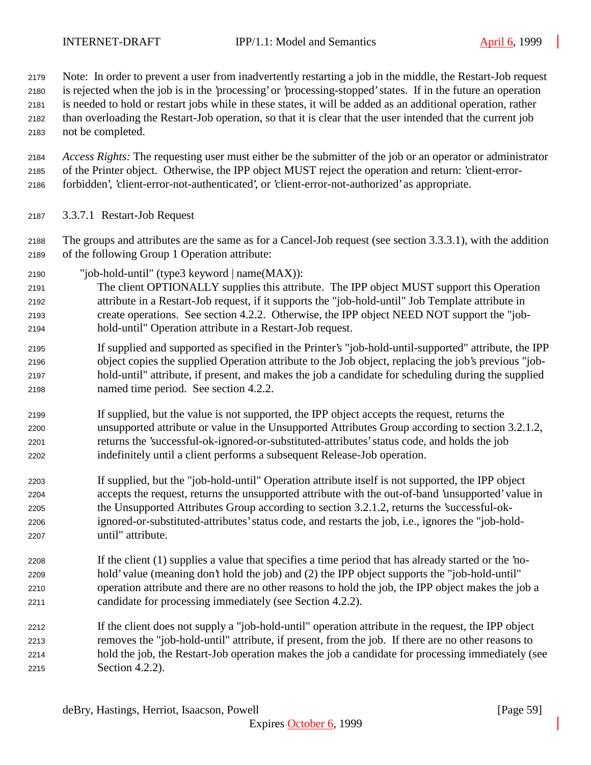Note: In order to prevent a user from inadvertently restarting a job in the middle, the Restart-Job request

is rejected when the job is in the 'processing' or 'processing-stopped' states. If in the future an operation

is needed to hold or restart jobs while in these states, it will be added as an additional operation, rather

 than overloading the Restart-Job operation, so that it is clear that the user intended that the current job not be completed.

 *Access Rights:* The requesting user must either be the submitter of the job or an operator or administrator of the Printer object. Otherwise, the IPP object MUST reject the operation and return: 'client-error-forbidden', 'client-error-not-authenticated', or 'client-error-not-authorized' as appropriate.

- 3.3.7.1 Restart-Job Request
- The groups and attributes are the same as for a Cancel-Job request (see section 3.3.3.1), with the addition of the following Group 1 Operation attribute:
- "job-hold-until" (type3 keyword | name(MAX)):
- The client OPTIONALLY supplies this attribute. The IPP object MUST support this Operation attribute in a Restart-Job request, if it supports the "job-hold-until" Job Template attribute in create operations. See section 4.2.2. Otherwise, the IPP object NEED NOT support the "job-hold-until" Operation attribute in a Restart-Job request.
- If supplied and supported as specified in the Printer's "job-hold-until-supported" attribute, the IPP object copies the supplied Operation attribute to the Job object, replacing the job's previous "job- hold-until" attribute, if present, and makes the job a candidate for scheduling during the supplied named time period. See section 4.2.2.
- If supplied, but the value is not supported, the IPP object accepts the request, returns the unsupported attribute or value in the Unsupported Attributes Group according to section 3.2.1.2, returns the 'successful-ok-ignored-or-substituted-attributes' status code, and holds the job indefinitely until a client performs a subsequent Release-Job operation.
- If supplied, but the "job-hold-until" Operation attribute itself is not supported, the IPP object accepts the request, returns the unsupported attribute with the out-of-band 'unsupported' value in the Unsupported Attributes Group according to section 3.2.1.2, returns the 'successful-ok- ignored-or-substituted-attributes' status code, and restarts the job, i.e., ignores the "job-hold-until" attribute.
- If the client (1) supplies a value that specifies a time period that has already started or the 'no- hold' value (meaning don't hold the job) and (2) the IPP object supports the "job-hold-until" operation attribute and there are no other reasons to hold the job, the IPP object makes the job a candidate for processing immediately (see Section 4.2.2).
- If the client does not supply a "job-hold-until" operation attribute in the request, the IPP object removes the "job-hold-until" attribute, if present, from the job. If there are no other reasons to hold the job, the Restart-Job operation makes the job a candidate for processing immediately (see Section 4.2.2).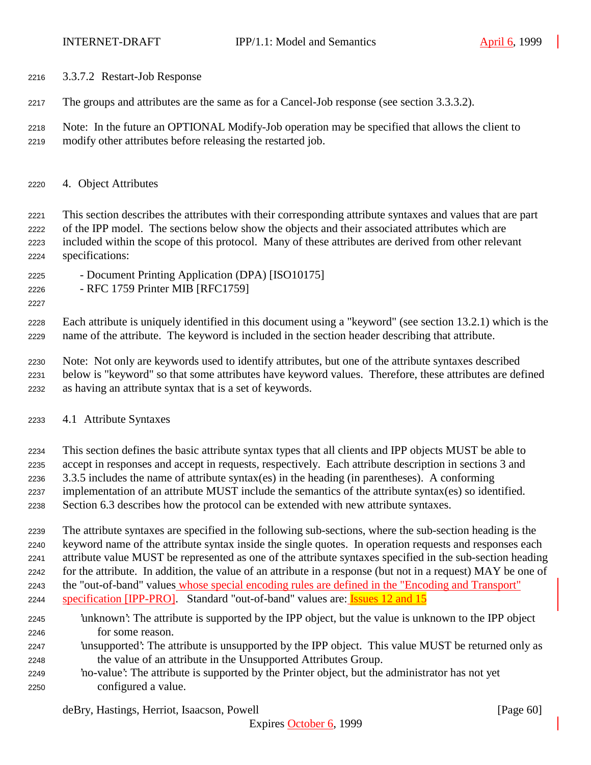- 3.3.7.2 Restart-Job Response
- The groups and attributes are the same as for a Cancel-Job response (see section 3.3.3.2).
- Note: In the future an OPTIONAL Modify-Job operation may be specified that allows the client to modify other attributes before releasing the restarted job.
- 4. Object Attributes

 This section describes the attributes with their corresponding attribute syntaxes and values that are part of the IPP model. The sections below show the objects and their associated attributes which are included within the scope of this protocol. Many of these attributes are derived from other relevant specifications:

- Document Printing Application (DPA) [ISO10175]
- RFC 1759 Printer MIB [RFC1759]
- 

 Each attribute is uniquely identified in this document using a "keyword" (see section 13.2.1) which is the name of the attribute. The keyword is included in the section header describing that attribute.

 Note: Not only are keywords used to identify attributes, but one of the attribute syntaxes described below is "keyword" so that some attributes have keyword values. Therefore, these attributes are defined as having an attribute syntax that is a set of keywords.

- 4.1 Attribute Syntaxes
- This section defines the basic attribute syntax types that all clients and IPP objects MUST be able to
- accept in responses and accept in requests, respectively. Each attribute description in sections 3 and 3.3.5 includes the name of attribute syntax(es) in the heading (in parentheses). A conforming
- implementation of an attribute MUST include the semantics of the attribute syntax(es) so identified.
- Section 6.3 describes how the protocol can be extended with new attribute syntaxes.
- The attribute syntaxes are specified in the following sub-sections, where the sub-section heading is the keyword name of the attribute syntax inside the single quotes. In operation requests and responses each attribute value MUST be represented as one of the attribute syntaxes specified in the sub-section heading for the attribute. In addition, the value of an attribute in a response (but not in a request) MAY be one of
- the "out-of-band" values whose special encoding rules are defined in the "Encoding and Transport"
- specification [IPP-PRO]. Standard "out-of-band" values are: Issues 12 and 15
- 'unknown': The attribute is supported by the IPP object, but the value is unknown to the IPP object for some reason.
- 'unsupported': The attribute is unsupported by the IPP object. This value MUST be returned only as the value of an attribute in the Unsupported Attributes Group.
- 'no-value': The attribute is supported by the Printer object, but the administrator has not yet configured a value.

deBry, Hastings, Herriot, Isaacson, Powell [Page 60]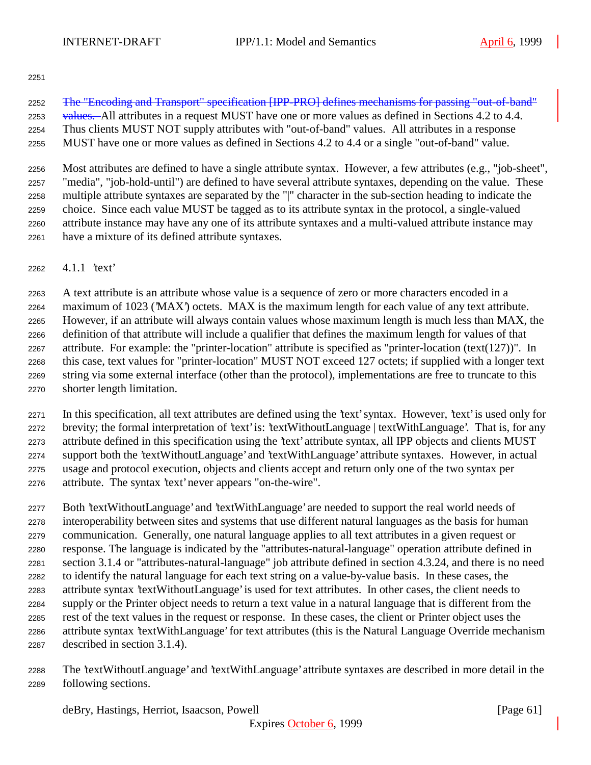The "Encoding and Transport" specification [IPP-PRO] defines mechanisms for passing "out-of-band" 2253 values. All attributes in a request MUST have one or more values as defined in Sections 4.2 to 4.4. Thus clients MUST NOT supply attributes with "out-of-band" values. All attributes in a response MUST have one or more values as defined in Sections 4.2 to 4.4 or a single "out-of-band" value.

 Most attributes are defined to have a single attribute syntax. However, a few attributes (e.g., "job-sheet", "media", "job-hold-until") are defined to have several attribute syntaxes, depending on the value. These multiple attribute syntaxes are separated by the "|" character in the sub-section heading to indicate the choice. Since each value MUST be tagged as to its attribute syntax in the protocol, a single-valued attribute instance may have any one of its attribute syntaxes and a multi-valued attribute instance may have a mixture of its defined attribute syntaxes.

4.1.1 'text'

 A text attribute is an attribute whose value is a sequence of zero or more characters encoded in a maximum of 1023 ('MAX') octets. MAX is the maximum length for each value of any text attribute. However, if an attribute will always contain values whose maximum length is much less than MAX, the definition of that attribute will include a qualifier that defines the maximum length for values of that attribute. For example: the "printer-location" attribute is specified as "printer-location (text(127))". In this case, text values for "printer-location" MUST NOT exceed 127 octets; if supplied with a longer text string via some external interface (other than the protocol), implementations are free to truncate to this shorter length limitation.

 In this specification, all text attributes are defined using the 'text' syntax. However, 'text' is used only for brevity; the formal interpretation of 'text' is: 'textWithoutLanguage | textWithLanguage'. That is, for any attribute defined in this specification using the 'text' attribute syntax, all IPP objects and clients MUST support both the 'textWithoutLanguage' and 'textWithLanguage' attribute syntaxes. However, in actual usage and protocol execution, objects and clients accept and return only one of the two syntax per attribute. The syntax 'text' never appears "on-the-wire".

 Both 'textWithoutLanguage' and 'textWithLanguage' are needed to support the real world needs of interoperability between sites and systems that use different natural languages as the basis for human communication. Generally, one natural language applies to all text attributes in a given request or response. The language is indicated by the "attributes-natural-language" operation attribute defined in section 3.1.4 or "attributes-natural-language" job attribute defined in section 4.3.24, and there is no need to identify the natural language for each text string on a value-by-value basis. In these cases, the attribute syntax 'textWithoutLanguage' is used for text attributes. In other cases, the client needs to supply or the Printer object needs to return a text value in a natural language that is different from the rest of the text values in the request or response. In these cases, the client or Printer object uses the attribute syntax 'textWithLanguage' for text attributes (this is the Natural Language Override mechanism described in section 3.1.4).

 The 'textWithoutLanguage' and 'textWithLanguage' attribute syntaxes are described in more detail in the following sections.

deBry, Hastings, Herriot, Isaacson, Powell [Page 61]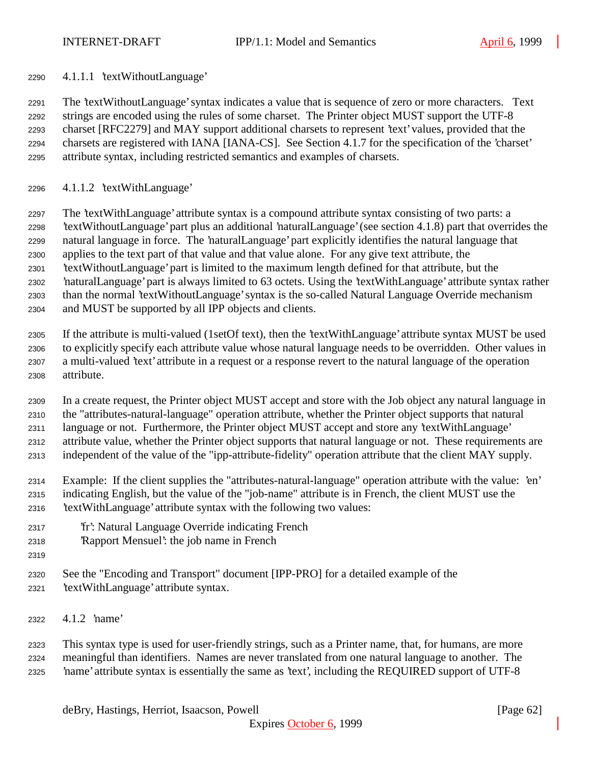4.1.1.1 'textWithoutLanguage'

 The 'textWithoutLanguage' syntax indicates a value that is sequence of zero or more characters. Text strings are encoded using the rules of some charset. The Printer object MUST support the UTF-8 charset [RFC2279] and MAY support additional charsets to represent 'text' values, provided that the charsets are registered with IANA [IANA-CS]. See Section 4.1.7 for the specification of the 'charset' attribute syntax, including restricted semantics and examples of charsets.

4.1.1.2 'textWithLanguage'

 The 'textWithLanguage' attribute syntax is a compound attribute syntax consisting of two parts: a 'textWithoutLanguage' part plus an additional 'naturalLanguage' (see section 4.1.8) part that overrides the natural language in force. The 'naturalLanguage' part explicitly identifies the natural language that applies to the text part of that value and that value alone. For any give text attribute, the 'textWithoutLanguage' part is limited to the maximum length defined for that attribute, but the 'naturalLanguage' part is always limited to 63 octets. Using the 'textWithLanguage' attribute syntax rather than the normal 'textWithoutLanguage' syntax is the so-called Natural Language Override mechanism and MUST be supported by all IPP objects and clients.

 If the attribute is multi-valued (1setOf text), then the 'textWithLanguage' attribute syntax MUST be used to explicitly specify each attribute value whose natural language needs to be overridden. Other values in a multi-valued 'text' attribute in a request or a response revert to the natural language of the operation attribute.

 In a create request, the Printer object MUST accept and store with the Job object any natural language in the "attributes-natural-language" operation attribute, whether the Printer object supports that natural language or not. Furthermore, the Printer object MUST accept and store any 'textWithLanguage' attribute value, whether the Printer object supports that natural language or not. These requirements are independent of the value of the "ipp-attribute-fidelity" operation attribute that the client MAY supply.

 Example: If the client supplies the "attributes-natural-language" operation attribute with the value: 'en' indicating English, but the value of the "job-name" attribute is in French, the client MUST use the 'textWithLanguage' attribute syntax with the following two values:

- 'fr': Natural Language Override indicating French
- 'Rapport Mensuel': the job name in French
- 
- See the "Encoding and Transport" document [IPP-PRO] for a detailed example of the
- 'textWithLanguage' attribute syntax.
- 4.1.2 'name'

 This syntax type is used for user-friendly strings, such as a Printer name, that, for humans, are more meaningful than identifiers. Names are never translated from one natural language to another. The 'name' attribute syntax is essentially the same as 'text', including the REQUIRED support of UTF-8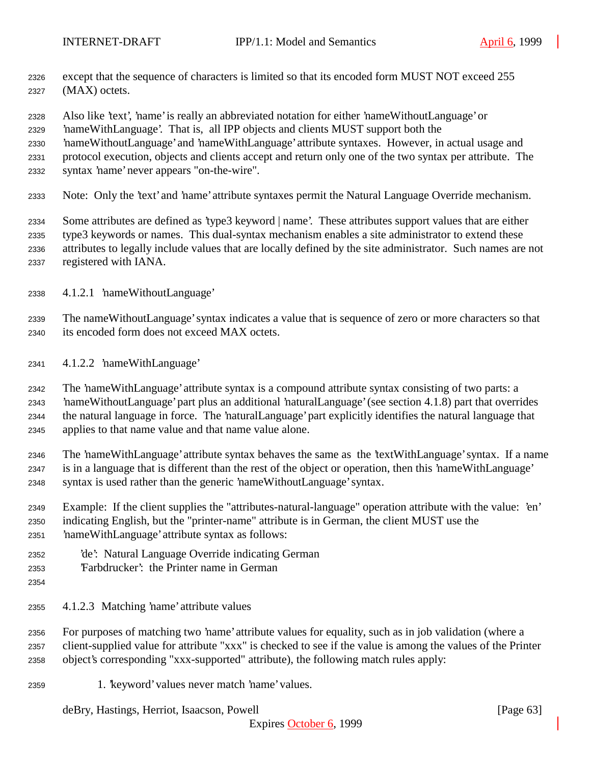- except that the sequence of characters is limited so that its encoded form MUST NOT exceed 255 (MAX) octets.
- Also like 'text', 'name' is really an abbreviated notation for either 'nameWithoutLanguage' or
- 'nameWithLanguage'. That is, all IPP objects and clients MUST support both the
- 'nameWithoutLanguage' and 'nameWithLanguage' attribute syntaxes. However, in actual usage and
- protocol execution, objects and clients accept and return only one of the two syntax per attribute. The
- syntax 'name' never appears "on-the-wire".
- Note: Only the 'text' and 'name' attribute syntaxes permit the Natural Language Override mechanism.

 Some attributes are defined as 'type3 keyword | name'. These attributes support values that are either type3 keywords or names. This dual-syntax mechanism enables a site administrator to extend these attributes to legally include values that are locally defined by the site administrator. Such names are not registered with IANA.

4.1.2.1 'nameWithoutLanguage'

 The nameWithoutLanguage' syntax indicates a value that is sequence of zero or more characters so that its encoded form does not exceed MAX octets.

4.1.2.2 'nameWithLanguage'

 The 'nameWithLanguage' attribute syntax is a compound attribute syntax consisting of two parts: a 'nameWithoutLanguage' part plus an additional 'naturalLanguage' (see section 4.1.8) part that overrides the natural language in force. The 'naturalLanguage' part explicitly identifies the natural language that applies to that name value and that name value alone.

 The 'nameWithLanguage' attribute syntax behaves the same as the 'textWithLanguage' syntax. If a name is in a language that is different than the rest of the object or operation, then this 'nameWithLanguage' syntax is used rather than the generic 'nameWithoutLanguage' syntax.

- Example: If the client supplies the "attributes-natural-language" operation attribute with the value: 'en' indicating English, but the "printer-name" attribute is in German, the client MUST use the 'nameWithLanguage' attribute syntax as follows:
- 'de': Natural Language Override indicating German
- 'Farbdrucker': the Printer name in German
- 
- 4.1.2.3 Matching 'name' attribute values

 For purposes of matching two 'name' attribute values for equality, such as in job validation (where a client-supplied value for attribute "xxx" is checked to see if the value is among the values of the Printer object's corresponding "xxx-supported" attribute), the following match rules apply:

1. 'keyword' values never match 'name' values.

deBry, Hastings, Herriot, Isaacson, Powell [Page 63]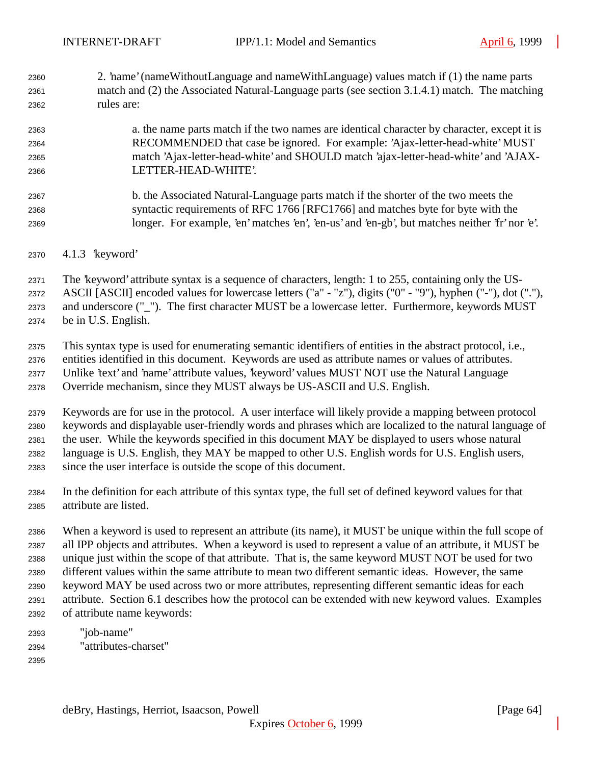2. 'name' (nameWithoutLanguage and nameWithLanguage) values match if (1) the name parts match and (2) the Associated Natural-Language parts (see section 3.1.4.1) match. The matching rules are:

## a. the name parts match if the two names are identical character by character, except it is RECOMMENDED that case be ignored. For example: 'Ajax-letter-head-white' MUST match 'Ajax-letter-head-white' and SHOULD match 'ajax-letter-head-white' and 'AJAX-LETTER-HEAD-WHITE'.

- b. the Associated Natural-Language parts match if the shorter of the two meets the syntactic requirements of RFC 1766 [RFC1766] and matches byte for byte with the longer. For example, 'en' matches 'en', 'en-us' and 'en-gb', but matches neither 'fr' nor 'e'.
- 4.1.3 'keyword'
- The 'keyword' attribute syntax is a sequence of characters, length: 1 to 255, containing only the US-

ASCII [ASCII] encoded values for lowercase letters ("a" - "z"), digits ("0" - "9"), hyphen ("-"), dot ("."),

and underscore ("\_"). The first character MUST be a lowercase letter. Furthermore, keywords MUST

be in U.S. English.

 This syntax type is used for enumerating semantic identifiers of entities in the abstract protocol, i.e., entities identified in this document. Keywords are used as attribute names or values of attributes. Unlike 'text' and 'name' attribute values, 'keyword' values MUST NOT use the Natural Language

Override mechanism, since they MUST always be US-ASCII and U.S. English.

 Keywords are for use in the protocol. A user interface will likely provide a mapping between protocol keywords and displayable user-friendly words and phrases which are localized to the natural language of the user. While the keywords specified in this document MAY be displayed to users whose natural language is U.S. English, they MAY be mapped to other U.S. English words for U.S. English users, since the user interface is outside the scope of this document.

 In the definition for each attribute of this syntax type, the full set of defined keyword values for that attribute are listed.

 When a keyword is used to represent an attribute (its name), it MUST be unique within the full scope of all IPP objects and attributes. When a keyword is used to represent a value of an attribute, it MUST be unique just within the scope of that attribute. That is, the same keyword MUST NOT be used for two different values within the same attribute to mean two different semantic ideas. However, the same keyword MAY be used across two or more attributes, representing different semantic ideas for each attribute. Section 6.1 describes how the protocol can be extended with new keyword values. Examples of attribute name keywords:

- "job-name" "attributes-charset"
-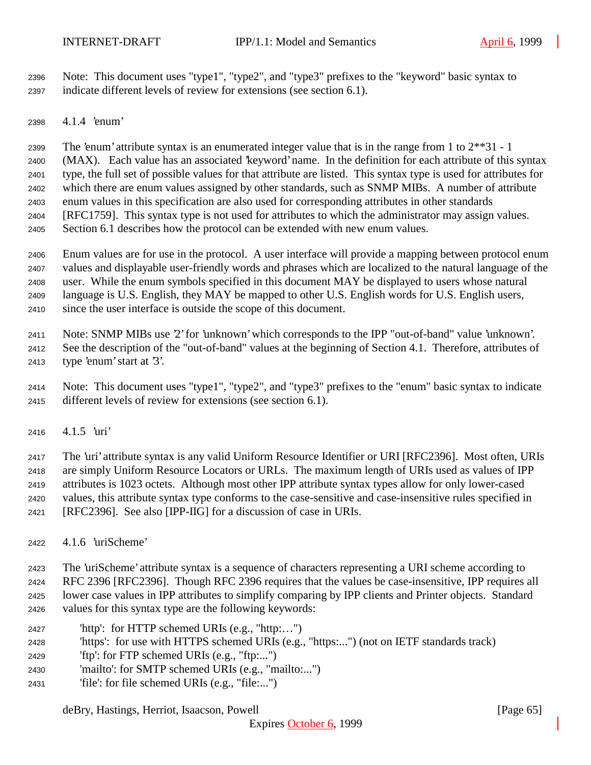Note: This document uses "type1", "type2", and "type3" prefixes to the "keyword" basic syntax to indicate different levels of review for extensions (see section 6.1).

4.1.4 'enum'

 The 'enum' attribute syntax is an enumerated integer value that is in the range from 1 to 2\*\*31 - 1 (MAX). Each value has an associated 'keyword' name. In the definition for each attribute of this syntax type, the full set of possible values for that attribute are listed. This syntax type is used for attributes for which there are enum values assigned by other standards, such as SNMP MIBs. A number of attribute enum values in this specification are also used for corresponding attributes in other standards [RFC1759]. This syntax type is not used for attributes to which the administrator may assign values. Section 6.1 describes how the protocol can be extended with new enum values.

 Enum values are for use in the protocol. A user interface will provide a mapping between protocol enum values and displayable user-friendly words and phrases which are localized to the natural language of the user. While the enum symbols specified in this document MAY be displayed to users whose natural language is U.S. English, they MAY be mapped to other U.S. English words for U.S. English users, since the user interface is outside the scope of this document.

 Note: SNMP MIBs use '2' for 'unknown' which corresponds to the IPP "out-of-band" value 'unknown'. See the description of the "out-of-band" values at the beginning of Section 4.1. Therefore, attributes of type 'enum' start at '3'.

 Note: This document uses "type1", "type2", and "type3" prefixes to the "enum" basic syntax to indicate different levels of review for extensions (see section 6.1).

4.1.5 'uri'

 The 'uri' attribute syntax is any valid Uniform Resource Identifier or URI [RFC2396]. Most often, URIs are simply Uniform Resource Locators or URLs. The maximum length of URIs used as values of IPP attributes is 1023 octets. Although most other IPP attribute syntax types allow for only lower-cased values, this attribute syntax type conforms to the case-sensitive and case-insensitive rules specified in [RFC2396]. See also [IPP-IIG] for a discussion of case in URIs.

4.1.6 'uriScheme'

The 'uriScheme' attribute syntax is a sequence of characters representing a URI scheme according to

 RFC 2396 [RFC2396]. Though RFC 2396 requires that the values be case-insensitive, IPP requires all lower case values in IPP attributes to simplify comparing by IPP clients and Printer objects. Standard values for this syntax type are the following keywords:

- 'http': for HTTP schemed URIs (e.g., "http:…")
- 'https': for use with HTTPS schemed URIs (e.g., "https:...") (not on IETF standards track)
- 'ftp': for FTP schemed URIs (e.g., "ftp:...")
- 'mailto': for SMTP schemed URIs (e.g., "mailto:...")
- 'file': for file schemed URIs (e.g., "file:...")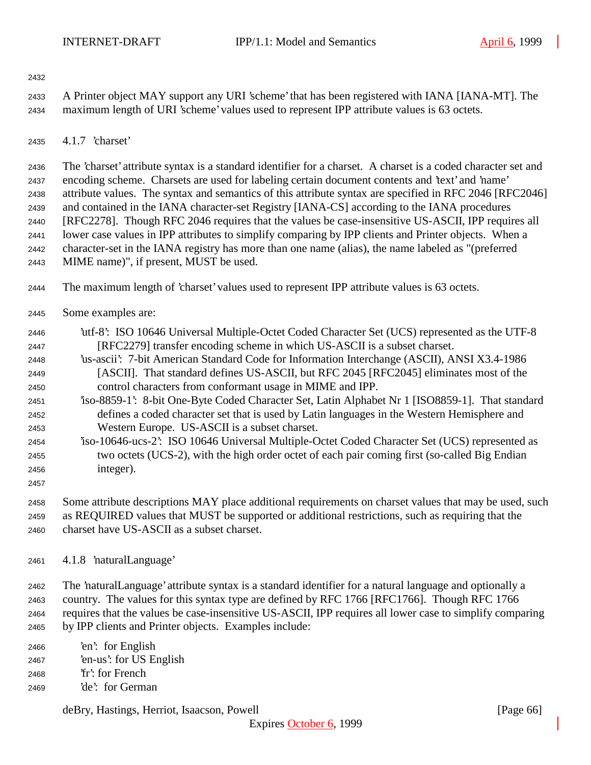- A Printer object MAY support any URI 'scheme' that has been registered with IANA [IANA-MT]. The maximum length of URI 'scheme' values used to represent IPP attribute values is 63 octets.
- 4.1.7 'charset'

 The 'charset' attribute syntax is a standard identifier for a charset. A charset is a coded character set and encoding scheme. Charsets are used for labeling certain document contents and 'text' and 'name' attribute values. The syntax and semantics of this attribute syntax are specified in RFC 2046 [RFC2046] and contained in the IANA character-set Registry [IANA-CS] according to the IANA procedures [RFC2278]. Though RFC 2046 requires that the values be case-insensitive US-ASCII, IPP requires all lower case values in IPP attributes to simplify comparing by IPP clients and Printer objects. When a character-set in the IANA registry has more than one name (alias), the name labeled as "(preferred MIME name)", if present, MUST be used.

The maximum length of 'charset' values used to represent IPP attribute values is 63 octets.

- Some examples are:
- 'utf-8': ISO 10646 Universal Multiple-Octet Coded Character Set (UCS) represented as the UTF-8 [RFC2279] transfer encoding scheme in which US-ASCII is a subset charset.
- 'us-ascii': 7-bit American Standard Code for Information Interchange (ASCII), ANSI X3.4-1986 [ASCII]. That standard defines US-ASCII, but RFC 2045 [RFC2045] eliminates most of the control characters from conformant usage in MIME and IPP.
- 'iso-8859-1': 8-bit One-Byte Coded Character Set, Latin Alphabet Nr 1 [ISO8859-1]. That standard defines a coded character set that is used by Latin languages in the Western Hemisphere and Western Europe. US-ASCII is a subset charset.
- 'iso-10646-ucs-2': ISO 10646 Universal Multiple-Octet Coded Character Set (UCS) represented as two octets (UCS-2), with the high order octet of each pair coming first (so-called Big Endian integer).
- 

 Some attribute descriptions MAY place additional requirements on charset values that may be used, such as REQUIRED values that MUST be supported or additional restrictions, such as requiring that the charset have US-ASCII as a subset charset.

4.1.8 'naturalLanguage'

 The 'naturalLanguage' attribute syntax is a standard identifier for a natural language and optionally a country. The values for this syntax type are defined by RFC 1766 [RFC1766]. Though RFC 1766 requires that the values be case-insensitive US-ASCII, IPP requires all lower case to simplify comparing by IPP clients and Printer objects. Examples include:

 'en': for English 'en-us': for US English 'fr': for French 'de': for German

deBry, Hastings, Herriot, Isaacson, Powell [Page 66]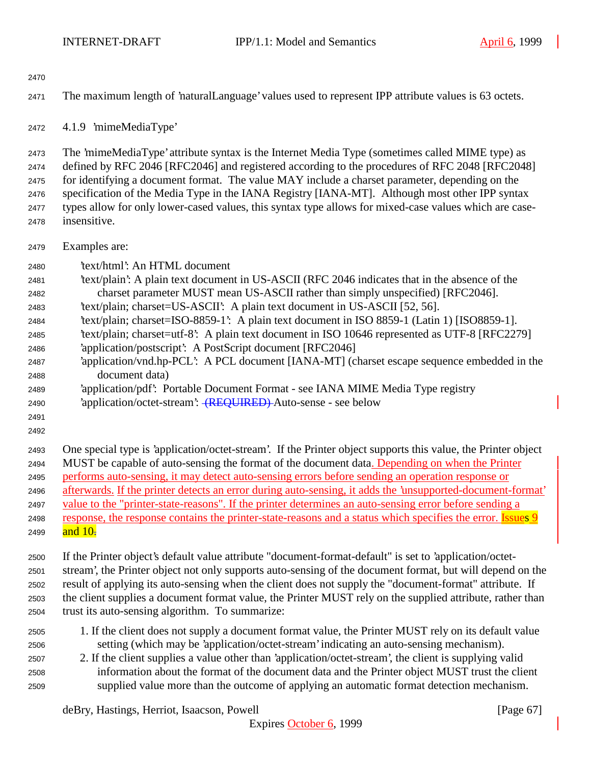The maximum length of 'naturalLanguage' values used to represent IPP attribute values is 63 octets.

4.1.9 'mimeMediaType'

The 'mimeMediaType' attribute syntax is the Internet Media Type (sometimes called MIME type) as

defined by RFC 2046 [RFC2046] and registered according to the procedures of RFC 2048 [RFC2048]

 for identifying a document format. The value MAY include a charset parameter, depending on the specification of the Media Type in the IANA Registry [IANA-MT]. Although most other IPP syntax

types allow for only lower-cased values, this syntax type allows for mixed-case values which are case-

- insensitive.
- Examples are:
- 'text/html': An HTML document
- 'text/plain': A plain text document in US-ASCII (RFC 2046 indicates that in the absence of the charset parameter MUST mean US-ASCII rather than simply unspecified) [RFC2046].
- 'text/plain; charset=US-ASCII': A plain text document in US-ASCII [52, 56].
- 'text/plain; charset=ISO-8859-1': A plain text document in ISO 8859-1 (Latin 1) [ISO8859-1].
- 'text/plain; charset=utf-8': A plain text document in ISO 10646 represented as UTF-8 [RFC2279]
- 'application/postscript': A PostScript document [RFC2046]
- 'application/vnd.hp-PCL': A PCL document [IANA-MT] (charset escape sequence embedded in the document data)
- 'application/pdf': Portable Document Format see IANA MIME Media Type registry
- 2490 'application/octet-stream': (REQUIRED) Auto-sense see below
- 
- One special type is 'application/octet-stream'. If the Printer object supports this value, the Printer object MUST be capable of auto-sensing the format of the document data. Depending on when the Printer performs auto-sensing, it may detect auto-sensing errors before sending an operation response or afterwards. If the printer detects an error during auto-sensing, it adds the 'unsupported-document-format' value to the "printer-state-reasons". If the printer determines an auto-sensing error before sending a 2498 response, the response contains the printer-state-reasons and a status which specifies the error. Issues 9
- 2499 and  $10<sub>z</sub>$

 If the Printer object's default value attribute "document-format-default" is set to 'application/octet- stream', the Printer object not only supports auto-sensing of the document format, but will depend on the result of applying its auto-sensing when the client does not supply the "document-format" attribute. If the client supplies a document format value, the Printer MUST rely on the supplied attribute, rather than trust its auto-sensing algorithm. To summarize:

- 1. If the client does not supply a document format value, the Printer MUST rely on its default value setting (which may be 'application/octet-stream' indicating an auto-sensing mechanism).
- 2. If the client supplies a value other than 'application/octet-stream', the client is supplying valid information about the format of the document data and the Printer object MUST trust the client supplied value more than the outcome of applying an automatic format detection mechanism.

deBry, Hastings, Herriot, Isaacson, Powell [Page 67]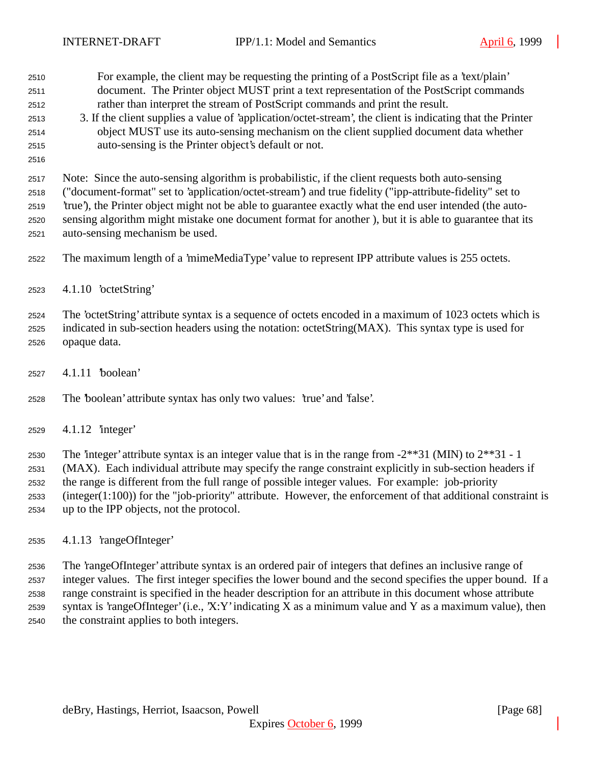For example, the client may be requesting the printing of a PostScript file as a 'text/plain' document. The Printer object MUST print a text representation of the PostScript commands rather than interpret the stream of PostScript commands and print the result.

- 3. If the client supplies a value of 'application/octet-stream', the client is indicating that the Printer object MUST use its auto-sensing mechanism on the client supplied document data whether auto-sensing is the Printer object's default or not.
- 

 Note: Since the auto-sensing algorithm is probabilistic, if the client requests both auto-sensing ("document-format" set to 'application/octet-stream') and true fidelity ("ipp-attribute-fidelity" set to 'true'), the Printer object might not be able to guarantee exactly what the end user intended (the auto- sensing algorithm might mistake one document format for another ), but it is able to guarantee that its auto-sensing mechanism be used.

The maximum length of a 'mimeMediaType' value to represent IPP attribute values is 255 octets.

4.1.10 'octetString'

 The 'octetString' attribute syntax is a sequence of octets encoded in a maximum of 1023 octets which is indicated in sub-section headers using the notation: octetString(MAX). This syntax type is used for opaque data.

4.1.11 'boolean'

The 'boolean' attribute syntax has only two values: 'true' and 'false'.

4.1.12 'integer'

2530 The 'integer' attribute syntax is an integer value that is in the range from  $-2**31$  (MIN) to  $2**31 - 1$  (MAX). Each individual attribute may specify the range constraint explicitly in sub-section headers if the range is different from the full range of possible integer values. For example: job-priority (integer(1:100)) for the "job-priority" attribute. However, the enforcement of that additional constraint is up to the IPP objects, not the protocol.

4.1.13 'rangeOfInteger'

 The 'rangeOfInteger' attribute syntax is an ordered pair of integers that defines an inclusive range of integer values. The first integer specifies the lower bound and the second specifies the upper bound. If a range constraint is specified in the header description for an attribute in this document whose attribute syntax is 'rangeOfInteger' (i.e., 'X:Y' indicating X as a minimum value and Y as a maximum value), then the constraint applies to both integers.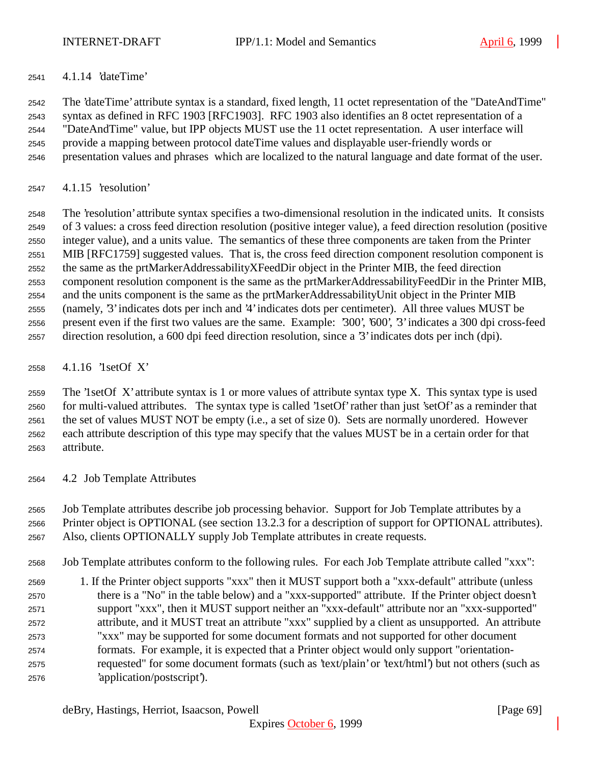4.1.14 'dateTime'

 The 'dateTime' attribute syntax is a standard, fixed length, 11 octet representation of the "DateAndTime" syntax as defined in RFC 1903 [RFC1903]. RFC 1903 also identifies an 8 octet representation of a "DateAndTime" value, but IPP objects MUST use the 11 octet representation. A user interface will provide a mapping between protocol dateTime values and displayable user-friendly words or presentation values and phrases which are localized to the natural language and date format of the user.

4.1.15 'resolution'

 The 'resolution' attribute syntax specifies a two-dimensional resolution in the indicated units. It consists of 3 values: a cross feed direction resolution (positive integer value), a feed direction resolution (positive integer value), and a units value. The semantics of these three components are taken from the Printer MIB [RFC1759] suggested values. That is, the cross feed direction component resolution component is the same as the prtMarkerAddressabilityXFeedDir object in the Printer MIB, the feed direction component resolution component is the same as the prtMarkerAddressabilityFeedDir in the Printer MIB, and the units component is the same as the prtMarkerAddressabilityUnit object in the Printer MIB (namely, '3' indicates dots per inch and '4' indicates dots per centimeter). All three values MUST be present even if the first two values are the same. Example: '300', '600', '3' indicates a 300 dpi cross-feed direction resolution, a 600 dpi feed direction resolution, since a '3' indicates dots per inch (dpi).

4.1.16 '1setOf X'

 The '1setOf X' attribute syntax is 1 or more values of attribute syntax type X. This syntax type is used for multi-valued attributes. The syntax type is called '1setOf' rather than just 'setOf' as a reminder that the set of values MUST NOT be empty (i.e., a set of size 0). Sets are normally unordered. However each attribute description of this type may specify that the values MUST be in a certain order for that attribute.

4.2 Job Template Attributes

 Job Template attributes describe job processing behavior. Support for Job Template attributes by a Printer object is OPTIONAL (see section 13.2.3 for a description of support for OPTIONAL attributes). Also, clients OPTIONALLY supply Job Template attributes in create requests.

- Job Template attributes conform to the following rules. For each Job Template attribute called "xxx":
- 1. If the Printer object supports "xxx" then it MUST support both a "xxx-default" attribute (unless there is a "No" in the table below) and a "xxx-supported" attribute. If the Printer object doesn't support "xxx", then it MUST support neither an "xxx-default" attribute nor an "xxx-supported" attribute, and it MUST treat an attribute "xxx" supplied by a client as unsupported. An attribute "xxx" may be supported for some document formats and not supported for other document formats. For example, it is expected that a Printer object would only support "orientation- requested" for some document formats (such as 'text/plain' or 'text/html') but not others (such as 'application/postscript').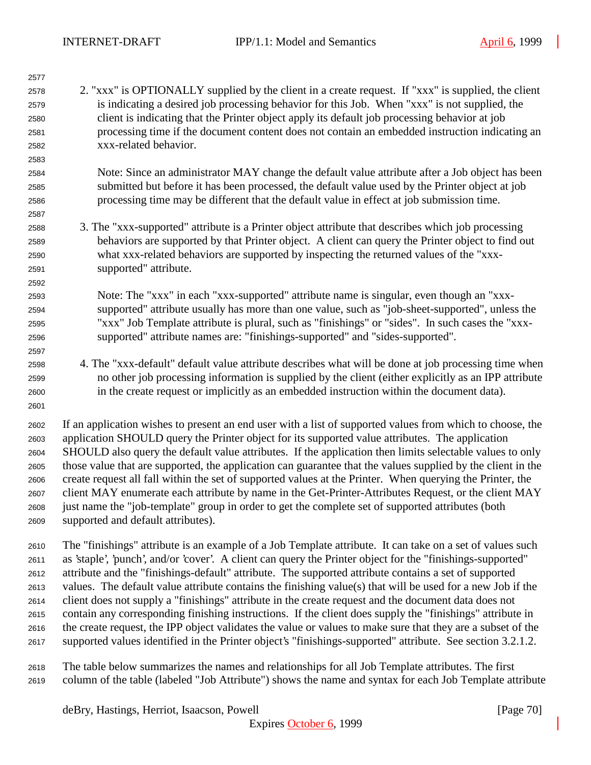| 2577         |                                                                                                                                                                                                                   |
|--------------|-------------------------------------------------------------------------------------------------------------------------------------------------------------------------------------------------------------------|
| 2578         | 2. "xxx" is OPTIONALLY supplied by the client in a create request. If "xxx" is supplied, the client                                                                                                               |
| 2579         | is indicating a desired job processing behavior for this Job. When "xxx" is not supplied, the                                                                                                                     |
| 2580         | client is indicating that the Printer object apply its default job processing behavior at job                                                                                                                     |
| 2581         | processing time if the document content does not contain an embedded instruction indicating an                                                                                                                    |
| 2582         | xxx-related behavior.                                                                                                                                                                                             |
| 2583         |                                                                                                                                                                                                                   |
| 2584         | Note: Since an administrator MAY change the default value attribute after a Job object has been                                                                                                                   |
| 2585         | submitted but before it has been processed, the default value used by the Printer object at job                                                                                                                   |
| 2586         | processing time may be different that the default value in effect at job submission time.                                                                                                                         |
| 2587         |                                                                                                                                                                                                                   |
| 2588         | 3. The "xxx-supported" attribute is a Printer object attribute that describes which job processing                                                                                                                |
| 2589         | behaviors are supported by that Printer object. A client can query the Printer object to find out                                                                                                                 |
| 2590         | what xxx-related behaviors are supported by inspecting the returned values of the "xxx-                                                                                                                           |
| 2591         | supported" attribute.                                                                                                                                                                                             |
| 2592         |                                                                                                                                                                                                                   |
| 2593         | Note: The "xxx" in each "xxx-supported" attribute name is singular, even though an "xxx-                                                                                                                          |
| 2594         | supported" attribute usually has more than one value, such as "job-sheet-supported", unless the                                                                                                                   |
| 2595         | "xxx" Job Template attribute is plural, such as "finishings" or "sides". In such cases the "xxx-                                                                                                                  |
| 2596         | supported" attribute names are: "finishings-supported" and "sides-supported".                                                                                                                                     |
| 2597<br>2598 | 4. The "xxx-default" default value attribute describes what will be done at job processing time when                                                                                                              |
| 2599         | no other job processing information is supplied by the client (either explicitly as an IPP attribute                                                                                                              |
| 2600         | in the create request or implicitly as an embedded instruction within the document data).                                                                                                                         |
| 2601         |                                                                                                                                                                                                                   |
|              |                                                                                                                                                                                                                   |
| 2602         | If an application wishes to present an end user with a list of supported values from which to choose, the                                                                                                         |
| 2603         | application SHOULD query the Printer object for its supported value attributes. The application                                                                                                                   |
| 2604         | SHOULD also query the default value attributes. If the application then limits selectable values to only                                                                                                          |
| 2605         | those value that are supported, the application can guarantee that the values supplied by the client in the                                                                                                       |
| 2606         | create request all fall within the set of supported values at the Printer. When querying the Printer, the<br>client MAY enumerate each attribute by name in the Get-Printer-Attributes Request, or the client MAY |
| 2607         | just name the "job-template" group in order to get the complete set of supported attributes (both                                                                                                                 |
| 2608<br>2609 | supported and default attributes).                                                                                                                                                                                |
|              |                                                                                                                                                                                                                   |
| 2610         | The "finishings" attribute is an example of a Job Template attribute. It can take on a set of values such                                                                                                         |
| 2611         | as 'staple', 'punch', and/or 'cover'. A client can query the Printer object for the "finishings-supported"                                                                                                        |
| 2612         | attribute and the "finishings-default" attribute. The supported attribute contains a set of supported                                                                                                             |
| 2613         | values. The default value attribute contains the finishing value(s) that will be used for a new Job if the                                                                                                        |
| 2614         | client does not supply a "finishings" attribute in the create request and the document data does not                                                                                                              |
| 2615         | contain any corresponding finishing instructions. If the client does supply the "finishings" attribute in                                                                                                         |
| 2616         | the create request, the IPP object validates the value or values to make sure that they are a subset of the                                                                                                       |
| 2617         | supported values identified in the Printer object's "finishings-supported" attribute. See section 3.2.1.2.                                                                                                        |
|              |                                                                                                                                                                                                                   |

 The table below summarizes the names and relationships for all Job Template attributes. The first column of the table (labeled "Job Attribute") shows the name and syntax for each Job Template attribute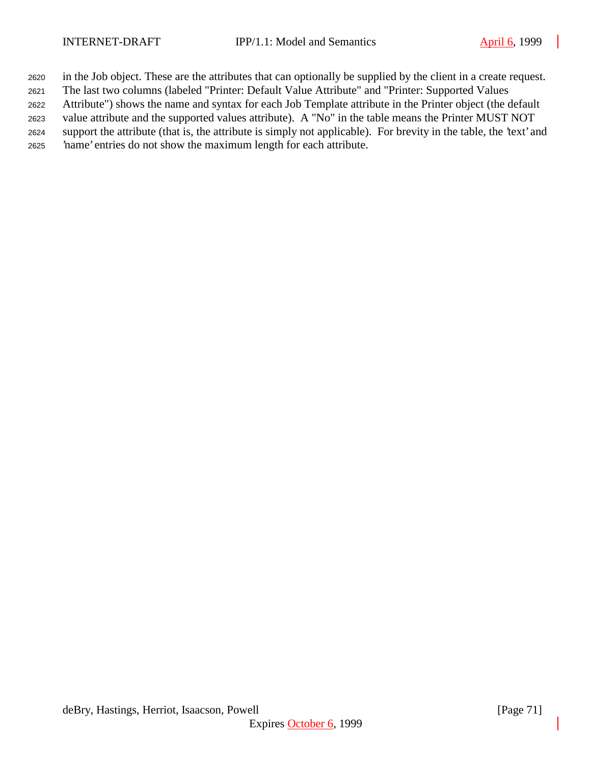in the Job object. These are the attributes that can optionally be supplied by the client in a create request.

The last two columns (labeled "Printer: Default Value Attribute" and "Printer: Supported Values

Attribute") shows the name and syntax for each Job Template attribute in the Printer object (the default

 value attribute and the supported values attribute). A "No" in the table means the Printer MUST NOT support the attribute (that is, the attribute is simply not applicable). For brevity in the table, the 'text' and

'name' entries do not show the maximum length for each attribute.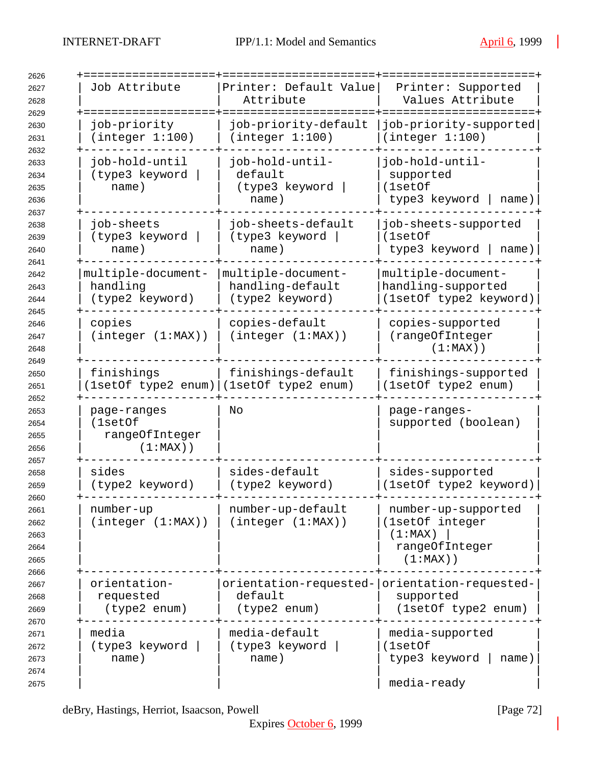| 2626                                         |                                                         |                                                                          |                                                                                    |
|----------------------------------------------|---------------------------------------------------------|--------------------------------------------------------------------------|------------------------------------------------------------------------------------|
| 2627<br>2628                                 | Job Attribute                                           | Printer: Default Value<br>Attribute                                      | Printer: Supported<br>Values Attribute                                             |
| 2629                                         |                                                         |                                                                          |                                                                                    |
| 2630<br>2631                                 | job-priority<br>(integer 1:100)                         | job-priority-default<br>(integer 1:100)                                  | job-priority-supported<br>(integer 1:100)                                          |
| 2632<br>2633<br>2634<br>2635<br>2636         | job-hold-until<br>(type3 keyword<br>name)               | job-hold-until-<br>default<br>(type3 keyword<br>name)                    | job-hold-until-<br>supported<br>(1setOf<br>type3 keyword<br>name)                  |
| 2637<br>2638<br>2639<br>2640                 | job-sheets<br>(type3 keyword<br>name)                   | job-sheets-default<br>(type3 keyword<br>name)                            | job-sheets-supported<br>(1setOf<br>type3 keyword   name)                           |
| 2641<br>2642<br>2643<br>2644<br>2645         | multiple-document-<br>handling<br>(type2 keyword)       | multiple-document-<br>handling-default<br>(type2 keyword)                | multiple-document-<br>handling-supported<br>(1setOf type2 keyword)                 |
| 2646<br>2647<br>2648<br>2649                 | copies<br>(integer (1:MAX))                             | copies-default<br>(integer (1:MAX))                                      | copies-supported<br>(rangeOfInteger<br>$(1:MAX)$ )                                 |
| 2650<br>2651                                 | finishings                                              | finishings-default<br>(1setOf type2 enum)   (1setOf type2 enum)          | finishings-supported<br>(1setOf type2 enum)                                        |
| 2652<br>2653<br>2654<br>2655<br>2656         | page-ranges<br>(1setOf<br>rangeOfInteger<br>$(1:MAX)$ ) | No                                                                       | page-ranges-<br>supported (boolean)                                                |
| 2657<br>2658<br>2659                         | sides<br>(type2 keyword)                                | sides-default<br>(type2 keyword)                                         | sides-supported<br>(1setOf type2 keyword)                                          |
| 2660<br>2661<br>2662<br>2663<br>2664<br>2665 | number-up<br>(integer (1:MAX))                          | number-up-default<br>(integer (1:MAX))                                   | number-up-supported<br>(1setOf integer<br>(1:MAX)<br>rangeOfInteger<br>$(1:MAX)$ ) |
| 2666<br>2667<br>2668<br>2669<br>2670         | orientation-<br>requested<br>(type2 enum)               | orientation-requested- orientation-requested-<br>default<br>(type2 enum) | supported<br>(1setOf type2 enum)                                                   |
| 2671<br>2672<br>2673<br>2674<br>2675         | media<br>(type3 keyword<br>name)                        | media-default<br>(type3 keyword<br>name)                                 | media-supported<br>(1setOf<br>type3 keyword<br>name)<br>media-ready                |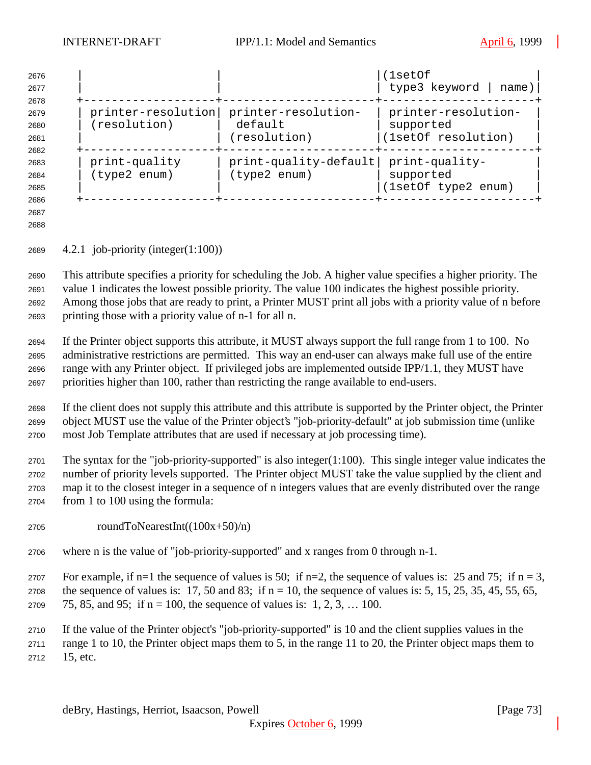| 2676<br>2677<br>2678 |                    |                       | (1setOf<br>type3 keyword<br>name) |
|----------------------|--------------------|-----------------------|-----------------------------------|
| 2679                 | printer-resolution | printer-resolution-   | printer-resolution-               |
| 2680                 | (resolution)       | default               | supported                         |
| 2681                 |                    | (resolution)          | (1setOf resolution)               |
| 2682                 |                    |                       |                                   |
| 2683                 | print-quality      | print-quality-default | print-quality-                    |
| 2684                 | (type2 enum)       | (type2 enum)          | supported                         |
| 2685                 |                    |                       | (1setOf type2 enum)               |
| 2686                 |                    |                       |                                   |

 

4.2.1 job-priority (integer(1:100))

 This attribute specifies a priority for scheduling the Job. A higher value specifies a higher priority. The value 1 indicates the lowest possible priority. The value 100 indicates the highest possible priority. Among those jobs that are ready to print, a Printer MUST print all jobs with a priority value of n before printing those with a priority value of n-1 for all n.

 If the Printer object supports this attribute, it MUST always support the full range from 1 to 100. No administrative restrictions are permitted. This way an end-user can always make full use of the entire range with any Printer object. If privileged jobs are implemented outside IPP/1.1, they MUST have priorities higher than 100, rather than restricting the range available to end-users.

 If the client does not supply this attribute and this attribute is supported by the Printer object, the Printer object MUST use the value of the Printer object's "job-priority-default" at job submission time (unlike most Job Template attributes that are used if necessary at job processing time).

 The syntax for the "job-priority-supported" is also integer(1:100). This single integer value indicates the number of priority levels supported. The Printer object MUST take the value supplied by the client and map it to the closest integer in a sequence of n integers values that are evenly distributed over the range from 1 to 100 using the formula:

- roundToNearestInt( $(100x+50)/n$ )
- where n is the value of "job-priority-supported" and x ranges from 0 through n-1.

2707 For example, if n=1 the sequence of values is 50; if n=2, the sequence of values is: 25 and 75; if n = 3, 2708 the sequence of values is: 17, 50 and 83; if  $n = 10$ , the sequence of values is: 5, 15, 25, 35, 45, 55, 65,

2709 75, 85, and 95; if  $n = 100$ , the sequence of values is: 1, 2, 3, ... 100.

 If the value of the Printer object's "job-priority-supported" is 10 and the client supplies values in the range 1 to 10, the Printer object maps them to 5, in the range 11 to 20, the Printer object maps them to 15, etc.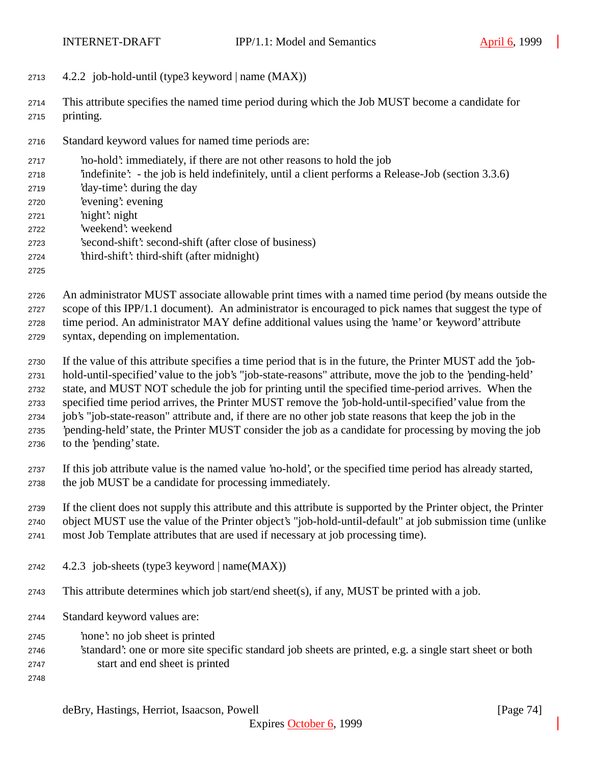- 4.2.2 job-hold-until (type3 keyword | name (MAX))
- This attribute specifies the named time period during which the Job MUST become a candidate for printing.
- Standard keyword values for named time periods are:
- 'no-hold': immediately, if there are not other reasons to hold the job
- 'indefinite': the job is held indefinitely, until a client performs a Release-Job (section 3.3.6)
- 'day-time': during the day
- 'evening': evening
- 'night': night
- 'weekend': weekend
- 'second-shift': second-shift (after close of business)
- 'third-shift': third-shift (after midnight)
- 

 An administrator MUST associate allowable print times with a named time period (by means outside the scope of this IPP/1.1 document). An administrator is encouraged to pick names that suggest the type of time period. An administrator MAY define additional values using the 'name' or 'keyword' attribute syntax, depending on implementation.

- If the value of this attribute specifies a time period that is in the future, the Printer MUST add the 'job- hold-until-specified' value to the job's "job-state-reasons" attribute, move the job to the 'pending-held' state, and MUST NOT schedule the job for printing until the specified time-period arrives. When the specified time period arrives, the Printer MUST remove the 'job-hold-until-specified' value from the job's "job-state-reason" attribute and, if there are no other job state reasons that keep the job in the 'pending-held' state, the Printer MUST consider the job as a candidate for processing by moving the job to the 'pending' state.
- If this job attribute value is the named value 'no-hold', or the specified time period has already started, the job MUST be a candidate for processing immediately.

If the client does not supply this attribute and this attribute is supported by the Printer object, the Printer

object MUST use the value of the Printer object's "job-hold-until-default" at job submission time (unlike

- most Job Template attributes that are used if necessary at job processing time).
- 4.2.3 job-sheets (type3 keyword | name(MAX))
- This attribute determines which job start/end sheet(s), if any, MUST be printed with a job.
- Standard keyword values are:
- 'none': no job sheet is printed
- 'standard': one or more site specific standard job sheets are printed, e.g. a single start sheet or both
- start and end sheet is printed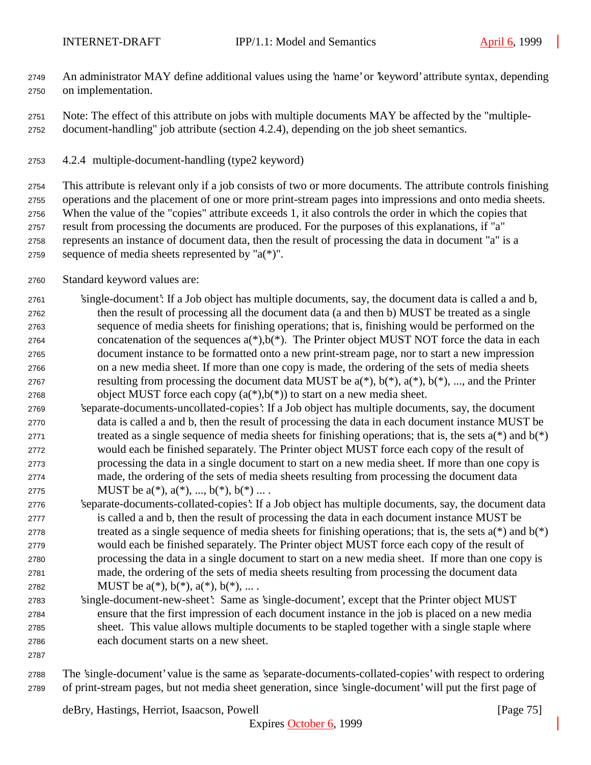An administrator MAY define additional values using the 'name' or 'keyword' attribute syntax, depending on implementation.

 Note: The effect of this attribute on jobs with multiple documents MAY be affected by the "multiple-document-handling" job attribute (section 4.2.4), depending on the job sheet semantics.

4.2.4 multiple-document-handling (type2 keyword)

 This attribute is relevant only if a job consists of two or more documents. The attribute controls finishing operations and the placement of one or more print-stream pages into impressions and onto media sheets. When the value of the "copies" attribute exceeds 1, it also controls the order in which the copies that result from processing the documents are produced. For the purposes of this explanations, if "a" represents an instance of document data, then the result of processing the data in document "a" is a 2759 sequence of media sheets represented by " $a(*)$ ".

- Standard keyword values are:
- 'single-document': If a Job object has multiple documents, say, the document data is called a and b, then the result of processing all the document data (a and then b) MUST be treated as a single sequence of media sheets for finishing operations; that is, finishing would be performed on the 2764 concatenation of the sequences  $a(*)$ ,  $b(*)$ . The Printer object MUST NOT force the data in each document instance to be formatted onto a new print-stream page, nor to start a new impression on a new media sheet. If more than one copy is made, the ordering of the sets of media sheets 2767 resulting from processing the document data MUST be  $a(*)$ ,  $b(*)$ ,  $a(*)$ ,  $b(*)$ , ..., and the Printer 2768 object MUST force each copy  $(a(*),b(*))$  to start on a new media sheet.
- 'separate-documents-uncollated-copies': If a Job object has multiple documents, say, the document data is called a and b, then the result of processing the data in each document instance MUST be 2771 treated as a single sequence of media sheets for finishing operations; that is, the sets  $a(*)$  and  $b(*)$  would each be finished separately. The Printer object MUST force each copy of the result of processing the data in a single document to start on a new media sheet. If more than one copy is made, the ordering of the sets of media sheets resulting from processing the document data 2775 MUST be  $a(*)$ ,  $a(*)$ , ...,  $b(*)$ ,  $b(*)$  ....
- 'separate-documents-collated-copies': If a Job object has multiple documents, say, the document data is called a and b, then the result of processing the data in each document instance MUST be 2778 treated as a single sequence of media sheets for finishing operations; that is, the sets  $a(*)$  and  $b(*)$  would each be finished separately. The Printer object MUST force each copy of the result of processing the data in a single document to start on a new media sheet. If more than one copy is made, the ordering of the sets of media sheets resulting from processing the document data 2782 MUST be  $a(*), b(*), a(*), b(*), ...$
- 'single-document-new-sheet': Same as 'single-document', except that the Printer object MUST ensure that the first impression of each document instance in the job is placed on a new media sheet. This value allows multiple documents to be stapled together with a single staple where each document starts on a new sheet.
- 

 The 'single-document' value is the same as 'separate-documents-collated-copies' with respect to ordering of print-stream pages, but not media sheet generation, since 'single-document' will put the first page of

deBry, Hastings, Herriot, Isaacson, Powell [Page 75]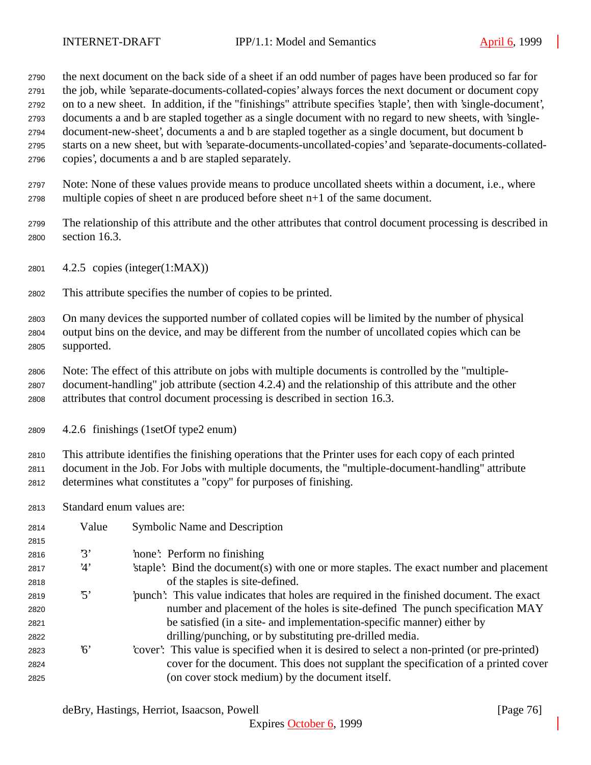the next document on the back side of a sheet if an odd number of pages have been produced so far for the job, while 'separate-documents-collated-copies' always forces the next document or document copy on to a new sheet. In addition, if the "finishings" attribute specifies 'staple', then with 'single-document', documents a and b are stapled together as a single document with no regard to new sheets, with 'single- document-new-sheet', documents a and b are stapled together as a single document, but document b starts on a new sheet, but with 'separate-documents-uncollated-copies' and 'separate-documents-collated-copies', documents a and b are stapled separately.

- Note: None of these values provide means to produce uncollated sheets within a document, i.e., where multiple copies of sheet n are produced before sheet n+1 of the same document.
- The relationship of this attribute and the other attributes that control document processing is described in section 16.3.
- 4.2.5 copies (integer(1:MAX))
- This attribute specifies the number of copies to be printed.

 On many devices the supported number of collated copies will be limited by the number of physical output bins on the device, and may be different from the number of uncollated copies which can be supported.

- Note: The effect of this attribute on jobs with multiple documents is controlled by the "multiple- document-handling" job attribute (section 4.2.4) and the relationship of this attribute and the other attributes that control document processing is described in section 16.3.
- 4.2.6 finishings (1setOf type2 enum)

 This attribute identifies the finishing operations that the Printer uses for each copy of each printed document in the Job. For Jobs with multiple documents, the "multiple-document-handling" attribute determines what constitutes a "copy" for purposes of finishing.

Standard enum values are:

| 2814 | Value      | Symbolic Name and Description                                                                |
|------|------------|----------------------------------------------------------------------------------------------|
| 2815 |            |                                                                                              |
| 2816 | 3'         | none: Perform no finishing                                                                   |
| 2817 | 4'         | staple. Bind the document (s) with one or more staples. The exact number and placement       |
| 2818 |            | of the staples is site-defined.                                                              |
| 2819 | $\cdot$ 5' | punch. This value indicates that holes are required in the finished document. The exact      |
| 2820 |            | number and placement of the holes is site-defined The punch specification MAY                |
| 2821 |            | be satisfied (in a site- and implementation-specific manner) either by                       |
| 2822 |            | drilling/punching, or by substituting pre-drilled media.                                     |
| 2823 | 6'         | 'cover': This value is specified when it is desired to select a non-printed (or pre-printed) |
| 2824 |            | cover for the document. This does not supplant the specification of a printed cover          |
| 2825 |            | (on cover stock medium) by the document itself.                                              |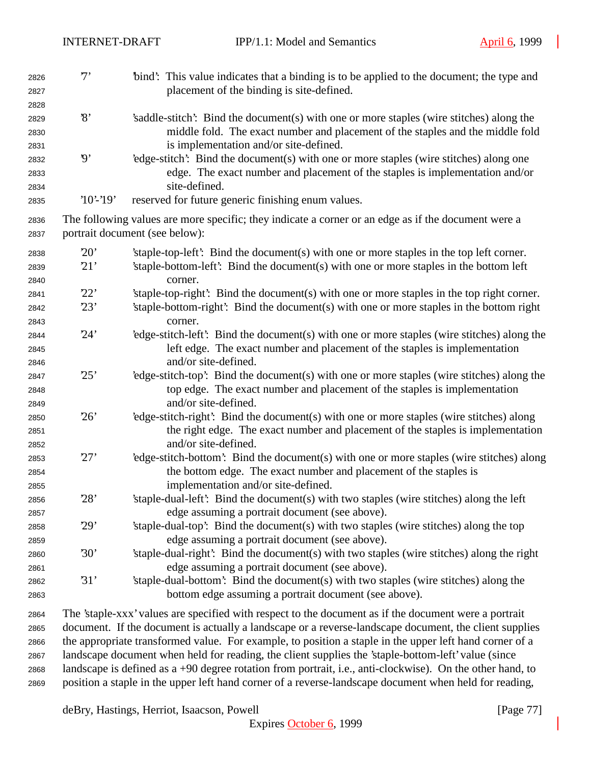| 2826<br>2827 | $7^,$                    | "bind": This value indicates that a binding is to be applied to the document; the type and<br>placement of the binding is site-defined. |
|--------------|--------------------------|-----------------------------------------------------------------------------------------------------------------------------------------|
| 2828         |                          |                                                                                                                                         |
| 2829         | $\mathcal{S}$            | 's addle-stitch': Bind the document(s) with one or more staples (wire stitches) along the                                               |
|              |                          | middle fold. The exact number and placement of the staples and the middle fold                                                          |
| 2830         |                          | is implementation and/or site-defined.                                                                                                  |
| 2831         | $\boldsymbol{\vartheta}$ | 'edge-stitch': Bind the document(s) with one or more staples (wire stitches) along one                                                  |
| 2832<br>2833 |                          | edge. The exact number and placement of the staples is implementation and/or                                                            |
| 2834         |                          | site-defined.                                                                                                                           |
| 2835         | $'10'$ -'19'             | reserved for future generic finishing enum values.                                                                                      |
| 2836         |                          | The following values are more specific; they indicate a corner or an edge as if the document were a                                     |
| 2837         |                          | portrait document (see below):                                                                                                          |
| 2838         | 20'                      | 'staple-top-left': Bind the document(s) with one or more staples in the top left corner.                                                |
| 2839         | 21'                      | 'staple-bottom-left': Bind the document(s) with one or more staples in the bottom left                                                  |
| 2840         |                          | corner.                                                                                                                                 |
| 2841         | 22'                      | 'staple-top-right': Bind the document(s) with one or more staples in the top right corner.                                              |
| 2842         | 23'                      | 'staple-bottom-right': Bind the document(s) with one or more staples in the bottom right                                                |
| 2843         |                          | corner.                                                                                                                                 |
| 2844         | 24'                      | 'edge-stitch-left': Bind the document(s) with one or more staples (wire stitches) along the                                             |
| 2845         |                          | left edge. The exact number and placement of the staples is implementation                                                              |
| 2846         |                          | and/or site-defined.                                                                                                                    |
| 2847         | 25'                      | 'edge-stitch-top': Bind the document(s) with one or more staples (wire stitches) along the                                              |
| 2848         |                          | top edge. The exact number and placement of the staples is implementation                                                               |
| 2849         |                          | and/or site-defined.                                                                                                                    |
| 2850         | 26'                      | 'edge-stitch-right': Bind the document(s) with one or more staples (wire stitches) along                                                |
| 2851         |                          | the right edge. The exact number and placement of the staples is implementation                                                         |
| 2852         |                          | and/or site-defined.                                                                                                                    |
| 2853         | 27'                      | 'edge-stitch-bottom': Bind the document(s) with one or more staples (wire stitches) along                                               |
| 2854         |                          | the bottom edge. The exact number and placement of the staples is                                                                       |
| 2855         |                          | implementation and/or site-defined.                                                                                                     |
| 2856         | 28'                      | 'staple-dual-left': Bind the document(s) with two staples (wire stitches) along the left                                                |
| 2857         |                          | edge assuming a portrait document (see above).                                                                                          |
| 2858         | 29'                      | 'staple-dual-top': Bind the document(s) with two staples (wire stitches) along the top                                                  |
| 2859         |                          | edge assuming a portrait document (see above).                                                                                          |
| 2860         | 30'                      | 'staple-dual-right': Bind the document(s) with two staples (wire stitches) along the right                                              |
| 2861         |                          | edge assuming a portrait document (see above).                                                                                          |
| 2862         | 31'                      | 'staple-dual-bottom': Bind the document(s) with two staples (wire stitches) along the                                                   |
| 2863         |                          | bottom edge assuming a portrait document (see above).                                                                                   |
| 2864         |                          | The 'staple-xxx' values are specified with respect to the document as if the document were a portrait                                   |

 The 'staple-xxx' values are specified with respect to the document as if the document were a portrait document. If the document is actually a landscape or a reverse-landscape document, the client supplies the appropriate transformed value. For example, to position a staple in the upper left hand corner of a landscape document when held for reading, the client supplies the 'staple-bottom-left' value (since landscape is defined as a +90 degree rotation from portrait, i.e., anti-clockwise). On the other hand, to position a staple in the upper left hand corner of a reverse-landscape document when held for reading,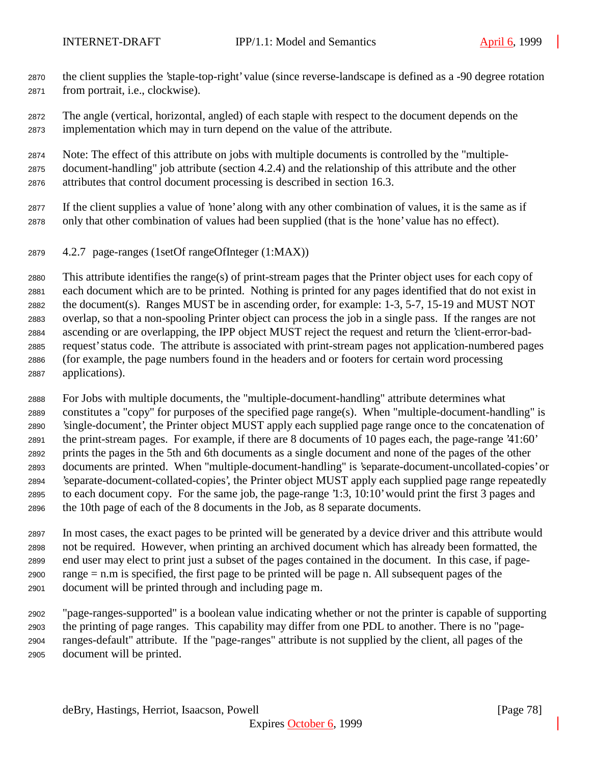- the client supplies the 'staple-top-right' value (since reverse-landscape is defined as a -90 degree rotation from portrait, i.e., clockwise).
- The angle (vertical, horizontal, angled) of each staple with respect to the document depends on the implementation which may in turn depend on the value of the attribute.
- Note: The effect of this attribute on jobs with multiple documents is controlled by the "multiple- document-handling" job attribute (section 4.2.4) and the relationship of this attribute and the other attributes that control document processing is described in section 16.3.
- If the client supplies a value of 'none' along with any other combination of values, it is the same as if only that other combination of values had been supplied (that is the 'none' value has no effect).
- 4.2.7 page-ranges (1setOf rangeOfInteger (1:MAX))

 This attribute identifies the range(s) of print-stream pages that the Printer object uses for each copy of each document which are to be printed. Nothing is printed for any pages identified that do not exist in the document(s). Ranges MUST be in ascending order, for example: 1-3, 5-7, 15-19 and MUST NOT overlap, so that a non-spooling Printer object can process the job in a single pass. If the ranges are not ascending or are overlapping, the IPP object MUST reject the request and return the 'client-error-bad- request' status code. The attribute is associated with print-stream pages not application-numbered pages (for example, the page numbers found in the headers and or footers for certain word processing applications).

 For Jobs with multiple documents, the "multiple-document-handling" attribute determines what constitutes a "copy" for purposes of the specified page range(s). When "multiple-document-handling" is 'single-document', the Printer object MUST apply each supplied page range once to the concatenation of the print-stream pages. For example, if there are 8 documents of 10 pages each, the page-range '41:60' prints the pages in the 5th and 6th documents as a single document and none of the pages of the other documents are printed. When "multiple-document-handling" is 'separate-document-uncollated-copies' or 'separate-document-collated-copies', the Printer object MUST apply each supplied page range repeatedly to each document copy. For the same job, the page-range '1:3, 10:10' would print the first 3 pages and the 10th page of each of the 8 documents in the Job, as 8 separate documents.

 In most cases, the exact pages to be printed will be generated by a device driver and this attribute would not be required. However, when printing an archived document which has already been formatted, the end user may elect to print just a subset of the pages contained in the document. In this case, if page- range = n.m is specified, the first page to be printed will be page n. All subsequent pages of the document will be printed through and including page m.

 "page-ranges-supported" is a boolean value indicating whether or not the printer is capable of supporting the printing of page ranges. This capability may differ from one PDL to another. There is no "page- ranges-default" attribute. If the "page-ranges" attribute is not supplied by the client, all pages of the document will be printed.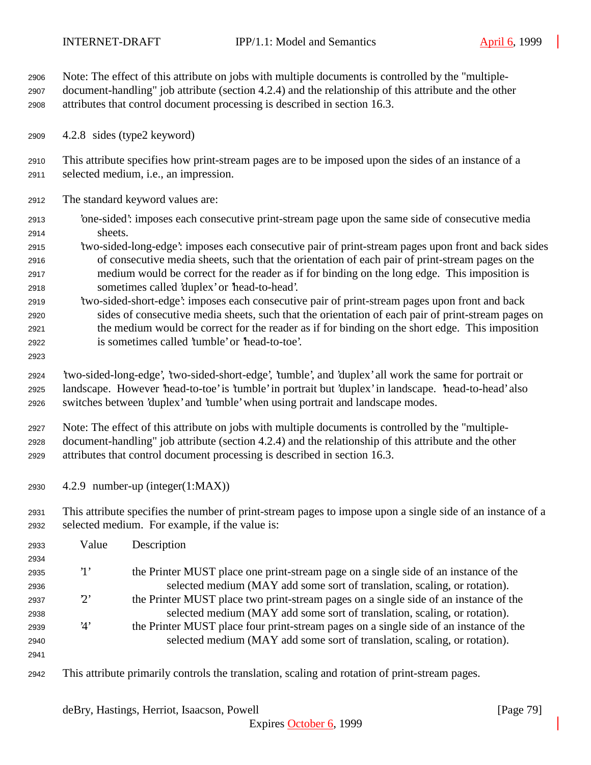Note: The effect of this attribute on jobs with multiple documents is controlled by the "multiple- document-handling" job attribute (section 4.2.4) and the relationship of this attribute and the other attributes that control document processing is described in section 16.3.

4.2.8 sides (type2 keyword)

 This attribute specifies how print-stream pages are to be imposed upon the sides of an instance of a selected medium, i.e., an impression.

- The standard keyword values are:
- 'one-sided': imposes each consecutive print-stream page upon the same side of consecutive media sheets.
- 'two-sided-long-edge': imposes each consecutive pair of print-stream pages upon front and back sides of consecutive media sheets, such that the orientation of each pair of print-stream pages on the medium would be correct for the reader as if for binding on the long edge. This imposition is sometimes called 'duplex' or 'head-to-head'.
- 'two-sided-short-edge': imposes each consecutive pair of print-stream pages upon front and back sides of consecutive media sheets, such that the orientation of each pair of print-stream pages on the medium would be correct for the reader as if for binding on the short edge. This imposition is sometimes called 'tumble' or 'head-to-toe'.
- 

 'two-sided-long-edge', 'two-sided-short-edge', 'tumble', and 'duplex' all work the same for portrait or landscape. However 'head-to-toe' is 'tumble' in portrait but 'duplex' in landscape. 'head-to-head' also switches between 'duplex' and 'tumble' when using portrait and landscape modes.

 Note: The effect of this attribute on jobs with multiple documents is controlled by the "multiple- document-handling" job attribute (section 4.2.4) and the relationship of this attribute and the other attributes that control document processing is described in section 16.3.

4.2.9 number-up (integer(1:MAX))

 This attribute specifies the number of print-stream pages to impose upon a single side of an instance of a selected medium. For example, if the value is:

| 2933 | Value       | Description                                                                                    |
|------|-------------|------------------------------------------------------------------------------------------------|
| 2934 |             |                                                                                                |
| 2935 | $\cdot_1$ , | the Printer MUST place one print-stream page on a single side of an instance of the            |
| 2936 |             | selected medium (MAY add some sort of translation, scaling, or rotation).                      |
| 2937 | $2^{\circ}$ | the Printer MUST place two print-stream pages on a single side of an instance of the           |
| 2938 |             | selected medium (MAY add some sort of translation, scaling, or rotation).                      |
| 2939 | 4'          | the Printer MUST place four print-stream pages on a single side of an instance of the          |
| 2940 |             | selected medium (MAY add some sort of translation, scaling, or rotation).                      |
| 2941 |             |                                                                                                |
| 2942 |             | This attribute primarily controls the translation, scaling and rotation of print-stream pages. |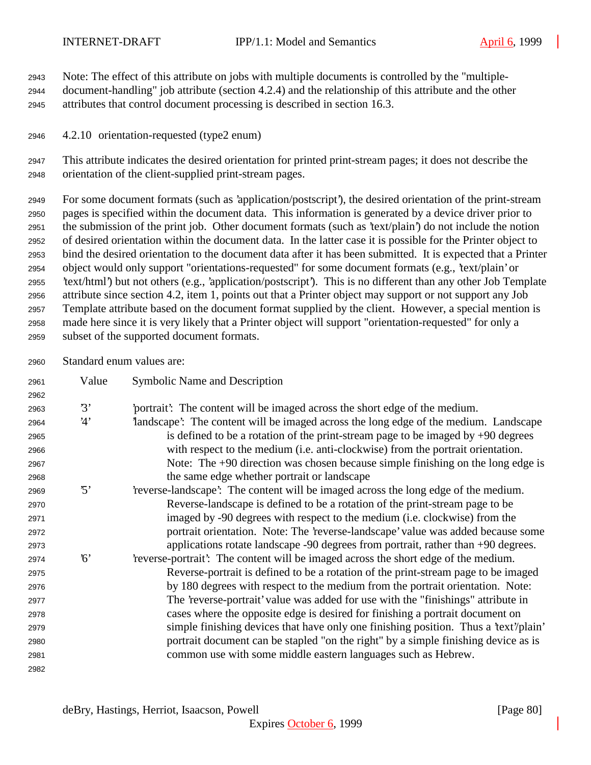Note: The effect of this attribute on jobs with multiple documents is controlled by the "multiple-

 document-handling" job attribute (section 4.2.4) and the relationship of this attribute and the other attributes that control document processing is described in section 16.3.

4.2.10 orientation-requested (type2 enum)

 This attribute indicates the desired orientation for printed print-stream pages; it does not describe the orientation of the client-supplied print-stream pages.

 For some document formats (such as 'application/postscript'), the desired orientation of the print-stream pages is specified within the document data. This information is generated by a device driver prior to the submission of the print job. Other document formats (such as 'text/plain') do not include the notion of desired orientation within the document data. In the latter case it is possible for the Printer object to bind the desired orientation to the document data after it has been submitted. It is expected that a Printer object would only support "orientations-requested" for some document formats (e.g., 'text/plain' or 'text/html') but not others (e.g., 'application/postscript'). This is no different than any other Job Template attribute since section 4.2, item 1, points out that a Printer object may support or not support any Job Template attribute based on the document format supplied by the client. However, a special mention is made here since it is very likely that a Printer object will support "orientation-requested" for only a subset of the supported document formats.

Standard enum values are:

| 2961 | Value      | Symbolic Name and Description                                                        |
|------|------------|--------------------------------------------------------------------------------------|
| 2962 |            |                                                                                      |
| 2963 | 3'         | portrait? The content will be imaged across the short edge of the medium.            |
| 2964 | 4'         | landscape': The content will be imaged across the long edge of the medium. Landscape |
| 2965 |            | is defined to be a rotation of the print-stream page to be imaged by $+90$ degrees   |
| 2966 |            | with respect to the medium (i.e. anti-clockwise) from the portrait orientation.      |
| 2967 |            | Note: The +90 direction was chosen because simple finishing on the long edge is      |
| 2968 |            | the same edge whether portrait or landscape                                          |
| 2969 | $\cdot$ 5' | reverse-landscape': The content will be imaged across the long edge of the medium.   |
| 2970 |            | Reverse-landscape is defined to be a rotation of the print-stream page to be         |
| 2971 |            | imaged by -90 degrees with respect to the medium (i.e. clockwise) from the           |
| 2972 |            | portrait orientation. Note: The 'reverse-landscape' value was added because some     |
| 2973 |            | applications rotate landscape -90 degrees from portrait, rather than +90 degrees.    |
| 2974 | $\delta$   | 'reverse-portrait': The content will be imaged across the short edge of the medium.  |
| 2975 |            | Reverse-portrait is defined to be a rotation of the print-stream page to be imaged   |
| 2976 |            | by 180 degrees with respect to the medium from the portrait orientation. Note:       |
| 2977 |            | The 'reverse-portrait' value was added for use with the "finishings" attribute in    |
| 2978 |            | cases where the opposite edge is desired for finishing a portrait document on        |
| 2979 |            | simple finishing devices that have only one finishing position. Thus a 'text'/plain' |
| 2980 |            | portrait document can be stapled "on the right" by a simple finishing device as is   |
| 2981 |            | common use with some middle eastern languages such as Hebrew.                        |
| 2982 |            |                                                                                      |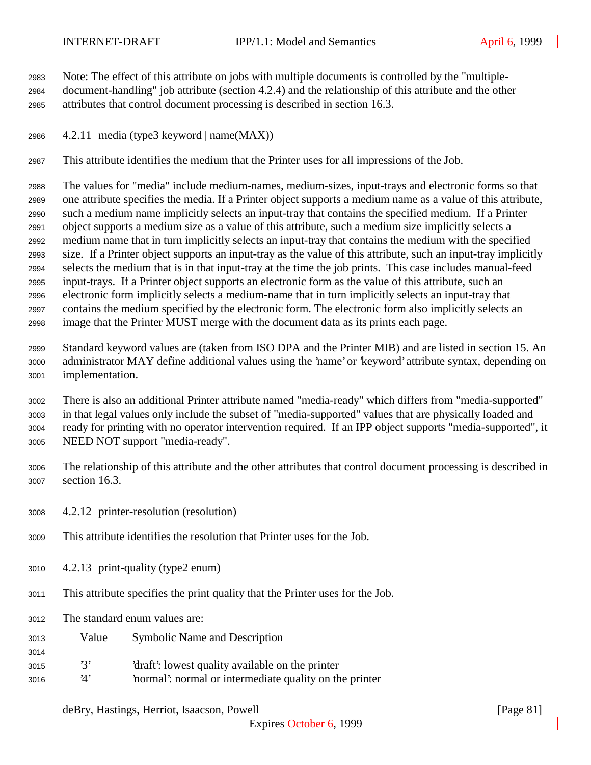Note: The effect of this attribute on jobs with multiple documents is controlled by the "multiple- document-handling" job attribute (section 4.2.4) and the relationship of this attribute and the other attributes that control document processing is described in section 16.3.

2986  $4.2.11$  media (type3 keyword | name(MAX))

This attribute identifies the medium that the Printer uses for all impressions of the Job.

 The values for "media" include medium-names, medium-sizes, input-trays and electronic forms so that one attribute specifies the media. If a Printer object supports a medium name as a value of this attribute, such a medium name implicitly selects an input-tray that contains the specified medium. If a Printer object supports a medium size as a value of this attribute, such a medium size implicitly selects a medium name that in turn implicitly selects an input-tray that contains the medium with the specified size. If a Printer object supports an input-tray as the value of this attribute, such an input-tray implicitly selects the medium that is in that input-tray at the time the job prints. This case includes manual-feed input-trays. If a Printer object supports an electronic form as the value of this attribute, such an electronic form implicitly selects a medium-name that in turn implicitly selects an input-tray that contains the medium specified by the electronic form. The electronic form also implicitly selects an image that the Printer MUST merge with the document data as its prints each page.

 Standard keyword values are (taken from ISO DPA and the Printer MIB) and are listed in section 15. An administrator MAY define additional values using the 'name' or 'keyword' attribute syntax, depending on implementation.

 There is also an additional Printer attribute named "media-ready" which differs from "media-supported" in that legal values only include the subset of "media-supported" values that are physically loaded and ready for printing with no operator intervention required. If an IPP object supports "media-supported", it NEED NOT support "media-ready".

- The relationship of this attribute and the other attributes that control document processing is described in section 16.3.
- 4.2.12 printer-resolution (resolution)
- This attribute identifies the resolution that Printer uses for the Job.
- 4.2.13 print-quality (type2 enum)
- This attribute specifies the print quality that the Printer uses for the Job.
- The standard enum values are:

- Value Symbolic Name and Description
- '3' 'draft': lowest quality available on the printer
- '4' 'normal': normal or intermediate quality on the printer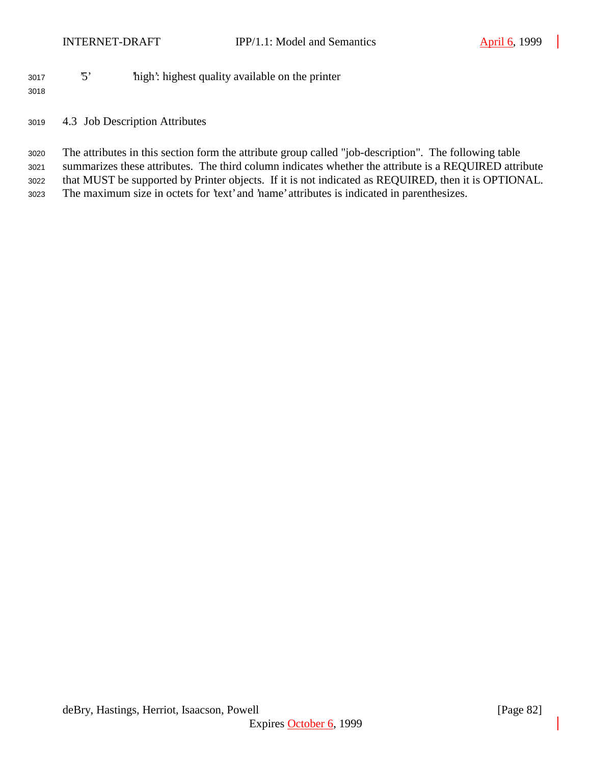'5' 'high': highest quality available on the printer

- 4.3 Job Description Attributes
- The attributes in this section form the attribute group called "job-description". The following table summarizes these attributes. The third column indicates whether the attribute is a REQUIRED attribute that MUST be supported by Printer objects. If it is not indicated as REQUIRED, then it is OPTIONAL.
- The maximum size in octets for 'text' and 'name' attributes is indicated in parenthesizes.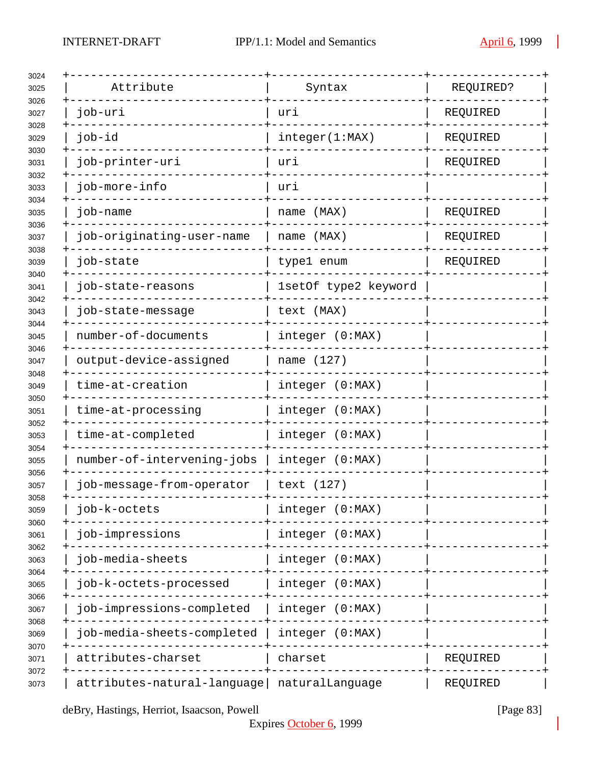| Attribute                   | Syntax               | REQUIRED? |
|-----------------------------|----------------------|-----------|
| job-uri                     | uri                  | REQUIRED  |
| job-id                      | integer(1:MAX)       | REQUIRED  |
| job-printer-uri             | uri                  | REQUIRED  |
| job-more-info               | uri                  |           |
| job-name                    | name (MAX)           | REQUIRED  |
| job-originating-user-name   | name (MAX)           | REQUIRED  |
| job-state                   | type1 enum           | REQUIRED  |
| job-state-reasons           | 1setOf type2 keyword |           |
| job-state-message           | text (MAX)           |           |
| number-of-documents         | integer (0:MAX)      |           |
| output-device-assigned      | name (127)           |           |
| time-at-creation            | integer (0:MAX)      |           |
| time-at-processing          | integer (0:MAX)      |           |
| time-at-completed           | integer (0:MAX)      |           |
| number-of-intervening-jobs  | integer (0:MAX)      |           |
| job-message-from-operator   | text (127)           |           |
| job-k-octets                | integer (0:MAX)      |           |
| job-impressions             | integer (0:MAX)      |           |
| job-media-sheets            | integer (0:MAX)      |           |
| job-k-octets-processed      | integer (0:MAX)      |           |
| job-impressions-completed   | integer (0:MAX)      |           |
| job-media-sheets-completed  | integer (0:MAX)      |           |
| attributes-charset          | charset              | REQUIRED  |
| attributes-natural-language | naturalLanguage      | REQUIRED  |

deBry, Hastings, Herriot, Isaacson, Powell [Page 83]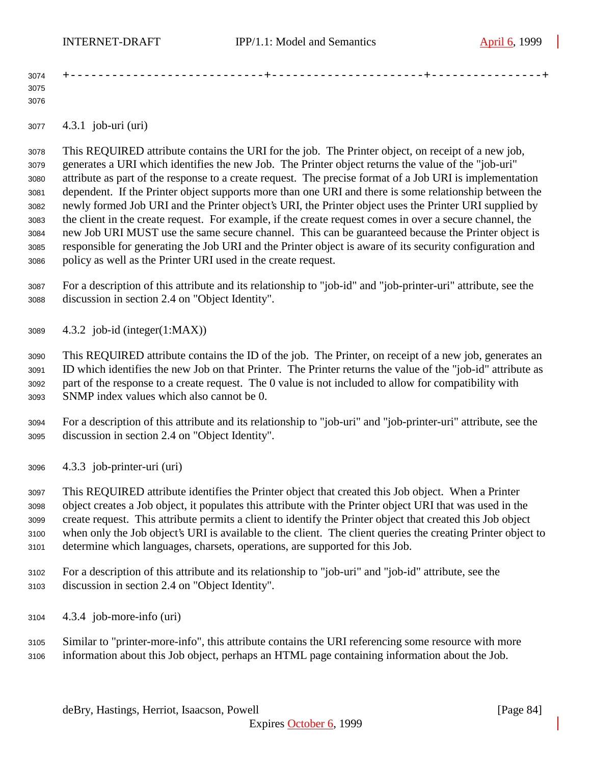| 3074 | -------- |  |  |
|------|----------|--|--|
| 3075 |          |  |  |
| 3076 |          |  |  |

4.3.1 job-uri (uri)

 This REQUIRED attribute contains the URI for the job. The Printer object, on receipt of a new job, generates a URI which identifies the new Job. The Printer object returns the value of the "job-uri" attribute as part of the response to a create request. The precise format of a Job URI is implementation dependent. If the Printer object supports more than one URI and there is some relationship between the newly formed Job URI and the Printer object's URI, the Printer object uses the Printer URI supplied by the client in the create request. For example, if the create request comes in over a secure channel, the new Job URI MUST use the same secure channel. This can be guaranteed because the Printer object is responsible for generating the Job URI and the Printer object is aware of its security configuration and policy as well as the Printer URI used in the create request.

 For a description of this attribute and its relationship to "job-id" and "job-printer-uri" attribute, see the discussion in section 2.4 on "Object Identity".

4.3.2 job-id (integer(1:MAX))

 This REQUIRED attribute contains the ID of the job. The Printer, on receipt of a new job, generates an ID which identifies the new Job on that Printer. The Printer returns the value of the "job-id" attribute as part of the response to a create request. The 0 value is not included to allow for compatibility with SNMP index values which also cannot be 0.

- For a description of this attribute and its relationship to "job-uri" and "job-printer-uri" attribute, see the discussion in section 2.4 on "Object Identity".
- 4.3.3 job-printer-uri (uri)

 This REQUIRED attribute identifies the Printer object that created this Job object. When a Printer object creates a Job object, it populates this attribute with the Printer object URI that was used in the create request. This attribute permits a client to identify the Printer object that created this Job object when only the Job object's URI is available to the client. The client queries the creating Printer object to determine which languages, charsets, operations, are supported for this Job.

- For a description of this attribute and its relationship to "job-uri" and "job-id" attribute, see the discussion in section 2.4 on "Object Identity".
- 4.3.4 job-more-info (uri)
- Similar to "printer-more-info", this attribute contains the URI referencing some resource with more information about this Job object, perhaps an HTML page containing information about the Job.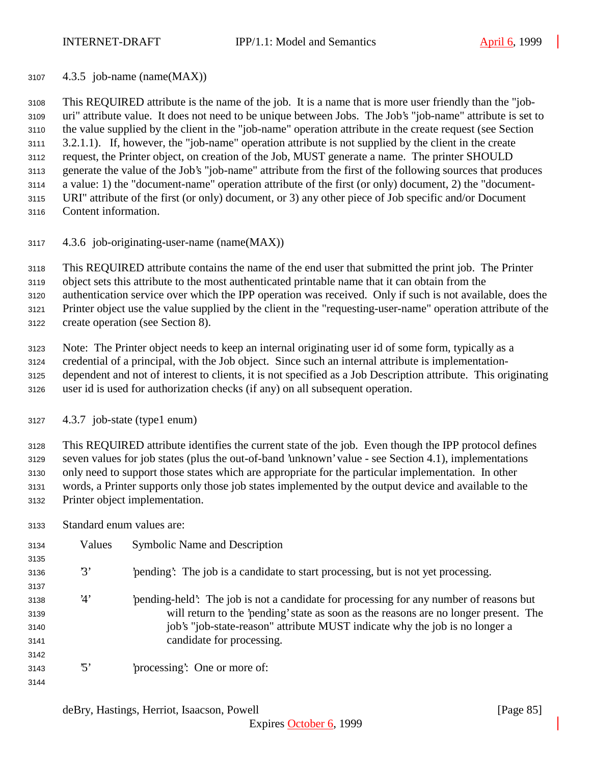4.3.5 job-name (name(MAX))

 This REQUIRED attribute is the name of the job. It is a name that is more user friendly than the "job- uri" attribute value. It does not need to be unique between Jobs. The Job's "job-name" attribute is set to the value supplied by the client in the "job-name" operation attribute in the create request (see Section 3.2.1.1). If, however, the "job-name" operation attribute is not supplied by the client in the create request, the Printer object, on creation of the Job, MUST generate a name. The printer SHOULD generate the value of the Job's "job-name" attribute from the first of the following sources that produces a value: 1) the "document-name" operation attribute of the first (or only) document, 2) the "document- URI" attribute of the first (or only) document, or 3) any other piece of Job specific and/or Document Content information.

4.3.6 job-originating-user-name (name(MAX))

This REQUIRED attribute contains the name of the end user that submitted the print job. The Printer

object sets this attribute to the most authenticated printable name that it can obtain from the

authentication service over which the IPP operation was received. Only if such is not available, does the

Printer object use the value supplied by the client in the "requesting-user-name" operation attribute of the

create operation (see Section 8).

Note: The Printer object needs to keep an internal originating user id of some form, typically as a

 credential of a principal, with the Job object. Since such an internal attribute is implementation-dependent and not of interest to clients, it is not specified as a Job Description attribute. This originating

user id is used for authorization checks (if any) on all subsequent operation.

4.3.7 job-state (type1 enum)

 This REQUIRED attribute identifies the current state of the job. Even though the IPP protocol defines seven values for job states (plus the out-of-band 'unknown' value - see Section 4.1), implementations only need to support those states which are appropriate for the particular implementation. In other words, a Printer supports only those job states implemented by the output device and available to the Printer object implementation.

Standard enum values are:

| 3134 | Values          | <b>Symbolic Name and Description</b>                                                  |
|------|-----------------|---------------------------------------------------------------------------------------|
| 3135 |                 |                                                                                       |
| 3136 | 3'              | 'pending': The job is a candidate to start processing, but is not yet processing.     |
| 3137 |                 |                                                                                       |
| 3138 | 4'              | pending-held. The job is not a candidate for processing for any number of reasons but |
| 3139 |                 | will return to the 'pending' state as soon as the reasons are no longer present. The  |
| 3140 |                 | job's "job-state-reason" attribute MUST indicate why the job is no longer a           |
| 3141 |                 | candidate for processing.                                                             |
| 3142 |                 |                                                                                       |
| 3143 | $\mathfrak{B}'$ | 'processing': One or more of:                                                         |
| 3144 |                 |                                                                                       |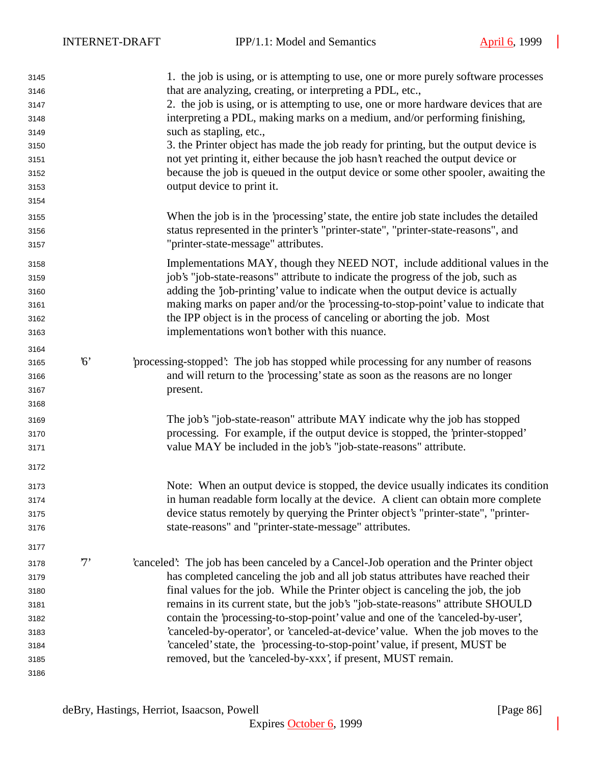| 3145 |             | 1. the job is using, or is attempting to use, one or more purely software processes    |
|------|-------------|----------------------------------------------------------------------------------------|
| 3146 |             | that are analyzing, creating, or interpreting a PDL, etc.,                             |
| 3147 |             | 2. the job is using, or is attempting to use, one or more hardware devices that are    |
| 3148 |             | interpreting a PDL, making marks on a medium, and/or performing finishing,             |
| 3149 |             | such as stapling, etc.,                                                                |
| 3150 |             | 3. the Printer object has made the job ready for printing, but the output device is    |
| 3151 |             | not yet printing it, either because the job hasn't reached the output device or        |
| 3152 |             | because the job is queued in the output device or some other spooler, awaiting the     |
| 3153 |             | output device to print it.                                                             |
| 3154 |             |                                                                                        |
| 3155 |             | When the job is in the 'processing' state, the entire job state includes the detailed  |
| 3156 |             | status represented in the printer's "printer-state", "printer-state-reasons", and      |
| 3157 |             | "printer-state-message" attributes.                                                    |
| 3158 |             | Implementations MAY, though they NEED NOT, include additional values in the            |
| 3159 |             | job's "job-state-reasons" attribute to indicate the progress of the job, such as       |
| 3160 |             | adding the 'job-printing' value to indicate when the output device is actually         |
| 3161 |             | making marks on paper and/or the 'processing-to-stop-point' value to indicate that     |
| 3162 |             | the IPP object is in the process of canceling or aborting the job. Most                |
| 3163 |             | implementations won't bother with this nuance.                                         |
| 3164 |             |                                                                                        |
| 3165 | $6^{\circ}$ | processing-stopped: The job has stopped while processing for any number of reasons     |
| 3166 |             | and will return to the 'processing' state as soon as the reasons are no longer         |
| 3167 |             | present.                                                                               |
| 3168 |             |                                                                                        |
| 3169 |             | The job's "job-state-reason" attribute MAY indicate why the job has stopped            |
| 3170 |             | processing. For example, if the output device is stopped, the 'printer-stopped'        |
| 3171 |             | value MAY be included in the job's "job-state-reasons" attribute.                      |
| 3172 |             |                                                                                        |
| 3173 |             | Note: When an output device is stopped, the device usually indicates its condition     |
| 3174 |             | in human readable form locally at the device. A client can obtain more complete        |
| 3175 |             | device status remotely by querying the Printer object's "printer-state", "printer-     |
| 3176 |             | state-reasons" and "printer-state-message" attributes.                                 |
| 3177 |             |                                                                                        |
| 3178 | 7'          | 'canceled': The job has been canceled by a Cancel-Job operation and the Printer object |
| 3179 |             | has completed canceling the job and all job status attributes have reached their       |
| 3180 |             | final values for the job. While the Printer object is canceling the job, the job       |
| 3181 |             | remains in its current state, but the job's "job-state-reasons" attribute SHOULD       |
| 3182 |             | contain the 'processing-to-stop-point' value and one of the 'canceled-by-user',        |
| 3183 |             | 'canceled-by-operator', or 'canceled-at-device' value. When the job moves to the       |
| 3184 |             | 'canceled' state, the 'processing-to-stop-point' value, if present, MUST be            |
| 3185 |             | removed, but the 'canceled-by-xxx', if present, MUST remain.                           |
| 3186 |             |                                                                                        |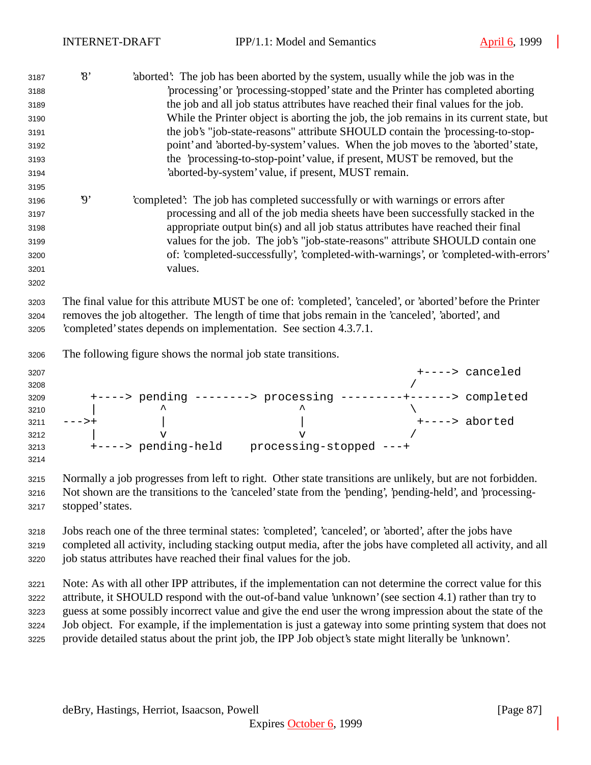| 3187<br>3188<br>3189<br>3190<br>3191<br>3192<br>3193<br>3194 | $\mathcal{S}$            | aborted: The job has been aborted by the system, usually while the job was in the<br>'processing' or 'processing-stopped' state and the Printer has completed aborting<br>the job and all job status attributes have reached their final values for the job.<br>While the Printer object is aborting the job, the job remains in its current state, but<br>the job's "job-state-reasons" attribute SHOULD contain the 'processing-to-stop-<br>point' and 'aborted-by-system' values. When the job moves to the 'aborted' state,<br>the 'processing-to-stop-point' value, if present, MUST be removed, but the<br>'aborted-by-system' value, if present, MUST remain. |
|--------------------------------------------------------------|--------------------------|----------------------------------------------------------------------------------------------------------------------------------------------------------------------------------------------------------------------------------------------------------------------------------------------------------------------------------------------------------------------------------------------------------------------------------------------------------------------------------------------------------------------------------------------------------------------------------------------------------------------------------------------------------------------|
| 3195<br>3196<br>3197<br>3198<br>3199<br>3200<br>3201<br>3202 | $\boldsymbol{\vartheta}$ | 'completed': The job has completed successfully or with warnings or errors after<br>processing and all of the job media sheets have been successfully stacked in the<br>appropriate output bin(s) and all job status attributes have reached their final<br>values for the job. The job's "job-state-reasons" attribute SHOULD contain one<br>of: 'completed-successfully', 'completed-with-warnings', or 'completed-with-errors'<br>values.                                                                                                                                                                                                                         |
| 3203<br>3204<br>3205                                         |                          | The final value for this attribute MUST be one of: 'completed', 'canceled', or 'aborted' before the Printer<br>removes the job altogether. The length of time that jobs remain in the 'canceled', 'aborted', and<br>'completed' states depends on implementation. See section 4.3.7.1.                                                                                                                                                                                                                                                                                                                                                                               |
| 3206                                                         |                          | The following figure shows the normal job state transitions.                                                                                                                                                                                                                                                                                                                                                                                                                                                                                                                                                                                                         |
| 3207<br>3208<br>3209<br>3210<br>3211<br>3212<br>3213<br>3214 | $---++$                  | +----> canceled<br>+----> pending --------> processing ---------+------> completed<br>+----> aborted<br>$\overline{\mathbf{v}}$<br>$\mathbf v$<br>+----> pending-held    processing-stopped ---+                                                                                                                                                                                                                                                                                                                                                                                                                                                                     |
| 3215<br>3216<br>3217                                         | stopped' states.         | Normally a job progresses from left to right. Other state transitions are unlikely, but are not forbidden.<br>Not shown are the transitions to the 'canceled' state from the 'pending', 'pending-held', and 'processing-                                                                                                                                                                                                                                                                                                                                                                                                                                             |
| 3218<br>3219<br>3220                                         |                          | Jobs reach one of the three terminal states: 'completed', 'canceled', or 'aborted', after the jobs have<br>completed all activity, including stacking output media, after the jobs have completed all activity, and all<br>job status attributes have reached their final values for the job.                                                                                                                                                                                                                                                                                                                                                                        |
| 3221<br>3222<br>3223<br>3224<br>3225                         |                          | Note: As with all other IPP attributes, if the implementation can not determine the correct value for this<br>attribute, it SHOULD respond with the out-of-band value 'unknown' (see section 4.1) rather than try to<br>guess at some possibly incorrect value and give the end user the wrong impression about the state of the<br>Job object. For example, if the implementation is just a gateway into some printing system that does not<br>provide detailed status about the print job, the IPP Job object's state might literally be 'unknown'.                                                                                                                |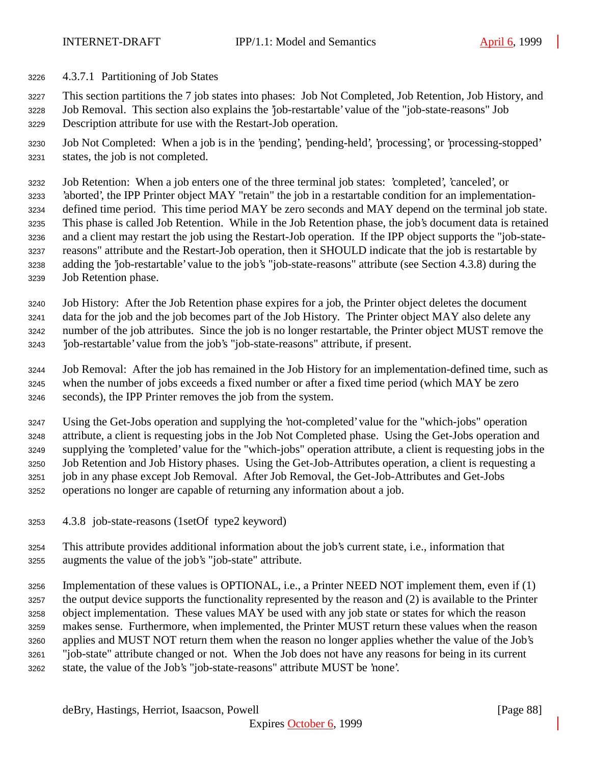4.3.7.1 Partitioning of Job States

This section partitions the 7 job states into phases: Job Not Completed, Job Retention, Job History, and

 Job Removal. This section also explains the 'job-restartable' value of the "job-state-reasons" Job Description attribute for use with the Restart-Job operation.

 Job Not Completed: When a job is in the 'pending', 'pending-held', 'processing', or 'processing-stopped' states, the job is not completed.

 Job Retention: When a job enters one of the three terminal job states: 'completed', 'canceled', or 'aborted', the IPP Printer object MAY "retain" the job in a restartable condition for an implementation- defined time period. This time period MAY be zero seconds and MAY depend on the terminal job state. This phase is called Job Retention. While in the Job Retention phase, the job's document data is retained and a client may restart the job using the Restart-Job operation. If the IPP object supports the "job-state- reasons" attribute and the Restart-Job operation, then it SHOULD indicate that the job is restartable by adding the 'job-restartable' value to the job's "job-state-reasons" attribute (see Section 4.3.8) during the Job Retention phase.

 Job History: After the Job Retention phase expires for a job, the Printer object deletes the document data for the job and the job becomes part of the Job History. The Printer object MAY also delete any number of the job attributes. Since the job is no longer restartable, the Printer object MUST remove the 'job-restartable' value from the job's "job-state-reasons" attribute, if present.

 Job Removal: After the job has remained in the Job History for an implementation-defined time, such as when the number of jobs exceeds a fixed number or after a fixed time period (which MAY be zero seconds), the IPP Printer removes the job from the system.

 Using the Get-Jobs operation and supplying the 'not-completed' value for the "which-jobs" operation attribute, a client is requesting jobs in the Job Not Completed phase. Using the Get-Jobs operation and supplying the 'completed' value for the "which-jobs" operation attribute, a client is requesting jobs in the Job Retention and Job History phases. Using the Get-Job-Attributes operation, a client is requesting a job in any phase except Job Removal. After Job Removal, the Get-Job-Attributes and Get-Jobs operations no longer are capable of returning any information about a job.

- 4.3.8 job-state-reasons (1setOf type2 keyword)
- This attribute provides additional information about the job's current state, i.e., information that augments the value of the job's "job-state" attribute.
- Implementation of these values is OPTIONAL, i.e., a Printer NEED NOT implement them, even if (1) the output device supports the functionality represented by the reason and (2) is available to the Printer object implementation. These values MAY be used with any job state or states for which the reason makes sense. Furthermore, when implemented, the Printer MUST return these values when the reason applies and MUST NOT return them when the reason no longer applies whether the value of the Job's "job-state" attribute changed or not. When the Job does not have any reasons for being in its current state, the value of the Job's "job-state-reasons" attribute MUST be 'none'.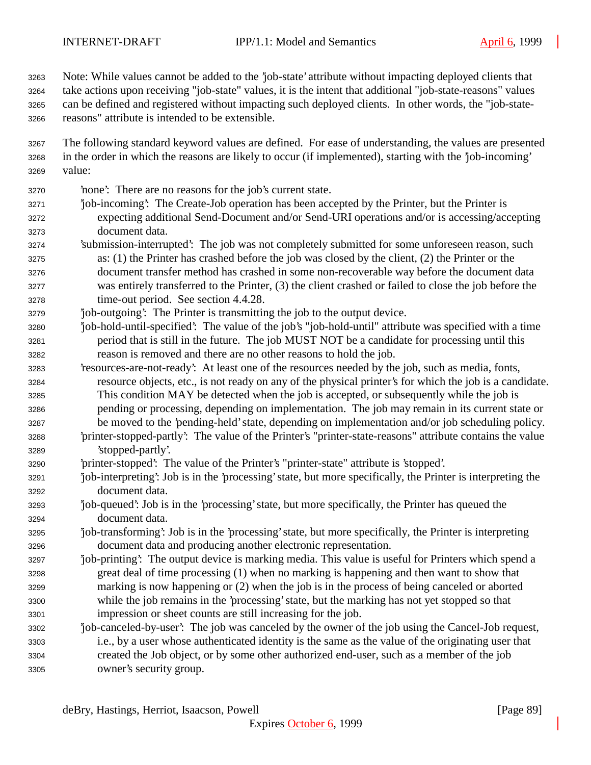Note: While values cannot be added to the 'job-state' attribute without impacting deployed clients that take actions upon receiving "job-state" values, it is the intent that additional "job-state-reasons" values can be defined and registered without impacting such deployed clients. In other words, the "job-state-reasons" attribute is intended to be extensible.

- The following standard keyword values are defined. For ease of understanding, the values are presented in the order in which the reasons are likely to occur (if implemented), starting with the 'job-incoming' value:
- 'none': There are no reasons for the job's current state.
- 'job-incoming': The Create-Job operation has been accepted by the Printer, but the Printer is expecting additional Send-Document and/or Send-URI operations and/or is accessing/accepting document data.
- 'submission-interrupted': The job was not completely submitted for some unforeseen reason, such as: (1) the Printer has crashed before the job was closed by the client, (2) the Printer or the document transfer method has crashed in some non-recoverable way before the document data was entirely transferred to the Printer, (3) the client crashed or failed to close the job before the time-out period. See section 4.4.28.
- 'job-outgoing': The Printer is transmitting the job to the output device.
- 'job-hold-until-specified': The value of the job's "job-hold-until" attribute was specified with a time period that is still in the future. The job MUST NOT be a candidate for processing until this reason is removed and there are no other reasons to hold the job.
- 'resources-are-not-ready': At least one of the resources needed by the job, such as media, fonts, resource objects, etc., is not ready on any of the physical printer's for which the job is a candidate. This condition MAY be detected when the job is accepted, or subsequently while the job is pending or processing, depending on implementation. The job may remain in its current state or be moved to the 'pending-held' state, depending on implementation and/or job scheduling policy.
- 'printer-stopped-partly': The value of the Printer's "printer-state-reasons" attribute contains the value 'stopped-partly'.
- 'printer-stopped': The value of the Printer's "printer-state" attribute is 'stopped'.
- 'job-interpreting': Job is in the 'processing' state, but more specifically, the Printer is interpreting the document data.
- 'job-queued': Job is in the 'processing' state, but more specifically, the Printer has queued the document data.
- 'job-transforming': Job is in the 'processing' state, but more specifically, the Printer is interpreting document data and producing another electronic representation.
- 'job-printing': The output device is marking media. This value is useful for Printers which spend a great deal of time processing (1) when no marking is happening and then want to show that marking is now happening or (2) when the job is in the process of being canceled or aborted while the job remains in the 'processing' state, but the marking has not yet stopped so that impression or sheet counts are still increasing for the job.
- 'job-canceled-by-user': The job was canceled by the owner of the job using the Cancel-Job request, i.e., by a user whose authenticated identity is the same as the value of the originating user that created the Job object, or by some other authorized end-user, such as a member of the job owner's security group.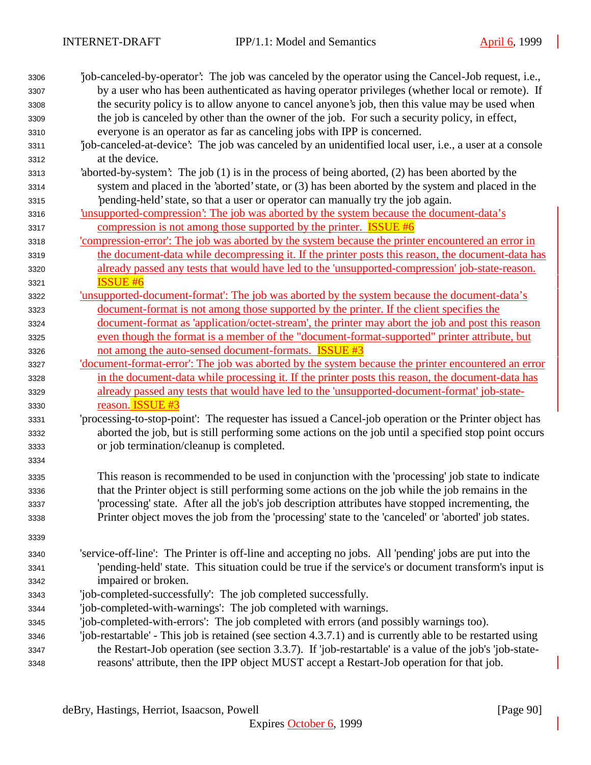| by a user who has been authenticated as having operator privileges (whether local or remote). If<br>the security policy is to allow anyone to cancel anyone's job, then this value may be used when<br>the job is canceled by other than the owner of the job. For such a security policy, in effect,<br>everyone is an operator as far as canceling jobs with IPP is concerned.<br>job-canceled-at-device': The job was canceled by an unidentified local user, i.e., a user at a console<br>at the device.<br>'aborted-by-system': The job (1) is in the process of being aborted, (2) has been aborted by the<br>system and placed in the 'aborted' state, or (3) has been aborted by the system and placed in the<br>pending-held' state, so that a user or operator can manually try the job again.<br><u>insupported-compression:</u> The job was aborted by the system because the document-data's<br>compression is not among those supported by the printer. <b>ISSUE #6</b><br><u>'compression-error': The job was aborted by the system because the printer encountered an error in</u><br>the document-data while decompressing it. If the printer posts this reason, the document-data has<br>already passed any tests that would have led to the 'unsupported-compression' job-state-reason.<br><b>ISSUE #6</b><br><u>lunsupported-document-format: The job was aborted by the system because the document-data's</u><br>document-format is not among those supported by the printer. If the client specifies the<br>document-format as 'application/octet-stream', the printer may abort the job and post this reason<br>even though the format is a member of the "document-format-supported" printer attribute, but<br>not among the auto-sensed document-formats. <b>ISSUE #3</b><br>'document-format-error': The job was aborted by the system because the printer encountered an error<br>in the document-data while processing it. If the printer posts this reason, the document-data has<br>already passed any tests that would have led to the 'unsupported-document-format' job-state-<br>reason. ISSUE #3<br>'processing-to-stop-point': The requester has issued a Cancel-job operation or the Printer object has<br>aborted the job, but is still performing some actions on the job until a specified stop point occurs<br>or job termination/cleanup is completed.<br>This reason is recommended to be used in conjunction with the 'processing' job state to indicate<br>that the Printer object is still performing some actions on the job while the job remains in the<br>'processing' state. After all the job's job description attributes have stopped incrementing, the<br>Printer object moves the job from the 'processing' state to the 'canceled' or 'aborted' job states.<br>'service-off-line': The Printer is off-line and accepting no jobs. All 'pending' jobs are put into the<br>'pending-held' state. This situation could be true if the service's or document transform's input is<br>impaired or broken.<br>'job-completed-successfully': The job completed successfully.<br>'job-completed-with-warnings': The job completed with warnings.<br>'job-completed-with-errors': The job completed with errors (and possibly warnings too).<br>'job-restartable' - This job is retained (see section 4.3.7.1) and is currently able to be restarted using<br>the Restart-Job operation (see section 3.3.7). If 'job-restartable' is a value of the job's 'job-state- | 3306 | job-canceled-by-operator. The job was canceled by the operator using the Cancel-Job request, i.e., |
|-----------------------------------------------------------------------------------------------------------------------------------------------------------------------------------------------------------------------------------------------------------------------------------------------------------------------------------------------------------------------------------------------------------------------------------------------------------------------------------------------------------------------------------------------------------------------------------------------------------------------------------------------------------------------------------------------------------------------------------------------------------------------------------------------------------------------------------------------------------------------------------------------------------------------------------------------------------------------------------------------------------------------------------------------------------------------------------------------------------------------------------------------------------------------------------------------------------------------------------------------------------------------------------------------------------------------------------------------------------------------------------------------------------------------------------------------------------------------------------------------------------------------------------------------------------------------------------------------------------------------------------------------------------------------------------------------------------------------------------------------------------------------------------------------------------------------------------------------------------------------------------------------------------------------------------------------------------------------------------------------------------------------------------------------------------------------------------------------------------------------------------------------------------------------------------------------------------------------------------------------------------------------------------------------------------------------------------------------------------------------------------------------------------------------------------------------------------------------------------------------------------------------------------------------------------------------------------------------------------------------------------------------------------------------------------------------------------------------------------------------------------------------------------------------------------------------------------------------------------------------------------------------------------------------------------------------------------------------------------------------------------------------------------------------------------------------------------------------------------------------------------------------------------------------------------------------------------------------------------------------------------------------------------------------------------------------------------------------------------------------------------------------------------------------------------------------------------------------------------------------------------------------|------|----------------------------------------------------------------------------------------------------|
|                                                                                                                                                                                                                                                                                                                                                                                                                                                                                                                                                                                                                                                                                                                                                                                                                                                                                                                                                                                                                                                                                                                                                                                                                                                                                                                                                                                                                                                                                                                                                                                                                                                                                                                                                                                                                                                                                                                                                                                                                                                                                                                                                                                                                                                                                                                                                                                                                                                                                                                                                                                                                                                                                                                                                                                                                                                                                                                                                                                                                                                                                                                                                                                                                                                                                                                                                                                                                                                                                                                       | 3307 |                                                                                                    |
|                                                                                                                                                                                                                                                                                                                                                                                                                                                                                                                                                                                                                                                                                                                                                                                                                                                                                                                                                                                                                                                                                                                                                                                                                                                                                                                                                                                                                                                                                                                                                                                                                                                                                                                                                                                                                                                                                                                                                                                                                                                                                                                                                                                                                                                                                                                                                                                                                                                                                                                                                                                                                                                                                                                                                                                                                                                                                                                                                                                                                                                                                                                                                                                                                                                                                                                                                                                                                                                                                                                       | 3308 |                                                                                                    |
|                                                                                                                                                                                                                                                                                                                                                                                                                                                                                                                                                                                                                                                                                                                                                                                                                                                                                                                                                                                                                                                                                                                                                                                                                                                                                                                                                                                                                                                                                                                                                                                                                                                                                                                                                                                                                                                                                                                                                                                                                                                                                                                                                                                                                                                                                                                                                                                                                                                                                                                                                                                                                                                                                                                                                                                                                                                                                                                                                                                                                                                                                                                                                                                                                                                                                                                                                                                                                                                                                                                       | 3309 |                                                                                                    |
|                                                                                                                                                                                                                                                                                                                                                                                                                                                                                                                                                                                                                                                                                                                                                                                                                                                                                                                                                                                                                                                                                                                                                                                                                                                                                                                                                                                                                                                                                                                                                                                                                                                                                                                                                                                                                                                                                                                                                                                                                                                                                                                                                                                                                                                                                                                                                                                                                                                                                                                                                                                                                                                                                                                                                                                                                                                                                                                                                                                                                                                                                                                                                                                                                                                                                                                                                                                                                                                                                                                       | 3310 |                                                                                                    |
|                                                                                                                                                                                                                                                                                                                                                                                                                                                                                                                                                                                                                                                                                                                                                                                                                                                                                                                                                                                                                                                                                                                                                                                                                                                                                                                                                                                                                                                                                                                                                                                                                                                                                                                                                                                                                                                                                                                                                                                                                                                                                                                                                                                                                                                                                                                                                                                                                                                                                                                                                                                                                                                                                                                                                                                                                                                                                                                                                                                                                                                                                                                                                                                                                                                                                                                                                                                                                                                                                                                       | 3311 |                                                                                                    |
|                                                                                                                                                                                                                                                                                                                                                                                                                                                                                                                                                                                                                                                                                                                                                                                                                                                                                                                                                                                                                                                                                                                                                                                                                                                                                                                                                                                                                                                                                                                                                                                                                                                                                                                                                                                                                                                                                                                                                                                                                                                                                                                                                                                                                                                                                                                                                                                                                                                                                                                                                                                                                                                                                                                                                                                                                                                                                                                                                                                                                                                                                                                                                                                                                                                                                                                                                                                                                                                                                                                       | 3312 |                                                                                                    |
|                                                                                                                                                                                                                                                                                                                                                                                                                                                                                                                                                                                                                                                                                                                                                                                                                                                                                                                                                                                                                                                                                                                                                                                                                                                                                                                                                                                                                                                                                                                                                                                                                                                                                                                                                                                                                                                                                                                                                                                                                                                                                                                                                                                                                                                                                                                                                                                                                                                                                                                                                                                                                                                                                                                                                                                                                                                                                                                                                                                                                                                                                                                                                                                                                                                                                                                                                                                                                                                                                                                       | 3313 |                                                                                                    |
|                                                                                                                                                                                                                                                                                                                                                                                                                                                                                                                                                                                                                                                                                                                                                                                                                                                                                                                                                                                                                                                                                                                                                                                                                                                                                                                                                                                                                                                                                                                                                                                                                                                                                                                                                                                                                                                                                                                                                                                                                                                                                                                                                                                                                                                                                                                                                                                                                                                                                                                                                                                                                                                                                                                                                                                                                                                                                                                                                                                                                                                                                                                                                                                                                                                                                                                                                                                                                                                                                                                       | 3314 |                                                                                                    |
|                                                                                                                                                                                                                                                                                                                                                                                                                                                                                                                                                                                                                                                                                                                                                                                                                                                                                                                                                                                                                                                                                                                                                                                                                                                                                                                                                                                                                                                                                                                                                                                                                                                                                                                                                                                                                                                                                                                                                                                                                                                                                                                                                                                                                                                                                                                                                                                                                                                                                                                                                                                                                                                                                                                                                                                                                                                                                                                                                                                                                                                                                                                                                                                                                                                                                                                                                                                                                                                                                                                       | 3315 |                                                                                                    |
|                                                                                                                                                                                                                                                                                                                                                                                                                                                                                                                                                                                                                                                                                                                                                                                                                                                                                                                                                                                                                                                                                                                                                                                                                                                                                                                                                                                                                                                                                                                                                                                                                                                                                                                                                                                                                                                                                                                                                                                                                                                                                                                                                                                                                                                                                                                                                                                                                                                                                                                                                                                                                                                                                                                                                                                                                                                                                                                                                                                                                                                                                                                                                                                                                                                                                                                                                                                                                                                                                                                       | 3316 |                                                                                                    |
|                                                                                                                                                                                                                                                                                                                                                                                                                                                                                                                                                                                                                                                                                                                                                                                                                                                                                                                                                                                                                                                                                                                                                                                                                                                                                                                                                                                                                                                                                                                                                                                                                                                                                                                                                                                                                                                                                                                                                                                                                                                                                                                                                                                                                                                                                                                                                                                                                                                                                                                                                                                                                                                                                                                                                                                                                                                                                                                                                                                                                                                                                                                                                                                                                                                                                                                                                                                                                                                                                                                       | 3317 |                                                                                                    |
|                                                                                                                                                                                                                                                                                                                                                                                                                                                                                                                                                                                                                                                                                                                                                                                                                                                                                                                                                                                                                                                                                                                                                                                                                                                                                                                                                                                                                                                                                                                                                                                                                                                                                                                                                                                                                                                                                                                                                                                                                                                                                                                                                                                                                                                                                                                                                                                                                                                                                                                                                                                                                                                                                                                                                                                                                                                                                                                                                                                                                                                                                                                                                                                                                                                                                                                                                                                                                                                                                                                       | 3318 |                                                                                                    |
|                                                                                                                                                                                                                                                                                                                                                                                                                                                                                                                                                                                                                                                                                                                                                                                                                                                                                                                                                                                                                                                                                                                                                                                                                                                                                                                                                                                                                                                                                                                                                                                                                                                                                                                                                                                                                                                                                                                                                                                                                                                                                                                                                                                                                                                                                                                                                                                                                                                                                                                                                                                                                                                                                                                                                                                                                                                                                                                                                                                                                                                                                                                                                                                                                                                                                                                                                                                                                                                                                                                       | 3319 |                                                                                                    |
|                                                                                                                                                                                                                                                                                                                                                                                                                                                                                                                                                                                                                                                                                                                                                                                                                                                                                                                                                                                                                                                                                                                                                                                                                                                                                                                                                                                                                                                                                                                                                                                                                                                                                                                                                                                                                                                                                                                                                                                                                                                                                                                                                                                                                                                                                                                                                                                                                                                                                                                                                                                                                                                                                                                                                                                                                                                                                                                                                                                                                                                                                                                                                                                                                                                                                                                                                                                                                                                                                                                       | 3320 |                                                                                                    |
|                                                                                                                                                                                                                                                                                                                                                                                                                                                                                                                                                                                                                                                                                                                                                                                                                                                                                                                                                                                                                                                                                                                                                                                                                                                                                                                                                                                                                                                                                                                                                                                                                                                                                                                                                                                                                                                                                                                                                                                                                                                                                                                                                                                                                                                                                                                                                                                                                                                                                                                                                                                                                                                                                                                                                                                                                                                                                                                                                                                                                                                                                                                                                                                                                                                                                                                                                                                                                                                                                                                       | 3321 |                                                                                                    |
|                                                                                                                                                                                                                                                                                                                                                                                                                                                                                                                                                                                                                                                                                                                                                                                                                                                                                                                                                                                                                                                                                                                                                                                                                                                                                                                                                                                                                                                                                                                                                                                                                                                                                                                                                                                                                                                                                                                                                                                                                                                                                                                                                                                                                                                                                                                                                                                                                                                                                                                                                                                                                                                                                                                                                                                                                                                                                                                                                                                                                                                                                                                                                                                                                                                                                                                                                                                                                                                                                                                       | 3322 |                                                                                                    |
|                                                                                                                                                                                                                                                                                                                                                                                                                                                                                                                                                                                                                                                                                                                                                                                                                                                                                                                                                                                                                                                                                                                                                                                                                                                                                                                                                                                                                                                                                                                                                                                                                                                                                                                                                                                                                                                                                                                                                                                                                                                                                                                                                                                                                                                                                                                                                                                                                                                                                                                                                                                                                                                                                                                                                                                                                                                                                                                                                                                                                                                                                                                                                                                                                                                                                                                                                                                                                                                                                                                       | 3323 |                                                                                                    |
|                                                                                                                                                                                                                                                                                                                                                                                                                                                                                                                                                                                                                                                                                                                                                                                                                                                                                                                                                                                                                                                                                                                                                                                                                                                                                                                                                                                                                                                                                                                                                                                                                                                                                                                                                                                                                                                                                                                                                                                                                                                                                                                                                                                                                                                                                                                                                                                                                                                                                                                                                                                                                                                                                                                                                                                                                                                                                                                                                                                                                                                                                                                                                                                                                                                                                                                                                                                                                                                                                                                       | 3324 |                                                                                                    |
|                                                                                                                                                                                                                                                                                                                                                                                                                                                                                                                                                                                                                                                                                                                                                                                                                                                                                                                                                                                                                                                                                                                                                                                                                                                                                                                                                                                                                                                                                                                                                                                                                                                                                                                                                                                                                                                                                                                                                                                                                                                                                                                                                                                                                                                                                                                                                                                                                                                                                                                                                                                                                                                                                                                                                                                                                                                                                                                                                                                                                                                                                                                                                                                                                                                                                                                                                                                                                                                                                                                       | 3325 |                                                                                                    |
|                                                                                                                                                                                                                                                                                                                                                                                                                                                                                                                                                                                                                                                                                                                                                                                                                                                                                                                                                                                                                                                                                                                                                                                                                                                                                                                                                                                                                                                                                                                                                                                                                                                                                                                                                                                                                                                                                                                                                                                                                                                                                                                                                                                                                                                                                                                                                                                                                                                                                                                                                                                                                                                                                                                                                                                                                                                                                                                                                                                                                                                                                                                                                                                                                                                                                                                                                                                                                                                                                                                       | 3326 |                                                                                                    |
|                                                                                                                                                                                                                                                                                                                                                                                                                                                                                                                                                                                                                                                                                                                                                                                                                                                                                                                                                                                                                                                                                                                                                                                                                                                                                                                                                                                                                                                                                                                                                                                                                                                                                                                                                                                                                                                                                                                                                                                                                                                                                                                                                                                                                                                                                                                                                                                                                                                                                                                                                                                                                                                                                                                                                                                                                                                                                                                                                                                                                                                                                                                                                                                                                                                                                                                                                                                                                                                                                                                       | 3327 |                                                                                                    |
|                                                                                                                                                                                                                                                                                                                                                                                                                                                                                                                                                                                                                                                                                                                                                                                                                                                                                                                                                                                                                                                                                                                                                                                                                                                                                                                                                                                                                                                                                                                                                                                                                                                                                                                                                                                                                                                                                                                                                                                                                                                                                                                                                                                                                                                                                                                                                                                                                                                                                                                                                                                                                                                                                                                                                                                                                                                                                                                                                                                                                                                                                                                                                                                                                                                                                                                                                                                                                                                                                                                       | 3328 |                                                                                                    |
|                                                                                                                                                                                                                                                                                                                                                                                                                                                                                                                                                                                                                                                                                                                                                                                                                                                                                                                                                                                                                                                                                                                                                                                                                                                                                                                                                                                                                                                                                                                                                                                                                                                                                                                                                                                                                                                                                                                                                                                                                                                                                                                                                                                                                                                                                                                                                                                                                                                                                                                                                                                                                                                                                                                                                                                                                                                                                                                                                                                                                                                                                                                                                                                                                                                                                                                                                                                                                                                                                                                       | 3329 |                                                                                                    |
|                                                                                                                                                                                                                                                                                                                                                                                                                                                                                                                                                                                                                                                                                                                                                                                                                                                                                                                                                                                                                                                                                                                                                                                                                                                                                                                                                                                                                                                                                                                                                                                                                                                                                                                                                                                                                                                                                                                                                                                                                                                                                                                                                                                                                                                                                                                                                                                                                                                                                                                                                                                                                                                                                                                                                                                                                                                                                                                                                                                                                                                                                                                                                                                                                                                                                                                                                                                                                                                                                                                       | 3330 |                                                                                                    |
|                                                                                                                                                                                                                                                                                                                                                                                                                                                                                                                                                                                                                                                                                                                                                                                                                                                                                                                                                                                                                                                                                                                                                                                                                                                                                                                                                                                                                                                                                                                                                                                                                                                                                                                                                                                                                                                                                                                                                                                                                                                                                                                                                                                                                                                                                                                                                                                                                                                                                                                                                                                                                                                                                                                                                                                                                                                                                                                                                                                                                                                                                                                                                                                                                                                                                                                                                                                                                                                                                                                       | 3331 |                                                                                                    |
|                                                                                                                                                                                                                                                                                                                                                                                                                                                                                                                                                                                                                                                                                                                                                                                                                                                                                                                                                                                                                                                                                                                                                                                                                                                                                                                                                                                                                                                                                                                                                                                                                                                                                                                                                                                                                                                                                                                                                                                                                                                                                                                                                                                                                                                                                                                                                                                                                                                                                                                                                                                                                                                                                                                                                                                                                                                                                                                                                                                                                                                                                                                                                                                                                                                                                                                                                                                                                                                                                                                       | 3332 |                                                                                                    |
|                                                                                                                                                                                                                                                                                                                                                                                                                                                                                                                                                                                                                                                                                                                                                                                                                                                                                                                                                                                                                                                                                                                                                                                                                                                                                                                                                                                                                                                                                                                                                                                                                                                                                                                                                                                                                                                                                                                                                                                                                                                                                                                                                                                                                                                                                                                                                                                                                                                                                                                                                                                                                                                                                                                                                                                                                                                                                                                                                                                                                                                                                                                                                                                                                                                                                                                                                                                                                                                                                                                       | 3333 |                                                                                                    |
|                                                                                                                                                                                                                                                                                                                                                                                                                                                                                                                                                                                                                                                                                                                                                                                                                                                                                                                                                                                                                                                                                                                                                                                                                                                                                                                                                                                                                                                                                                                                                                                                                                                                                                                                                                                                                                                                                                                                                                                                                                                                                                                                                                                                                                                                                                                                                                                                                                                                                                                                                                                                                                                                                                                                                                                                                                                                                                                                                                                                                                                                                                                                                                                                                                                                                                                                                                                                                                                                                                                       | 3334 |                                                                                                    |
|                                                                                                                                                                                                                                                                                                                                                                                                                                                                                                                                                                                                                                                                                                                                                                                                                                                                                                                                                                                                                                                                                                                                                                                                                                                                                                                                                                                                                                                                                                                                                                                                                                                                                                                                                                                                                                                                                                                                                                                                                                                                                                                                                                                                                                                                                                                                                                                                                                                                                                                                                                                                                                                                                                                                                                                                                                                                                                                                                                                                                                                                                                                                                                                                                                                                                                                                                                                                                                                                                                                       | 3335 |                                                                                                    |
|                                                                                                                                                                                                                                                                                                                                                                                                                                                                                                                                                                                                                                                                                                                                                                                                                                                                                                                                                                                                                                                                                                                                                                                                                                                                                                                                                                                                                                                                                                                                                                                                                                                                                                                                                                                                                                                                                                                                                                                                                                                                                                                                                                                                                                                                                                                                                                                                                                                                                                                                                                                                                                                                                                                                                                                                                                                                                                                                                                                                                                                                                                                                                                                                                                                                                                                                                                                                                                                                                                                       | 3336 |                                                                                                    |
|                                                                                                                                                                                                                                                                                                                                                                                                                                                                                                                                                                                                                                                                                                                                                                                                                                                                                                                                                                                                                                                                                                                                                                                                                                                                                                                                                                                                                                                                                                                                                                                                                                                                                                                                                                                                                                                                                                                                                                                                                                                                                                                                                                                                                                                                                                                                                                                                                                                                                                                                                                                                                                                                                                                                                                                                                                                                                                                                                                                                                                                                                                                                                                                                                                                                                                                                                                                                                                                                                                                       | 3337 |                                                                                                    |
|                                                                                                                                                                                                                                                                                                                                                                                                                                                                                                                                                                                                                                                                                                                                                                                                                                                                                                                                                                                                                                                                                                                                                                                                                                                                                                                                                                                                                                                                                                                                                                                                                                                                                                                                                                                                                                                                                                                                                                                                                                                                                                                                                                                                                                                                                                                                                                                                                                                                                                                                                                                                                                                                                                                                                                                                                                                                                                                                                                                                                                                                                                                                                                                                                                                                                                                                                                                                                                                                                                                       | 3338 |                                                                                                    |
|                                                                                                                                                                                                                                                                                                                                                                                                                                                                                                                                                                                                                                                                                                                                                                                                                                                                                                                                                                                                                                                                                                                                                                                                                                                                                                                                                                                                                                                                                                                                                                                                                                                                                                                                                                                                                                                                                                                                                                                                                                                                                                                                                                                                                                                                                                                                                                                                                                                                                                                                                                                                                                                                                                                                                                                                                                                                                                                                                                                                                                                                                                                                                                                                                                                                                                                                                                                                                                                                                                                       | 3339 |                                                                                                    |
|                                                                                                                                                                                                                                                                                                                                                                                                                                                                                                                                                                                                                                                                                                                                                                                                                                                                                                                                                                                                                                                                                                                                                                                                                                                                                                                                                                                                                                                                                                                                                                                                                                                                                                                                                                                                                                                                                                                                                                                                                                                                                                                                                                                                                                                                                                                                                                                                                                                                                                                                                                                                                                                                                                                                                                                                                                                                                                                                                                                                                                                                                                                                                                                                                                                                                                                                                                                                                                                                                                                       | 3340 |                                                                                                    |
|                                                                                                                                                                                                                                                                                                                                                                                                                                                                                                                                                                                                                                                                                                                                                                                                                                                                                                                                                                                                                                                                                                                                                                                                                                                                                                                                                                                                                                                                                                                                                                                                                                                                                                                                                                                                                                                                                                                                                                                                                                                                                                                                                                                                                                                                                                                                                                                                                                                                                                                                                                                                                                                                                                                                                                                                                                                                                                                                                                                                                                                                                                                                                                                                                                                                                                                                                                                                                                                                                                                       | 3341 |                                                                                                    |
|                                                                                                                                                                                                                                                                                                                                                                                                                                                                                                                                                                                                                                                                                                                                                                                                                                                                                                                                                                                                                                                                                                                                                                                                                                                                                                                                                                                                                                                                                                                                                                                                                                                                                                                                                                                                                                                                                                                                                                                                                                                                                                                                                                                                                                                                                                                                                                                                                                                                                                                                                                                                                                                                                                                                                                                                                                                                                                                                                                                                                                                                                                                                                                                                                                                                                                                                                                                                                                                                                                                       | 3342 |                                                                                                    |
|                                                                                                                                                                                                                                                                                                                                                                                                                                                                                                                                                                                                                                                                                                                                                                                                                                                                                                                                                                                                                                                                                                                                                                                                                                                                                                                                                                                                                                                                                                                                                                                                                                                                                                                                                                                                                                                                                                                                                                                                                                                                                                                                                                                                                                                                                                                                                                                                                                                                                                                                                                                                                                                                                                                                                                                                                                                                                                                                                                                                                                                                                                                                                                                                                                                                                                                                                                                                                                                                                                                       | 3343 |                                                                                                    |
|                                                                                                                                                                                                                                                                                                                                                                                                                                                                                                                                                                                                                                                                                                                                                                                                                                                                                                                                                                                                                                                                                                                                                                                                                                                                                                                                                                                                                                                                                                                                                                                                                                                                                                                                                                                                                                                                                                                                                                                                                                                                                                                                                                                                                                                                                                                                                                                                                                                                                                                                                                                                                                                                                                                                                                                                                                                                                                                                                                                                                                                                                                                                                                                                                                                                                                                                                                                                                                                                                                                       | 3344 |                                                                                                    |
|                                                                                                                                                                                                                                                                                                                                                                                                                                                                                                                                                                                                                                                                                                                                                                                                                                                                                                                                                                                                                                                                                                                                                                                                                                                                                                                                                                                                                                                                                                                                                                                                                                                                                                                                                                                                                                                                                                                                                                                                                                                                                                                                                                                                                                                                                                                                                                                                                                                                                                                                                                                                                                                                                                                                                                                                                                                                                                                                                                                                                                                                                                                                                                                                                                                                                                                                                                                                                                                                                                                       | 3345 |                                                                                                    |
|                                                                                                                                                                                                                                                                                                                                                                                                                                                                                                                                                                                                                                                                                                                                                                                                                                                                                                                                                                                                                                                                                                                                                                                                                                                                                                                                                                                                                                                                                                                                                                                                                                                                                                                                                                                                                                                                                                                                                                                                                                                                                                                                                                                                                                                                                                                                                                                                                                                                                                                                                                                                                                                                                                                                                                                                                                                                                                                                                                                                                                                                                                                                                                                                                                                                                                                                                                                                                                                                                                                       | 3346 |                                                                                                    |
|                                                                                                                                                                                                                                                                                                                                                                                                                                                                                                                                                                                                                                                                                                                                                                                                                                                                                                                                                                                                                                                                                                                                                                                                                                                                                                                                                                                                                                                                                                                                                                                                                                                                                                                                                                                                                                                                                                                                                                                                                                                                                                                                                                                                                                                                                                                                                                                                                                                                                                                                                                                                                                                                                                                                                                                                                                                                                                                                                                                                                                                                                                                                                                                                                                                                                                                                                                                                                                                                                                                       | 3347 |                                                                                                    |
|                                                                                                                                                                                                                                                                                                                                                                                                                                                                                                                                                                                                                                                                                                                                                                                                                                                                                                                                                                                                                                                                                                                                                                                                                                                                                                                                                                                                                                                                                                                                                                                                                                                                                                                                                                                                                                                                                                                                                                                                                                                                                                                                                                                                                                                                                                                                                                                                                                                                                                                                                                                                                                                                                                                                                                                                                                                                                                                                                                                                                                                                                                                                                                                                                                                                                                                                                                                                                                                                                                                       | 3348 | reasons' attribute, then the IPP object MUST accept a Restart-Job operation for that job.          |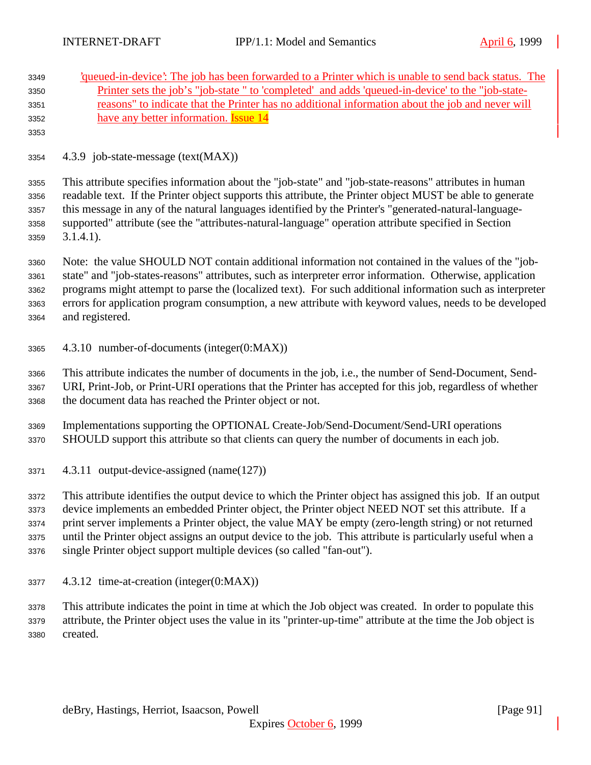| 3349<br>3350<br>3351<br>3352<br>3353 | 'queued-in-device': The job has been forwarded to a Printer which is unable to send back status. The<br><u>Printer sets the job's "job-state" to 'completed' and adds 'queued-in-device' to the "job-state-</u><br>reasons" to indicate that the Printer has no additional information about the job and never will<br>have any better information. <b>Issue 14</b> |
|--------------------------------------|---------------------------------------------------------------------------------------------------------------------------------------------------------------------------------------------------------------------------------------------------------------------------------------------------------------------------------------------------------------------|
| 3354                                 | 4.3.9 job-state-message (text(MAX))                                                                                                                                                                                                                                                                                                                                 |
| 3355                                 | This attribute specifies information about the "job-state" and "job-state-reasons" attributes in human                                                                                                                                                                                                                                                              |
| 3356                                 | readable text. If the Printer object supports this attribute, the Printer object MUST be able to generate                                                                                                                                                                                                                                                           |
| 3357                                 | this message in any of the natural languages identified by the Printer's "generated-natural-language-                                                                                                                                                                                                                                                               |
| 3358                                 | supported" attribute (see the "attributes-natural-language" operation attribute specified in Section                                                                                                                                                                                                                                                                |
| 3359                                 | $3.1.4.1$ ).                                                                                                                                                                                                                                                                                                                                                        |
| 3360                                 | Note: the value SHOULD NOT contain additional information not contained in the values of the "job-                                                                                                                                                                                                                                                                  |
| 3361                                 | state" and "job-states-reasons" attributes, such as interpreter error information. Otherwise, application                                                                                                                                                                                                                                                           |
| 3362                                 | programs might attempt to parse the (localized text). For such additional information such as interpreter                                                                                                                                                                                                                                                           |
| 3363                                 | errors for application program consumption, a new attribute with keyword values, needs to be developed                                                                                                                                                                                                                                                              |
| 3364                                 | and registered.                                                                                                                                                                                                                                                                                                                                                     |
| 3365                                 | 4.3.10 number-of-documents (integer(0:MAX))                                                                                                                                                                                                                                                                                                                         |
| 3366                                 | This attribute indicates the number of documents in the job, i.e., the number of Send-Document, Send-                                                                                                                                                                                                                                                               |
| 3367                                 | URI, Print-Job, or Print-URI operations that the Printer has accepted for this job, regardless of whether                                                                                                                                                                                                                                                           |
| 3368                                 | the document data has reached the Printer object or not.                                                                                                                                                                                                                                                                                                            |
| 3369                                 | Implementations supporting the OPTIONAL Create-Job/Send-Document/Send-URI operations                                                                                                                                                                                                                                                                                |
| 3370                                 | SHOULD support this attribute so that clients can query the number of documents in each job.                                                                                                                                                                                                                                                                        |
| 3371                                 | 4.3.11 output-device-assigned (name(127))                                                                                                                                                                                                                                                                                                                           |
| 3372                                 | This attribute identifies the output device to which the Printer object has assigned this job. If an output                                                                                                                                                                                                                                                         |
| 3373                                 | device implements an embedded Printer object, the Printer object NEED NOT set this attribute. If a                                                                                                                                                                                                                                                                  |
| 3374                                 | print server implements a Printer object, the value MAY be empty (zero-length string) or not returned                                                                                                                                                                                                                                                               |
| 3375                                 | until the Printer object assigns an output device to the job. This attribute is particularly useful when a                                                                                                                                                                                                                                                          |
| 3376                                 | single Printer object support multiple devices (so called "fan-out").                                                                                                                                                                                                                                                                                               |
| 3377                                 | 4.3.12 time-at-creation (integer(0:MAX))                                                                                                                                                                                                                                                                                                                            |
| 3378                                 | This attribute indicates the point in time at which the Job object was created. In order to populate this                                                                                                                                                                                                                                                           |
| 3379                                 | attribute, the Printer object uses the value in its "printer-up-time" attribute at the time the Job object is                                                                                                                                                                                                                                                       |

created.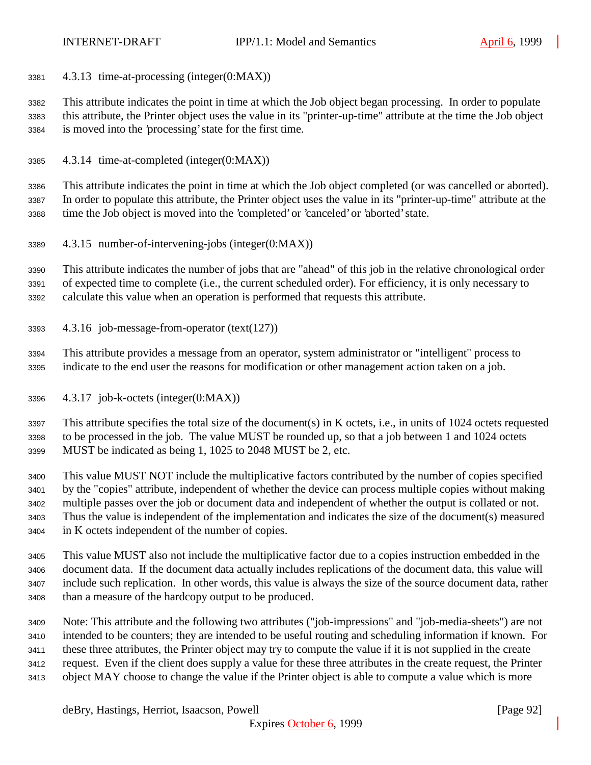4.3.13 time-at-processing (integer(0:MAX))

 This attribute indicates the point in time at which the Job object began processing. In order to populate this attribute, the Printer object uses the value in its "printer-up-time" attribute at the time the Job object is moved into the 'processing' state for the first time.

4.3.14 time-at-completed (integer(0:MAX))

 This attribute indicates the point in time at which the Job object completed (or was cancelled or aborted). In order to populate this attribute, the Printer object uses the value in its "printer-up-time" attribute at the time the Job object is moved into the 'completed' or 'canceled' or 'aborted' state.

4.3.15 number-of-intervening-jobs (integer(0:MAX))

 This attribute indicates the number of jobs that are "ahead" of this job in the relative chronological order of expected time to complete (i.e., the current scheduled order). For efficiency, it is only necessary to calculate this value when an operation is performed that requests this attribute.

- 4.3.16 job-message-from-operator (text(127))
- This attribute provides a message from an operator, system administrator or "intelligent" process to indicate to the end user the reasons for modification or other management action taken on a job.
- 4.3.17 job-k-octets (integer(0:MAX))

 This attribute specifies the total size of the document(s) in K octets, i.e., in units of 1024 octets requested to be processed in the job. The value MUST be rounded up, so that a job between 1 and 1024 octets MUST be indicated as being 1, 1025 to 2048 MUST be 2, etc.

 This value MUST NOT include the multiplicative factors contributed by the number of copies specified by the "copies" attribute, independent of whether the device can process multiple copies without making multiple passes over the job or document data and independent of whether the output is collated or not. Thus the value is independent of the implementation and indicates the size of the document(s) measured in K octets independent of the number of copies.

 This value MUST also not include the multiplicative factor due to a copies instruction embedded in the document data. If the document data actually includes replications of the document data, this value will include such replication. In other words, this value is always the size of the source document data, rather than a measure of the hardcopy output to be produced.

 Note: This attribute and the following two attributes ("job-impressions" and "job-media-sheets") are not intended to be counters; they are intended to be useful routing and scheduling information if known. For these three attributes, the Printer object may try to compute the value if it is not supplied in the create request. Even if the client does supply a value for these three attributes in the create request, the Printer object MAY choose to change the value if the Printer object is able to compute a value which is more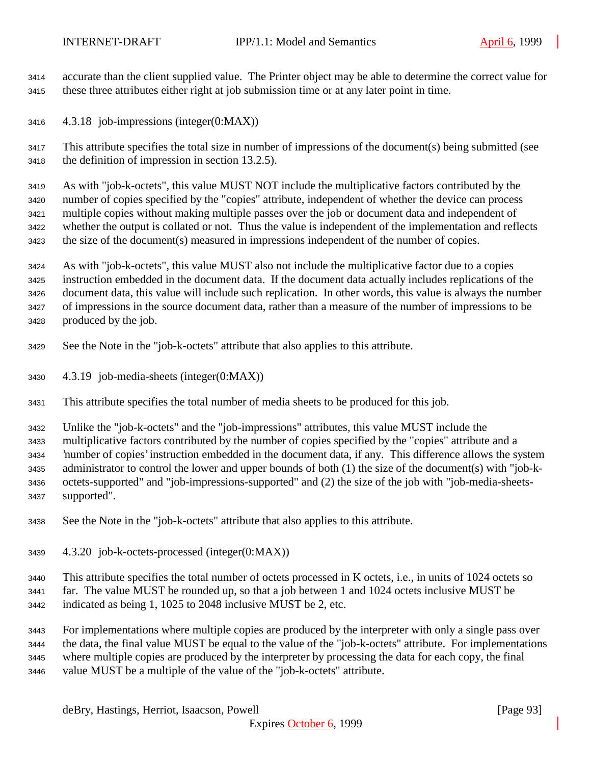accurate than the client supplied value. The Printer object may be able to determine the correct value for these three attributes either right at job submission time or at any later point in time.

4.3.18 job-impressions (integer(0:MAX))

 This attribute specifies the total size in number of impressions of the document(s) being submitted (see the definition of impression in section 13.2.5).

 As with "job-k-octets", this value MUST NOT include the multiplicative factors contributed by the number of copies specified by the "copies" attribute, independent of whether the device can process multiple copies without making multiple passes over the job or document data and independent of whether the output is collated or not. Thus the value is independent of the implementation and reflects the size of the document(s) measured in impressions independent of the number of copies.

 As with "job-k-octets", this value MUST also not include the multiplicative factor due to a copies instruction embedded in the document data. If the document data actually includes replications of the document data, this value will include such replication. In other words, this value is always the number of impressions in the source document data, rather than a measure of the number of impressions to be produced by the job.

- See the Note in the "job-k-octets" attribute that also applies to this attribute.
- 4.3.19 job-media-sheets (integer(0:MAX))
- This attribute specifies the total number of media sheets to be produced for this job.

Unlike the "job-k-octets" and the "job-impressions" attributes, this value MUST include the

 multiplicative factors contributed by the number of copies specified by the "copies" attribute and a 'number of copies' instruction embedded in the document data, if any. This difference allows the system administrator to control the lower and upper bounds of both (1) the size of the document(s) with "job-k- octets-supported" and "job-impressions-supported" and (2) the size of the job with "job-media-sheets-supported".

- See the Note in the "job-k-octets" attribute that also applies to this attribute.
- 4.3.20 job-k-octets-processed (integer(0:MAX))

This attribute specifies the total number of octets processed in K octets, i.e., in units of 1024 octets so

- far. The value MUST be rounded up, so that a job between 1 and 1024 octets inclusive MUST be
- indicated as being 1, 1025 to 2048 inclusive MUST be 2, etc.

 For implementations where multiple copies are produced by the interpreter with only a single pass over the data, the final value MUST be equal to the value of the "job-k-octets" attribute. For implementations where multiple copies are produced by the interpreter by processing the data for each copy, the final value MUST be a multiple of the value of the "job-k-octets" attribute.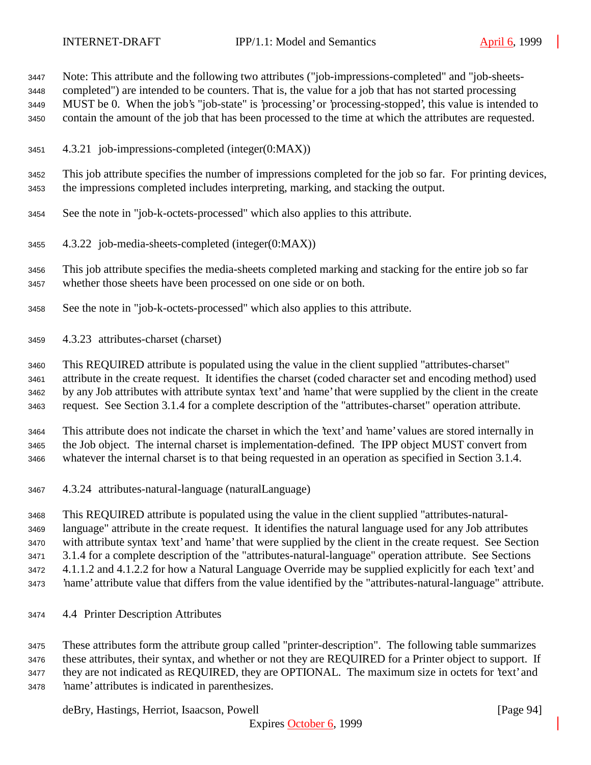Note: This attribute and the following two attributes ("job-impressions-completed" and "job-sheets-

completed") are intended to be counters. That is, the value for a job that has not started processing

MUST be 0. When the job's "job-state" is 'processing' or 'processing-stopped', this value is intended to

contain the amount of the job that has been processed to the time at which the attributes are requested.

4.3.21 job-impressions-completed (integer(0:MAX))

 This job attribute specifies the number of impressions completed for the job so far. For printing devices, the impressions completed includes interpreting, marking, and stacking the output.

- See the note in "job-k-octets-processed" which also applies to this attribute.
- 4.3.22 job-media-sheets-completed (integer(0:MAX))

 This job attribute specifies the media-sheets completed marking and stacking for the entire job so far whether those sheets have been processed on one side or on both.

- See the note in "job-k-octets-processed" which also applies to this attribute.
- 4.3.23 attributes-charset (charset)

This REQUIRED attribute is populated using the value in the client supplied "attributes-charset"

 attribute in the create request. It identifies the charset (coded character set and encoding method) used by any Job attributes with attribute syntax 'text' and 'name' that were supplied by the client in the create

request. See Section 3.1.4 for a complete description of the "attributes-charset" operation attribute.

This attribute does not indicate the charset in which the 'text' and 'name' values are stored internally in

 the Job object. The internal charset is implementation-defined. The IPP object MUST convert from whatever the internal charset is to that being requested in an operation as specified in Section 3.1.4.

4.3.24 attributes-natural-language (naturalLanguage)

 This REQUIRED attribute is populated using the value in the client supplied "attributes-natural- language" attribute in the create request. It identifies the natural language used for any Job attributes with attribute syntax 'text' and 'name' that were supplied by the client in the create request. See Section 3.1.4 for a complete description of the "attributes-natural-language" operation attribute. See Sections 4.1.1.2 and 4.1.2.2 for how a Natural Language Override may be supplied explicitly for each 'text' and 'name' attribute value that differs from the value identified by the "attributes-natural-language" attribute.

4.4 Printer Description Attributes

 These attributes form the attribute group called "printer-description". The following table summarizes these attributes, their syntax, and whether or not they are REQUIRED for a Printer object to support. If they are not indicated as REQUIRED, they are OPTIONAL. The maximum size in octets for 'text' and 'name' attributes is indicated in parenthesizes.

deBry, Hastings, Herriot, Isaacson, Powell **Example 2018** [Page 94]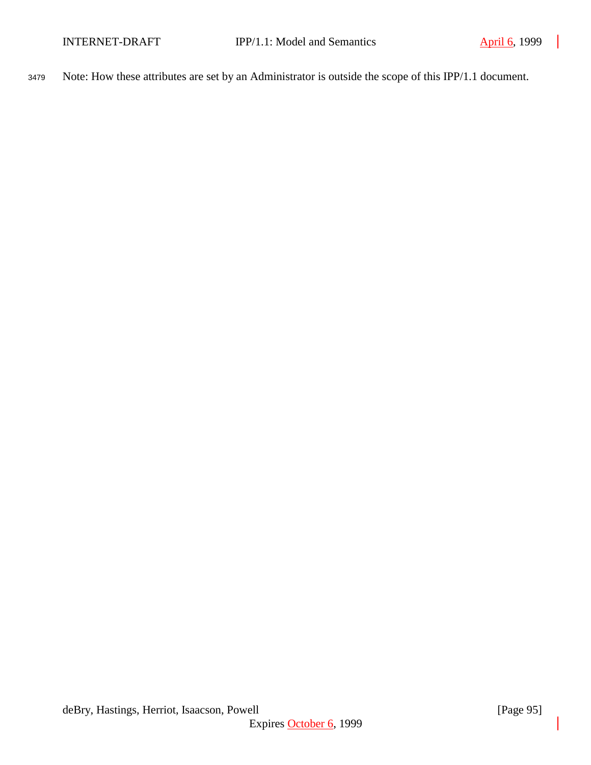<sup>3479</sup> Note: How these attributes are set by an Administrator is outside the scope of this IPP/1.1 document.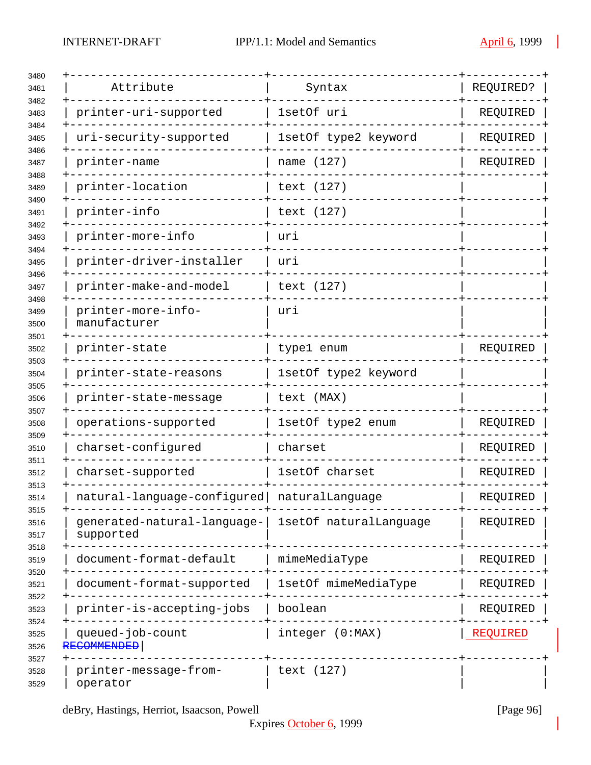| Attribute                                | Syntax                 | REQUIRED? |
|------------------------------------------|------------------------|-----------|
| printer-uri-supported                    | 1setOf uri             | REQUIRED  |
| uri-security-supported                   | 1setOf type2 keyword   | REQUIRED  |
| printer-name                             | name (127)             | REQUIRED  |
| printer-location                         | text (127)             |           |
| printer-info                             | text (127)             |           |
| printer-more-info                        | uri                    |           |
| printer-driver-installer                 | uri                    |           |
| printer-make-and-model                   | text (127)             |           |
| printer-more-info-<br>manufacturer       | uri                    |           |
| printer-state                            | type1 enum             | REQUIRED  |
| printer-state-reasons                    | 1setOf type2 keyword   |           |
| printer-state-message                    | text (MAX)             |           |
| operations-supported                     | 1setOf type2 enum      | REQUIRED  |
| charset-configured                       | charset                | REQUIRED  |
| charset-supported                        | 1setOf charset         | REQUIRED  |
| natural-language-configured              | naturalLanguage        | REQUIRED  |
| generated-natural-language-<br>supported | 1setOf naturalLanquage | REQUIRED  |
| document-format-default                  | mimeMediaType          | REQUIRED  |
| document-format-supported                | 1setOf mimeMediaType   | REQUIRED  |
| printer-is-accepting-jobs                | boolean                | REQUIRED  |
| queued-job-count<br>RECOMMENDED          | integer (0:MAX)        | REQUIRED  |
| printer-message-from-<br>operator        | text (127)             |           |

deBry, Hastings, Herriot, Isaacson, Powell [Page 96]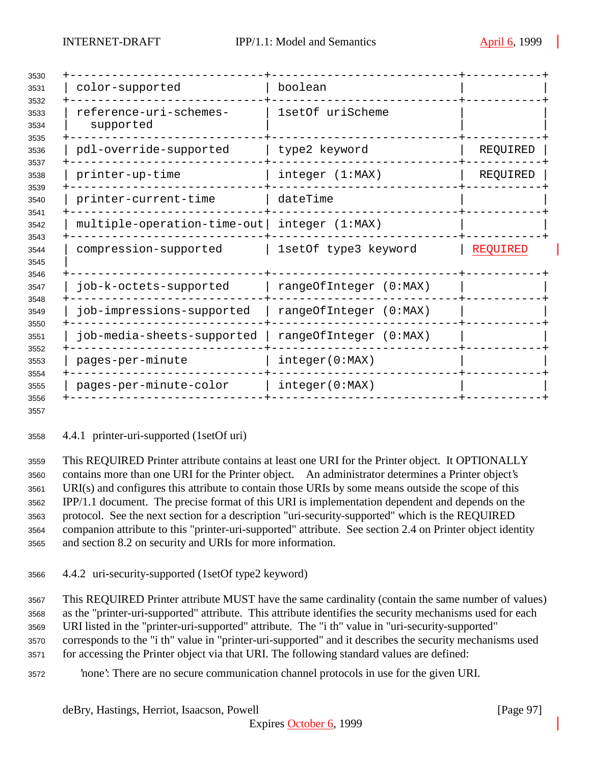| color-supported                             | boolean                |                 |
|---------------------------------------------|------------------------|-----------------|
| reference-uri-schemes-<br>supported         | 1setOf uriScheme       |                 |
| pdl-override-supported                      | type2 keyword          | REQUIRED        |
| printer-up-time                             | integer (1:MAX)        | REQUIRED        |
| printer-current-time                        | dateTime               |                 |
| multiple-operation-time-out integer (1:MAX) |                        |                 |
| compression-supported                       | 1setOf type3 keyword   | <b>REQUIRED</b> |
| job-k-octets-supported                      | rangeOfInteger (0:MAX) |                 |
| job-impressions-supported                   | rangeOfInteger (0:MAX) |                 |
| job-media-sheets-supported                  | rangeOfInteger (0:MAX) |                 |
| pages-per-minute                            | integer(0:MAX)         |                 |
| pages-per-minute-color                      | integer(0:MAX)         |                 |
|                                             |                        |                 |

4.4.1 printer-uri-supported (1setOf uri)

 This REQUIRED Printer attribute contains at least one URI for the Printer object. It OPTIONALLY contains more than one URI for the Printer object. An administrator determines a Printer object's URI(s) and configures this attribute to contain those URIs by some means outside the scope of this IPP/1.1 document. The precise format of this URI is implementation dependent and depends on the protocol. See the next section for a description "uri-security-supported" which is the REQUIRED companion attribute to this "printer-uri-supported" attribute. See section 2.4 on Printer object identity and section 8.2 on security and URIs for more information.

4.4.2 uri-security-supported (1setOf type2 keyword)

 This REQUIRED Printer attribute MUST have the same cardinality (contain the same number of values) as the "printer-uri-supported" attribute. This attribute identifies the security mechanisms used for each URI listed in the "printer-uri-supported" attribute. The "i th" value in "uri-security-supported" corresponds to the "i th" value in "printer-uri-supported" and it describes the security mechanisms used for accessing the Printer object via that URI. The following standard values are defined:

'none': There are no secure communication channel protocols in use for the given URI.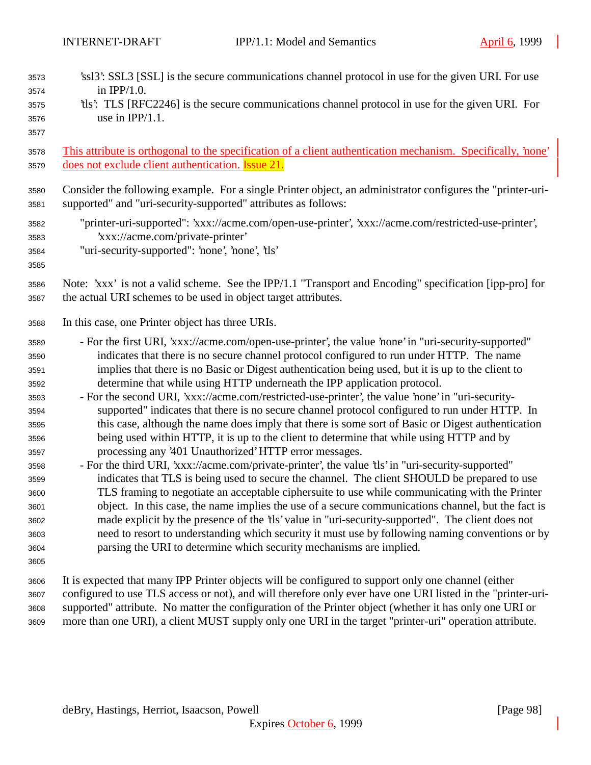| 3573<br>3574<br>3575<br>3576<br>3577                                                                                                 | 'ssl3': SSL3 [SSL] is the secure communications channel protocol in use for the given URI. For use<br>in $IPP/1.0$ .<br>the this. TLS [RFC2246] is the secure communications channel protocol in use for the given URI. For<br>use in $IPP/1.1$ .                                                                                                                                                                                                                                                                                                                                                                                                                                                                                                                                                                                                                                                                                                                                                                                                                                                                                                                                                                                                                                                                                                                                                                                                                                                                                                  |
|--------------------------------------------------------------------------------------------------------------------------------------|----------------------------------------------------------------------------------------------------------------------------------------------------------------------------------------------------------------------------------------------------------------------------------------------------------------------------------------------------------------------------------------------------------------------------------------------------------------------------------------------------------------------------------------------------------------------------------------------------------------------------------------------------------------------------------------------------------------------------------------------------------------------------------------------------------------------------------------------------------------------------------------------------------------------------------------------------------------------------------------------------------------------------------------------------------------------------------------------------------------------------------------------------------------------------------------------------------------------------------------------------------------------------------------------------------------------------------------------------------------------------------------------------------------------------------------------------------------------------------------------------------------------------------------------------|
| 3578                                                                                                                                 | This attribute is orthogonal to the specification of a client authentication mechanism. Specifically, 'none'                                                                                                                                                                                                                                                                                                                                                                                                                                                                                                                                                                                                                                                                                                                                                                                                                                                                                                                                                                                                                                                                                                                                                                                                                                                                                                                                                                                                                                       |
| 3579                                                                                                                                 | does not exclude client authentication. Issue 21.                                                                                                                                                                                                                                                                                                                                                                                                                                                                                                                                                                                                                                                                                                                                                                                                                                                                                                                                                                                                                                                                                                                                                                                                                                                                                                                                                                                                                                                                                                  |
| 3580                                                                                                                                 | Consider the following example. For a single Printer object, an administrator configures the "printer-uri-                                                                                                                                                                                                                                                                                                                                                                                                                                                                                                                                                                                                                                                                                                                                                                                                                                                                                                                                                                                                                                                                                                                                                                                                                                                                                                                                                                                                                                         |
| 3581                                                                                                                                 | supported" and "uri-security-supported" attributes as follows:                                                                                                                                                                                                                                                                                                                                                                                                                                                                                                                                                                                                                                                                                                                                                                                                                                                                                                                                                                                                                                                                                                                                                                                                                                                                                                                                                                                                                                                                                     |
| 3582<br>3583<br>3584<br>3585                                                                                                         | "printer-uri-supported": 'xxx://acme.com/open-use-printer', 'xxx://acme.com/restricted-use-printer',<br>'xxx://acme.com/private-printer'<br>"uri-security-supported": 'none', 'none', 'tls'                                                                                                                                                                                                                                                                                                                                                                                                                                                                                                                                                                                                                                                                                                                                                                                                                                                                                                                                                                                                                                                                                                                                                                                                                                                                                                                                                        |
| 3586                                                                                                                                 | Note: 'xxx' is not a valid scheme. See the IPP/1.1 "Transport and Encoding" specification [ipp-pro] for                                                                                                                                                                                                                                                                                                                                                                                                                                                                                                                                                                                                                                                                                                                                                                                                                                                                                                                                                                                                                                                                                                                                                                                                                                                                                                                                                                                                                                            |
| 3587                                                                                                                                 | the actual URI schemes to be used in object target attributes.                                                                                                                                                                                                                                                                                                                                                                                                                                                                                                                                                                                                                                                                                                                                                                                                                                                                                                                                                                                                                                                                                                                                                                                                                                                                                                                                                                                                                                                                                     |
| 3588                                                                                                                                 | In this case, one Printer object has three URIs.                                                                                                                                                                                                                                                                                                                                                                                                                                                                                                                                                                                                                                                                                                                                                                                                                                                                                                                                                                                                                                                                                                                                                                                                                                                                                                                                                                                                                                                                                                   |
| 3589<br>3590<br>3591<br>3592<br>3593<br>3594<br>3595<br>3596<br>3597<br>3598<br>3599<br>3600<br>3601<br>3602<br>3603<br>3604<br>3605 | - For the first URI, 'xxx://acme.com/open-use-printer', the value 'none' in "uri-security-supported"<br>indicates that there is no secure channel protocol configured to run under HTTP. The name<br>implies that there is no Basic or Digest authentication being used, but it is up to the client to<br>determine that while using HTTP underneath the IPP application protocol.<br>- For the second URI, 'xxx://acme.com/restricted-use-printer', the value 'none' in "uri-security-<br>supported" indicates that there is no secure channel protocol configured to run under HTTP. In<br>this case, although the name does imply that there is some sort of Basic or Digest authentication<br>being used within HTTP, it is up to the client to determine that while using HTTP and by<br>processing any '401 Unauthorized' HTTP error messages.<br>- For the third URI, 'xxx://acme.com/private-printer', the value 'tls' in "uri-security-supported"<br>indicates that TLS is being used to secure the channel. The client SHOULD be prepared to use<br>TLS framing to negotiate an acceptable ciphersuite to use while communicating with the Printer<br>object. In this case, the name implies the use of a secure communications channel, but the fact is<br>made explicit by the presence of the 'tls' value in "uri-security-supported". The client does not<br>need to resort to understanding which security it must use by following naming conventions or by<br>parsing the URI to determine which security mechanisms are implied. |
| 3606                                                                                                                                 | It is expected that many IPP Printer objects will be configured to support only one channel (either                                                                                                                                                                                                                                                                                                                                                                                                                                                                                                                                                                                                                                                                                                                                                                                                                                                                                                                                                                                                                                                                                                                                                                                                                                                                                                                                                                                                                                                |
| 3607                                                                                                                                 | configured to use TLS access or not), and will therefore only ever have one URI listed in the "printer-uri-                                                                                                                                                                                                                                                                                                                                                                                                                                                                                                                                                                                                                                                                                                                                                                                                                                                                                                                                                                                                                                                                                                                                                                                                                                                                                                                                                                                                                                        |
| 3608                                                                                                                                 | supported" attribute. No matter the configuration of the Printer object (whether it has only one URI or                                                                                                                                                                                                                                                                                                                                                                                                                                                                                                                                                                                                                                                                                                                                                                                                                                                                                                                                                                                                                                                                                                                                                                                                                                                                                                                                                                                                                                            |
| 3609                                                                                                                                 | more than one URI), a client MUST supply only one URI in the target "printer-uri" operation attribute.                                                                                                                                                                                                                                                                                                                                                                                                                                                                                                                                                                                                                                                                                                                                                                                                                                                                                                                                                                                                                                                                                                                                                                                                                                                                                                                                                                                                                                             |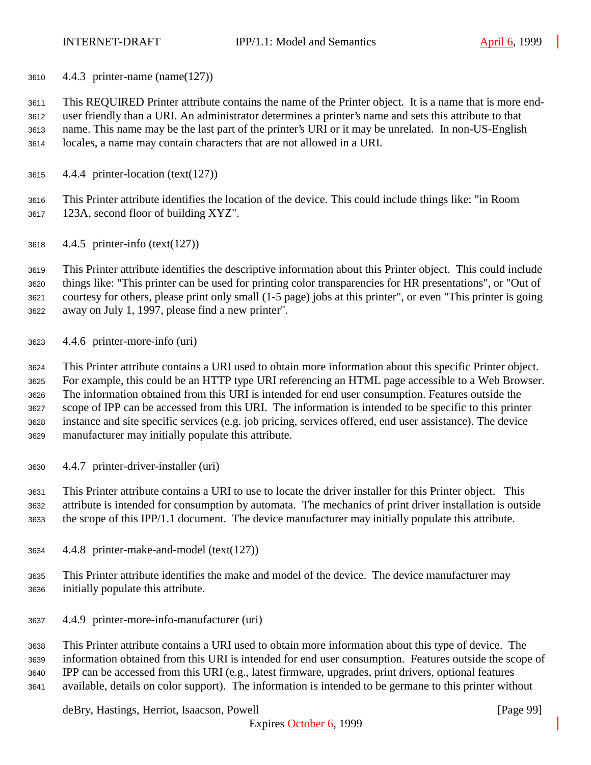4.4.3 printer-name (name(127))

 This REQUIRED Printer attribute contains the name of the Printer object. It is a name that is more end- user friendly than a URI. An administrator determines a printer's name and sets this attribute to that name. This name may be the last part of the printer's URI or it may be unrelated. In non-US-English locales, a name may contain characters that are not allowed in a URI.

4.4.4 printer-location (text(127))

 This Printer attribute identifies the location of the device. This could include things like: "in Room 123A, second floor of building XYZ".

4.4.5 printer-info (text(127))

 This Printer attribute identifies the descriptive information about this Printer object. This could include things like: "This printer can be used for printing color transparencies for HR presentations", or "Out of courtesy for others, please print only small (1-5 page) jobs at this printer", or even "This printer is going away on July 1, 1997, please find a new printer".

4.4.6 printer-more-info (uri)

 This Printer attribute contains a URI used to obtain more information about this specific Printer object. For example, this could be an HTTP type URI referencing an HTML page accessible to a Web Browser. The information obtained from this URI is intended for end user consumption. Features outside the scope of IPP can be accessed from this URI. The information is intended to be specific to this printer instance and site specific services (e.g. job pricing, services offered, end user assistance). The device manufacturer may initially populate this attribute.

4.4.7 printer-driver-installer (uri)

 This Printer attribute contains a URI to use to locate the driver installer for this Printer object. This attribute is intended for consumption by automata. The mechanics of print driver installation is outside the scope of this IPP/1.1 document. The device manufacturer may initially populate this attribute.

- 4.4.8 printer-make-and-model (text(127))
- This Printer attribute identifies the make and model of the device. The device manufacturer may initially populate this attribute.
- 4.4.9 printer-more-info-manufacturer (uri)

 This Printer attribute contains a URI used to obtain more information about this type of device. The information obtained from this URI is intended for end user consumption. Features outside the scope of IPP can be accessed from this URI (e.g., latest firmware, upgrades, print drivers, optional features available, details on color support). The information is intended to be germane to this printer without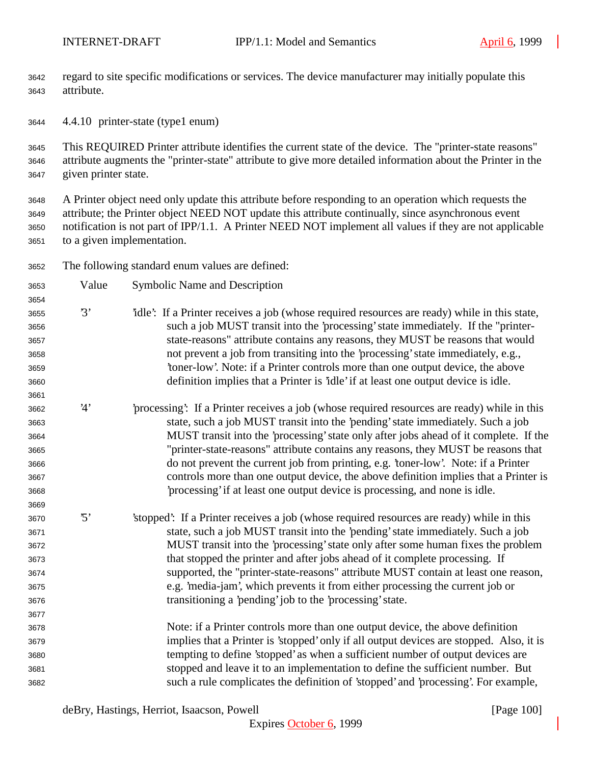regard to site specific modifications or services. The device manufacturer may initially populate this attribute.

4.4.10 printer-state (type1 enum)

 This REQUIRED Printer attribute identifies the current state of the device. The "printer-state reasons" attribute augments the "printer-state" attribute to give more detailed information about the Printer in the given printer state.

 A Printer object need only update this attribute before responding to an operation which requests the attribute; the Printer object NEED NOT update this attribute continually, since asynchronous event notification is not part of IPP/1.1. A Printer NEED NOT implement all values if they are not applicable to a given implementation.

The following standard enum values are defined:

| 3653 | Value      | <b>Symbolic Name and Description</b>                                                          |
|------|------------|-----------------------------------------------------------------------------------------------|
| 3654 |            |                                                                                               |
| 3655 | 3'         | 'idle': If a Printer receives a job (whose required resources are ready) while in this state, |
| 3656 |            | such a job MUST transit into the 'processing' state immediately. If the "printer-             |
| 3657 |            | state-reasons" attribute contains any reasons, they MUST be reasons that would                |
| 3658 |            | not prevent a job from transiting into the 'processing' state immediately, e.g.,              |
| 3659 |            | 'toner-low'. Note: if a Printer controls more than one output device, the above               |
| 3660 |            | definition implies that a Printer is 'idle' if at least one output device is idle.            |
| 3661 |            |                                                                                               |
| 3662 | 4'         | processing: If a Printer receives a job (whose required resources are ready) while in this    |
| 3663 |            | state, such a job MUST transit into the 'pending' state immediately. Such a job               |
| 3664 |            | MUST transit into the 'processing' state only after jobs ahead of it complete. If the         |
| 3665 |            | "printer-state-reasons" attribute contains any reasons, they MUST be reasons that             |
| 3666 |            | do not prevent the current job from printing, e.g. 'toner-low'. Note: if a Printer            |
| 3667 |            | controls more than one output device, the above definition implies that a Printer is          |
| 3668 |            | processing' if at least one output device is processing, and none is idle.                    |
| 3669 |            |                                                                                               |
| 3670 | $\cdot$ 5' | 'stopped': If a Printer receives a job (whose required resources are ready) while in this     |
| 3671 |            | state, such a job MUST transit into the 'pending' state immediately. Such a job               |
| 3672 |            | MUST transit into the 'processing' state only after some human fixes the problem              |
| 3673 |            | that stopped the printer and after jobs ahead of it complete processing. If                   |
| 3674 |            | supported, the "printer-state-reasons" attribute MUST contain at least one reason,            |
| 3675 |            | e.g. 'media-jam', which prevents it from either processing the current job or                 |
| 3676 |            | transitioning a 'pending' job to the 'processing' state.                                      |
| 3677 |            |                                                                                               |
| 3678 |            | Note: if a Printer controls more than one output device, the above definition                 |
| 3679 |            | implies that a Printer is 'stopped' only if all output devices are stopped. Also, it is       |
| 3680 |            | tempting to define 'stopped' as when a sufficient number of output devices are                |
| 3681 |            | stopped and leave it to an implementation to define the sufficient number. But                |
| 3682 |            | such a rule complicates the definition of 'stopped' and 'processing'. For example,            |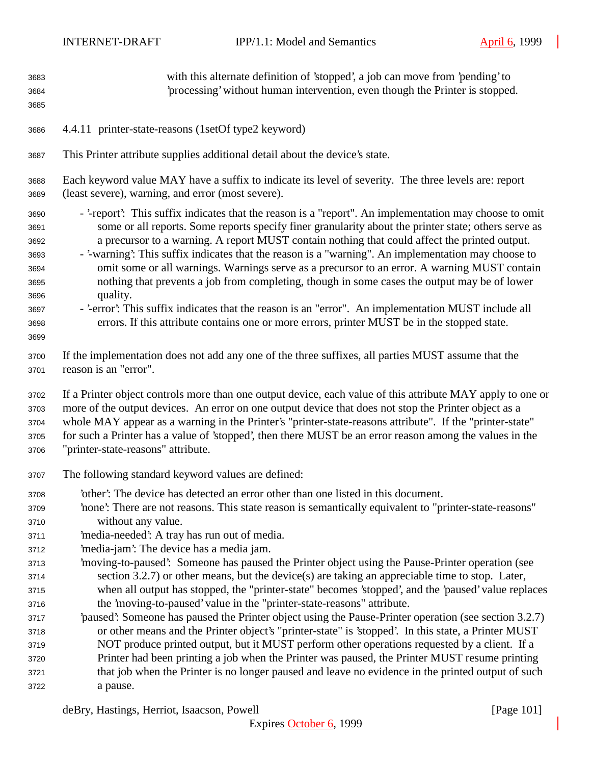| 3683<br>3684<br>3685                                                         | with this alternate definition of 'stopped', a job can move from 'pending' to<br>processing' without human intervention, even though the Printer is stopped.                                                                                                                                                                                                                                                                                                                                                                                                                                                                                                                                                                                                                                                                              |
|------------------------------------------------------------------------------|-------------------------------------------------------------------------------------------------------------------------------------------------------------------------------------------------------------------------------------------------------------------------------------------------------------------------------------------------------------------------------------------------------------------------------------------------------------------------------------------------------------------------------------------------------------------------------------------------------------------------------------------------------------------------------------------------------------------------------------------------------------------------------------------------------------------------------------------|
| 3686                                                                         | 4.4.11 printer-state-reasons (1setOf type2 keyword)                                                                                                                                                                                                                                                                                                                                                                                                                                                                                                                                                                                                                                                                                                                                                                                       |
| 3687                                                                         | This Printer attribute supplies additional detail about the device's state.                                                                                                                                                                                                                                                                                                                                                                                                                                                                                                                                                                                                                                                                                                                                                               |
| 3688                                                                         | Each keyword value MAY have a suffix to indicate its level of severity. The three levels are: report                                                                                                                                                                                                                                                                                                                                                                                                                                                                                                                                                                                                                                                                                                                                      |
| 3689                                                                         | (least severe), warning, and error (most severe).                                                                                                                                                                                                                                                                                                                                                                                                                                                                                                                                                                                                                                                                                                                                                                                         |
| 3690<br>3691<br>3692<br>3693<br>3694<br>3695<br>3696<br>3697<br>3698<br>3699 | - '-report': This suffix indicates that the reason is a "report". An implementation may choose to omit<br>some or all reports. Some reports specify finer granularity about the printer state; others serve as<br>a precursor to a warning. A report MUST contain nothing that could affect the printed output.<br>- '-warning': This suffix indicates that the reason is a "warning". An implementation may choose to<br>omit some or all warnings. Warnings serve as a precursor to an error. A warning MUST contain<br>nothing that prevents a job from completing, though in some cases the output may be of lower<br>quality.<br>- '-error': This suffix indicates that the reason is an "error". An implementation MUST include all<br>errors. If this attribute contains one or more errors, printer MUST be in the stopped state. |
| 3700                                                                         | If the implementation does not add any one of the three suffixes, all parties MUST assume that the                                                                                                                                                                                                                                                                                                                                                                                                                                                                                                                                                                                                                                                                                                                                        |
| 3701                                                                         | reason is an "error".                                                                                                                                                                                                                                                                                                                                                                                                                                                                                                                                                                                                                                                                                                                                                                                                                     |
| 3702                                                                         | If a Printer object controls more than one output device, each value of this attribute MAY apply to one or                                                                                                                                                                                                                                                                                                                                                                                                                                                                                                                                                                                                                                                                                                                                |
| 3703                                                                         | more of the output devices. An error on one output device that does not stop the Printer object as a                                                                                                                                                                                                                                                                                                                                                                                                                                                                                                                                                                                                                                                                                                                                      |
| 3704                                                                         | whole MAY appear as a warning in the Printer's "printer-state-reasons attribute". If the "printer-state"                                                                                                                                                                                                                                                                                                                                                                                                                                                                                                                                                                                                                                                                                                                                  |
| 3705                                                                         | for such a Printer has a value of 'stopped', then there MUST be an error reason among the values in the                                                                                                                                                                                                                                                                                                                                                                                                                                                                                                                                                                                                                                                                                                                                   |
| 3706                                                                         | "printer-state-reasons" attribute.                                                                                                                                                                                                                                                                                                                                                                                                                                                                                                                                                                                                                                                                                                                                                                                                        |
| 3707                                                                         | The following standard keyword values are defined:                                                                                                                                                                                                                                                                                                                                                                                                                                                                                                                                                                                                                                                                                                                                                                                        |
| 3708                                                                         | other': The device has detected an error other than one listed in this document.                                                                                                                                                                                                                                                                                                                                                                                                                                                                                                                                                                                                                                                                                                                                                          |
| 3709                                                                         | 'none': There are not reasons. This state reason is semantically equivalent to "printer-state-reasons"                                                                                                                                                                                                                                                                                                                                                                                                                                                                                                                                                                                                                                                                                                                                    |
| 3710                                                                         | without any value.                                                                                                                                                                                                                                                                                                                                                                                                                                                                                                                                                                                                                                                                                                                                                                                                                        |
| 3711                                                                         | 'media-needed': A tray has run out of media.                                                                                                                                                                                                                                                                                                                                                                                                                                                                                                                                                                                                                                                                                                                                                                                              |
| 3712                                                                         | 'media-jam': The device has a media jam.                                                                                                                                                                                                                                                                                                                                                                                                                                                                                                                                                                                                                                                                                                                                                                                                  |
| 3713                                                                         | 'moving-to-paused': Someone has paused the Printer object using the Pause-Printer operation (see                                                                                                                                                                                                                                                                                                                                                                                                                                                                                                                                                                                                                                                                                                                                          |
| 3714                                                                         | section 3.2.7) or other means, but the device(s) are taking an appreciable time to stop. Later,                                                                                                                                                                                                                                                                                                                                                                                                                                                                                                                                                                                                                                                                                                                                           |
| 3715                                                                         | when all output has stopped, the "printer-state" becomes 'stopped', and the 'paused' value replaces                                                                                                                                                                                                                                                                                                                                                                                                                                                                                                                                                                                                                                                                                                                                       |
| 3716                                                                         | the 'moving-to-paused' value in the "printer-state-reasons" attribute.                                                                                                                                                                                                                                                                                                                                                                                                                                                                                                                                                                                                                                                                                                                                                                    |
| 3717                                                                         | paused: Someone has paused the Printer object using the Pause-Printer operation (see section 3.2.7)                                                                                                                                                                                                                                                                                                                                                                                                                                                                                                                                                                                                                                                                                                                                       |
| 3718                                                                         | or other means and the Printer object's "printer-state" is 'stopped'. In this state, a Printer MUST                                                                                                                                                                                                                                                                                                                                                                                                                                                                                                                                                                                                                                                                                                                                       |
| 3719                                                                         | NOT produce printed output, but it MUST perform other operations requested by a client. If a                                                                                                                                                                                                                                                                                                                                                                                                                                                                                                                                                                                                                                                                                                                                              |
| 3720                                                                         | Printer had been printing a job when the Printer was paused, the Printer MUST resume printing                                                                                                                                                                                                                                                                                                                                                                                                                                                                                                                                                                                                                                                                                                                                             |
| 3721                                                                         | that job when the Printer is no longer paused and leave no evidence in the printed output of such                                                                                                                                                                                                                                                                                                                                                                                                                                                                                                                                                                                                                                                                                                                                         |
| 3722                                                                         | a pause.                                                                                                                                                                                                                                                                                                                                                                                                                                                                                                                                                                                                                                                                                                                                                                                                                                  |

deBry, Hastings, Herriot, Isaacson, Powell [Page 101]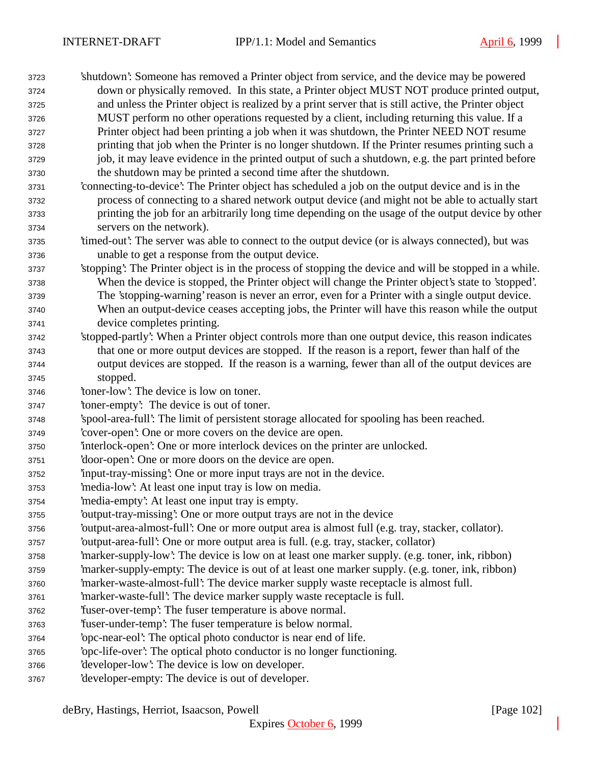'shutdown': Someone has removed a Printer object from service, and the device may be powered down or physically removed. In this state, a Printer object MUST NOT produce printed output, and unless the Printer object is realized by a print server that is still active, the Printer object MUST perform no other operations requested by a client, including returning this value. If a Printer object had been printing a job when it was shutdown, the Printer NEED NOT resume printing that job when the Printer is no longer shutdown. If the Printer resumes printing such a job, it may leave evidence in the printed output of such a shutdown, e.g. the part printed before the shutdown may be printed a second time after the shutdown. 'connecting-to-device': The Printer object has scheduled a job on the output device and is in the process of connecting to a shared network output device (and might not be able to actually start printing the job for an arbitrarily long time depending on the usage of the output device by other servers on the network). 'timed-out': The server was able to connect to the output device (or is always connected), but was unable to get a response from the output device. 'stopping': The Printer object is in the process of stopping the device and will be stopped in a while. When the device is stopped, the Printer object will change the Printer object's state to 'stopped'. The 'stopping-warning' reason is never an error, even for a Printer with a single output device. When an output-device ceases accepting jobs, the Printer will have this reason while the output device completes printing. 'stopped-partly': When a Printer object controls more than one output device, this reason indicates that one or more output devices are stopped. If the reason is a report, fewer than half of the output devices are stopped. If the reason is a warning, fewer than all of the output devices are stopped. 'toner-low': The device is low on toner. 'toner-empty': The device is out of toner. 'spool-area-full': The limit of persistent storage allocated for spooling has been reached. 'cover-open': One or more covers on the device are open. 'interlock-open': One or more interlock devices on the printer are unlocked. 'door-open': One or more doors on the device are open. 'input-tray-missing': One or more input trays are not in the device. 'media-low': At least one input tray is low on media. 'media-empty': At least one input tray is empty. 'output-tray-missing': One or more output trays are not in the device 'output-area-almost-full': One or more output area is almost full (e.g. tray, stacker, collator). 'output-area-full': One or more output area is full. (e.g. tray, stacker, collator) 'marker-supply-low': The device is low on at least one marker supply. (e.g. toner, ink, ribbon) 'marker-supply-empty: The device is out of at least one marker supply. (e.g. toner, ink, ribbon) 'marker-waste-almost-full': The device marker supply waste receptacle is almost full. 'marker-waste-full': The device marker supply waste receptacle is full. 'fuser-over-temp': The fuser temperature is above normal. 'fuser-under-temp': The fuser temperature is below normal. 'opc-near-eol': The optical photo conductor is near end of life. 'opc-life-over': The optical photo conductor is no longer functioning. 'developer-low': The device is low on developer. 'developer-empty: The device is out of developer.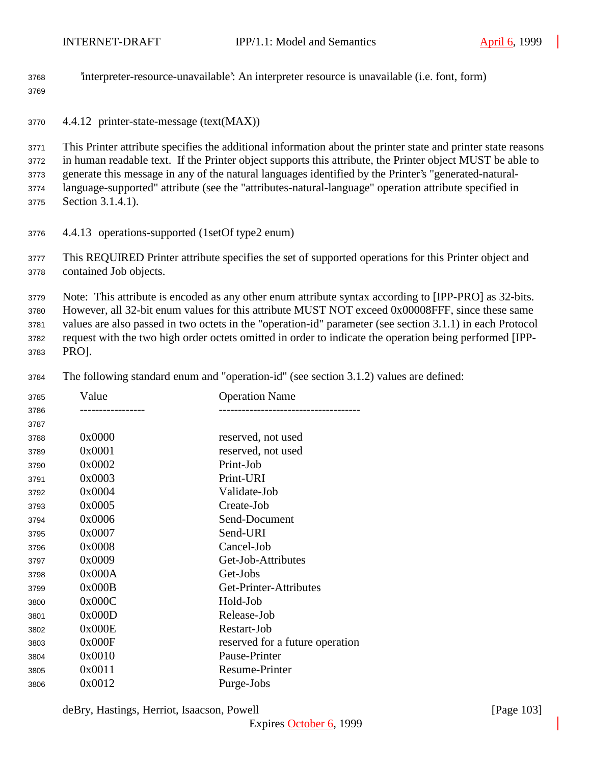| 3768<br>3769                         |                                                                                                                                                                                                                                                                                                                                                                                                                                                                   | 'interpreter-resource-unavailable': An interpreter resource is unavailable (i.e. font, form) |  |
|--------------------------------------|-------------------------------------------------------------------------------------------------------------------------------------------------------------------------------------------------------------------------------------------------------------------------------------------------------------------------------------------------------------------------------------------------------------------------------------------------------------------|----------------------------------------------------------------------------------------------|--|
| 3770                                 | 4.4.12 printer-state-message (text(MAX))                                                                                                                                                                                                                                                                                                                                                                                                                          |                                                                                              |  |
| 3771<br>3772<br>3773<br>3774<br>3775 | This Printer attribute specifies the additional information about the printer state and printer state reasons<br>in human readable text. If the Printer object supports this attribute, the Printer object MUST be able to<br>generate this message in any of the natural languages identified by the Printer's "generated-natural-<br>language-supported" attribute (see the "attributes-natural-language" operation attribute specified in<br>Section 3.1.4.1). |                                                                                              |  |
| 3776                                 | 4.4.13 operations-supported (1setOf type2 enum)                                                                                                                                                                                                                                                                                                                                                                                                                   |                                                                                              |  |
| 3777<br>3778                         | This REQUIRED Printer attribute specifies the set of supported operations for this Printer object and<br>contained Job objects.                                                                                                                                                                                                                                                                                                                                   |                                                                                              |  |
| 3779<br>3780<br>3781<br>3782<br>3783 | Note: This attribute is encoded as any other enum attribute syntax according to [IPP-PRO] as 32-bits.<br>However, all 32-bit enum values for this attribute MUST NOT exceed 0x00008FFF, since these same<br>values are also passed in two octets in the "operation-id" parameter (see section 3.1.1) in each Protocol<br>request with the two high order octets omitted in order to indicate the operation being performed [IPP-<br>PRO].                         |                                                                                              |  |
| 3784                                 |                                                                                                                                                                                                                                                                                                                                                                                                                                                                   | The following standard enum and "operation-id" (see section 3.1.2) values are defined:       |  |
| 3785<br>3786<br>3787                 | Value<br>-----------------                                                                                                                                                                                                                                                                                                                                                                                                                                        | <b>Operation Name</b><br>------------------------------------                                |  |
| 3788                                 | 0x0000                                                                                                                                                                                                                                                                                                                                                                                                                                                            | reserved, not used                                                                           |  |
| 3789                                 | 0x0001                                                                                                                                                                                                                                                                                                                                                                                                                                                            | reserved, not used                                                                           |  |
| 3790                                 | 0x0002                                                                                                                                                                                                                                                                                                                                                                                                                                                            | Print-Job                                                                                    |  |
| 3791                                 | 0x0003                                                                                                                                                                                                                                                                                                                                                                                                                                                            | Print-URI                                                                                    |  |
| 3792                                 | 0x0004                                                                                                                                                                                                                                                                                                                                                                                                                                                            | Validate-Job                                                                                 |  |
| 3793                                 | 0x0005                                                                                                                                                                                                                                                                                                                                                                                                                                                            | Create-Job                                                                                   |  |

| 3793 | UXUUUD | Create-Job                      |
|------|--------|---------------------------------|
| 3794 | 0x0006 | Send-Document                   |
| 3795 | 0x0007 | Send-URI                        |
| 3796 | 0x0008 | Cancel-Job                      |
| 3797 | 0x0009 | Get-Job-Attributes              |
| 3798 | 0x000A | Get-Jobs                        |
| 3799 | 0x000B | Get-Printer-Attributes          |
| 3800 | 0x000C | Hold-Job                        |
| 3801 | 0x000D | Release-Job                     |
| 3802 | 0x000E | Restart-Job                     |
| 3803 | 0x000F | reserved for a future operation |
| 3804 | 0x0010 | Pause-Printer                   |
| 3805 | 0x0011 | Resume-Printer                  |
| 3806 | 0x0012 | Purge-Jobs                      |
|      |        |                                 |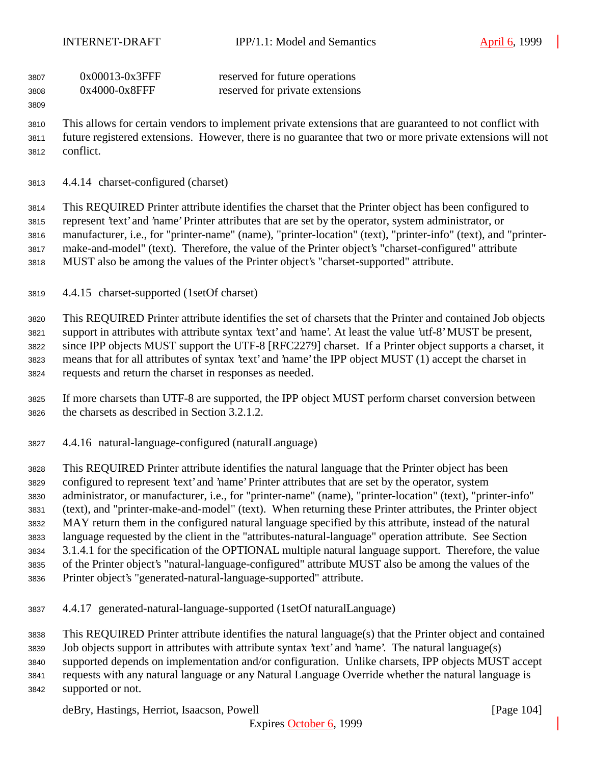| 3807 | $0x00013-0x3$ FFF | reserved for future operations  |
|------|-------------------|---------------------------------|
| 3808 | $0x4000-0x8$ FFF  | reserved for private extensions |

 This allows for certain vendors to implement private extensions that are guaranteed to not conflict with future registered extensions. However, there is no guarantee that two or more private extensions will not conflict.

4.4.14 charset-configured (charset)

 This REQUIRED Printer attribute identifies the charset that the Printer object has been configured to represent 'text' and 'name' Printer attributes that are set by the operator, system administrator, or manufacturer, i.e., for "printer-name" (name), "printer-location" (text), "printer-info" (text), and "printer- make-and-model" (text). Therefore, the value of the Printer object's "charset-configured" attribute MUST also be among the values of the Printer object's "charset-supported" attribute.

4.4.15 charset-supported (1setOf charset)

 This REQUIRED Printer attribute identifies the set of charsets that the Printer and contained Job objects support in attributes with attribute syntax 'text' and 'name'. At least the value 'utf-8' MUST be present, since IPP objects MUST support the UTF-8 [RFC2279] charset. If a Printer object supports a charset, it means that for all attributes of syntax 'text' and 'name' the IPP object MUST (1) accept the charset in requests and return the charset in responses as needed.

 If more charsets than UTF-8 are supported, the IPP object MUST perform charset conversion between the charsets as described in Section 3.2.1.2.

4.4.16 natural-language-configured (naturalLanguage)

 This REQUIRED Printer attribute identifies the natural language that the Printer object has been configured to represent 'text' and 'name' Printer attributes that are set by the operator, system administrator, or manufacturer, i.e., for "printer-name" (name), "printer-location" (text), "printer-info" (text), and "printer-make-and-model" (text). When returning these Printer attributes, the Printer object MAY return them in the configured natural language specified by this attribute, instead of the natural language requested by the client in the "attributes-natural-language" operation attribute. See Section 3.1.4.1 for the specification of the OPTIONAL multiple natural language support. Therefore, the value of the Printer object's "natural-language-configured" attribute MUST also be among the values of the Printer object's "generated-natural-language-supported" attribute.

- 
- 4.4.17 generated-natural-language-supported (1setOf naturalLanguage)

This REQUIRED Printer attribute identifies the natural language(s) that the Printer object and contained

Job objects support in attributes with attribute syntax 'text' and 'name'. The natural language(s)

supported depends on implementation and/or configuration. Unlike charsets, IPP objects MUST accept

- requests with any natural language or any Natural Language Override whether the natural language is
- supported or not.

deBry, Hastings, Herriot, Isaacson, Powell **company** and the same of the same of the same of the same of the same of the same of the same of the same of the same of the same of the same of the same of the same of the same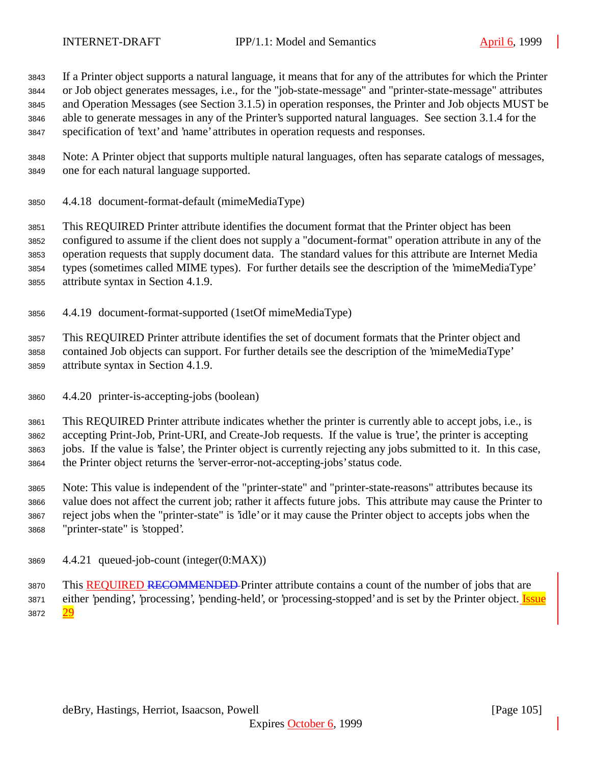If a Printer object supports a natural language, it means that for any of the attributes for which the Printer or Job object generates messages, i.e., for the "job-state-message" and "printer-state-message" attributes and Operation Messages (see Section 3.1.5) in operation responses, the Printer and Job objects MUST be able to generate messages in any of the Printer's supported natural languages. See section 3.1.4 for the specification of 'text' and 'name' attributes in operation requests and responses.

 Note: A Printer object that supports multiple natural languages, often has separate catalogs of messages, one for each natural language supported.

4.4.18 document-format-default (mimeMediaType)

 This REQUIRED Printer attribute identifies the document format that the Printer object has been configured to assume if the client does not supply a "document-format" operation attribute in any of the operation requests that supply document data. The standard values for this attribute are Internet Media types (sometimes called MIME types). For further details see the description of the 'mimeMediaType' attribute syntax in Section 4.1.9.

4.4.19 document-format-supported (1setOf mimeMediaType)

 This REQUIRED Printer attribute identifies the set of document formats that the Printer object and contained Job objects can support. For further details see the description of the 'mimeMediaType' attribute syntax in Section 4.1.9.

4.4.20 printer-is-accepting-jobs (boolean)

 This REQUIRED Printer attribute indicates whether the printer is currently able to accept jobs, i.e., is accepting Print-Job, Print-URI, and Create-Job requests. If the value is 'true', the printer is accepting jobs. If the value is 'false', the Printer object is currently rejecting any jobs submitted to it. In this case, the Printer object returns the 'server-error-not-accepting-jobs' status code.

 Note: This value is independent of the "printer-state" and "printer-state-reasons" attributes because its value does not affect the current job; rather it affects future jobs. This attribute may cause the Printer to reject jobs when the "printer-state" is 'idle' or it may cause the Printer object to accepts jobs when the "printer-state" is 'stopped'.

4.4.21 queued-job-count (integer(0:MAX))

3870 This REQUIRED RECOMMENDED Printer attribute contains a count of the number of jobs that are 3871 either 'pending', 'processing', 'pending-held', or 'processing-stopped' and is set by the Printer object. Issue 3872 29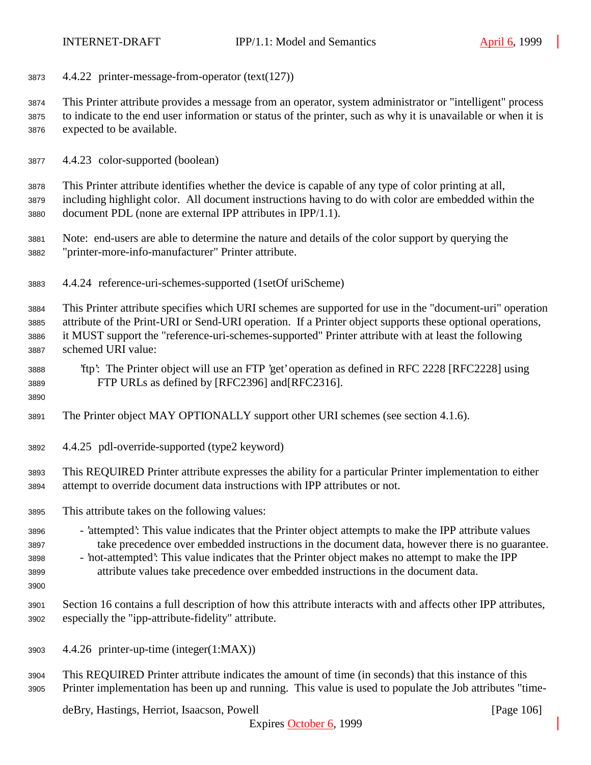4.4.22 printer-message-from-operator (text(127))

 This Printer attribute provides a message from an operator, system administrator or "intelligent" process to indicate to the end user information or status of the printer, such as why it is unavailable or when it is expected to be available.

4.4.23 color-supported (boolean)

 This Printer attribute identifies whether the device is capable of any type of color printing at all, including highlight color. All document instructions having to do with color are embedded within the document PDL (none are external IPP attributes in IPP/1.1).

- Note: end-users are able to determine the nature and details of the color support by querying the "printer-more-info-manufacturer" Printer attribute.
- 4.4.24 reference-uri-schemes-supported (1setOf uriScheme)

 This Printer attribute specifies which URI schemes are supported for use in the "document-uri" operation attribute of the Print-URI or Send-URI operation. If a Printer object supports these optional operations, it MUST support the "reference-uri-schemes-supported" Printer attribute with at least the following schemed URI value:

 'ftp': The Printer object will use an FTP 'get' operation as defined in RFC 2228 [RFC2228] using FTP URLs as defined by [RFC2396] and[RFC2316].

- The Printer object MAY OPTIONALLY support other URI schemes (see section 4.1.6).
- 4.4.25 pdl-override-supported (type2 keyword)

 This REQUIRED Printer attribute expresses the ability for a particular Printer implementation to either attempt to override document data instructions with IPP attributes or not.

- This attribute takes on the following values:
- 'attempted': This value indicates that the Printer object attempts to make the IPP attribute values take precedence over embedded instructions in the document data, however there is no guarantee. - 'not-attempted': This value indicates that the Printer object makes no attempt to make the IPP
- attribute values take precedence over embedded instructions in the document data.
- 

 Section 16 contains a full description of how this attribute interacts with and affects other IPP attributes, especially the "ipp-attribute-fidelity" attribute.

- 4.4.26 printer-up-time (integer(1:MAX))
- This REQUIRED Printer attribute indicates the amount of time (in seconds) that this instance of this Printer implementation has been up and running. This value is used to populate the Job attributes "time-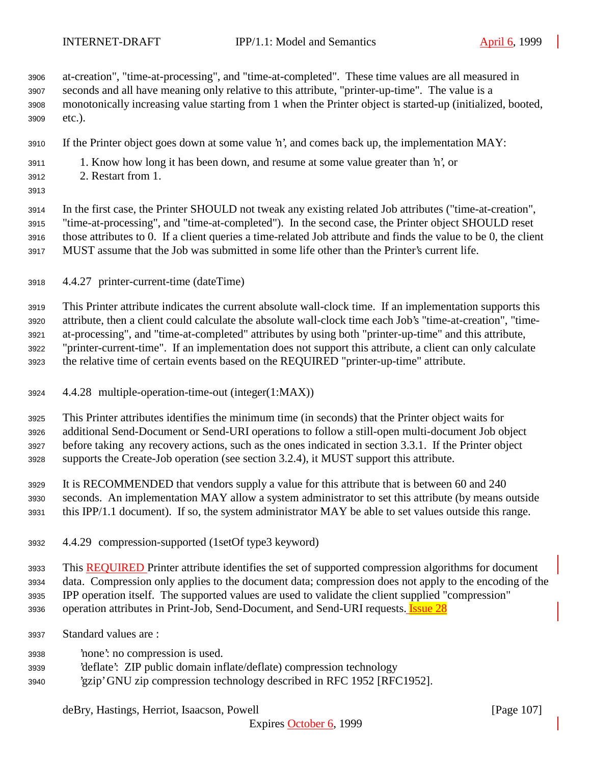at-creation", "time-at-processing", and "time-at-completed". These time values are all measured in seconds and all have meaning only relative to this attribute, "printer-up-time". The value is a monotonically increasing value starting from 1 when the Printer object is started-up (initialized, booted, etc.).

- If the Printer object goes down at some value 'n', and comes back up, the implementation MAY:
- 1. Know how long it has been down, and resume at some value greater than 'n', or
- 2. Restart from 1.
- 

 In the first case, the Printer SHOULD not tweak any existing related Job attributes ("time-at-creation", "time-at-processing", and "time-at-completed"). In the second case, the Printer object SHOULD reset those attributes to 0. If a client queries a time-related Job attribute and finds the value to be 0, the client MUST assume that the Job was submitted in some life other than the Printer's current life.

4.4.27 printer-current-time (dateTime)

 This Printer attribute indicates the current absolute wall-clock time. If an implementation supports this attribute, then a client could calculate the absolute wall-clock time each Job's "time-at-creation", "time- at-processing", and "time-at-completed" attributes by using both "printer-up-time" and this attribute, "printer-current-time". If an implementation does not support this attribute, a client can only calculate the relative time of certain events based on the REQUIRED "printer-up-time" attribute.

4.4.28 multiple-operation-time-out (integer(1:MAX))

 This Printer attributes identifies the minimum time (in seconds) that the Printer object waits for additional Send-Document or Send-URI operations to follow a still-open multi-document Job object before taking any recovery actions, such as the ones indicated in section 3.3.1. If the Printer object supports the Create-Job operation (see section 3.2.4), it MUST support this attribute.

- It is RECOMMENDED that vendors supply a value for this attribute that is between 60 and 240 seconds. An implementation MAY allow a system administrator to set this attribute (by means outside this IPP/1.1 document). If so, the system administrator MAY be able to set values outside this range.
- 4.4.29 compression-supported (1setOf type3 keyword)

3933 This REQUIRED Printer attribute identifies the set of supported compression algorithms for document data. Compression only applies to the document data; compression does not apply to the encoding of the IPP operation itself. The supported values are used to validate the client supplied "compression"

- 3936 operation attributes in Print-Job, Send-Document, and Send-URI requests. **Issue 28**
- Standard values are :
- 'none': no compression is used.
- 'deflate': ZIP public domain inflate/deflate) compression technology
- 'gzip' GNU zip compression technology described in RFC 1952 [RFC1952].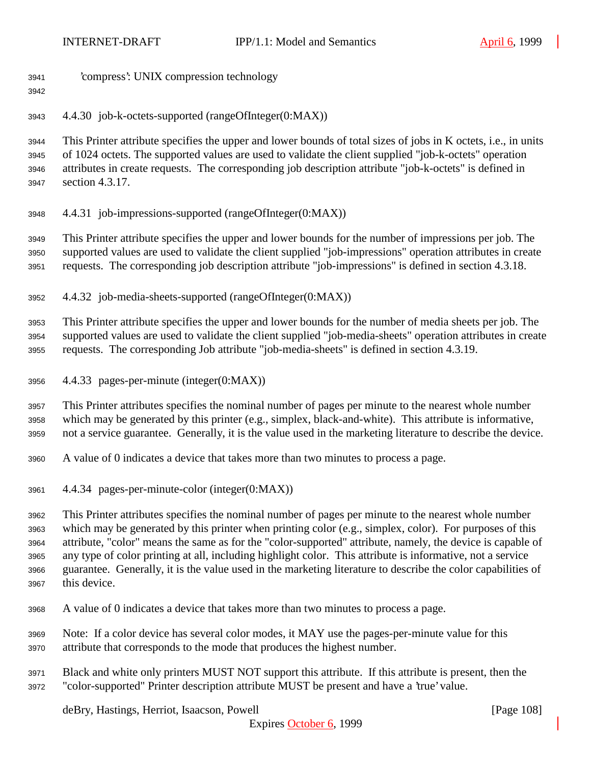- 'compress': UNIX compression technology
- 

4.4.30 job-k-octets-supported (rangeOfInteger(0:MAX))

 This Printer attribute specifies the upper and lower bounds of total sizes of jobs in K octets, i.e., in units of 1024 octets. The supported values are used to validate the client supplied "job-k-octets" operation attributes in create requests. The corresponding job description attribute "job-k-octets" is defined in section 4.3.17.

4.4.31 job-impressions-supported (rangeOfInteger(0:MAX))

 This Printer attribute specifies the upper and lower bounds for the number of impressions per job. The supported values are used to validate the client supplied "job-impressions" operation attributes in create requests. The corresponding job description attribute "job-impressions" is defined in section 4.3.18.

4.4.32 job-media-sheets-supported (rangeOfInteger(0:MAX))

 This Printer attribute specifies the upper and lower bounds for the number of media sheets per job. The supported values are used to validate the client supplied "job-media-sheets" operation attributes in create requests. The corresponding Job attribute "job-media-sheets" is defined in section 4.3.19.

4.4.33 pages-per-minute (integer(0:MAX))

 This Printer attributes specifies the nominal number of pages per minute to the nearest whole number which may be generated by this printer (e.g., simplex, black-and-white). This attribute is informative, not a service guarantee. Generally, it is the value used in the marketing literature to describe the device.

- A value of 0 indicates a device that takes more than two minutes to process a page.
- 4.4.34 pages-per-minute-color (integer(0:MAX))

 This Printer attributes specifies the nominal number of pages per minute to the nearest whole number which may be generated by this printer when printing color (e.g., simplex, color). For purposes of this attribute, "color" means the same as for the "color-supported" attribute, namely, the device is capable of any type of color printing at all, including highlight color. This attribute is informative, not a service guarantee. Generally, it is the value used in the marketing literature to describe the color capabilities of this device.

- A value of 0 indicates a device that takes more than two minutes to process a page.
- Note: If a color device has several color modes, it MAY use the pages-per-minute value for this attribute that corresponds to the mode that produces the highest number.
- Black and white only printers MUST NOT support this attribute. If this attribute is present, then the "color-supported" Printer description attribute MUST be present and have a 'true' value.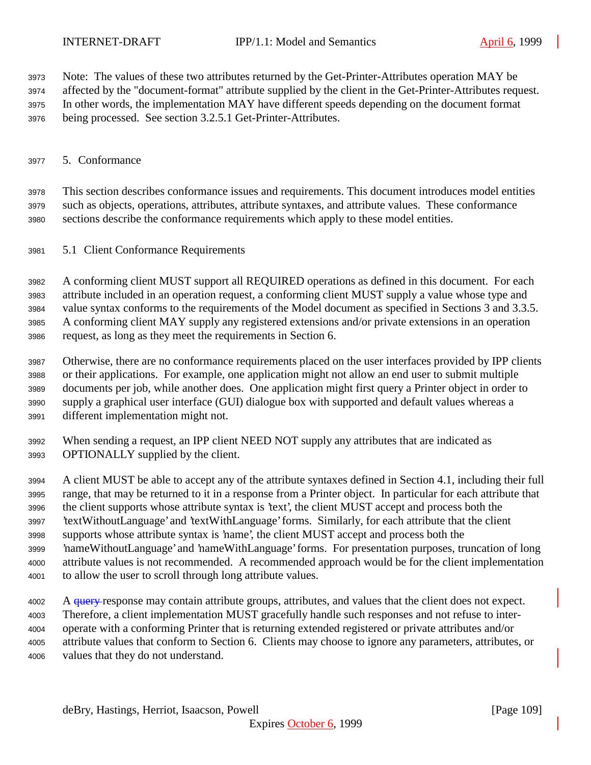Note: The values of these two attributes returned by the Get-Printer-Attributes operation MAY be affected by the "document-format" attribute supplied by the client in the Get-Printer-Attributes request. In other words, the implementation MAY have different speeds depending on the document format

being processed. See section 3.2.5.1 Get-Printer-Attributes.

# 5. Conformance

 This section describes conformance issues and requirements. This document introduces model entities such as objects, operations, attributes, attribute syntaxes, and attribute values. These conformance sections describe the conformance requirements which apply to these model entities.

5.1 Client Conformance Requirements

 A conforming client MUST support all REQUIRED operations as defined in this document. For each attribute included in an operation request, a conforming client MUST supply a value whose type and value syntax conforms to the requirements of the Model document as specified in Sections 3 and 3.3.5. A conforming client MAY supply any registered extensions and/or private extensions in an operation request, as long as they meet the requirements in Section 6.

- Otherwise, there are no conformance requirements placed on the user interfaces provided by IPP clients or their applications. For example, one application might not allow an end user to submit multiple documents per job, while another does. One application might first query a Printer object in order to supply a graphical user interface (GUI) dialogue box with supported and default values whereas a different implementation might not.
- When sending a request, an IPP client NEED NOT supply any attributes that are indicated as OPTIONALLY supplied by the client.

 A client MUST be able to accept any of the attribute syntaxes defined in Section 4.1, including their full range, that may be returned to it in a response from a Printer object. In particular for each attribute that the client supports whose attribute syntax is 'text', the client MUST accept and process both the 'textWithoutLanguage' and 'textWithLanguage' forms. Similarly, for each attribute that the client supports whose attribute syntax is 'name', the client MUST accept and process both the 'nameWithoutLanguage' and 'nameWithLanguage' forms. For presentation purposes, truncation of long attribute values is not recommended. A recommended approach would be for the client implementation to allow the user to scroll through long attribute values.

4002 A <del>query r</del>esponse may contain attribute groups, attributes, and values that the client does not expect. Therefore, a client implementation MUST gracefully handle such responses and not refuse to inter- operate with a conforming Printer that is returning extended registered or private attributes and/or attribute values that conform to Section 6. Clients may choose to ignore any parameters, attributes, or values that they do not understand.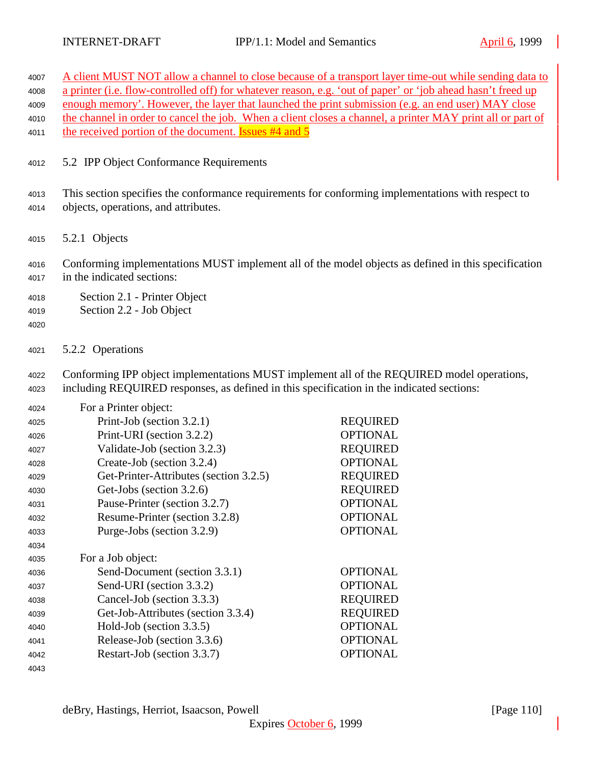| 4007                 |                                                                                                                                                                                         | A client MUST NOT allow a channel to close because of a transport layer time-out while sending data to |  |
|----------------------|-----------------------------------------------------------------------------------------------------------------------------------------------------------------------------------------|--------------------------------------------------------------------------------------------------------|--|
| 4008                 | a printer (i.e. flow-controlled off) for whatever reason, e.g. 'out of paper' or 'job ahead hasn't freed up                                                                             |                                                                                                        |  |
| 4009                 | enough memory'. However, the layer that launched the print submission (e.g. an end user) MAY close                                                                                      |                                                                                                        |  |
| 4010                 | the channel in order to cancel the job. When a client closes a channel, a printer MAY print all or part of                                                                              |                                                                                                        |  |
| 4011                 | the received portion of the document. <b>Issues #4 and 5</b>                                                                                                                            |                                                                                                        |  |
| 4012                 | 5.2 IPP Object Conformance Requirements                                                                                                                                                 |                                                                                                        |  |
| 4013                 | This section specifies the conformance requirements for conforming implementations with respect to                                                                                      |                                                                                                        |  |
| 4014                 | objects, operations, and attributes.                                                                                                                                                    |                                                                                                        |  |
| 4015                 | 5.2.1 Objects                                                                                                                                                                           |                                                                                                        |  |
| 4016<br>4017         | Conforming implementations MUST implement all of the model objects as defined in this specification<br>in the indicated sections:                                                       |                                                                                                        |  |
| 4018<br>4019<br>4020 | Section 2.1 - Printer Object<br>Section 2.2 - Job Object                                                                                                                                |                                                                                                        |  |
| 4021                 | 5.2.2 Operations                                                                                                                                                                        |                                                                                                        |  |
| 4022<br>4023         | Conforming IPP object implementations MUST implement all of the REQUIRED model operations,<br>including REQUIRED responses, as defined in this specification in the indicated sections: |                                                                                                        |  |
| 4024                 | For a Printer object:                                                                                                                                                                   |                                                                                                        |  |
| 4025                 | Print-Job (section 3.2.1)                                                                                                                                                               | <b>REQUIRED</b>                                                                                        |  |
| 4026                 | Print-URI (section 3.2.2)                                                                                                                                                               | <b>OPTIONAL</b>                                                                                        |  |
| 4027                 | Validate-Job (section 3.2.3)                                                                                                                                                            | <b>REQUIRED</b>                                                                                        |  |
| 4028                 | Create-Job (section 3.2.4)                                                                                                                                                              | <b>OPTIONAL</b>                                                                                        |  |
| 4029                 | Get-Printer-Attributes (section 3.2.5)                                                                                                                                                  | <b>REQUIRED</b>                                                                                        |  |
| 4030                 | Get-Jobs (section 3.2.6)                                                                                                                                                                | <b>REQUIRED</b>                                                                                        |  |
| 4031                 | Pause-Printer (section 3.2.7)                                                                                                                                                           | <b>OPTIONAL</b>                                                                                        |  |
| 4032                 | Resume-Printer (section 3.2.8)                                                                                                                                                          | <b>OPTIONAL</b>                                                                                        |  |
| 4033                 | Purge-Jobs (section 3.2.9)                                                                                                                                                              | <b>OPTIONAL</b>                                                                                        |  |
| 4034                 |                                                                                                                                                                                         |                                                                                                        |  |
| 4035                 | For a Job object:                                                                                                                                                                       |                                                                                                        |  |
| 4036                 | Send-Document (section 3.3.1)                                                                                                                                                           | <b>OPTIONAL</b>                                                                                        |  |
| 4037                 | Send-URI (section 3.3.2)                                                                                                                                                                | <b>OPTIONAL</b>                                                                                        |  |
| 4038                 | Cancel-Job (section 3.3.3)                                                                                                                                                              | <b>REQUIRED</b>                                                                                        |  |
| 4039                 | Get-Job-Attributes (section 3.3.4)                                                                                                                                                      | <b>REQUIRED</b>                                                                                        |  |
| 4040                 | Hold-Job (section 3.3.5)                                                                                                                                                                | <b>OPTIONAL</b>                                                                                        |  |
| 4041                 | Release-Job (section 3.3.6)                                                                                                                                                             | <b>OPTIONAL</b>                                                                                        |  |
| 4042                 | Restart-Job (section 3.3.7)                                                                                                                                                             | <b>OPTIONAL</b>                                                                                        |  |
| 4043                 |                                                                                                                                                                                         |                                                                                                        |  |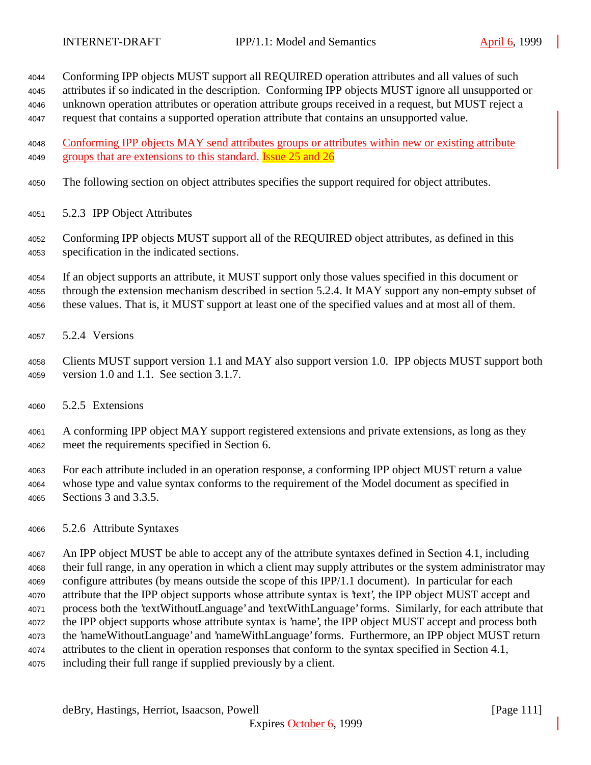Conforming IPP objects MUST support all REQUIRED operation attributes and all values of such

 attributes if so indicated in the description. Conforming IPP objects MUST ignore all unsupported or unknown operation attributes or operation attribute groups received in a request, but MUST reject a

request that contains a supported operation attribute that contains an unsupported value.

 Conforming IPP objects MAY send attributes groups or attributes within new or existing attribute 4049 groups that are extensions to this standard. **Issue 25 and 26** 

- The following section on object attributes specifies the support required for object attributes.
- 5.2.3 IPP Object Attributes
- Conforming IPP objects MUST support all of the REQUIRED object attributes, as defined in this specification in the indicated sections.

 If an object supports an attribute, it MUST support only those values specified in this document or through the extension mechanism described in section 5.2.4. It MAY support any non-empty subset of these values. That is, it MUST support at least one of the specified values and at most all of them.

5.2.4 Versions

 Clients MUST support version 1.1 and MAY also support version 1.0. IPP objects MUST support both version 1.0 and 1.1. See section 3.1.7.

- 5.2.5 Extensions
- A conforming IPP object MAY support registered extensions and private extensions, as long as they meet the requirements specified in Section 6.
- For each attribute included in an operation response, a conforming IPP object MUST return a value whose type and value syntax conforms to the requirement of the Model document as specified in Sections 3 and 3.3.5.
- 5.2.6 Attribute Syntaxes

 An IPP object MUST be able to accept any of the attribute syntaxes defined in Section 4.1, including their full range, in any operation in which a client may supply attributes or the system administrator may configure attributes (by means outside the scope of this IPP/1.1 document). In particular for each attribute that the IPP object supports whose attribute syntax is 'text', the IPP object MUST accept and process both the 'textWithoutLanguage' and 'textWithLanguage' forms. Similarly, for each attribute that the IPP object supports whose attribute syntax is 'name', the IPP object MUST accept and process both the 'nameWithoutLanguage' and 'nameWithLanguage' forms. Furthermore, an IPP object MUST return attributes to the client in operation responses that conform to the syntax specified in Section 4.1, including their full range if supplied previously by a client.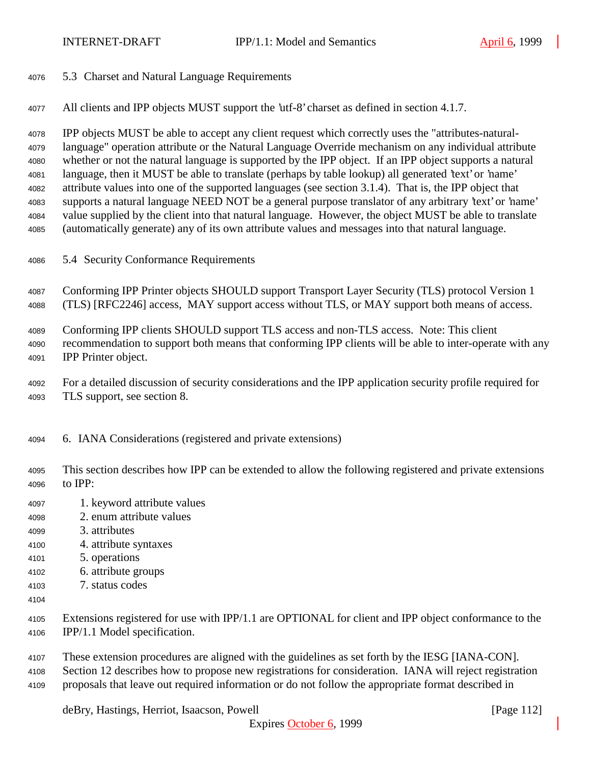5.3 Charset and Natural Language Requirements

All clients and IPP objects MUST support the 'utf-8' charset as defined in section 4.1.7.

 IPP objects MUST be able to accept any client request which correctly uses the "attributes-natural- language" operation attribute or the Natural Language Override mechanism on any individual attribute whether or not the natural language is supported by the IPP object. If an IPP object supports a natural language, then it MUST be able to translate (perhaps by table lookup) all generated 'text' or 'name' attribute values into one of the supported languages (see section 3.1.4). That is, the IPP object that supports a natural language NEED NOT be a general purpose translator of any arbitrary 'text' or 'name' value supplied by the client into that natural language. However, the object MUST be able to translate (automatically generate) any of its own attribute values and messages into that natural language.

5.4 Security Conformance Requirements

 Conforming IPP Printer objects SHOULD support Transport Layer Security (TLS) protocol Version 1 (TLS) [RFC2246] access, MAY support access without TLS, or MAY support both means of access.

Conforming IPP clients SHOULD support TLS access and non-TLS access. Note: This client

 recommendation to support both means that conforming IPP clients will be able to inter-operate with any IPP Printer object.

 For a detailed discussion of security considerations and the IPP application security profile required for TLS support, see section 8.

6. IANA Considerations (registered and private extensions)

 This section describes how IPP can be extended to allow the following registered and private extensions to IPP:

- 1. keyword attribute values
- 2. enum attribute values
- 3. attributes
- 4. attribute syntaxes
- 5. operations
- 6. attribute groups
- 7. status codes
- 
- Extensions registered for use with IPP/1.1 are OPTIONAL for client and IPP object conformance to the IPP/1.1 Model specification.
- These extension procedures are aligned with the guidelines as set forth by the IESG [IANA-CON].
- Section 12 describes how to propose new registrations for consideration. IANA will reject registration
- proposals that leave out required information or do not follow the appropriate format described in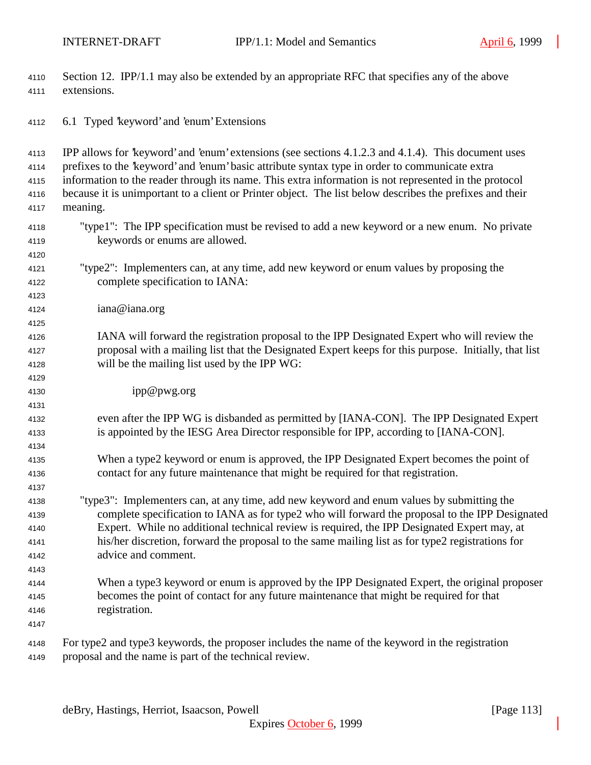4110 Section 12. IPP/1.1 may also be extended by an appropriate RFC that specifies any of the above extensions.

6.1 Typed 'keyword' and 'enum' Extensions

 IPP allows for 'keyword' and 'enum' extensions (see sections 4.1.2.3 and 4.1.4). This document uses prefixes to the 'keyword' and 'enum' basic attribute syntax type in order to communicate extra information to the reader through its name. This extra information is not represented in the protocol because it is unimportant to a client or Printer object. The list below describes the prefixes and their meaning. "type1": The IPP specification must be revised to add a new keyword or a new enum. No private keywords or enums are allowed. "type2": Implementers can, at any time, add new keyword or enum values by proposing the complete specification to IANA: iana@iana.org IANA will forward the registration proposal to the IPP Designated Expert who will review the proposal with a mailing list that the Designated Expert keeps for this purpose. Initially, that list will be the mailing list used by the IPP WG: ipp@pwg.org even after the IPP WG is disbanded as permitted by [IANA-CON]. The IPP Designated Expert is appointed by the IESG Area Director responsible for IPP, according to [IANA-CON]. When a type2 keyword or enum is approved, the IPP Designated Expert becomes the point of contact for any future maintenance that might be required for that registration. "type3": Implementers can, at any time, add new keyword and enum values by submitting the complete specification to IANA as for type2 who will forward the proposal to the IPP Designated Expert. While no additional technical review is required, the IPP Designated Expert may, at his/her discretion, forward the proposal to the same mailing list as for type2 registrations for advice and comment. When a type3 keyword or enum is approved by the IPP Designated Expert, the original proposer becomes the point of contact for any future maintenance that might be required for that registration. For type2 and type3 keywords, the proposer includes the name of the keyword in the registration proposal and the name is part of the technical review.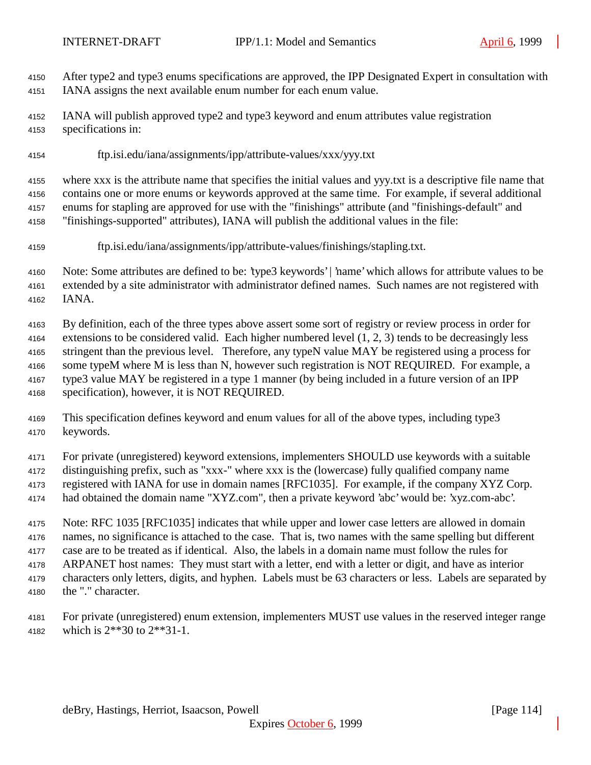After type2 and type3 enums specifications are approved, the IPP Designated Expert in consultation with IANA assigns the next available enum number for each enum value.

 IANA will publish approved type2 and type3 keyword and enum attributes value registration specifications in:

ftp.isi.edu/iana/assignments/ipp/attribute-values/xxx/yyy.txt

 where xxx is the attribute name that specifies the initial values and yyy.txt is a descriptive file name that contains one or more enums or keywords approved at the same time. For example, if several additional enums for stapling are approved for use with the "finishings" attribute (and "finishings-default" and

- "finishings-supported" attributes), IANA will publish the additional values in the file:
- ftp.isi.edu/iana/assignments/ipp/attribute-values/finishings/stapling.txt.

 Note: Some attributes are defined to be: 'type3 keywords' | 'name' which allows for attribute values to be extended by a site administrator with administrator defined names. Such names are not registered with IANA.

 By definition, each of the three types above assert some sort of registry or review process in order for extensions to be considered valid. Each higher numbered level (1, 2, 3) tends to be decreasingly less stringent than the previous level. Therefore, any typeN value MAY be registered using a process for some typeM where M is less than N, however such registration is NOT REQUIRED. For example, a type3 value MAY be registered in a type 1 manner (by being included in a future version of an IPP specification), however, it is NOT REQUIRED.

 This specification defines keyword and enum values for all of the above types, including type3 keywords.

For private (unregistered) keyword extensions, implementers SHOULD use keywords with a suitable

- distinguishing prefix, such as "xxx-" where xxx is the (lowercase) fully qualified company name registered with IANA for use in domain names [RFC1035]. For example, if the company XYZ Corp.
- had obtained the domain name "XYZ.com", then a private keyword 'abc' would be: 'xyz.com-abc'.

Note: RFC 1035 [RFC1035] indicates that while upper and lower case letters are allowed in domain

 names, no significance is attached to the case. That is, two names with the same spelling but different case are to be treated as if identical. Also, the labels in a domain name must follow the rules for ARPANET host names: They must start with a letter, end with a letter or digit, and have as interior

- characters only letters, digits, and hyphen. Labels must be 63 characters or less. Labels are separated by the "." character.
- 

 For private (unregistered) enum extension, implementers MUST use values in the reserved integer range which is 2\*\*30 to 2\*\*31-1.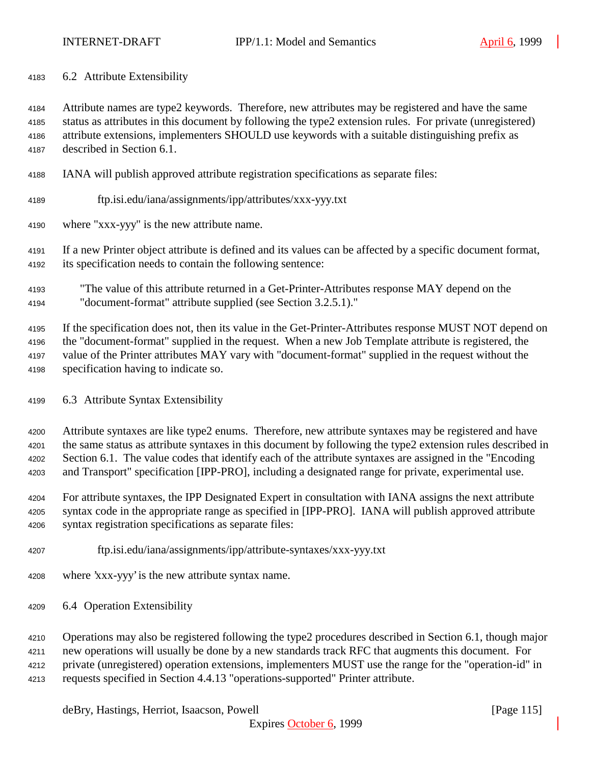6.2 Attribute Extensibility

 Attribute names are type2 keywords. Therefore, new attributes may be registered and have the same status as attributes in this document by following the type2 extension rules. For private (unregistered) attribute extensions, implementers SHOULD use keywords with a suitable distinguishing prefix as described in Section 6.1.

- IANA will publish approved attribute registration specifications as separate files:
- ftp.isi.edu/iana/assignments/ipp/attributes/xxx-yyy.txt

where "xxx-yyy" is the new attribute name.

 If a new Printer object attribute is defined and its values can be affected by a specific document format, its specification needs to contain the following sentence:

 "The value of this attribute returned in a Get-Printer-Attributes response MAY depend on the "document-format" attribute supplied (see Section 3.2.5.1)."

 If the specification does not, then its value in the Get-Printer-Attributes response MUST NOT depend on the "document-format" supplied in the request. When a new Job Template attribute is registered, the value of the Printer attributes MAY vary with "document-format" supplied in the request without the specification having to indicate so.

6.3 Attribute Syntax Extensibility

 Attribute syntaxes are like type2 enums. Therefore, new attribute syntaxes may be registered and have the same status as attribute syntaxes in this document by following the type2 extension rules described in Section 6.1. The value codes that identify each of the attribute syntaxes are assigned in the "Encoding and Transport" specification [IPP-PRO], including a designated range for private, experimental use.

 For attribute syntaxes, the IPP Designated Expert in consultation with IANA assigns the next attribute syntax code in the appropriate range as specified in [IPP-PRO]. IANA will publish approved attribute syntax registration specifications as separate files:

- ftp.isi.edu/iana/assignments/ipp/attribute-syntaxes/xxx-yyy.txt
- where 'xxx-yyy' is the new attribute syntax name.
- 6.4 Operation Extensibility
- Operations may also be registered following the type2 procedures described in Section 6.1, though major
- new operations will usually be done by a new standards track RFC that augments this document. For

private (unregistered) operation extensions, implementers MUST use the range for the "operation-id" in

requests specified in Section 4.4.13 "operations-supported" Printer attribute.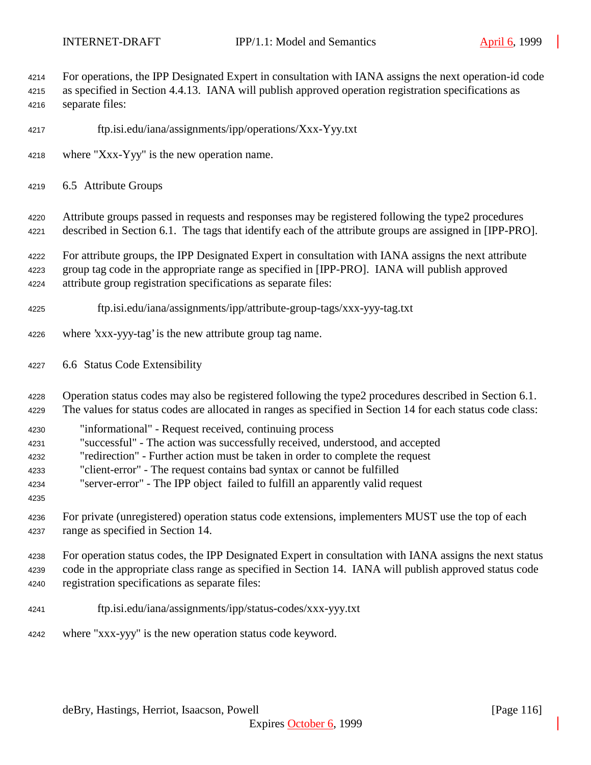| 4214<br>4215<br>4216                         | For operations, the IPP Designated Expert in consultation with IANA assigns the next operation-id code<br>as specified in Section 4.4.13. IANA will publish approved operation registration specifications as<br>separate files:                                                                                                                                                     |
|----------------------------------------------|--------------------------------------------------------------------------------------------------------------------------------------------------------------------------------------------------------------------------------------------------------------------------------------------------------------------------------------------------------------------------------------|
| 4217                                         | ftp.isi.edu/iana/assignments/ipp/operations/Xxx-Yyy.txt                                                                                                                                                                                                                                                                                                                              |
| 4218                                         | where "Xxx-Yyy" is the new operation name.                                                                                                                                                                                                                                                                                                                                           |
| 4219                                         | 6.5 Attribute Groups                                                                                                                                                                                                                                                                                                                                                                 |
| 4220<br>4221                                 | Attribute groups passed in requests and responses may be registered following the type2 procedures<br>described in Section 6.1. The tags that identify each of the attribute groups are assigned in [IPP-PRO].                                                                                                                                                                       |
| 4222<br>4223<br>4224                         | For attribute groups, the IPP Designated Expert in consultation with IANA assigns the next attribute<br>group tag code in the appropriate range as specified in [IPP-PRO]. IANA will publish approved<br>attribute group registration specifications as separate files:                                                                                                              |
| 4225                                         | ftp.isi.edu/iana/assignments/ipp/attribute-group-tags/xxx-yyy-tag.txt                                                                                                                                                                                                                                                                                                                |
| 4226                                         | where 'xxx-yyy-tag' is the new attribute group tag name.                                                                                                                                                                                                                                                                                                                             |
| 4227                                         | 6.6 Status Code Extensibility                                                                                                                                                                                                                                                                                                                                                        |
| 4228<br>4229                                 | Operation status codes may also be registered following the type2 procedures described in Section 6.1.<br>The values for status codes are allocated in ranges as specified in Section 14 for each status code class:                                                                                                                                                                 |
| 4230<br>4231<br>4232<br>4233<br>4234<br>4235 | "informational" - Request received, continuing process<br>"successful" - The action was successfully received, understood, and accepted<br>"redirection" - Further action must be taken in order to complete the request<br>"client-error" - The request contains bad syntax or cannot be fulfilled<br>"server-error" - The IPP object failed to fulfill an apparently valid request |
| 4236<br>4237                                 | For private (unregistered) operation status code extensions, implementers MUST use the top of each<br>range as specified in Section 14.                                                                                                                                                                                                                                              |
| 4238<br>4239<br>4240                         | For operation status codes, the IPP Designated Expert in consultation with IANA assigns the next status<br>code in the appropriate class range as specified in Section 14. IANA will publish approved status code<br>registration specifications as separate files:                                                                                                                  |
| 4241                                         | ftp.isi.edu/iana/assignments/ipp/status-codes/xxx-yyy.txt                                                                                                                                                                                                                                                                                                                            |
| 4242                                         | where "xxx-yyy" is the new operation status code keyword.                                                                                                                                                                                                                                                                                                                            |
|                                              |                                                                                                                                                                                                                                                                                                                                                                                      |
|                                              | deBry, Hastings, Herriot, Isaacson, Powell<br>[Page 116]                                                                                                                                                                                                                                                                                                                             |

Expires October 6, 1999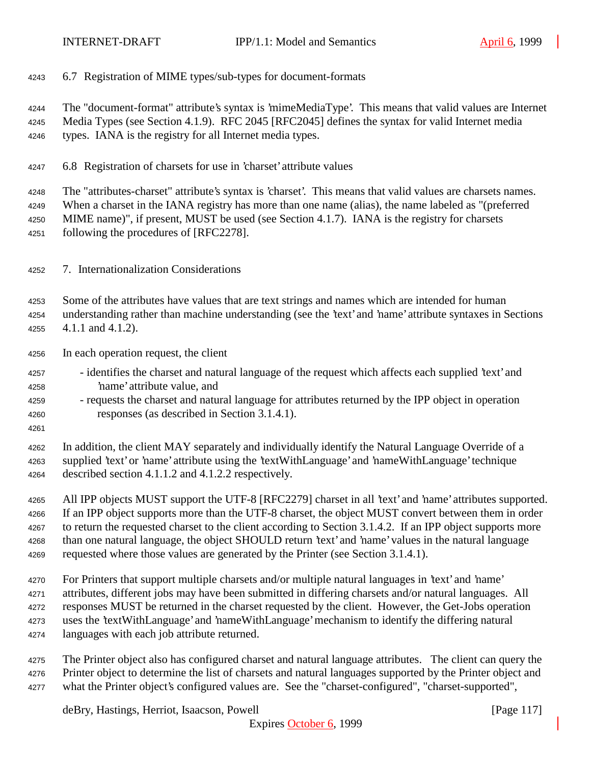6.7 Registration of MIME types/sub-types for document-formats

The "document-format" attribute's syntax is 'mimeMediaType'. This means that valid values are Internet

- Media Types (see Section 4.1.9). RFC 2045 [RFC2045] defines the syntax for valid Internet media types. IANA is the registry for all Internet media types.
- 6.8 Registration of charsets for use in 'charset' attribute values

The "attributes-charset" attribute's syntax is 'charset'. This means that valid values are charsets names.

 When a charset in the IANA registry has more than one name (alias), the name labeled as "(preferred MIME name)", if present, MUST be used (see Section 4.1.7). IANA is the registry for charsets

following the procedures of [RFC2278].

7. Internationalization Considerations

 Some of the attributes have values that are text strings and names which are intended for human understanding rather than machine understanding (see the 'text' and 'name' attribute syntaxes in Sections 4.1.1 and 4.1.2).

- In each operation request, the client
- identifies the charset and natural language of the request which affects each supplied 'text' and 'name' attribute value, and
- requests the charset and natural language for attributes returned by the IPP object in operation responses (as described in Section 3.1.4.1).
- 

 In addition, the client MAY separately and individually identify the Natural Language Override of a supplied 'text' or 'name' attribute using the 'textWithLanguage' and 'nameWithLanguage' technique described section 4.1.1.2 and 4.1.2.2 respectively.

4265 All IPP objects MUST support the UTF-8 [RFC2279] charset in all 'text' and 'name' attributes supported. If an IPP object supports more than the UTF-8 charset, the object MUST convert between them in order to return the requested charset to the client according to Section 3.1.4.2. If an IPP object supports more than one natural language, the object SHOULD return 'text' and 'name' values in the natural language requested where those values are generated by the Printer (see Section 3.1.4.1).

 For Printers that support multiple charsets and/or multiple natural languages in 'text' and 'name' attributes, different jobs may have been submitted in differing charsets and/or natural languages. All responses MUST be returned in the charset requested by the client. However, the Get-Jobs operation uses the 'textWithLanguage' and 'nameWithLanguage' mechanism to identify the differing natural languages with each job attribute returned.

 The Printer object also has configured charset and natural language attributes. The client can query the Printer object to determine the list of charsets and natural languages supported by the Printer object and what the Printer object's configured values are. See the "charset-configured", "charset-supported",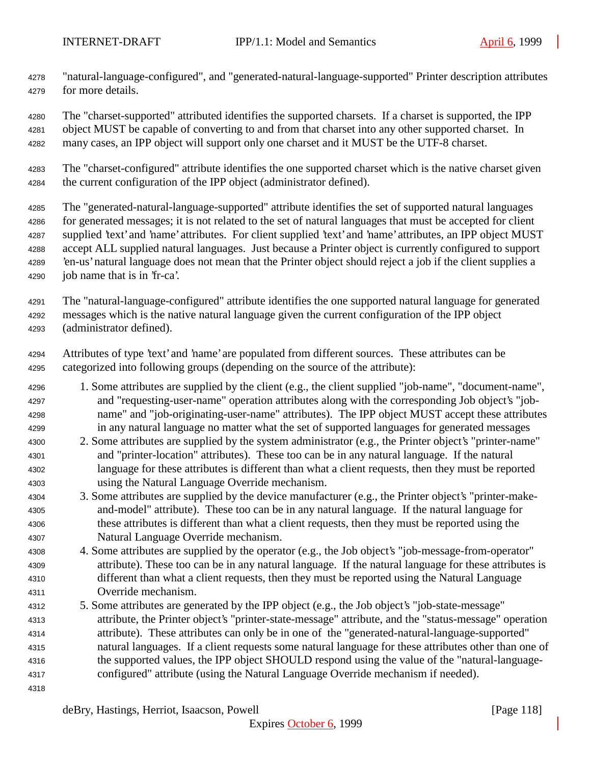- "natural-language-configured", and "generated-natural-language-supported" Printer description attributes for more details.
- The "charset-supported" attributed identifies the supported charsets. If a charset is supported, the IPP object MUST be capable of converting to and from that charset into any other supported charset. In many cases, an IPP object will support only one charset and it MUST be the UTF-8 charset.
- The "charset-configured" attribute identifies the one supported charset which is the native charset given the current configuration of the IPP object (administrator defined).
- The "generated-natural-language-supported" attribute identifies the set of supported natural languages for generated messages; it is not related to the set of natural languages that must be accepted for client 4287 supplied 'text' and 'name' attributes. For client supplied 'text' and 'name' attributes, an IPP object MUST accept ALL supplied natural languages. Just because a Printer object is currently configured to support 'en-us' natural language does not mean that the Printer object should reject a job if the client supplies a job name that is in 'fr-ca'.
- The "natural-language-configured" attribute identifies the one supported natural language for generated messages which is the native natural language given the current configuration of the IPP object (administrator defined).
- Attributes of type 'text' and 'name' are populated from different sources. These attributes can be categorized into following groups (depending on the source of the attribute):
- 1. Some attributes are supplied by the client (e.g., the client supplied "job-name", "document-name", and "requesting-user-name" operation attributes along with the corresponding Job object's "job- name" and "job-originating-user-name" attributes). The IPP object MUST accept these attributes in any natural language no matter what the set of supported languages for generated messages
- 2. Some attributes are supplied by the system administrator (e.g., the Printer object's "printer-name" and "printer-location" attributes). These too can be in any natural language. If the natural language for these attributes is different than what a client requests, then they must be reported using the Natural Language Override mechanism.
- 3. Some attributes are supplied by the device manufacturer (e.g., the Printer object's "printer-make- and-model" attribute). These too can be in any natural language. If the natural language for these attributes is different than what a client requests, then they must be reported using the Natural Language Override mechanism.
- 4. Some attributes are supplied by the operator (e.g., the Job object's "job-message-from-operator" attribute). These too can be in any natural language. If the natural language for these attributes is different than what a client requests, then they must be reported using the Natural Language Override mechanism.
- 5. Some attributes are generated by the IPP object (e.g., the Job object's "job-state-message" attribute, the Printer object's "printer-state-message" attribute, and the "status-message" operation attribute). These attributes can only be in one of the "generated-natural-language-supported" natural languages. If a client requests some natural language for these attributes other than one of the supported values, the IPP object SHOULD respond using the value of the "natural-language-configured" attribute (using the Natural Language Override mechanism if needed).
-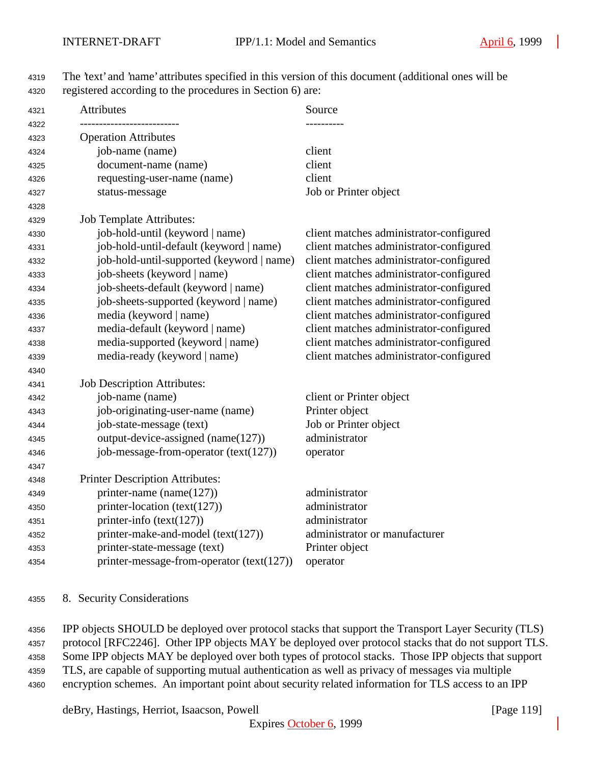| <b>Operation Attributes</b>               |                                         |
|-------------------------------------------|-----------------------------------------|
|                                           |                                         |
| job-name (name)                           | client                                  |
| document-name (name)                      | client                                  |
| requesting-user-name (name)               | client                                  |
| status-message                            | Job or Printer object                   |
|                                           |                                         |
| <b>Job Template Attributes:</b>           |                                         |
| job-hold-until (keyword   name)           | client matches administrator-configured |
| job-hold-until-default (keyword   name)   | client matches administrator-configured |
| job-hold-until-supported (keyword   name) | client matches administrator-configured |
| job-sheets (keyword   name)               | client matches administrator-configured |
| job-sheets-default (keyword   name)       | client matches administrator-configured |
| job-sheets-supported (keyword   name)     | client matches administrator-configured |
| media (keyword   name)                    | client matches administrator-configured |
| media-default (keyword   name)            | client matches administrator-configured |
| media-supported (keyword   name)          | client matches administrator-configured |
| media-ready (keyword   name)              | client matches administrator-configured |
|                                           |                                         |
| <b>Job Description Attributes:</b>        |                                         |
| job-name (name)                           | client or Printer object                |
| job-originating-user-name (name)          | Printer object                          |
| job-state-message (text)                  | Job or Printer object                   |
| output-device-assigned (name(127))        | administrator                           |
| job-message-from-operator (text(127))     | operator                                |
|                                           |                                         |
| Printer Description Attributes:           |                                         |
| printer-name (name $(127)$ )              | administrator                           |
| printer-location (text(127))              | administrator                           |
| printer-info (text(127))                  | administrator                           |
| printer-make-and-model (text(127))        | administrator or manufacturer           |
| printer-state-message (text)              | Printer object                          |
| printer-message-from-operator (text(127)) | operator                                |

# The 'text' and 'name' attributes specified in this version of this document (additional ones will be registered according to the procedures in Section 6) are:

#### 8. Security Considerations

 IPP objects SHOULD be deployed over protocol stacks that support the Transport Layer Security (TLS) protocol [RFC2246]. Other IPP objects MAY be deployed over protocol stacks that do not support TLS. Some IPP objects MAY be deployed over both types of protocol stacks. Those IPP objects that support TLS, are capable of supporting mutual authentication as well as privacy of messages via multiple encryption schemes. An important point about security related information for TLS access to an IPP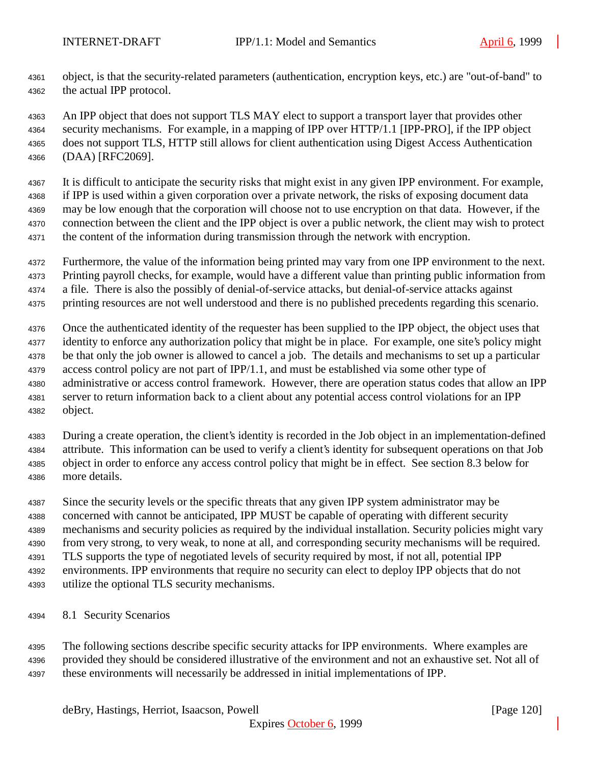object, is that the security-related parameters (authentication, encryption keys, etc.) are "out-of-band" to the actual IPP protocol.

 An IPP object that does not support TLS MAY elect to support a transport layer that provides other security mechanisms. For example, in a mapping of IPP over HTTP/1.1 [IPP-PRO], if the IPP object does not support TLS, HTTP still allows for client authentication using Digest Access Authentication (DAA) [RFC2069].

 It is difficult to anticipate the security risks that might exist in any given IPP environment. For example, if IPP is used within a given corporation over a private network, the risks of exposing document data may be low enough that the corporation will choose not to use encryption on that data. However, if the connection between the client and the IPP object is over a public network, the client may wish to protect the content of the information during transmission through the network with encryption.

- Furthermore, the value of the information being printed may vary from one IPP environment to the next. Printing payroll checks, for example, would have a different value than printing public information from
- a file. There is also the possibly of denial-of-service attacks, but denial-of-service attacks against
- printing resources are not well understood and there is no published precedents regarding this scenario.

 Once the authenticated identity of the requester has been supplied to the IPP object, the object uses that identity to enforce any authorization policy that might be in place. For example, one site's policy might be that only the job owner is allowed to cancel a job. The details and mechanisms to set up a particular access control policy are not part of IPP/1.1, and must be established via some other type of administrative or access control framework. However, there are operation status codes that allow an IPP server to return information back to a client about any potential access control violations for an IPP object.

 During a create operation, the client's identity is recorded in the Job object in an implementation-defined attribute. This information can be used to verify a client's identity for subsequent operations on that Job object in order to enforce any access control policy that might be in effect. See section 8.3 below for more details.

 Since the security levels or the specific threats that any given IPP system administrator may be concerned with cannot be anticipated, IPP MUST be capable of operating with different security mechanisms and security policies as required by the individual installation. Security policies might vary from very strong, to very weak, to none at all, and corresponding security mechanisms will be required. TLS supports the type of negotiated levels of security required by most, if not all, potential IPP environments. IPP environments that require no security can elect to deploy IPP objects that do not utilize the optional TLS security mechanisms.

8.1 Security Scenarios

 The following sections describe specific security attacks for IPP environments. Where examples are provided they should be considered illustrative of the environment and not an exhaustive set. Not all of these environments will necessarily be addressed in initial implementations of IPP.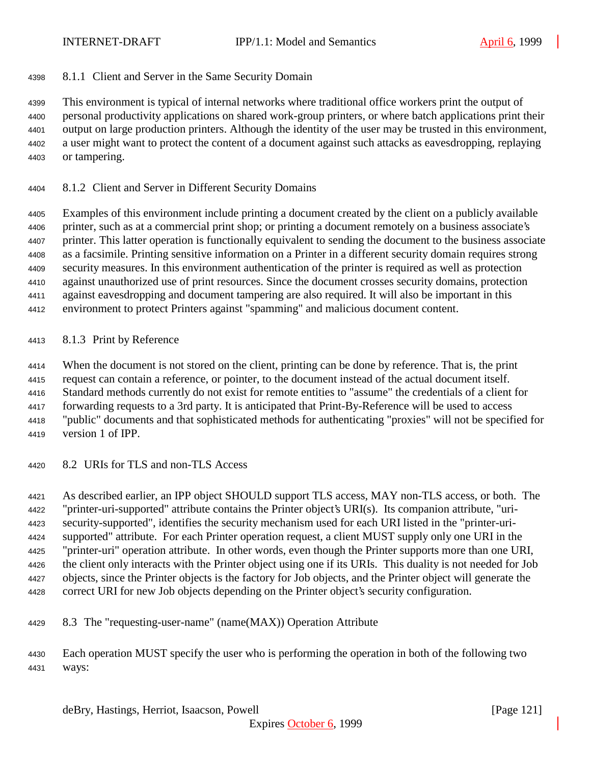8.1.1 Client and Server in the Same Security Domain

 This environment is typical of internal networks where traditional office workers print the output of personal productivity applications on shared work-group printers, or where batch applications print their output on large production printers. Although the identity of the user may be trusted in this environment, a user might want to protect the content of a document against such attacks as eavesdropping, replaying or tampering.

8.1.2 Client and Server in Different Security Domains

 Examples of this environment include printing a document created by the client on a publicly available printer, such as at a commercial print shop; or printing a document remotely on a business associate's printer. This latter operation is functionally equivalent to sending the document to the business associate as a facsimile. Printing sensitive information on a Printer in a different security domain requires strong security measures. In this environment authentication of the printer is required as well as protection against unauthorized use of print resources. Since the document crosses security domains, protection against eavesdropping and document tampering are also required. It will also be important in this environment to protect Printers against "spamming" and malicious document content.

8.1.3 Print by Reference

When the document is not stored on the client, printing can be done by reference. That is, the print

request can contain a reference, or pointer, to the document instead of the actual document itself.

Standard methods currently do not exist for remote entities to "assume" the credentials of a client for

forwarding requests to a 3rd party. It is anticipated that Print-By-Reference will be used to access

"public" documents and that sophisticated methods for authenticating "proxies" will not be specified for

- version 1 of IPP.
- 8.2 URIs for TLS and non-TLS Access

 As described earlier, an IPP object SHOULD support TLS access, MAY non-TLS access, or both. The "printer-uri-supported" attribute contains the Printer object's URI(s). Its companion attribute, "uri- security-supported", identifies the security mechanism used for each URI listed in the "printer-uri- supported" attribute. For each Printer operation request, a client MUST supply only one URI in the "printer-uri" operation attribute. In other words, even though the Printer supports more than one URI, the client only interacts with the Printer object using one if its URIs. This duality is not needed for Job objects, since the Printer objects is the factory for Job objects, and the Printer object will generate the correct URI for new Job objects depending on the Printer object's security configuration.

8.3 The "requesting-user-name" (name(MAX)) Operation Attribute

 Each operation MUST specify the user who is performing the operation in both of the following two ways: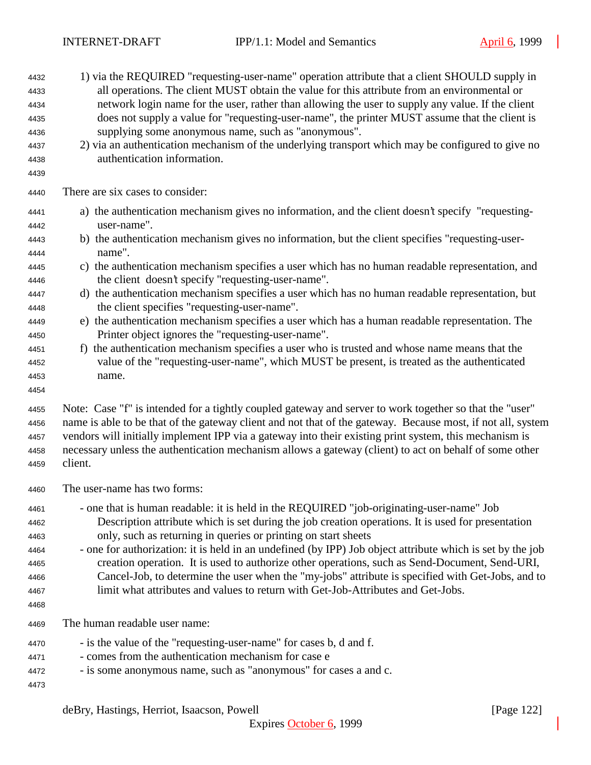| 4432<br>4433<br>4434<br>4435<br>4436<br>4437<br>4438<br>4439 | 1) via the REQUIRED "requesting-user-name" operation attribute that a client SHOULD supply in<br>all operations. The client MUST obtain the value for this attribute from an environmental or<br>network login name for the user, rather than allowing the user to supply any value. If the client<br>does not supply a value for "requesting-user-name", the printer MUST assume that the client is<br>supplying some anonymous name, such as "anonymous".<br>2) via an authentication mechanism of the underlying transport which may be configured to give no<br>authentication information.                                                                          |
|--------------------------------------------------------------|--------------------------------------------------------------------------------------------------------------------------------------------------------------------------------------------------------------------------------------------------------------------------------------------------------------------------------------------------------------------------------------------------------------------------------------------------------------------------------------------------------------------------------------------------------------------------------------------------------------------------------------------------------------------------|
| 4440                                                         | There are six cases to consider:                                                                                                                                                                                                                                                                                                                                                                                                                                                                                                                                                                                                                                         |
| 4441<br>4442                                                 | a) the authentication mechanism gives no information, and the client doesn't specify "requesting-<br>user-name".                                                                                                                                                                                                                                                                                                                                                                                                                                                                                                                                                         |
| 4443<br>4444                                                 | b) the authentication mechanism gives no information, but the client specifies "requesting-user-<br>name".                                                                                                                                                                                                                                                                                                                                                                                                                                                                                                                                                               |
| 4445<br>4446                                                 | c) the authentication mechanism specifies a user which has no human readable representation, and<br>the client doesn't specify "requesting-user-name".                                                                                                                                                                                                                                                                                                                                                                                                                                                                                                                   |
| 4447<br>4448                                                 | d) the authentication mechanism specifies a user which has no human readable representation, but<br>the client specifies "requesting-user-name".                                                                                                                                                                                                                                                                                                                                                                                                                                                                                                                         |
| 4449<br>4450                                                 | e) the authentication mechanism specifies a user which has a human readable representation. The<br>Printer object ignores the "requesting-user-name".                                                                                                                                                                                                                                                                                                                                                                                                                                                                                                                    |
| 4451<br>4452<br>4453<br>4454                                 | f) the authentication mechanism specifies a user who is trusted and whose name means that the<br>value of the "requesting-user-name", which MUST be present, is treated as the authenticated<br>name.                                                                                                                                                                                                                                                                                                                                                                                                                                                                    |
| 4455<br>4456<br>4457<br>4458<br>4459                         | Note: Case "f" is intended for a tightly coupled gateway and server to work together so that the "user"<br>name is able to be that of the gateway client and not that of the gateway. Because most, if not all, system<br>vendors will initially implement IPP via a gateway into their existing print system, this mechanism is<br>necessary unless the authentication mechanism allows a gateway (client) to act on behalf of some other<br>client.                                                                                                                                                                                                                    |
| 4460                                                         | The user-name has two forms:                                                                                                                                                                                                                                                                                                                                                                                                                                                                                                                                                                                                                                             |
| 4461<br>4462<br>4463<br>4464<br>4465<br>4466<br>4467<br>4468 | - one that is human readable: it is held in the REQUIRED "job-originating-user-name" Job<br>Description attribute which is set during the job creation operations. It is used for presentation<br>only, such as returning in queries or printing on start sheets<br>- one for authorization: it is held in an undefined (by IPP) Job object attribute which is set by the job<br>creation operation. It is used to authorize other operations, such as Send-Document, Send-URI,<br>Cancel-Job, to determine the user when the "my-jobs" attribute is specified with Get-Jobs, and to<br>limit what attributes and values to return with Get-Job-Attributes and Get-Jobs. |
| 4469                                                         | The human readable user name:                                                                                                                                                                                                                                                                                                                                                                                                                                                                                                                                                                                                                                            |
| 4470<br>4471<br>4472<br>4473                                 | - is the value of the "requesting-user-name" for cases b, d and f.<br>- comes from the authentication mechanism for case e<br>- is some anonymous name, such as "anonymous" for cases a and c.                                                                                                                                                                                                                                                                                                                                                                                                                                                                           |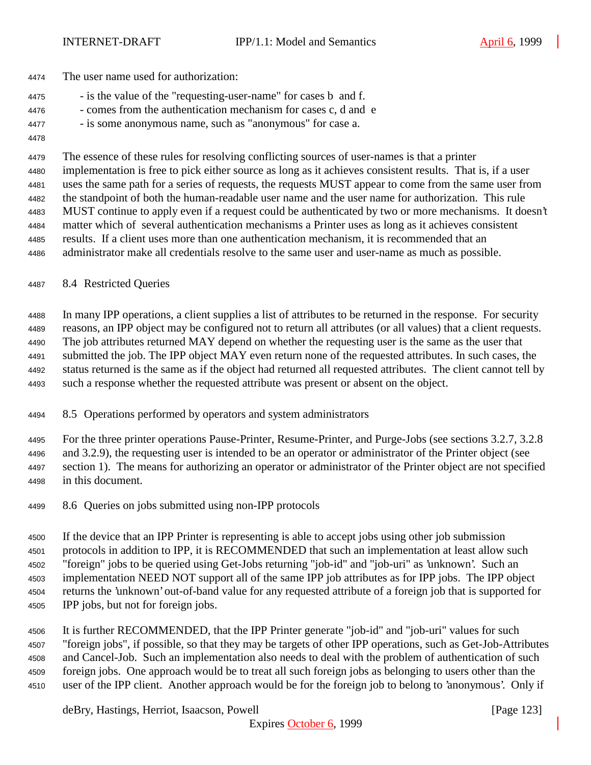- The user name used for authorization:
- is the value of the "requesting-user-name" for cases b and f.
- comes from the authentication mechanism for cases c, d and e
- is some anonymous name, such as "anonymous" for case a.
- 

 The essence of these rules for resolving conflicting sources of user-names is that a printer implementation is free to pick either source as long as it achieves consistent results. That is, if a user uses the same path for a series of requests, the requests MUST appear to come from the same user from the standpoint of both the human-readable user name and the user name for authorization. This rule MUST continue to apply even if a request could be authenticated by two or more mechanisms. It doesn't matter which of several authentication mechanisms a Printer uses as long as it achieves consistent results. If a client uses more than one authentication mechanism, it is recommended that an administrator make all credentials resolve to the same user and user-name as much as possible.

## 8.4 Restricted Queries

 In many IPP operations, a client supplies a list of attributes to be returned in the response. For security reasons, an IPP object may be configured not to return all attributes (or all values) that a client requests. The job attributes returned MAY depend on whether the requesting user is the same as the user that submitted the job. The IPP object MAY even return none of the requested attributes. In such cases, the status returned is the same as if the object had returned all requested attributes. The client cannot tell by such a response whether the requested attribute was present or absent on the object.

- 8.5 Operations performed by operators and system administrators
- For the three printer operations Pause-Printer, Resume-Printer, and Purge-Jobs (see sections 3.2.7, 3.2.8 and 3.2.9), the requesting user is intended to be an operator or administrator of the Printer object (see section 1). The means for authorizing an operator or administrator of the Printer object are not specified in this document.
- 8.6 Queries on jobs submitted using non-IPP protocols

 If the device that an IPP Printer is representing is able to accept jobs using other job submission protocols in addition to IPP, it is RECOMMENDED that such an implementation at least allow such "foreign" jobs to be queried using Get-Jobs returning "job-id" and "job-uri" as 'unknown'. Such an implementation NEED NOT support all of the same IPP job attributes as for IPP jobs. The IPP object returns the 'unknown' out-of-band value for any requested attribute of a foreign job that is supported for IPP jobs, but not for foreign jobs.

 It is further RECOMMENDED, that the IPP Printer generate "job-id" and "job-uri" values for such "foreign jobs", if possible, so that they may be targets of other IPP operations, such as Get-Job-Attributes and Cancel-Job. Such an implementation also needs to deal with the problem of authentication of such foreign jobs. One approach would be to treat all such foreign jobs as belonging to users other than the user of the IPP client. Another approach would be for the foreign job to belong to 'anonymous'. Only if

deBry, Hastings, Herriot, Isaacson, Powell **company** and the company of the company in the company of the company of the company of the company of the company of the company of the company of the company of the company of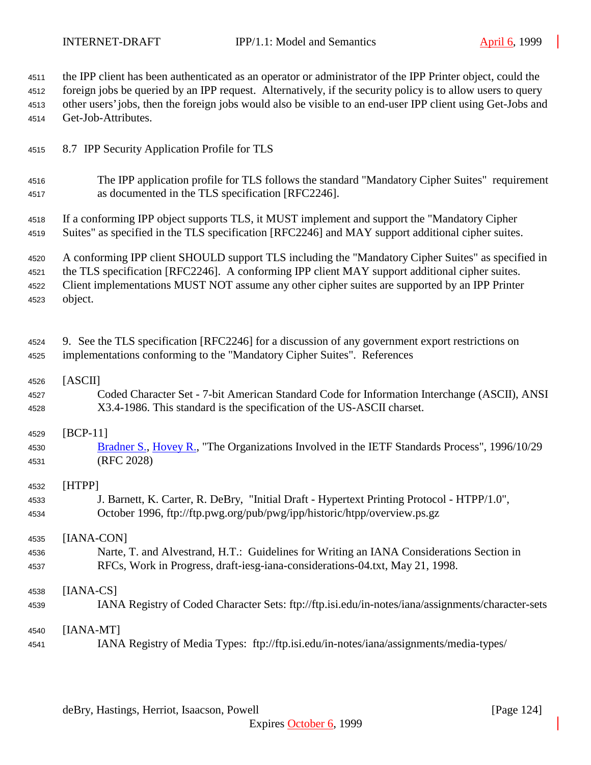| 4511 | the IPP client has been authenticated as an operator or administrator of the IPP Printer object, could the  |
|------|-------------------------------------------------------------------------------------------------------------|
| 4512 | foreign jobs be queried by an IPP request. Alternatively, if the security policy is to allow users to query |
| 4513 | other users' jobs, then the foreign jobs would also be visible to an end-user IPP client using Get-Jobs and |
| 4514 | Get-Job-Attributes.                                                                                         |
| 4515 | 8.7 IPP Security Application Profile for TLS                                                                |
| 4516 | The IPP application profile for TLS follows the standard "Mandatory Cipher Suites" requirement              |
| 4517 | as documented in the TLS specification [RFC2246].                                                           |
| 4518 | If a conforming IPP object supports TLS, it MUST implement and support the "Mandatory Cipher"               |
| 4519 | Suites" as specified in the TLS specification [RFC2246] and MAY support additional cipher suites.           |
| 4520 | A conforming IPP client SHOULD support TLS including the "Mandatory Cipher Suites" as specified in          |
| 4521 | the TLS specification [RFC2246]. A conforming IPP client MAY support additional cipher suites.              |
| 4522 | Client implementations MUST NOT assume any other cipher suites are supported by an IPP Printer              |
| 4523 | object.                                                                                                     |
| 4524 | 9. See the TLS specification [RFC2246] for a discussion of any government export restrictions on            |
| 4525 | implementations conforming to the "Mandatory Cipher Suites". References                                     |
| 4526 | [ASCII]                                                                                                     |
| 4527 | Coded Character Set - 7-bit American Standard Code for Information Interchange (ASCII), ANSI                |
| 4528 | X3.4-1986. This standard is the specification of the US-ASCII charset.                                      |
| 4529 | $[BCP-11]$                                                                                                  |
| 4530 | Bradner S., Hovey R., "The Organizations Involved in the IETF Standards Process", 1996/10/29                |
| 4531 | (RFC 2028)                                                                                                  |
| 4532 | [HTPP]                                                                                                      |
| 4533 | J. Barnett, K. Carter, R. DeBry, "Initial Draft - Hypertext Printing Protocol - HTPP/1.0",                  |
| 4534 | October 1996, ftp://ftp.pwg.org/pub/pwg/ipp/historic/htpp/overview.ps.gz                                    |
| 4535 | [IANA-CON]                                                                                                  |
| 4536 | Narte, T. and Alvestrand, H.T.: Guidelines for Writing an IANA Considerations Section in                    |
| 4537 | RFCs, Work in Progress, draft-iesg-iana-considerations-04.txt, May 21, 1998.                                |
| 4538 | $[IANA-CS]$                                                                                                 |
| 4539 | IANA Registry of Coded Character Sets: ftp://ftp.isi.edu/in-notes/iana/assignments/character-sets           |
| 4540 | $[IANA-MT]$                                                                                                 |
| 4541 | IANA Registry of Media Types: ftp://ftp.isi.edu/in-notes/iana/assignments/media-types/                      |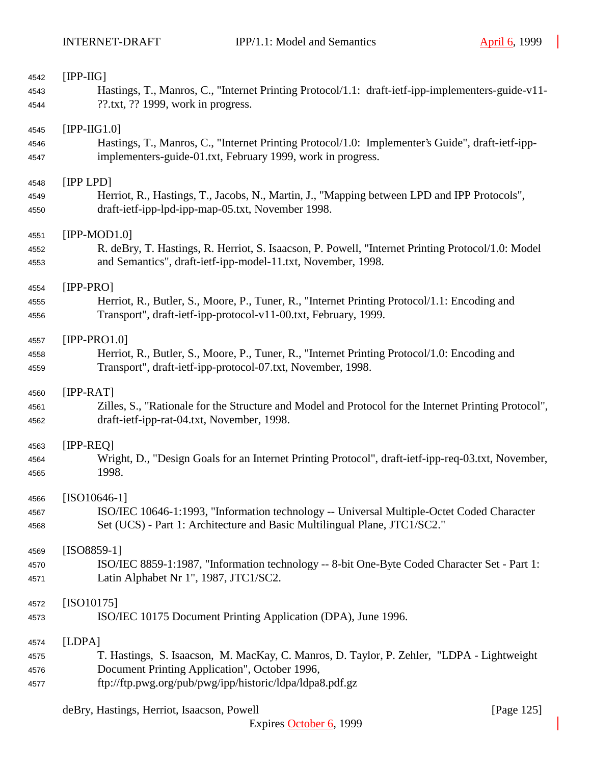| 4542 | $[IPP-HG]$                                                                                           |
|------|------------------------------------------------------------------------------------------------------|
| 4543 | Hastings, T., Manros, C., "Internet Printing Protocol/1.1: draft-ietf-ipp-implementers-guide-v11-    |
| 4544 | $??$ .txt, $??$ 1999, work in progress.                                                              |
|      |                                                                                                      |
| 4545 | $[IPP-HG1.0]$                                                                                        |
| 4546 | Hastings, T., Manros, C., "Internet Printing Protocol/1.0: Implementer's Guide", draft-ietf-ipp-     |
| 4547 | implementers-guide-01.txt, February 1999, work in progress.                                          |
| 4548 | [IPP LPD]                                                                                            |
| 4549 | Herriot, R., Hastings, T., Jacobs, N., Martin, J., "Mapping between LPD and IPP Protocols",          |
| 4550 | draft-ietf-ipp-lpd-ipp-map-05.txt, November 1998.                                                    |
| 4551 | $[IPP-MOD1.0]$                                                                                       |
| 4552 | R. deBry, T. Hastings, R. Herriot, S. Isaacson, P. Powell, "Internet Printing Protocol/1.0: Model    |
| 4553 | and Semantics", draft-ietf-ipp-model-11.txt, November, 1998.                                         |
| 4554 | $[IPP-PRO]$                                                                                          |
| 4555 | Herriot, R., Butler, S., Moore, P., Tuner, R., "Internet Printing Protocol/1.1: Encoding and         |
| 4556 | Transport", draft-ietf-ipp-protocol-v11-00.txt, February, 1999.                                      |
| 4557 | $[IPP-PRO1.0]$                                                                                       |
| 4558 | Herriot, R., Butler, S., Moore, P., Tuner, R., "Internet Printing Protocol/1.0: Encoding and         |
| 4559 | Transport", draft-ietf-ipp-protocol-07.txt, November, 1998.                                          |
| 4560 | $[IPP-RAT]$                                                                                          |
| 4561 | Zilles, S., "Rationale for the Structure and Model and Protocol for the Internet Printing Protocol", |
| 4562 | draft-ietf-ipp-rat-04.txt, November, 1998.                                                           |
| 4563 | $[IPP-REQ]$                                                                                          |
| 4564 | Wright, D., "Design Goals for an Internet Printing Protocol", draft-ietf-ipp-req-03.txt, November,   |
| 4565 | 1998.                                                                                                |
| 4566 | $[ISO10646-1]$                                                                                       |
| 4567 | ISO/IEC 10646-1:1993, "Information technology -- Universal Multiple-Octet Coded Character            |
| 4568 | Set (UCS) - Part 1: Architecture and Basic Multilingual Plane, JTC1/SC2."                            |
| 4569 | $[ISO8859-1]$                                                                                        |
| 4570 | ISO/IEC 8859-1:1987, "Information technology -- 8-bit One-Byte Coded Character Set - Part 1:         |
| 4571 | Latin Alphabet Nr 1", 1987, JTC1/SC2.                                                                |
| 4572 | $[ISO10175]$                                                                                         |
| 4573 | ISO/IEC 10175 Document Printing Application (DPA), June 1996.                                        |
| 4574 | [LDPA]                                                                                               |
| 4575 | T. Hastings, S. Isaacson, M. MacKay, C. Manros, D. Taylor, P. Zehler, "LDPA - Lightweight            |
| 4576 | Document Printing Application", October 1996,                                                        |
| 4577 | ftp://ftp.pwg.org/pub/pwg/ipp/historic/ldpa/ldpa8.pdf.gz                                             |
|      |                                                                                                      |

deBry, Hastings, Herriot, Isaacson, Powell [Page 125]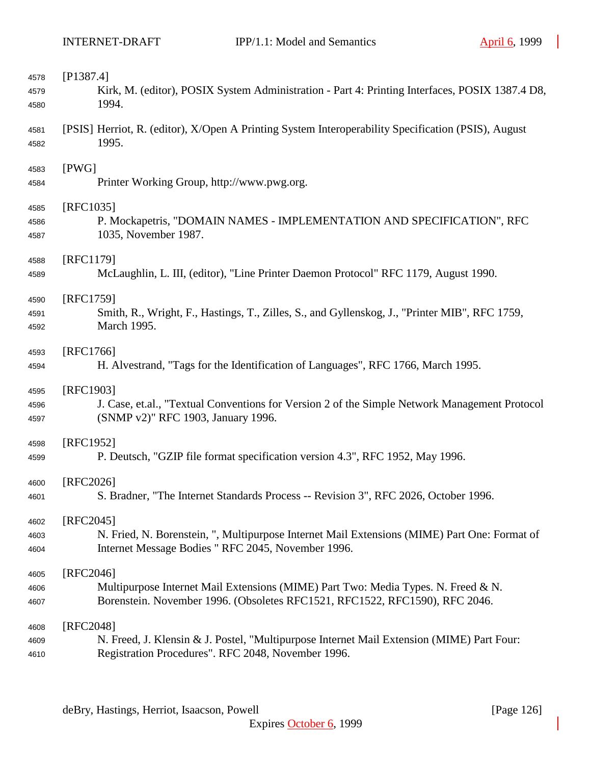| 4578         | [P1387.4]                                                                                                                                          |
|--------------|----------------------------------------------------------------------------------------------------------------------------------------------------|
| 4579         | Kirk, M. (editor), POSIX System Administration - Part 4: Printing Interfaces, POSIX 1387.4 D8,                                                     |
| 4580         | 1994.                                                                                                                                              |
| 4581<br>4582 | [PSIS] Herriot, R. (editor), X/Open A Printing System Interoperability Specification (PSIS), August<br>1995.                                       |
| 4583         | [PWG]                                                                                                                                              |
| 4584         | Printer Working Group, http://www.pwg.org.                                                                                                         |
| 4585         | [RFC1035]                                                                                                                                          |
| 4586<br>4587 | P. Mockapetris, "DOMAIN NAMES - IMPLEMENTATION AND SPECIFICATION", RFC<br>1035, November 1987.                                                     |
| 4588         | [RFC1179]                                                                                                                                          |
| 4589         | McLaughlin, L. III, (editor), "Line Printer Daemon Protocol" RFC 1179, August 1990.                                                                |
| 4590         | [RFC1759]                                                                                                                                          |
| 4591         | Smith, R., Wright, F., Hastings, T., Zilles, S., and Gyllenskog, J., "Printer MIB", RFC 1759,                                                      |
| 4592         | March 1995.                                                                                                                                        |
| 4593         | [RFC1766]                                                                                                                                          |
| 4594         | H. Alvestrand, "Tags for the Identification of Languages", RFC 1766, March 1995.                                                                   |
| 4595         | [RFC1903]                                                                                                                                          |
| 4596         | J. Case, et.al., "Textual Conventions for Version 2 of the Simple Network Management Protocol                                                      |
| 4597         | (SNMP v2)" RFC 1903, January 1996.                                                                                                                 |
| 4598         | [RFC1952]                                                                                                                                          |
| 4599         | P. Deutsch, "GZIP file format specification version 4.3", RFC 1952, May 1996.                                                                      |
|              |                                                                                                                                                    |
| 4600<br>4601 | [RFC2026]<br>S. Bradner, "The Internet Standards Process -- Revision 3", RFC 2026, October 1996.                                                   |
|              |                                                                                                                                                    |
| 4602         | $[RFC2045]$                                                                                                                                        |
| 4603         | N. Fried, N. Borenstein, ", Multipurpose Internet Mail Extensions (MIME) Part One: Format of<br>Internet Message Bodies " RFC 2045, November 1996. |
| 4604         |                                                                                                                                                    |
| 4605         | $[RFC2046]$                                                                                                                                        |
| 4606         | Multipurpose Internet Mail Extensions (MIME) Part Two: Media Types. N. Freed & N.                                                                  |
| 4607         | Borenstein. November 1996. (Obsoletes RFC1521, RFC1522, RFC1590), RFC 2046.                                                                        |
| 4608         | [RFC2048]                                                                                                                                          |
| 4609         | N. Freed, J. Klensin & J. Postel, "Multipurpose Internet Mail Extension (MIME) Part Four:                                                          |
| 4610         | Registration Procedures". RFC 2048, November 1996.                                                                                                 |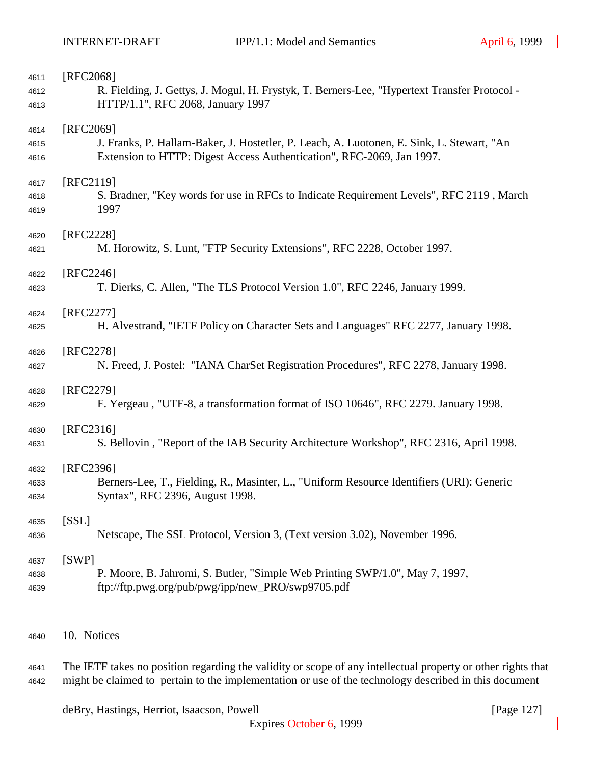| 4611         | [RFC2068]                                                                                    |
|--------------|----------------------------------------------------------------------------------------------|
| 4612         | R. Fielding, J. Gettys, J. Mogul, H. Frystyk, T. Berners-Lee, "Hypertext Transfer Protocol - |
| 4613         | HTTP/1.1", RFC 2068, January 1997                                                            |
|              |                                                                                              |
| 4614         | [RFC2069]                                                                                    |
| 4615         | J. Franks, P. Hallam-Baker, J. Hostetler, P. Leach, A. Luotonen, E. Sink, L. Stewart, "An    |
| 4616         | Extension to HTTP: Digest Access Authentication", RFC-2069, Jan 1997.                        |
| 4617         | [RFC2119]                                                                                    |
| 4618         | S. Bradner, "Key words for use in RFCs to Indicate Requirement Levels", RFC 2119, March      |
| 4619         | 1997                                                                                         |
|              |                                                                                              |
| 4620         | [RFC2228]                                                                                    |
| 4621         | M. Horowitz, S. Lunt, "FTP Security Extensions", RFC 2228, October 1997.                     |
| 4622         | [RFC2246]                                                                                    |
| 4623         | T. Dierks, C. Allen, "The TLS Protocol Version 1.0", RFC 2246, January 1999.                 |
|              |                                                                                              |
| 4624         | [RFC2277]                                                                                    |
| 4625         | H. Alvestrand, "IETF Policy on Character Sets and Languages" RFC 2277, January 1998.         |
| 4626         | [RFC2278]                                                                                    |
| 4627         | N. Freed, J. Postel: "IANA CharSet Registration Procedures", RFC 2278, January 1998.         |
|              |                                                                                              |
| 4628         | [RFC2279]                                                                                    |
| 4629         | F. Yergeau, "UTF-8, a transformation format of ISO 10646", RFC 2279. January 1998.           |
|              | $[RFC2316]$                                                                                  |
| 4630<br>4631 | S. Bellovin, "Report of the IAB Security Architecture Workshop", RFC 2316, April 1998.       |
|              |                                                                                              |
| 4632         | [RFC2396]                                                                                    |
| 4633         | Berners-Lee, T., Fielding, R., Masinter, L., "Uniform Resource Identifiers (URI): Generic    |
| 4634         | Syntax", RFC 2396, August 1998.                                                              |
|              | [SSL]                                                                                        |
| 4635<br>4636 | Netscape, The SSL Protocol, Version 3, (Text version 3.02), November 1996.                   |
|              |                                                                                              |
| 4637         | [SWP]                                                                                        |
| 4638         | P. Moore, B. Jahromi, S. Butler, "Simple Web Printing SWP/1.0", May 7, 1997,                 |
| 4639         | ftp://ftp.pwg.org/pub/pwg/ipp/new_PRO/swp9705.pdf                                            |
|              |                                                                                              |
|              |                                                                                              |
| 4640         | 10. Notices                                                                                  |

 The IETF takes no position regarding the validity or scope of any intellectual property or other rights that might be claimed to pertain to the implementation or use of the technology described in this document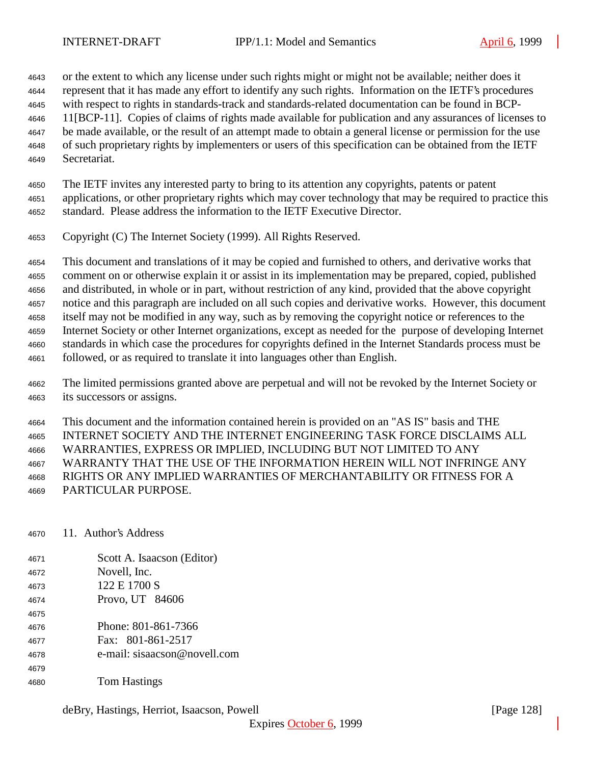or the extent to which any license under such rights might or might not be available; neither does it represent that it has made any effort to identify any such rights. Information on the IETF's procedures with respect to rights in standards-track and standards-related documentation can be found in BCP- 11[BCP-11]. Copies of claims of rights made available for publication and any assurances of licenses to be made available, or the result of an attempt made to obtain a general license or permission for the use of such proprietary rights by implementers or users of this specification can be obtained from the IETF Secretariat.

 The IETF invites any interested party to bring to its attention any copyrights, patents or patent applications, or other proprietary rights which may cover technology that may be required to practice this standard. Please address the information to the IETF Executive Director.

Copyright (C) The Internet Society (1999). All Rights Reserved.

 This document and translations of it may be copied and furnished to others, and derivative works that comment on or otherwise explain it or assist in its implementation may be prepared, copied, published and distributed, in whole or in part, without restriction of any kind, provided that the above copyright notice and this paragraph are included on all such copies and derivative works. However, this document itself may not be modified in any way, such as by removing the copyright notice or references to the Internet Society or other Internet organizations, except as needed for the purpose of developing Internet standards in which case the procedures for copyrights defined in the Internet Standards process must be followed, or as required to translate it into languages other than English.

 The limited permissions granted above are perpetual and will not be revoked by the Internet Society or its successors or assigns.

 This document and the information contained herein is provided on an "AS IS" basis and THE INTERNET SOCIETY AND THE INTERNET ENGINEERING TASK FORCE DISCLAIMS ALL WARRANTIES, EXPRESS OR IMPLIED, INCLUDING BUT NOT LIMITED TO ANY WARRANTY THAT THE USE OF THE INFORMATION HEREIN WILL NOT INFRINGE ANY RIGHTS OR ANY IMPLIED WARRANTIES OF MERCHANTABILITY OR FITNESS FOR A PARTICULAR PURPOSE.

- 11. Author's Address
- Scott A. Isaacson (Editor) Novell, Inc. 122 E 1700 S Provo, UT 84606 Phone: 801-861-7366 Fax: 801-861-2517 e-mail: sisaacson@novell.com
- Tom Hastings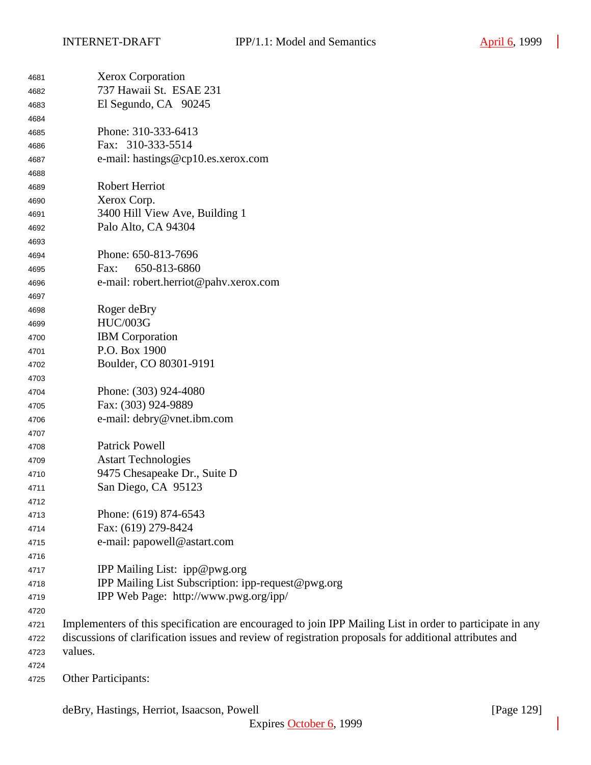| 4681 | <b>Xerox Corporation</b>                                                                                  |
|------|-----------------------------------------------------------------------------------------------------------|
| 4682 | 737 Hawaii St. ESAE 231                                                                                   |
| 4683 | El Segundo, CA 90245                                                                                      |
| 4684 |                                                                                                           |
| 4685 | Phone: 310-333-6413                                                                                       |
| 4686 | Fax: 310-333-5514                                                                                         |
| 4687 | e-mail: hastings@cp10.es.xerox.com                                                                        |
| 4688 |                                                                                                           |
| 4689 | Robert Herriot                                                                                            |
| 4690 | Xerox Corp.                                                                                               |
| 4691 | 3400 Hill View Ave, Building 1                                                                            |
| 4692 | Palo Alto, CA 94304                                                                                       |
| 4693 |                                                                                                           |
| 4694 | Phone: 650-813-7696                                                                                       |
| 4695 | 650-813-6860<br>Fax:                                                                                      |
| 4696 | e-mail: robert.herriot@pahv.xerox.com                                                                     |
| 4697 |                                                                                                           |
| 4698 | Roger deBry                                                                                               |
| 4699 | <b>HUC/003G</b>                                                                                           |
| 4700 | <b>IBM</b> Corporation                                                                                    |
| 4701 | P.O. Box 1900                                                                                             |
| 4702 | Boulder, CO 80301-9191                                                                                    |
| 4703 |                                                                                                           |
| 4704 | Phone: (303) 924-4080                                                                                     |
| 4705 | Fax: (303) 924-9889                                                                                       |
| 4706 | e-mail: debry@vnet.ibm.com                                                                                |
| 4707 |                                                                                                           |
| 4708 | <b>Patrick Powell</b>                                                                                     |
| 4709 | <b>Astart Technologies</b>                                                                                |
| 4710 | 9475 Chesapeake Dr., Suite D                                                                              |
| 4711 | San Diego, CA 95123                                                                                       |
| 4712 |                                                                                                           |
| 4713 | Phone: (619) 874-6543                                                                                     |
| 4714 | Fax: (619) 279-8424                                                                                       |
| 4715 | e-mail: papowell@astart.com                                                                               |
| 4716 |                                                                                                           |
| 4717 | IPP Mailing List: ipp@pwg.org                                                                             |
| 4718 | IPP Mailing List Subscription: ipp-request@pwg.org                                                        |
| 4719 | IPP Web Page: http://www.pwg.org/ipp/                                                                     |
| 4720 |                                                                                                           |
| 4721 | Implementers of this specification are encouraged to join IPP Mailing List in order to participate in any |
| 4722 | discussions of clarification issues and review of registration proposals for additional attributes and    |
| 4723 | values.                                                                                                   |
| 4724 |                                                                                                           |
| 4725 | Other Participants:                                                                                       |

deBry, Hastings, Herriot, Isaacson, Powell [Page 129]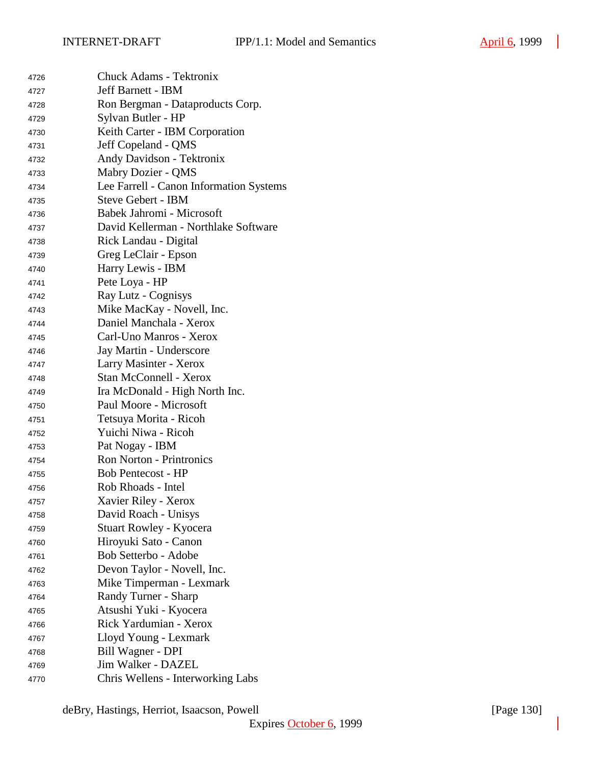| 4726 | <b>Chuck Adams - Tektronix</b>          |
|------|-----------------------------------------|
| 4727 | <b>Jeff Barnett - IBM</b>               |
| 4728 | Ron Bergman - Dataproducts Corp.        |
| 4729 | Sylvan Butler - HP                      |
| 4730 | Keith Carter - IBM Corporation          |
| 4731 | Jeff Copeland - QMS                     |
| 4732 | Andy Davidson - Tektronix               |
| 4733 | Mabry Dozier - QMS                      |
| 4734 | Lee Farrell - Canon Information Systems |
| 4735 | <b>Steve Gebert - IBM</b>               |
| 4736 | Babek Jahromi - Microsoft               |
| 4737 | David Kellerman - Northlake Software    |
| 4738 | Rick Landau - Digital                   |
| 4739 | Greg LeClair - Epson                    |
| 4740 | Harry Lewis - IBM                       |
| 4741 | Pete Loya - HP                          |
| 4742 | Ray Lutz - Cognisys                     |
| 4743 | Mike MacKay - Novell, Inc.              |
| 4744 | Daniel Manchala - Xerox                 |
| 4745 | Carl-Uno Manros - Xerox                 |
| 4746 | Jay Martin - Underscore                 |
| 4747 | Larry Masinter - Xerox                  |
| 4748 | Stan McConnell - Xerox                  |
| 4749 | Ira McDonald - High North Inc.          |
| 4750 | Paul Moore - Microsoft                  |
| 4751 | Tetsuya Morita - Ricoh                  |
| 4752 | Yuichi Niwa - Ricoh                     |
| 4753 | Pat Nogay - IBM                         |
| 4754 | <b>Ron Norton - Printronics</b>         |
| 4755 | <b>Bob Pentecost - HP</b>               |
| 4756 | Rob Rhoads - Intel                      |
| 4757 | Xavier Riley - Xerox                    |
| 4758 | David Roach - Unisys                    |
| 4759 | Stuart Rowley - Kyocera                 |
| 4760 | Hiroyuki Sato - Canon                   |
| 4761 | Bob Setterbo - Adobe                    |
| 4762 | Devon Taylor - Novell, Inc.             |
| 4763 | Mike Timperman - Lexmark                |
| 4764 | Randy Turner - Sharp                    |
| 4765 | Atsushi Yuki - Kyocera                  |
| 4766 | Rick Yardumian - Xerox                  |
| 4767 | Lloyd Young - Lexmark                   |
| 4768 | Bill Wagner - DPI                       |
| 4769 | Jim Walker - DAZEL                      |
| 4770 | Chris Wellens - Interworking Labs       |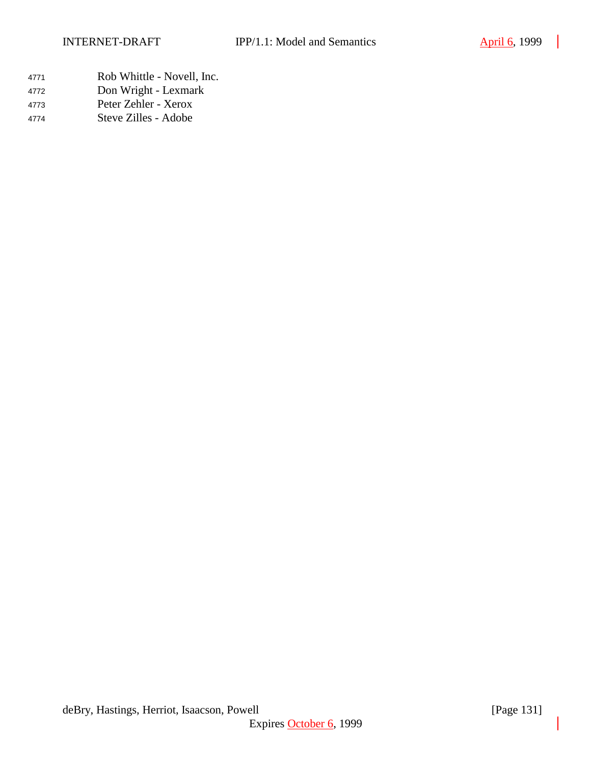| 4771 | Rob Whittle - Novell, Inc. |
|------|----------------------------|
| 4772 | Don Wright - Lexmark       |
| 4773 | Peter Zehler - Xerox       |
| 4774 | Steve Zilles - Adobe       |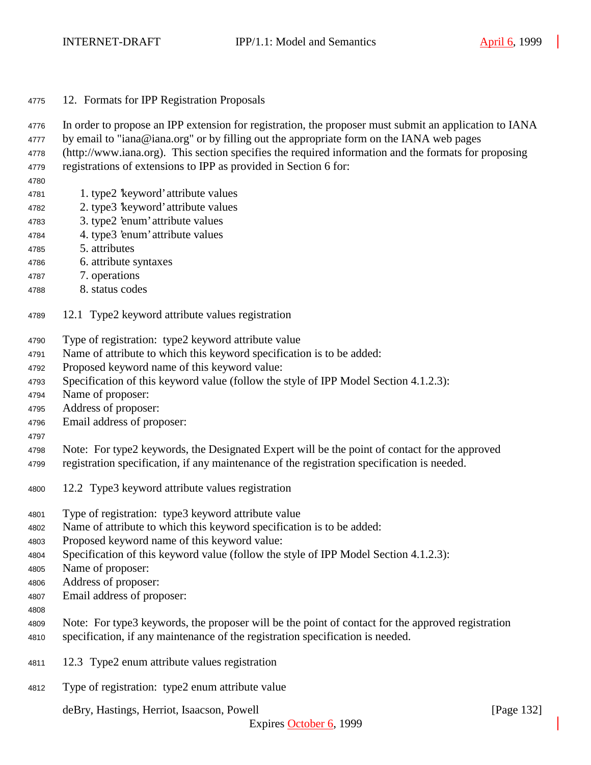- 12. Formats for IPP Registration Proposals
- In order to propose an IPP extension for registration, the proposer must submit an application to IANA
- 4777 by email to "iana@iana.org" or by filling out the appropriate form on the IANA web pages
- (http://www.iana.org). This section specifies the required information and the formats for proposing
- registrations of extensions to IPP as provided in Section 6 for:
- 
- 1. type2 'keyword' attribute values
- 2. type3 'keyword' attribute values
- 3. type2 'enum' attribute values
- 4. type3 'enum' attribute values
- 5. attributes
- 6. attribute syntaxes
- 7. operations
- 8. status codes
- 12.1 Type2 keyword attribute values registration
- Type of registration: type2 keyword attribute value
- Name of attribute to which this keyword specification is to be added:
- Proposed keyword name of this keyword value:
- Specification of this keyword value (follow the style of IPP Model Section 4.1.2.3):
- Name of proposer:
- Address of proposer:
- Email address of proposer:
- 
- Note: For type2 keywords, the Designated Expert will be the point of contact for the approved
- registration specification, if any maintenance of the registration specification is needed.
- 12.2 Type3 keyword attribute values registration
- Type of registration: type3 keyword attribute value
- Name of attribute to which this keyword specification is to be added:
- Proposed keyword name of this keyword value:
- Specification of this keyword value (follow the style of IPP Model Section 4.1.2.3):
- Name of proposer:
- Address of proposer:
- Email address of proposer:
- 
- Note: For type3 keywords, the proposer will be the point of contact for the approved registration specification, if any maintenance of the registration specification is needed.
- 12.3 Type2 enum attribute values registration
- Type of registration: type2 enum attribute value

deBry, Hastings, Herriot, Isaacson, Powell [Page 132]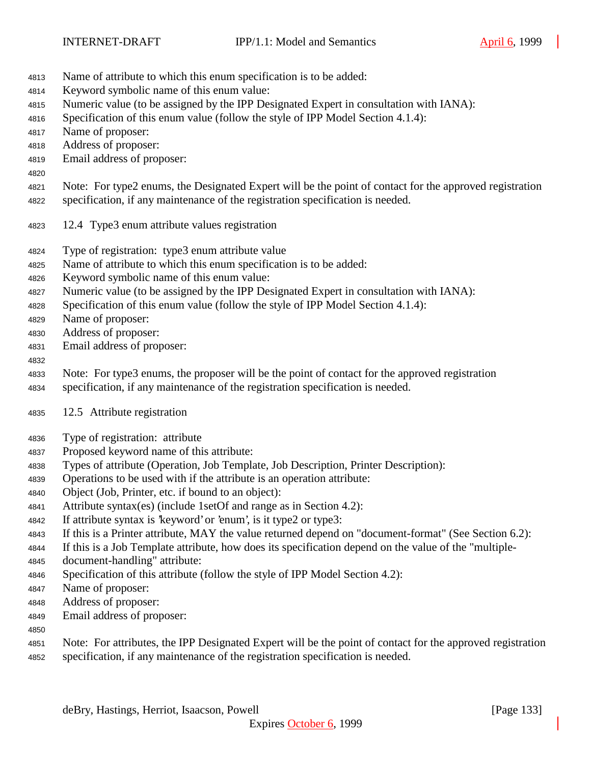- Name of attribute to which this enum specification is to be added:
- Keyword symbolic name of this enum value:
- Numeric value (to be assigned by the IPP Designated Expert in consultation with IANA):
- Specification of this enum value (follow the style of IPP Model Section 4.1.4):
- Name of proposer:
- Address of proposer:
- Email address of proposer:
- Note: For type2 enums, the Designated Expert will be the point of contact for the approved registration
- specification, if any maintenance of the registration specification is needed.
- 12.4 Type3 enum attribute values registration
- Type of registration: type3 enum attribute value
- Name of attribute to which this enum specification is to be added:
- Keyword symbolic name of this enum value:
- Numeric value (to be assigned by the IPP Designated Expert in consultation with IANA):
- Specification of this enum value (follow the style of IPP Model Section 4.1.4):
- Name of proposer:
- Address of proposer:
- Email address of proposer:

# 

- Note: For type3 enums, the proposer will be the point of contact for the approved registration
- specification, if any maintenance of the registration specification is needed.
- 12.5 Attribute registration
- Type of registration: attribute
- Proposed keyword name of this attribute:
- Types of attribute (Operation, Job Template, Job Description, Printer Description):
- Operations to be used with if the attribute is an operation attribute:
- Object (Job, Printer, etc. if bound to an object):
- Attribute syntax(es) (include 1setOf and range as in Section 4.2):
- If attribute syntax is 'keyword' or 'enum', is it type2 or type3:
- If this is a Printer attribute, MAY the value returned depend on "document-format" (See Section 6.2):
- If this is a Job Template attribute, how does its specification depend on the value of the "multiple-
- document-handling" attribute:
- Specification of this attribute (follow the style of IPP Model Section 4.2):
- Name of proposer:
- Address of proposer:
- Email address of proposer:
- 
- Note: For attributes, the IPP Designated Expert will be the point of contact for the approved registration specification, if any maintenance of the registration specification is needed.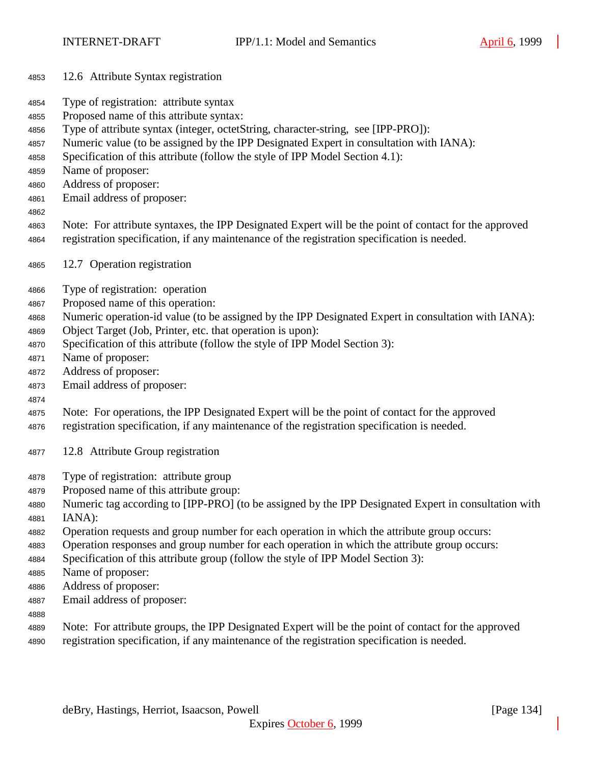- 12.6 Attribute Syntax registration
- Type of registration: attribute syntax
- Proposed name of this attribute syntax:
- Type of attribute syntax (integer, octetString, character-string, see [IPP-PRO]):
- Numeric value (to be assigned by the IPP Designated Expert in consultation with IANA):
- Specification of this attribute (follow the style of IPP Model Section 4.1):
- Name of proposer:
- Address of proposer:
- Email address of proposer:
- 
- Note: For attribute syntaxes, the IPP Designated Expert will be the point of contact for the approved registration specification, if any maintenance of the registration specification is needed.
- 12.7 Operation registration
- Type of registration: operation
- Proposed name of this operation:
- Numeric operation-id value (to be assigned by the IPP Designated Expert in consultation with IANA):
- Object Target (Job, Printer, etc. that operation is upon):
- Specification of this attribute (follow the style of IPP Model Section 3):
- Name of proposer:
- Address of proposer:
- Email address of proposer:
- 

Note: For operations, the IPP Designated Expert will be the point of contact for the approved

- registration specification, if any maintenance of the registration specification is needed.
- 12.8 Attribute Group registration
- Type of registration: attribute group
- Proposed name of this attribute group:
- Numeric tag according to [IPP-PRO] (to be assigned by the IPP Designated Expert in consultation with IANA):
- Operation requests and group number for each operation in which the attribute group occurs:
- Operation responses and group number for each operation in which the attribute group occurs:
- Specification of this attribute group (follow the style of IPP Model Section 3):
- Name of proposer:
- Address of proposer:
- Email address of proposer:
- 
- Note: For attribute groups, the IPP Designated Expert will be the point of contact for the approved
- registration specification, if any maintenance of the registration specification is needed.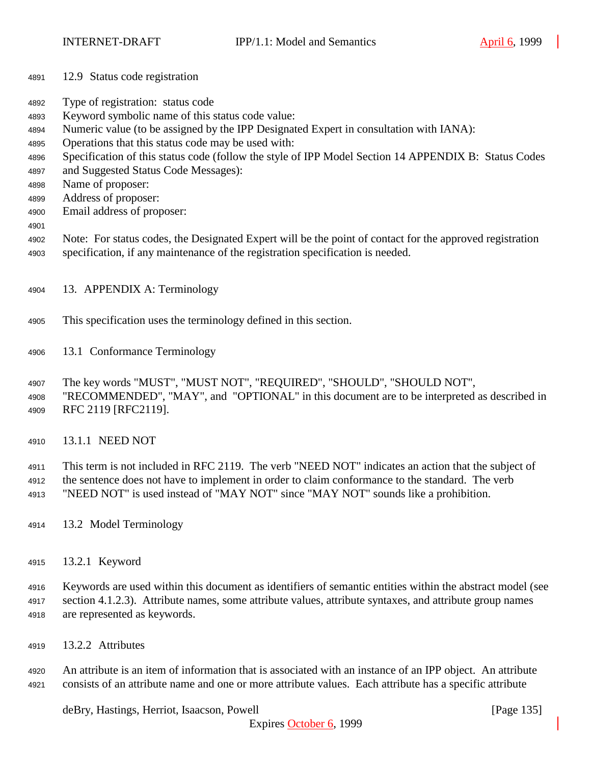- 12.9 Status code registration
- Type of registration: status code
- Keyword symbolic name of this status code value:
- Numeric value (to be assigned by the IPP Designated Expert in consultation with IANA):
- Operations that this status code may be used with:
- Specification of this status code (follow the style of IPP Model Section 14 APPENDIX B: Status Codes
- and Suggested Status Code Messages):
- Name of proposer:
- Address of proposer:
- Email address of proposer:
- 
- Note: For status codes, the Designated Expert will be the point of contact for the approved registration specification, if any maintenance of the registration specification is needed.
- 13. APPENDIX A: Terminology
- This specification uses the terminology defined in this section.
- 13.1 Conformance Terminology
- The key words "MUST", "MUST NOT", "REQUIRED", "SHOULD", "SHOULD NOT",
- "RECOMMENDED", "MAY", and "OPTIONAL" in this document are to be interpreted as described in RFC 2119 [RFC2119].
- 13.1.1 NEED NOT
- This term is not included in RFC 2119. The verb "NEED NOT" indicates an action that the subject of the sentence does not have to implement in order to claim conformance to the standard. The verb
- "NEED NOT" is used instead of "MAY NOT" since "MAY NOT" sounds like a prohibition.
- 13.2 Model Terminology
- 13.2.1 Keyword

 Keywords are used within this document as identifiers of semantic entities within the abstract model (see section 4.1.2.3). Attribute names, some attribute values, attribute syntaxes, and attribute group names are represented as keywords.

13.2.2 Attributes

 An attribute is an item of information that is associated with an instance of an IPP object. An attribute consists of an attribute name and one or more attribute values. Each attribute has a specific attribute

deBry, Hastings, Herriot, Isaacson, Powell **company** and the company of the company in the company of the company of the company of the company of the company of the company of the company of the company of the company of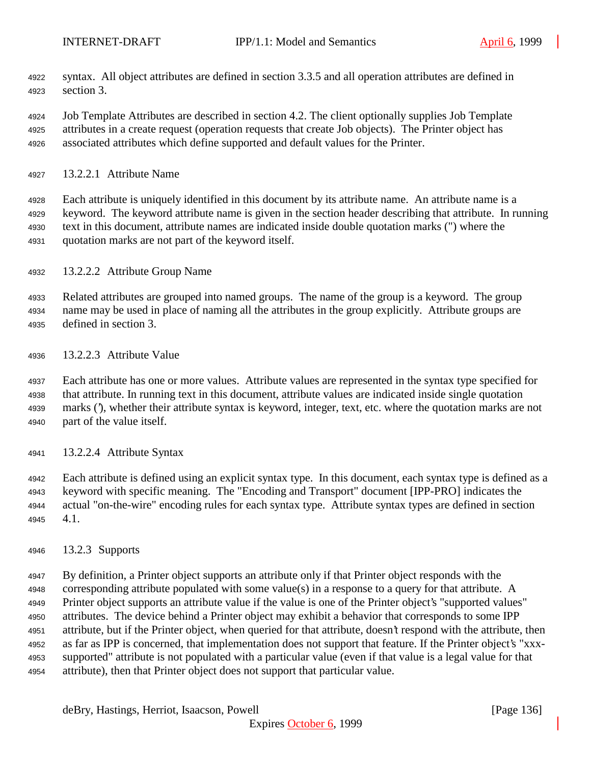- syntax. All object attributes are defined in section 3.3.5 and all operation attributes are defined in section 3.
- Job Template Attributes are described in section 4.2. The client optionally supplies Job Template attributes in a create request (operation requests that create Job objects). The Printer object has associated attributes which define supported and default values for the Printer.
- 13.2.2.1 Attribute Name

 Each attribute is uniquely identified in this document by its attribute name. An attribute name is a keyword. The keyword attribute name is given in the section header describing that attribute. In running text in this document, attribute names are indicated inside double quotation marks (") where the quotation marks are not part of the keyword itself.

13.2.2.2 Attribute Group Name

 Related attributes are grouped into named groups. The name of the group is a keyword. The group name may be used in place of naming all the attributes in the group explicitly. Attribute groups are defined in section 3.

13.2.2.3 Attribute Value

 Each attribute has one or more values. Attribute values are represented in the syntax type specified for that attribute. In running text in this document, attribute values are indicated inside single quotation marks ('), whether their attribute syntax is keyword, integer, text, etc. where the quotation marks are not part of the value itself.

13.2.2.4 Attribute Syntax

 Each attribute is defined using an explicit syntax type. In this document, each syntax type is defined as a keyword with specific meaning. The "Encoding and Transport" document [IPP-PRO] indicates the actual "on-the-wire" encoding rules for each syntax type. Attribute syntax types are defined in section 4.1.

13.2.3 Supports

 By definition, a Printer object supports an attribute only if that Printer object responds with the corresponding attribute populated with some value(s) in a response to a query for that attribute. A Printer object supports an attribute value if the value is one of the Printer object's "supported values" attributes. The device behind a Printer object may exhibit a behavior that corresponds to some IPP attribute, but if the Printer object, when queried for that attribute, doesn't respond with the attribute, then as far as IPP is concerned, that implementation does not support that feature. If the Printer object's "xxx- supported" attribute is not populated with a particular value (even if that value is a legal value for that attribute), then that Printer object does not support that particular value.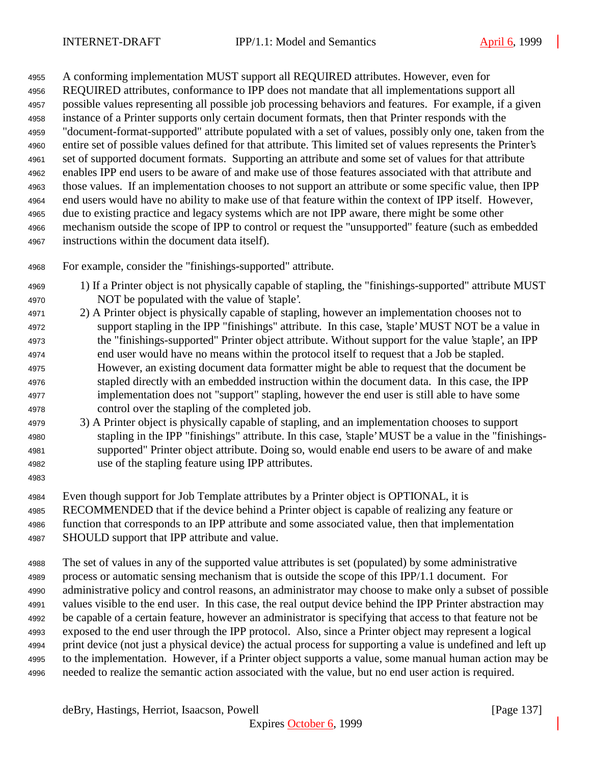A conforming implementation MUST support all REQUIRED attributes. However, even for REQUIRED attributes, conformance to IPP does not mandate that all implementations support all possible values representing all possible job processing behaviors and features. For example, if a given instance of a Printer supports only certain document formats, then that Printer responds with the "document-format-supported" attribute populated with a set of values, possibly only one, taken from the entire set of possible values defined for that attribute. This limited set of values represents the Printer's set of supported document formats. Supporting an attribute and some set of values for that attribute enables IPP end users to be aware of and make use of those features associated with that attribute and those values. If an implementation chooses to not support an attribute or some specific value, then IPP end users would have no ability to make use of that feature within the context of IPP itself. However, due to existing practice and legacy systems which are not IPP aware, there might be some other mechanism outside the scope of IPP to control or request the "unsupported" feature (such as embedded instructions within the document data itself).

For example, consider the "finishings-supported" attribute.

- 1) If a Printer object is not physically capable of stapling, the "finishings-supported" attribute MUST NOT be populated with the value of 'staple'.
- 2) A Printer object is physically capable of stapling, however an implementation chooses not to support stapling in the IPP "finishings" attribute. In this case, 'staple' MUST NOT be a value in the "finishings-supported" Printer object attribute. Without support for the value 'staple', an IPP end user would have no means within the protocol itself to request that a Job be stapled. However, an existing document data formatter might be able to request that the document be stapled directly with an embedded instruction within the document data. In this case, the IPP implementation does not "support" stapling, however the end user is still able to have some control over the stapling of the completed job.
- 3) A Printer object is physically capable of stapling, and an implementation chooses to support stapling in the IPP "finishings" attribute. In this case, 'staple' MUST be a value in the "finishings- supported" Printer object attribute. Doing so, would enable end users to be aware of and make use of the stapling feature using IPP attributes.
- 

Even though support for Job Template attributes by a Printer object is OPTIONAL, it is

 RECOMMENDED that if the device behind a Printer object is capable of realizing any feature or function that corresponds to an IPP attribute and some associated value, then that implementation

SHOULD support that IPP attribute and value.

 The set of values in any of the supported value attributes is set (populated) by some administrative process or automatic sensing mechanism that is outside the scope of this IPP/1.1 document. For administrative policy and control reasons, an administrator may choose to make only a subset of possible values visible to the end user. In this case, the real output device behind the IPP Printer abstraction may be capable of a certain feature, however an administrator is specifying that access to that feature not be exposed to the end user through the IPP protocol. Also, since a Printer object may represent a logical print device (not just a physical device) the actual process for supporting a value is undefined and left up to the implementation. However, if a Printer object supports a value, some manual human action may be needed to realize the semantic action associated with the value, but no end user action is required.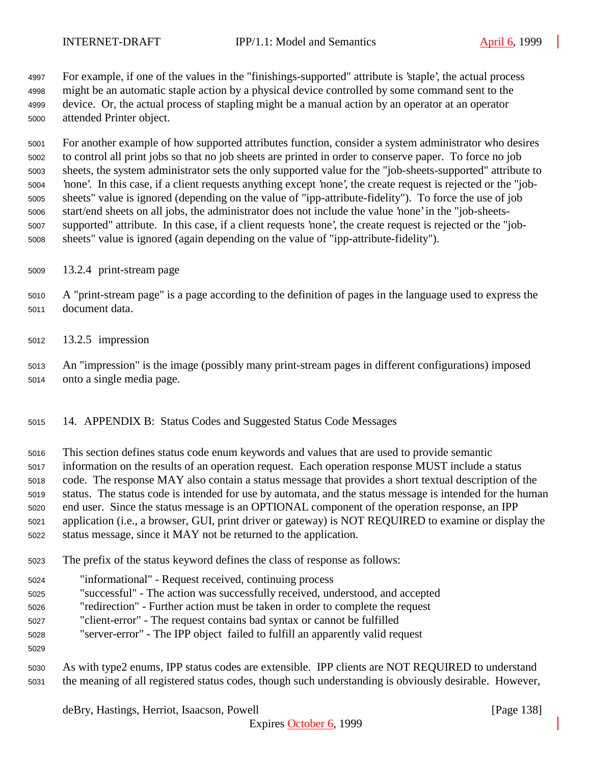For example, if one of the values in the "finishings-supported" attribute is 'staple', the actual process might be an automatic staple action by a physical device controlled by some command sent to the device. Or, the actual process of stapling might be a manual action by an operator at an operator attended Printer object.

 For another example of how supported attributes function, consider a system administrator who desires to control all print jobs so that no job sheets are printed in order to conserve paper. To force no job sheets, the system administrator sets the only supported value for the "job-sheets-supported" attribute to 'none'. In this case, if a client requests anything except 'none', the create request is rejected or the "job- sheets" value is ignored (depending on the value of "ipp-attribute-fidelity"). To force the use of job start/end sheets on all jobs, the administrator does not include the value 'none' in the "job-sheets- supported" attribute. In this case, if a client requests 'none', the create request is rejected or the "job-sheets" value is ignored (again depending on the value of "ipp-attribute-fidelity").

- 13.2.4 print-stream page
- A "print-stream page" is a page according to the definition of pages in the language used to express the document data.
- 13.2.5 impression
- An "impression" is the image (possibly many print-stream pages in different configurations) imposed onto a single media page.
- 14. APPENDIX B: Status Codes and Suggested Status Code Messages
- This section defines status code enum keywords and values that are used to provide semantic
- information on the results of an operation request. Each operation response MUST include a status
- code. The response MAY also contain a status message that provides a short textual description of the
- status. The status code is intended for use by automata, and the status message is intended for the human
- end user. Since the status message is an OPTIONAL component of the operation response, an IPP
- application (i.e., a browser, GUI, print driver or gateway) is NOT REQUIRED to examine or display the status message, since it MAY not be returned to the application.
- 
- The prefix of the status keyword defines the class of response as follows:
- "informational" Request received, continuing process
- "successful" The action was successfully received, understood, and accepted
- "redirection" Further action must be taken in order to complete the request
- "client-error" The request contains bad syntax or cannot be fulfilled
- "server-error" The IPP object failed to fulfill an apparently valid request
- 
- As with type2 enums, IPP status codes are extensible. IPP clients are NOT REQUIRED to understand the meaning of all registered status codes, though such understanding is obviously desirable. However,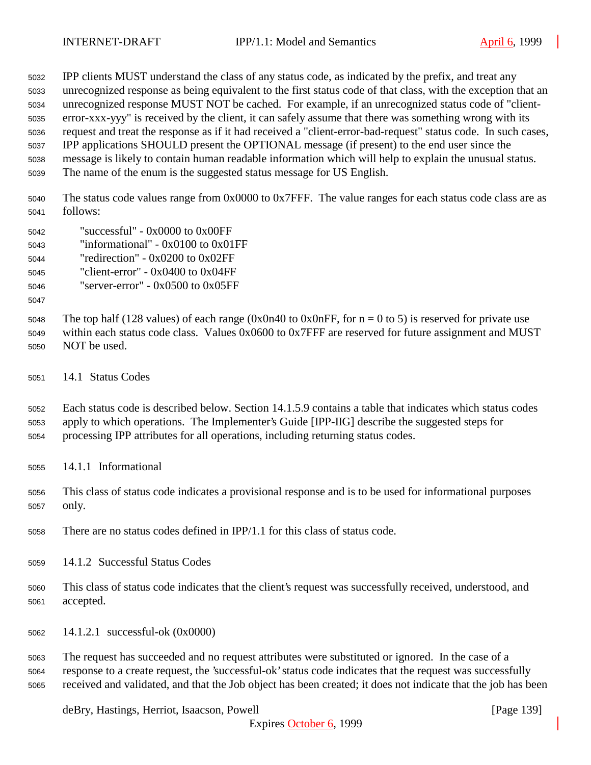IPP clients MUST understand the class of any status code, as indicated by the prefix, and treat any unrecognized response as being equivalent to the first status code of that class, with the exception that an unrecognized response MUST NOT be cached. For example, if an unrecognized status code of "client- error-xxx-yyy" is received by the client, it can safely assume that there was something wrong with its request and treat the response as if it had received a "client-error-bad-request" status code. In such cases, IPP applications SHOULD present the OPTIONAL message (if present) to the end user since the message is likely to contain human readable information which will help to explain the unusual status.

The name of the enum is the suggested status message for US English.

 The status code values range from 0x0000 to 0x7FFF. The value ranges for each status code class are as follows:

- "successful" 0x0000 to 0x00FF
- "informational" 0x0100 to 0x01FF
- "redirection" 0x0200 to 0x02FF
- "client-error" 0x0400 to 0x04FF

"server-error" - 0x0500 to 0x05FF

5048 The top half (128 values) of each range (0x0n40 to 0x0nFF, for  $n = 0$  to 5) is reserved for private use within each status code class. Values 0x0600 to 0x7FFF are reserved for future assignment and MUST NOT be used.

14.1 Status Codes

 Each status code is described below. Section 14.1.5.9 contains a table that indicates which status codes apply to which operations. The Implementer's Guide [IPP-IIG] describe the suggested steps for processing IPP attributes for all operations, including returning status codes.

- 14.1.1 Informational
- This class of status code indicates a provisional response and is to be used for informational purposes only.
- There are no status codes defined in IPP/1.1 for this class of status code.
- 14.1.2 Successful Status Codes
- This class of status code indicates that the client's request was successfully received, understood, and accepted.
- 14.1.2.1 successful-ok (0x0000)

 The request has succeeded and no request attributes were substituted or ignored. In the case of a response to a create request, the 'successful-ok' status code indicates that the request was successfully received and validated, and that the Job object has been created; it does not indicate that the job has been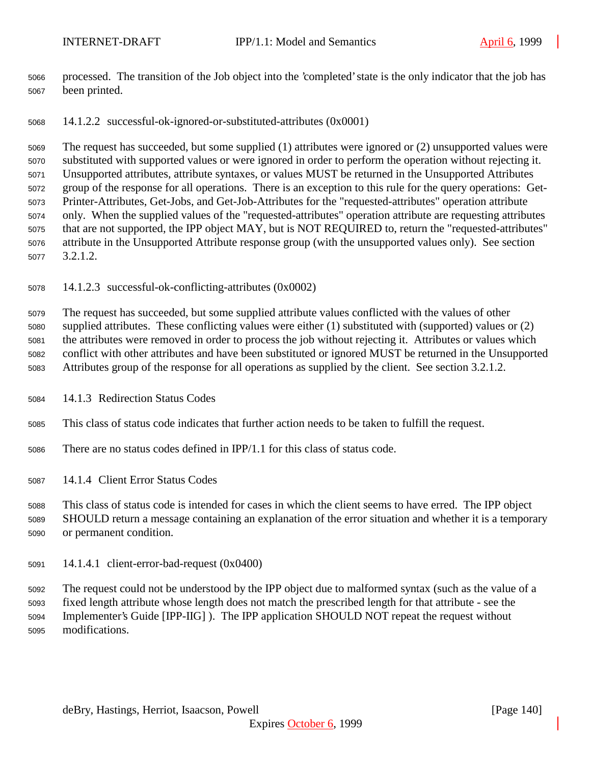processed. The transition of the Job object into the 'completed' state is the only indicator that the job has been printed.

14.1.2.2 successful-ok-ignored-or-substituted-attributes (0x0001)

 The request has succeeded, but some supplied (1) attributes were ignored or (2) unsupported values were substituted with supported values or were ignored in order to perform the operation without rejecting it. Unsupported attributes, attribute syntaxes, or values MUST be returned in the Unsupported Attributes group of the response for all operations. There is an exception to this rule for the query operations: Get- Printer-Attributes, Get-Jobs, and Get-Job-Attributes for the "requested-attributes" operation attribute only. When the supplied values of the "requested-attributes" operation attribute are requesting attributes that are not supported, the IPP object MAY, but is NOT REQUIRED to, return the "requested-attributes" attribute in the Unsupported Attribute response group (with the unsupported values only). See section 3.2.1.2.

14.1.2.3 successful-ok-conflicting-attributes (0x0002)

 The request has succeeded, but some supplied attribute values conflicted with the values of other supplied attributes. These conflicting values were either (1) substituted with (supported) values or (2) the attributes were removed in order to process the job without rejecting it. Attributes or values which conflict with other attributes and have been substituted or ignored MUST be returned in the Unsupported Attributes group of the response for all operations as supplied by the client. See section 3.2.1.2.

14.1.3 Redirection Status Codes

This class of status code indicates that further action needs to be taken to fulfill the request.

There are no status codes defined in IPP/1.1 for this class of status code.

14.1.4 Client Error Status Codes

 This class of status code is intended for cases in which the client seems to have erred. The IPP object SHOULD return a message containing an explanation of the error situation and whether it is a temporary or permanent condition.

14.1.4.1 client-error-bad-request (0x0400)

 The request could not be understood by the IPP object due to malformed syntax (such as the value of a fixed length attribute whose length does not match the prescribed length for that attribute - see the Implementer's Guide [IPP-IIG] ). The IPP application SHOULD NOT repeat the request without modifications.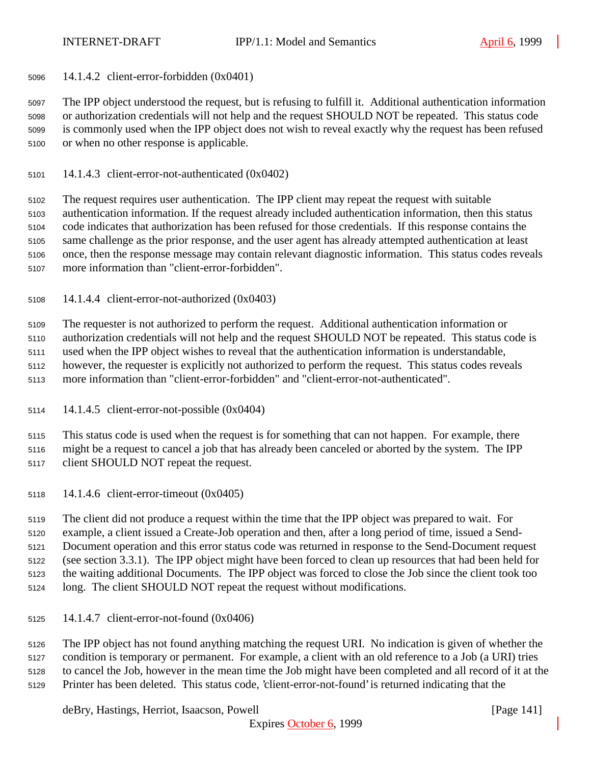14.1.4.2 client-error-forbidden (0x0401)

 The IPP object understood the request, but is refusing to fulfill it. Additional authentication information or authorization credentials will not help and the request SHOULD NOT be repeated. This status code is commonly used when the IPP object does not wish to reveal exactly why the request has been refused or when no other response is applicable.

14.1.4.3 client-error-not-authenticated (0x0402)

 The request requires user authentication. The IPP client may repeat the request with suitable authentication information. If the request already included authentication information, then this status code indicates that authorization has been refused for those credentials. If this response contains the same challenge as the prior response, and the user agent has already attempted authentication at least once, then the response message may contain relevant diagnostic information. This status codes reveals more information than "client-error-forbidden".

14.1.4.4 client-error-not-authorized (0x0403)

The requester is not authorized to perform the request. Additional authentication information or

authorization credentials will not help and the request SHOULD NOT be repeated. This status code is

used when the IPP object wishes to reveal that the authentication information is understandable,

however, the requester is explicitly not authorized to perform the request. This status codes reveals

- more information than "client-error-forbidden" and "client-error-not-authenticated".
- 14.1.4.5 client-error-not-possible (0x0404)

 This status code is used when the request is for something that can not happen. For example, there might be a request to cancel a job that has already been canceled or aborted by the system. The IPP client SHOULD NOT repeat the request.

14.1.4.6 client-error-timeout (0x0405)

 The client did not produce a request within the time that the IPP object was prepared to wait. For example, a client issued a Create-Job operation and then, after a long period of time, issued a Send- Document operation and this error status code was returned in response to the Send-Document request (see section 3.3.1). The IPP object might have been forced to clean up resources that had been held for the waiting additional Documents. The IPP object was forced to close the Job since the client took too long. The client SHOULD NOT repeat the request without modifications.

14.1.4.7 client-error-not-found (0x0406)

 The IPP object has not found anything matching the request URI. No indication is given of whether the condition is temporary or permanent. For example, a client with an old reference to a Job (a URI) tries to cancel the Job, however in the mean time the Job might have been completed and all record of it at the Printer has been deleted. This status code, 'client-error-not-found' is returned indicating that the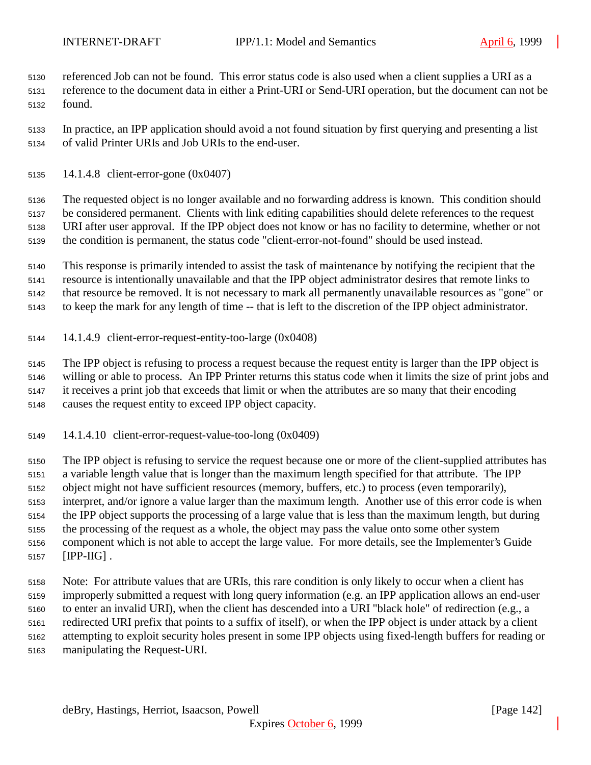referenced Job can not be found. This error status code is also used when a client supplies a URI as a reference to the document data in either a Print-URI or Send-URI operation, but the document can not be found.

 In practice, an IPP application should avoid a not found situation by first querying and presenting a list of valid Printer URIs and Job URIs to the end-user.

14.1.4.8 client-error-gone (0x0407)

 The requested object is no longer available and no forwarding address is known. This condition should be considered permanent. Clients with link editing capabilities should delete references to the request URI after user approval. If the IPP object does not know or has no facility to determine, whether or not the condition is permanent, the status code "client-error-not-found" should be used instead.

 This response is primarily intended to assist the task of maintenance by notifying the recipient that the resource is intentionally unavailable and that the IPP object administrator desires that remote links to that resource be removed. It is not necessary to mark all permanently unavailable resources as "gone" or

to keep the mark for any length of time -- that is left to the discretion of the IPP object administrator.

14.1.4.9 client-error-request-entity-too-large (0x0408)

 The IPP object is refusing to process a request because the request entity is larger than the IPP object is willing or able to process. An IPP Printer returns this status code when it limits the size of print jobs and it receives a print job that exceeds that limit or when the attributes are so many that their encoding causes the request entity to exceed IPP object capacity.

14.1.4.10 client-error-request-value-too-long (0x0409)

 The IPP object is refusing to service the request because one or more of the client-supplied attributes has a variable length value that is longer than the maximum length specified for that attribute. The IPP object might not have sufficient resources (memory, buffers, etc.) to process (even temporarily), interpret, and/or ignore a value larger than the maximum length. Another use of this error code is when the IPP object supports the processing of a large value that is less than the maximum length, but during the processing of the request as a whole, the object may pass the value onto some other system component which is not able to accept the large value. For more details, see the Implementer's Guide [IPP-IIG] .

 Note: For attribute values that are URIs, this rare condition is only likely to occur when a client has improperly submitted a request with long query information (e.g. an IPP application allows an end-user to enter an invalid URI), when the client has descended into a URI "black hole" of redirection (e.g., a redirected URI prefix that points to a suffix of itself), or when the IPP object is under attack by a client attempting to exploit security holes present in some IPP objects using fixed-length buffers for reading or manipulating the Request-URI.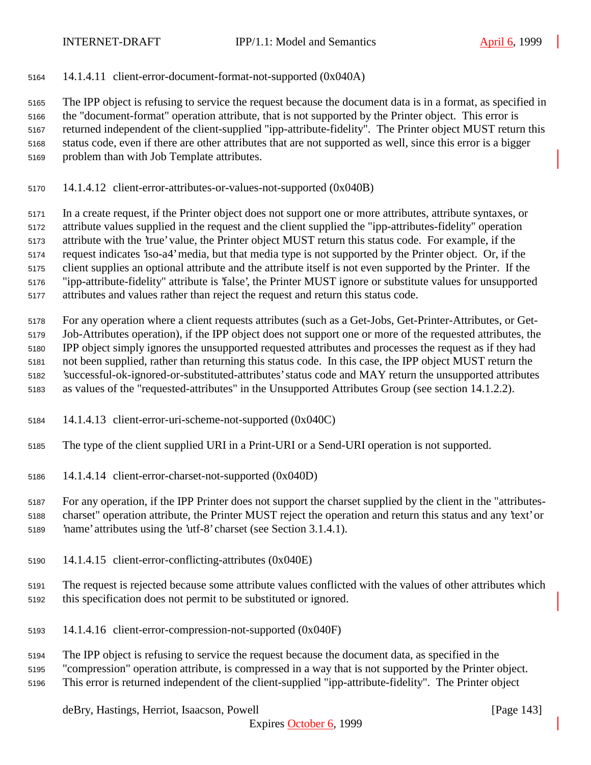14.1.4.11 client-error-document-format-not-supported (0x040A)

 The IPP object is refusing to service the request because the document data is in a format, as specified in the "document-format" operation attribute, that is not supported by the Printer object. This error is returned independent of the client-supplied "ipp-attribute-fidelity". The Printer object MUST return this status code, even if there are other attributes that are not supported as well, since this error is a bigger problem than with Job Template attributes.

14.1.4.12 client-error-attributes-or-values-not-supported (0x040B)

 In a create request, if the Printer object does not support one or more attributes, attribute syntaxes, or attribute values supplied in the request and the client supplied the "ipp-attributes-fidelity" operation attribute with the 'true' value, the Printer object MUST return this status code. For example, if the

request indicates 'iso-a4' media, but that media type is not supported by the Printer object. Or, if the

client supplies an optional attribute and the attribute itself is not even supported by the Printer. If the

"ipp-attribute-fidelity" attribute is 'false', the Printer MUST ignore or substitute values for unsupported

attributes and values rather than reject the request and return this status code.

 For any operation where a client requests attributes (such as a Get-Jobs, Get-Printer-Attributes, or Get- Job-Attributes operation), if the IPP object does not support one or more of the requested attributes, the IPP object simply ignores the unsupported requested attributes and processes the request as if they had not been supplied, rather than returning this status code. In this case, the IPP object MUST return the 'successful-ok-ignored-or-substituted-attributes' status code and MAY return the unsupported attributes as values of the "requested-attributes" in the Unsupported Attributes Group (see section 14.1.2.2).

14.1.4.13 client-error-uri-scheme-not-supported (0x040C)

The type of the client supplied URI in a Print-URI or a Send-URI operation is not supported.

14.1.4.14 client-error-charset-not-supported (0x040D)

 For any operation, if the IPP Printer does not support the charset supplied by the client in the "attributes- charset" operation attribute, the Printer MUST reject the operation and return this status and any 'text' or 'name' attributes using the 'utf-8' charset (see Section 3.1.4.1).

14.1.4.15 client-error-conflicting-attributes (0x040E)

 The request is rejected because some attribute values conflicted with the values of other attributes which this specification does not permit to be substituted or ignored.

- 14.1.4.16 client-error-compression-not-supported (0x040F)
- The IPP object is refusing to service the request because the document data, as specified in the
- "compression" operation attribute, is compressed in a way that is not supported by the Printer object.

This error is returned independent of the client-supplied "ipp-attribute-fidelity". The Printer object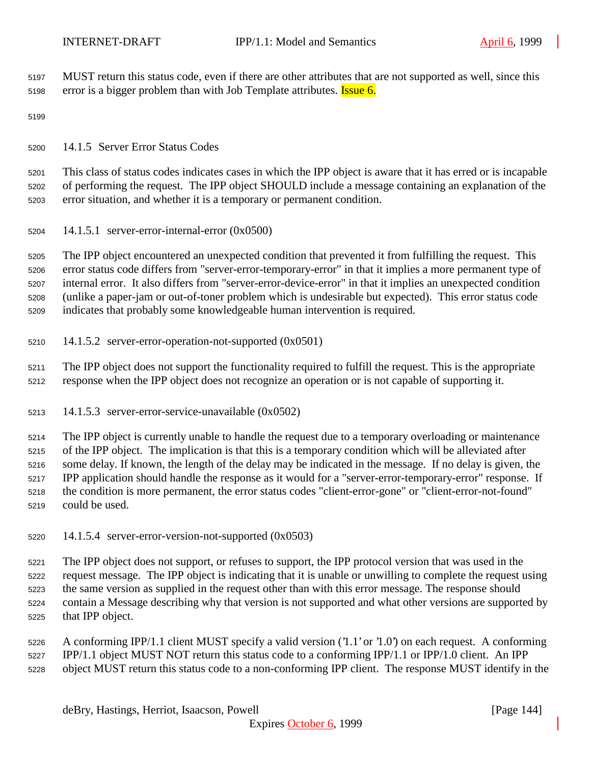MUST return this status code, even if there are other attributes that are not supported as well, since this 5198 error is a bigger problem than with Job Template attributes. **Issue 6.** 

14.1.5 Server Error Status Codes

 This class of status codes indicates cases in which the IPP object is aware that it has erred or is incapable of performing the request. The IPP object SHOULD include a message containing an explanation of the error situation, and whether it is a temporary or permanent condition.

14.1.5.1 server-error-internal-error (0x0500)

 The IPP object encountered an unexpected condition that prevented it from fulfilling the request. This error status code differs from "server-error-temporary-error" in that it implies a more permanent type of internal error. It also differs from "server-error-device-error" in that it implies an unexpected condition (unlike a paper-jam or out-of-toner problem which is undesirable but expected). This error status code indicates that probably some knowledgeable human intervention is required.

14.1.5.2 server-error-operation-not-supported (0x0501)

 The IPP object does not support the functionality required to fulfill the request. This is the appropriate response when the IPP object does not recognize an operation or is not capable of supporting it.

14.1.5.3 server-error-service-unavailable (0x0502)

 The IPP object is currently unable to handle the request due to a temporary overloading or maintenance of the IPP object. The implication is that this is a temporary condition which will be alleviated after some delay. If known, the length of the delay may be indicated in the message. If no delay is given, the IPP application should handle the response as it would for a "server-error-temporary-error" response. If the condition is more permanent, the error status codes "client-error-gone" or "client-error-not-found" could be used.

14.1.5.4 server-error-version-not-supported (0x0503)

 The IPP object does not support, or refuses to support, the IPP protocol version that was used in the request message. The IPP object is indicating that it is unable or unwilling to complete the request using the same version as supplied in the request other than with this error message. The response should contain a Message describing why that version is not supported and what other versions are supported by that IPP object.

 A conforming IPP/1.1 client MUST specify a valid version ('1.1' or '1.0') on each request. A conforming IPP/1.1 object MUST NOT return this status code to a conforming IPP/1.1 or IPP/1.0 client. An IPP object MUST return this status code to a non-conforming IPP client. The response MUST identify in the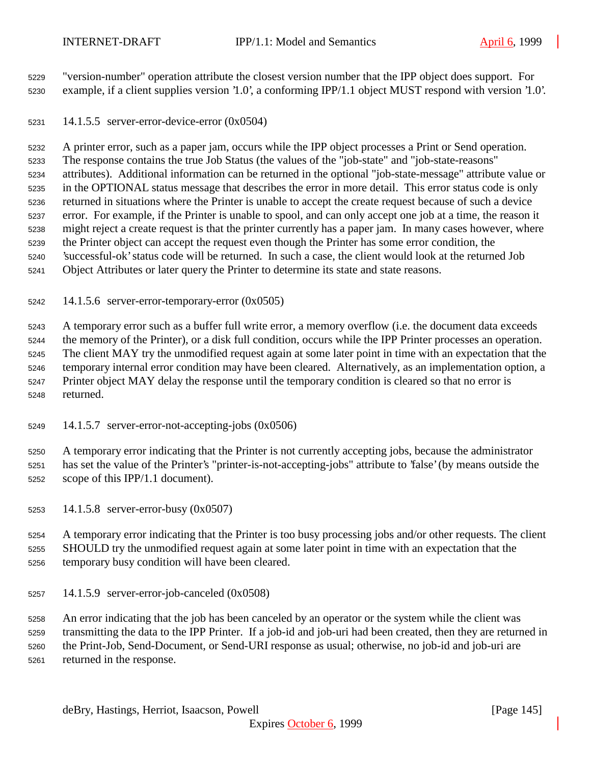"version-number" operation attribute the closest version number that the IPP object does support. For example, if a client supplies version '1.0', a conforming IPP/1.1 object MUST respond with version '1.0'.

14.1.5.5 server-error-device-error (0x0504)

 A printer error, such as a paper jam, occurs while the IPP object processes a Print or Send operation. The response contains the true Job Status (the values of the "job-state" and "job-state-reasons" attributes). Additional information can be returned in the optional "job-state-message" attribute value or in the OPTIONAL status message that describes the error in more detail. This error status code is only returned in situations where the Printer is unable to accept the create request because of such a device error. For example, if the Printer is unable to spool, and can only accept one job at a time, the reason it might reject a create request is that the printer currently has a paper jam. In many cases however, where the Printer object can accept the request even though the Printer has some error condition, the 'successful-ok' status code will be returned. In such a case, the client would look at the returned Job Object Attributes or later query the Printer to determine its state and state reasons.

14.1.5.6 server-error-temporary-error (0x0505)

 A temporary error such as a buffer full write error, a memory overflow (i.e. the document data exceeds the memory of the Printer), or a disk full condition, occurs while the IPP Printer processes an operation. The client MAY try the unmodified request again at some later point in time with an expectation that the temporary internal error condition may have been cleared. Alternatively, as an implementation option, a Printer object MAY delay the response until the temporary condition is cleared so that no error is returned.

14.1.5.7 server-error-not-accepting-jobs (0x0506)

 A temporary error indicating that the Printer is not currently accepting jobs, because the administrator has set the value of the Printer's "printer-is-not-accepting-jobs" attribute to 'false' (by means outside the scope of this IPP/1.1 document).

14.1.5.8 server-error-busy (0x0507)

 A temporary error indicating that the Printer is too busy processing jobs and/or other requests. The client SHOULD try the unmodified request again at some later point in time with an expectation that the temporary busy condition will have been cleared.

14.1.5.9 server-error-job-canceled (0x0508)

 An error indicating that the job has been canceled by an operator or the system while the client was transmitting the data to the IPP Printer. If a job-id and job-uri had been created, then they are returned in the Print-Job, Send-Document, or Send-URI response as usual; otherwise, no job-id and job-uri are returned in the response.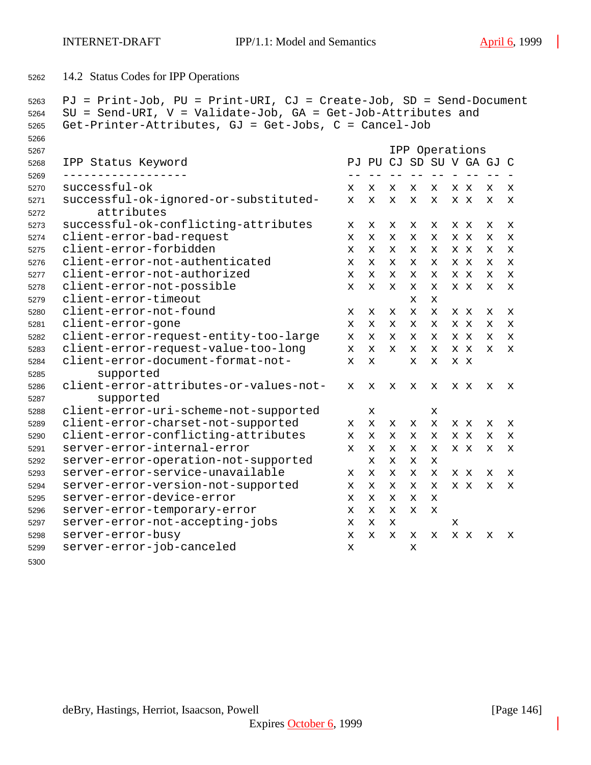```
5262 14.2 Status Codes for IPP Operations
```

```
5263 PJ = Print-Job, PU = Print-URI, CJ = Create-Job, SD = Send-Document
5264 SU = Send-URI, V = Validate-Job, GA = Get-Job-Attributes and
5265 Get-Printer-Attributes, GJ = Get-Jobs, C = Cancel-Job
5266
5267 IPP Operations
5268 IPP Status Keyword PJ PU CJ SD SU V GA GJ C
5269 ------------------ -- -- -- -- -- - -- -- -
5270 successful-ok x x x x x x x x x
5271 successful-ok-ignored-or-substituted- x x x x x x x x x
5272 attributes
5273 successful-ok-conflicting-attributes x x x x x x x x x
5274 client-error-bad-request x x x x x x x x x
5275 client-error-forbidden x x x x x x x x x
5276 client-error-not-authenticated x x x x x x x x x
5277 client-error-not-authorized x x x x x x x x x
5278 client-error-not-possible x x x x x x x x x
5279 client-error-timeout x x
5280 client-error-not-found x x x x x x x x x
5281 client-error-gone x x x x x x x x x
5282 client-error-request-entity-too-large x x x x x x x x x
5283 client-error-request-value-too-long x x x x x x x x x
5284 client-error-document-format-not- x x x x x x
5285 supported
5286 client-error-attributes-or-values-not- x x x x x x x x x
5287 supported
5288 client-error-uri-scheme-not-supported x x
5289 client-error-charset-not-supported x x x x x x x x x
5290 client-error-conflicting-attributes x x x x x x x x x
5291 server-error-internal-error x x x x x x x x x
5292 server-error-operation-not-supported x x x x
5293 server-error-service-unavailable x x x x x x x x x
5294 server-error-version-not-supported x x x x x x x x x
5295 server-error-device-error x x x x x
5296 server-error-temporary-error x x x x x
5297 server-error-not-accepting-jobs x x x x
5298 server-error-busy x x x x x x x x x
5299 server-error-job-canceled x x
```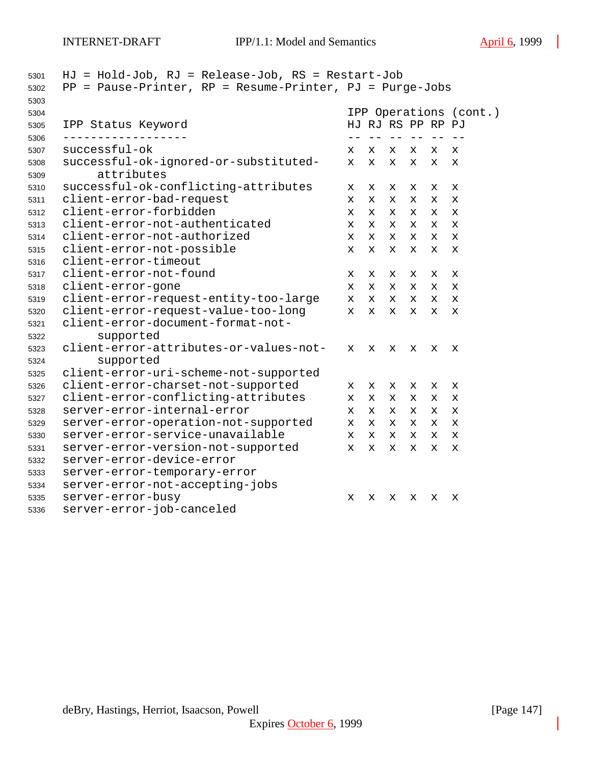| 5303         |                                        | IPP Operations (cont.) |              |   |   |    |             |  |
|--------------|----------------------------------------|------------------------|--------------|---|---|----|-------------|--|
| 5304         |                                        | HJ RJ RS PP RP PJ      |              |   |   |    |             |  |
| 5305<br>5306 | IPP Status Keyword                     |                        |              |   |   |    |             |  |
| 5307         | successful-ok                          | x                      | x            | x | x | x  | x           |  |
| 5308         | successful-ok-ignored-or-substituted-  | $\mathbf{x}$           | $\mathbf{x}$ | X | X | X  | X           |  |
| 5309         | attributes                             |                        |              |   |   |    |             |  |
| 5310         | successful-ok-conflicting-attributes   | x                      | x            | x | x | x  | X           |  |
| 5311         | client-error-bad-request               | $\mathbf x$            | x            | X | X | x  | X           |  |
| 5312         | client-error-forbidden                 | $\mathbf x$            | X            | x | X | x  | X           |  |
| 5313         | client-error-not-authenticated         | x                      | X.           | x | X | X. | X           |  |
| 5314         | client-error-not-authorized            | x                      | $\mathbf{x}$ | x | X | x  | X           |  |
| 5315         | client-error-not-possible              |                        | $\mathbf{x}$ | X | X | X  | X           |  |
| 5316         | client-error-timeout                   |                        |              |   |   |    |             |  |
| 5317         | client-error-not-found                 | x                      | x            | x | x | х  | X           |  |
| 5318         | client-error-gone                      |                        | x            | x | x | X. | x           |  |
| 5319         | client-error-request-entity-too-large  | $\mathbf x$            | $\mathbf{x}$ | x | X | X. | X           |  |
| 5320         | client-error-request-value-too-long    | $\mathbf x$            | X.           | x | X | x  | $\mathbf x$ |  |
| 5321         | client-error-document-format-not-      |                        |              |   |   |    |             |  |
| 5322         | supported                              |                        |              |   |   |    |             |  |
| 5323         | client-error-attributes-or-values-not- | $\mathbf x$            | x            | x | x | x  | х           |  |
| 5324         | supported                              |                        |              |   |   |    |             |  |
| 5325         | client-error-uri-scheme-not-supported  |                        |              |   |   |    |             |  |
| 5326         | client-error-charset-not-supported     | x                      | x            | х | х | х  | х           |  |
| 5327         | client-error-conflicting-attributes    | x                      | X            | x | x | x  | X           |  |
| 5328         | server-error-internal-error            | $\mathbf x$            | X            | x | x | x  | X           |  |
| 5329         | server-error-operation-not-supported   | $\mathbf x$            | x            | x | x | x  | x           |  |
| 5330         | server-error-service-unavailable       | $\mathbf x$            | x            | x | X | x  | X           |  |
| 5331         | server-error-version-not-supported     | $\mathbf x$            | X            | x | X | x  | X           |  |
| 5332         | server-error-device-error              |                        |              |   |   |    |             |  |
| 5333         | server-error-temporary-error           |                        |              |   |   |    |             |  |
| 5334         | server-error-not-accepting-jobs        |                        |              |   |   |    |             |  |
| 5335         | server-error-busy                      | X                      | х            | x | х | х  | х           |  |
| 5336         | server-error-job-canceled              |                        |              |   |   |    |             |  |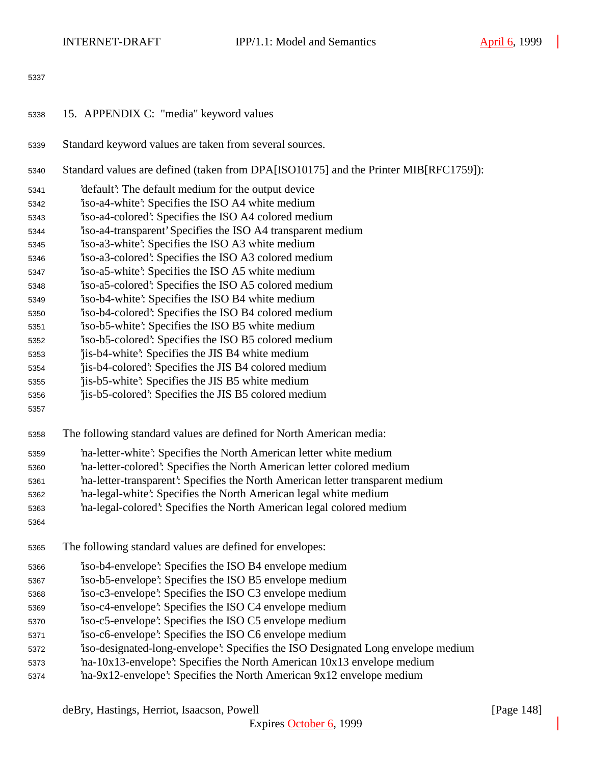- 15. APPENDIX C: "media" keyword values
- Standard keyword values are taken from several sources.
- Standard values are defined (taken from DPA[ISO10175] and the Printer MIB[RFC1759]):
- 'default': The default medium for the output device
- 'iso-a4-white': Specifies the ISO A4 white medium
- 'iso-a4-colored': Specifies the ISO A4 colored medium
- 'iso-a4-transparent' Specifies the ISO A4 transparent medium
- 'iso-a3-white': Specifies the ISO A3 white medium
- 'iso-a3-colored': Specifies the ISO A3 colored medium
- 'iso-a5-white': Specifies the ISO A5 white medium
- 'iso-a5-colored': Specifies the ISO A5 colored medium
- 'iso-b4-white': Specifies the ISO B4 white medium
- 'iso-b4-colored': Specifies the ISO B4 colored medium
- 'iso-b5-white': Specifies the ISO B5 white medium
- 'iso-b5-colored': Specifies the ISO B5 colored medium
- 'jis-b4-white': Specifies the JIS B4 white medium
- 'jis-b4-colored': Specifies the JIS B4 colored medium
- 'jis-b5-white': Specifies the JIS B5 white medium
- 'jis-b5-colored': Specifies the JIS B5 colored medium
- 
- The following standard values are defined for North American media:
- 'na-letter-white': Specifies the North American letter white medium
- 'na-letter-colored': Specifies the North American letter colored medium
- 'na-letter-transparent': Specifies the North American letter transparent medium
- 'na-legal-white': Specifies the North American legal white medium
- 'na-legal-colored': Specifies the North American legal colored medium
- 
- The following standard values are defined for envelopes:
- 'iso-b4-envelope': Specifies the ISO B4 envelope medium
- 'iso-b5-envelope': Specifies the ISO B5 envelope medium
- 'iso-c3-envelope': Specifies the ISO C3 envelope medium
- 'iso-c4-envelope': Specifies the ISO C4 envelope medium
- 'iso-c5-envelope': Specifies the ISO C5 envelope medium
- 'iso-c6-envelope': Specifies the ISO C6 envelope medium
- 'iso-designated-long-envelope': Specifies the ISO Designated Long envelope medium
- 'na-10x13-envelope': Specifies the North American 10x13 envelope medium
- 'na-9x12-envelope': Specifies the North American 9x12 envelope medium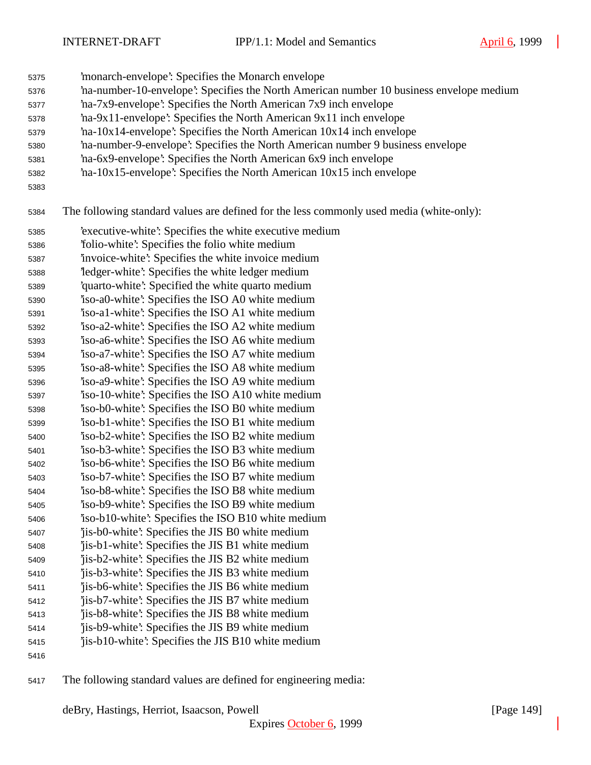- 'monarch-envelope': Specifies the Monarch envelope
- 'na-number-10-envelope': Specifies the North American number 10 business envelope medium
- 'na-7x9-envelope': Specifies the North American 7x9 inch envelope
- 'na-9x11-envelope': Specifies the North American 9x11 inch envelope
- 'na-10x14-envelope': Specifies the North American 10x14 inch envelope
- 'na-number-9-envelope': Specifies the North American number 9 business envelope
- 'na-6x9-envelope': Specifies the North American 6x9 inch envelope
- 'na-10x15-envelope': Specifies the North American 10x15 inch envelope
- 

The following standard values are defined for the less commonly used media (white-only):

- 'executive-white': Specifies the white executive medium
- 'folio-white': Specifies the folio white medium
- 'invoice-white': Specifies the white invoice medium
- 'ledger-white': Specifies the white ledger medium
- 'quarto-white': Specified the white quarto medium
- 'iso-a0-white': Specifies the ISO A0 white medium
- 'iso-a1-white': Specifies the ISO A1 white medium
- 'iso-a2-white': Specifies the ISO A2 white medium 'iso-a6-white': Specifies the ISO A6 white medium
- 'iso-a7-white': Specifies the ISO A7 white medium
- 'iso-a8-white': Specifies the ISO A8 white medium
- 'iso-a9-white': Specifies the ISO A9 white medium
- 'iso-10-white': Specifies the ISO A10 white medium
- 'iso-b0-white': Specifies the ISO B0 white medium
- 'iso-b1-white': Specifies the ISO B1 white medium 'iso-b2-white': Specifies the ISO B2 white medium
- 'iso-b3-white': Specifies the ISO B3 white medium
- 'iso-b6-white': Specifies the ISO B6 white medium
- 'iso-b7-white': Specifies the ISO B7 white medium
- 'iso-b8-white': Specifies the ISO B8 white medium
- 'iso-b9-white': Specifies the ISO B9 white medium
- 'iso-b10-white': Specifies the ISO B10 white medium
- 'jis-b0-white': Specifies the JIS B0 white medium
- 'jis-b1-white': Specifies the JIS B1 white medium
- 'jis-b2-white': Specifies the JIS B2 white medium
- 'jis-b3-white': Specifies the JIS B3 white medium 'jis-b6-white': Specifies the JIS B6 white medium
- 'jis-b7-white': Specifies the JIS B7 white medium
- 'jis-b8-white': Specifies the JIS B8 white medium
- 'jis-b9-white': Specifies the JIS B9 white medium
- 'jis-b10-white': Specifies the JIS B10 white medium
- 
- The following standard values are defined for engineering media: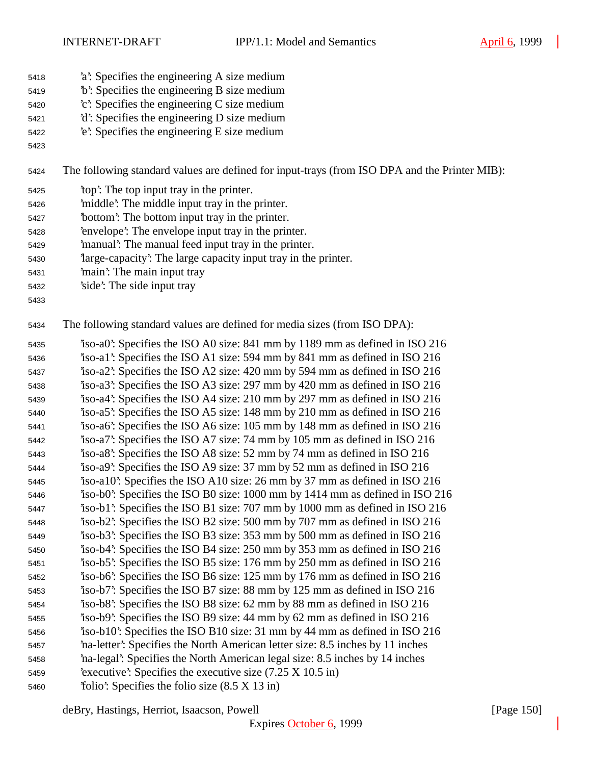- 'a': Specifies the engineering A size medium
- 'b': Specifies the engineering B size medium
- 'c': Specifies the engineering C size medium
- 'd': Specifies the engineering D size medium
- 'e': Specifies the engineering E size medium
- 

The following standard values are defined for input-trays (from ISO DPA and the Printer MIB):

- 'top': The top input tray in the printer.
- 'middle': The middle input tray in the printer.
- 'bottom': The bottom input tray in the printer.
- 'envelope': The envelope input tray in the printer.
- 'manual': The manual feed input tray in the printer.
- 'large-capacity': The large capacity input tray in the printer.
- 'main': The main input tray
- 'side': The side input tray
- 

The following standard values are defined for media sizes (from ISO DPA):

 'iso-a0': Specifies the ISO A0 size: 841 mm by 1189 mm as defined in ISO 216 'iso-a1': Specifies the ISO A1 size: 594 mm by 841 mm as defined in ISO 216 'iso-a2': Specifies the ISO A2 size: 420 mm by 594 mm as defined in ISO 216 'iso-a3': Specifies the ISO A3 size: 297 mm by 420 mm as defined in ISO 216 'iso-a4': Specifies the ISO A4 size: 210 mm by 297 mm as defined in ISO 216 'iso-a5': Specifies the ISO A5 size: 148 mm by 210 mm as defined in ISO 216 'iso-a6': Specifies the ISO A6 size: 105 mm by 148 mm as defined in ISO 216 'iso-a7': Specifies the ISO A7 size: 74 mm by 105 mm as defined in ISO 216 'iso-a8': Specifies the ISO A8 size: 52 mm by 74 mm as defined in ISO 216 'iso-a9': Specifies the ISO A9 size: 37 mm by 52 mm as defined in ISO 216 'iso-a10': Specifies the ISO A10 size: 26 mm by 37 mm as defined in ISO 216 'iso-b0': Specifies the ISO B0 size: 1000 mm by 1414 mm as defined in ISO 216 'iso-b1': Specifies the ISO B1 size: 707 mm by 1000 mm as defined in ISO 216 'iso-b2': Specifies the ISO B2 size: 500 mm by 707 mm as defined in ISO 216 'iso-b3': Specifies the ISO B3 size: 353 mm by 500 mm as defined in ISO 216 'iso-b4': Specifies the ISO B4 size: 250 mm by 353 mm as defined in ISO 216 'iso-b5': Specifies the ISO B5 size: 176 mm by 250 mm as defined in ISO 216 'iso-b6': Specifies the ISO B6 size: 125 mm by 176 mm as defined in ISO 216 'iso-b7': Specifies the ISO B7 size: 88 mm by 125 mm as defined in ISO 216 'iso-b8': Specifies the ISO B8 size: 62 mm by 88 mm as defined in ISO 216 'iso-b9': Specifies the ISO B9 size: 44 mm by 62 mm as defined in ISO 216 'iso-b10': Specifies the ISO B10 size: 31 mm by 44 mm as defined in ISO 216 'na-letter': Specifies the North American letter size: 8.5 inches by 11 inches 'na-legal': Specifies the North American legal size: 8.5 inches by 14 inches 'executive': Specifies the executive size (7.25 X 10.5 in) 'folio': Specifies the folio size (8.5 X 13 in)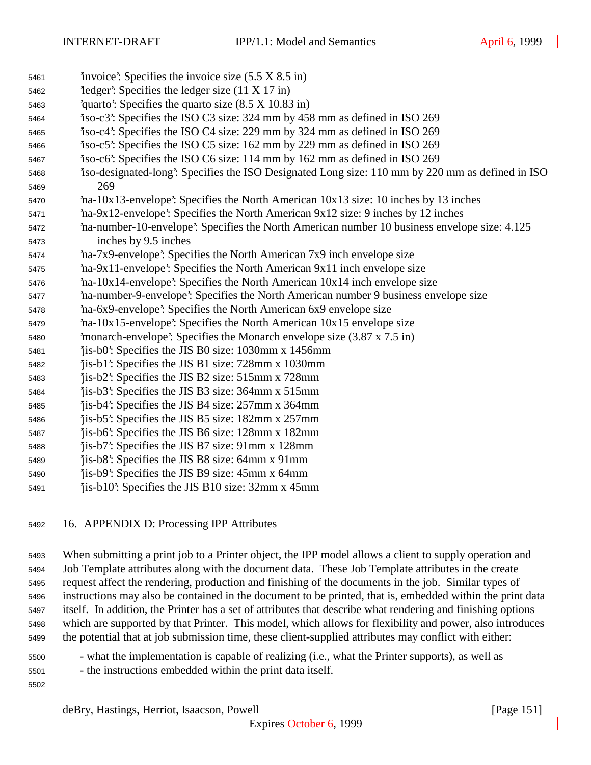- 'invoice': Specifies the invoice size (5.5 X 8.5 in) 'ledger': Specifies the ledger size (11 X 17 in) 'quarto': Specifies the quarto size (8.5 X 10.83 in) 'iso-c3': Specifies the ISO C3 size: 324 mm by 458 mm as defined in ISO 269 'iso-c4': Specifies the ISO C4 size: 229 mm by 324 mm as defined in ISO 269 'iso-c5': Specifies the ISO C5 size: 162 mm by 229 mm as defined in ISO 269 'iso-c6': Specifies the ISO C6 size: 114 mm by 162 mm as defined in ISO 269 'iso-designated-long': Specifies the ISO Designated Long size: 110 mm by 220 mm as defined in ISO 269 'na-10x13-envelope': Specifies the North American 10x13 size: 10 inches by 13 inches 'na-9x12-envelope': Specifies the North American 9x12 size: 9 inches by 12 inches 'na-number-10-envelope': Specifies the North American number 10 business envelope size: 4.125 inches by 9.5 inches 'na-7x9-envelope': Specifies the North American 7x9 inch envelope size 'na-9x11-envelope': Specifies the North American 9x11 inch envelope size 'na-10x14-envelope': Specifies the North American 10x14 inch envelope size 'na-number-9-envelope': Specifies the North American number 9 business envelope size 'na-6x9-envelope': Specifies the North American 6x9 envelope size 'na-10x15-envelope': Specifies the North American 10x15 envelope size 'monarch-envelope': Specifies the Monarch envelope size (3.87 x 7.5 in) 'jis-b0': Specifies the JIS B0 size: 1030mm x 1456mm 'jis-b1': Specifies the JIS B1 size: 728mm x 1030mm 'jis-b2': Specifies the JIS B2 size: 515mm x 728mm 'jis-b3': Specifies the JIS B3 size: 364mm x 515mm 'jis-b4': Specifies the JIS B4 size: 257mm x 364mm 'jis-b5': Specifies the JIS B5 size: 182mm x 257mm 'jis-b6': Specifies the JIS B6 size: 128mm x 182mm 'jis-b7': Specifies the JIS B7 size: 91mm x 128mm 'jis-b8': Specifies the JIS B8 size: 64mm x 91mm 'jis-b9': Specifies the JIS B9 size: 45mm x 64mm 'jis-b10': Specifies the JIS B10 size: 32mm x 45mm
	- 16. APPENDIX D: Processing IPP Attributes

 When submitting a print job to a Printer object, the IPP model allows a client to supply operation and Job Template attributes along with the document data. These Job Template attributes in the create request affect the rendering, production and finishing of the documents in the job. Similar types of instructions may also be contained in the document to be printed, that is, embedded within the print data itself. In addition, the Printer has a set of attributes that describe what rendering and finishing options which are supported by that Printer. This model, which allows for flexibility and power, also introduces the potential that at job submission time, these client-supplied attributes may conflict with either:

- what the implementation is capable of realizing (i.e., what the Printer supports), as well as
- the instructions embedded within the print data itself.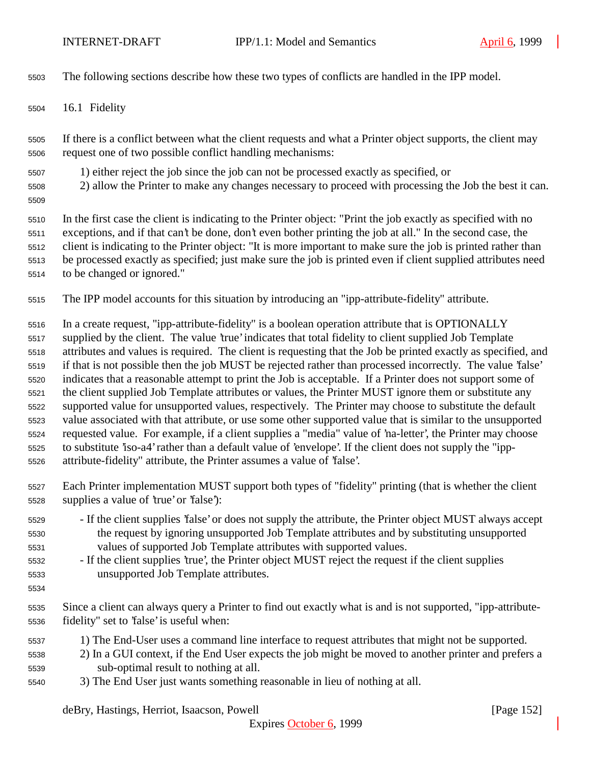The following sections describe how these two types of conflicts are handled in the IPP model.

16.1 Fidelity

 If there is a conflict between what the client requests and what a Printer object supports, the client may request one of two possible conflict handling mechanisms:

- 1) either reject the job since the job can not be processed exactly as specified, or
- 2) allow the Printer to make any changes necessary to proceed with processing the Job the best it can.
- 

 In the first case the client is indicating to the Printer object: "Print the job exactly as specified with no exceptions, and if that can't be done, don't even bother printing the job at all." In the second case, the client is indicating to the Printer object: "It is more important to make sure the job is printed rather than be processed exactly as specified; just make sure the job is printed even if client supplied attributes need to be changed or ignored."

The IPP model accounts for this situation by introducing an "ipp-attribute-fidelity" attribute.

 In a create request, "ipp-attribute-fidelity" is a boolean operation attribute that is OPTIONALLY supplied by the client. The value 'true' indicates that total fidelity to client supplied Job Template attributes and values is required. The client is requesting that the Job be printed exactly as specified, and if that is not possible then the job MUST be rejected rather than processed incorrectly. The value 'false' indicates that a reasonable attempt to print the Job is acceptable. If a Printer does not support some of the client supplied Job Template attributes or values, the Printer MUST ignore them or substitute any supported value for unsupported values, respectively. The Printer may choose to substitute the default value associated with that attribute, or use some other supported value that is similar to the unsupported requested value. For example, if a client supplies a "media" value of 'na-letter', the Printer may choose to substitute 'iso-a4' rather than a default value of 'envelope'. If the client does not supply the "ipp-attribute-fidelity" attribute, the Printer assumes a value of 'false'.

- Each Printer implementation MUST support both types of "fidelity" printing (that is whether the client supplies a value of 'true' or 'false'):
- If the client supplies 'false' or does not supply the attribute, the Printer object MUST always accept the request by ignoring unsupported Job Template attributes and by substituting unsupported values of supported Job Template attributes with supported values.
- If the client supplies 'true', the Printer object MUST reject the request if the client supplies unsupported Job Template attributes.
- 

 Since a client can always query a Printer to find out exactly what is and is not supported, "ipp-attribute-fidelity" set to 'false' is useful when:

- 1) The End-User uses a command line interface to request attributes that might not be supported.
- 2) In a GUI context, if the End User expects the job might be moved to another printer and prefers a sub-optimal result to nothing at all.
- 3) The End User just wants something reasonable in lieu of nothing at all.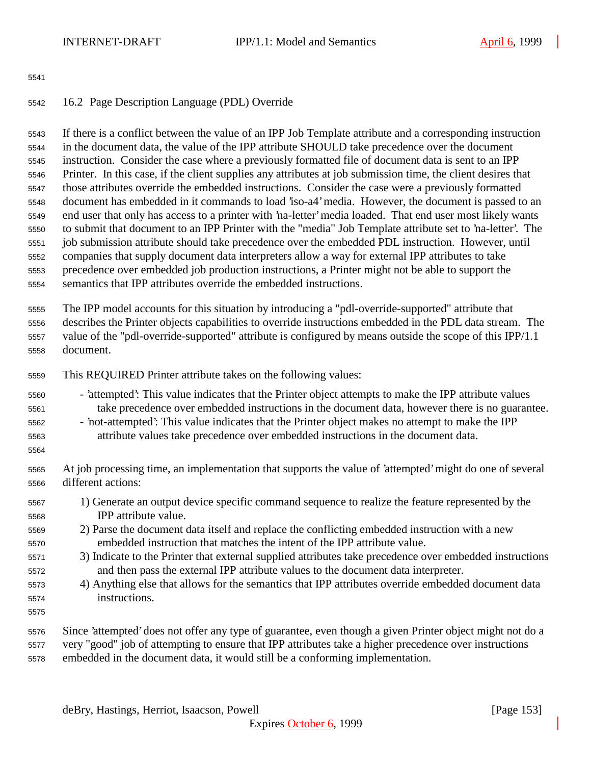## 16.2 Page Description Language (PDL) Override

 If there is a conflict between the value of an IPP Job Template attribute and a corresponding instruction in the document data, the value of the IPP attribute SHOULD take precedence over the document instruction. Consider the case where a previously formatted file of document data is sent to an IPP Printer. In this case, if the client supplies any attributes at job submission time, the client desires that those attributes override the embedded instructions. Consider the case were a previously formatted document has embedded in it commands to load 'iso-a4' media. However, the document is passed to an end user that only has access to a printer with 'na-letter' media loaded. That end user most likely wants to submit that document to an IPP Printer with the "media" Job Template attribute set to 'na-letter'. The job submission attribute should take precedence over the embedded PDL instruction. However, until companies that supply document data interpreters allow a way for external IPP attributes to take precedence over embedded job production instructions, a Printer might not be able to support the semantics that IPP attributes override the embedded instructions.

 The IPP model accounts for this situation by introducing a "pdl-override-supported" attribute that describes the Printer objects capabilities to override instructions embedded in the PDL data stream. The value of the "pdl-override-supported" attribute is configured by means outside the scope of this IPP/1.1 document.

- This REQUIRED Printer attribute takes on the following values:
- 'attempted': This value indicates that the Printer object attempts to make the IPP attribute values take precedence over embedded instructions in the document data, however there is no guarantee.
- 'not-attempted': This value indicates that the Printer object makes no attempt to make the IPP attribute values take precedence over embedded instructions in the document data.
- 
- At job processing time, an implementation that supports the value of 'attempted' might do one of several different actions:
- 1) Generate an output device specific command sequence to realize the feature represented by the IPP attribute value.
- 2) Parse the document data itself and replace the conflicting embedded instruction with a new embedded instruction that matches the intent of the IPP attribute value.
- 3) Indicate to the Printer that external supplied attributes take precedence over embedded instructions and then pass the external IPP attribute values to the document data interpreter.
- 4) Anything else that allows for the semantics that IPP attributes override embedded document data instructions.
- 
- Since 'attempted' does not offer any type of guarantee, even though a given Printer object might not do a very "good" job of attempting to ensure that IPP attributes take a higher precedence over instructions
- embedded in the document data, it would still be a conforming implementation.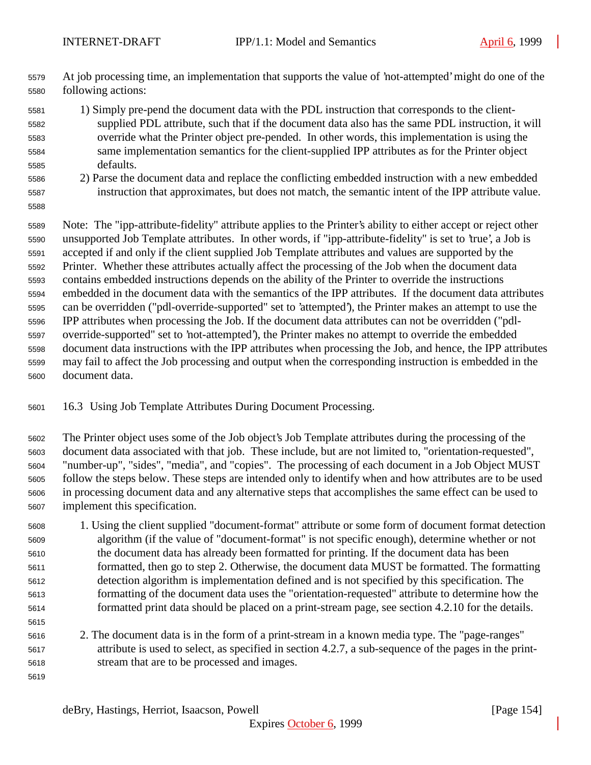- At job processing time, an implementation that supports the value of 'not-attempted' might do one of the following actions:
- 1) Simply pre-pend the document data with the PDL instruction that corresponds to the client- supplied PDL attribute, such that if the document data also has the same PDL instruction, it will override what the Printer object pre-pended. In other words, this implementation is using the same implementation semantics for the client-supplied IPP attributes as for the Printer object defaults.
- 2) Parse the document data and replace the conflicting embedded instruction with a new embedded instruction that approximates, but does not match, the semantic intent of the IPP attribute value.
- 

 Note: The "ipp-attribute-fidelity" attribute applies to the Printer's ability to either accept or reject other unsupported Job Template attributes. In other words, if "ipp-attribute-fidelity" is set to 'true', a Job is accepted if and only if the client supplied Job Template attributes and values are supported by the Printer. Whether these attributes actually affect the processing of the Job when the document data contains embedded instructions depends on the ability of the Printer to override the instructions embedded in the document data with the semantics of the IPP attributes. If the document data attributes can be overridden ("pdl-override-supported" set to 'attempted'), the Printer makes an attempt to use the IPP attributes when processing the Job. If the document data attributes can not be overridden ("pdl- override-supported" set to 'not-attempted'), the Printer makes no attempt to override the embedded document data instructions with the IPP attributes when processing the Job, and hence, the IPP attributes may fail to affect the Job processing and output when the corresponding instruction is embedded in the document data.

- 16.3 Using Job Template Attributes During Document Processing.
- The Printer object uses some of the Job object's Job Template attributes during the processing of the document data associated with that job. These include, but are not limited to, "orientation-requested", "number-up", "sides", "media", and "copies". The processing of each document in a Job Object MUST follow the steps below. These steps are intended only to identify when and how attributes are to be used in processing document data and any alternative steps that accomplishes the same effect can be used to implement this specification.
- 1. Using the client supplied "document-format" attribute or some form of document format detection algorithm (if the value of "document-format" is not specific enough), determine whether or not the document data has already been formatted for printing. If the document data has been formatted, then go to step 2. Otherwise, the document data MUST be formatted. The formatting detection algorithm is implementation defined and is not specified by this specification. The formatting of the document data uses the "orientation-requested" attribute to determine how the formatted print data should be placed on a print-stream page, see section 4.2.10 for the details.
- 2. The document data is in the form of a print-stream in a known media type. The "page-ranges" attribute is used to select, as specified in section 4.2.7, a sub-sequence of the pages in the print-stream that are to be processed and images.
-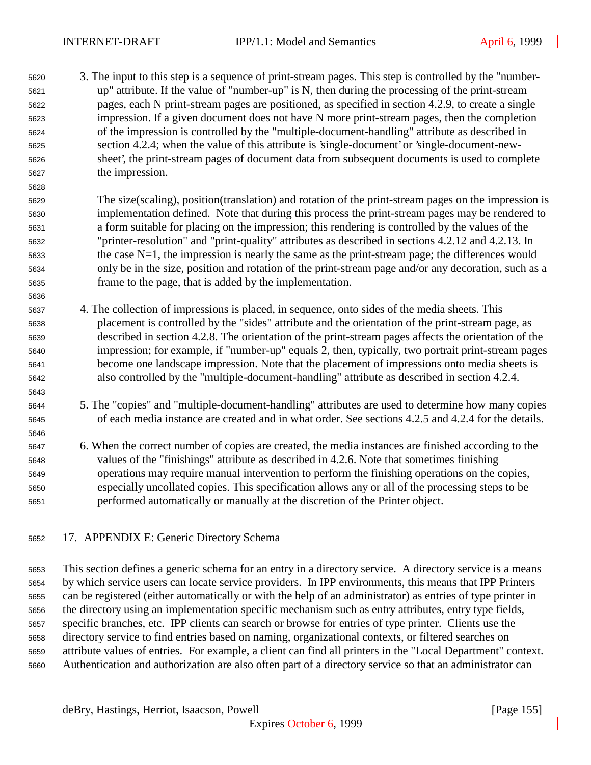3. The input to this step is a sequence of print-stream pages. This step is controlled by the "number- up" attribute. If the value of "number-up" is N, then during the processing of the print-stream pages, each N print-stream pages are positioned, as specified in section 4.2.9, to create a single impression. If a given document does not have N more print-stream pages, then the completion of the impression is controlled by the "multiple-document-handling" attribute as described in section 4.2.4; when the value of this attribute is 'single-document' or 'single-document-new- sheet', the print-stream pages of document data from subsequent documents is used to complete the impression.

 The size(scaling), position(translation) and rotation of the print-stream pages on the impression is implementation defined. Note that during this process the print-stream pages may be rendered to a form suitable for placing on the impression; this rendering is controlled by the values of the "printer-resolution" and "print-quality" attributes as described in sections 4.2.12 and 4.2.13. In the case N=1, the impression is nearly the same as the print-stream page; the differences would only be in the size, position and rotation of the print-stream page and/or any decoration, such as a frame to the page, that is added by the implementation.

- 4. The collection of impressions is placed, in sequence, onto sides of the media sheets. This placement is controlled by the "sides" attribute and the orientation of the print-stream page, as described in section 4.2.8. The orientation of the print-stream pages affects the orientation of the impression; for example, if "number-up" equals 2, then, typically, two portrait print-stream pages become one landscape impression. Note that the placement of impressions onto media sheets is also controlled by the "multiple-document-handling" attribute as described in section 4.2.4.
- 5. The "copies" and "multiple-document-handling" attributes are used to determine how many copies of each media instance are created and in what order. See sections 4.2.5 and 4.2.4 for the details.
- 

 6. When the correct number of copies are created, the media instances are finished according to the values of the "finishings" attribute as described in 4.2.6. Note that sometimes finishing operations may require manual intervention to perform the finishing operations on the copies, especially uncollated copies. This specification allows any or all of the processing steps to be performed automatically or manually at the discretion of the Printer object.

17. APPENDIX E: Generic Directory Schema

 This section defines a generic schema for an entry in a directory service. A directory service is a means by which service users can locate service providers. In IPP environments, this means that IPP Printers can be registered (either automatically or with the help of an administrator) as entries of type printer in the directory using an implementation specific mechanism such as entry attributes, entry type fields, specific branches, etc. IPP clients can search or browse for entries of type printer. Clients use the directory service to find entries based on naming, organizational contexts, or filtered searches on attribute values of entries. For example, a client can find all printers in the "Local Department" context. Authentication and authorization are also often part of a directory service so that an administrator can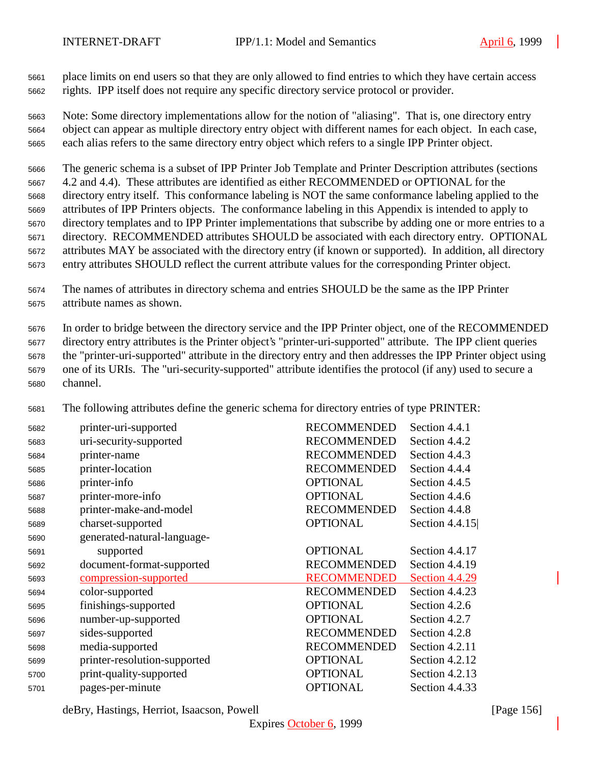place limits on end users so that they are only allowed to find entries to which they have certain access rights. IPP itself does not require any specific directory service protocol or provider.

 Note: Some directory implementations allow for the notion of "aliasing". That is, one directory entry object can appear as multiple directory entry object with different names for each object. In each case, each alias refers to the same directory entry object which refers to a single IPP Printer object.

 The generic schema is a subset of IPP Printer Job Template and Printer Description attributes (sections 4.2 and 4.4). These attributes are identified as either RECOMMENDED or OPTIONAL for the directory entry itself. This conformance labeling is NOT the same conformance labeling applied to the attributes of IPP Printers objects. The conformance labeling in this Appendix is intended to apply to directory templates and to IPP Printer implementations that subscribe by adding one or more entries to a directory. RECOMMENDED attributes SHOULD be associated with each directory entry. OPTIONAL attributes MAY be associated with the directory entry (if known or supported). In addition, all directory entry attributes SHOULD reflect the current attribute values for the corresponding Printer object.

 The names of attributes in directory schema and entries SHOULD be the same as the IPP Printer attribute names as shown.

 In order to bridge between the directory service and the IPP Printer object, one of the RECOMMENDED directory entry attributes is the Printer object's "printer-uri-supported" attribute. The IPP client queries the "printer-uri-supported" attribute in the directory entry and then addresses the IPP Printer object using one of its URIs. The "uri-security-supported" attribute identifies the protocol (if any) used to secure a channel.

The following attributes define the generic schema for directory entries of type PRINTER:

| 5682 | printer-uri-supported        | <b>RECOMMENDED</b> | Section 4.4.1    |
|------|------------------------------|--------------------|------------------|
| 5683 | uri-security-supported       | <b>RECOMMENDED</b> | Section 4.4.2    |
| 5684 | printer-name                 | <b>RECOMMENDED</b> | Section 4.4.3    |
| 5685 | printer-location             | <b>RECOMMENDED</b> | Section 4.4.4    |
| 5686 | printer-info                 | <b>OPTIONAL</b>    | Section 4.4.5    |
| 5687 | printer-more-info            | <b>OPTIONAL</b>    | Section 4.4.6    |
| 5688 | printer-make-and-model       | <b>RECOMMENDED</b> | Section 4.4.8    |
| 5689 | charset-supported            | <b>OPTIONAL</b>    | Section $4.4.15$ |
| 5690 | generated-natural-language-  |                    |                  |
| 5691 | supported                    | <b>OPTIONAL</b>    | Section 4.4.17   |
| 5692 | document-format-supported    | <b>RECOMMENDED</b> | Section 4.4.19   |
| 5693 | compression-supported        | <b>RECOMMENDED</b> | Section 4.4.29   |
| 5694 | color-supported              | <b>RECOMMENDED</b> | Section 4.4.23   |
| 5695 | finishings-supported         | <b>OPTIONAL</b>    | Section 4.2.6    |
| 5696 | number-up-supported          | <b>OPTIONAL</b>    | Section 4.2.7    |
| 5697 | sides-supported              | <b>RECOMMENDED</b> | Section 4.2.8    |
| 5698 | media-supported              | <b>RECOMMENDED</b> | Section 4.2.11   |
| 5699 | printer-resolution-supported | <b>OPTIONAL</b>    | Section 4.2.12   |
| 5700 | print-quality-supported      | <b>OPTIONAL</b>    | Section 4.2.13   |
| 5701 | pages-per-minute             | <b>OPTIONAL</b>    | Section 4.4.33   |

deBry, Hastings, Herriot, Isaacson, Powell [Page 156]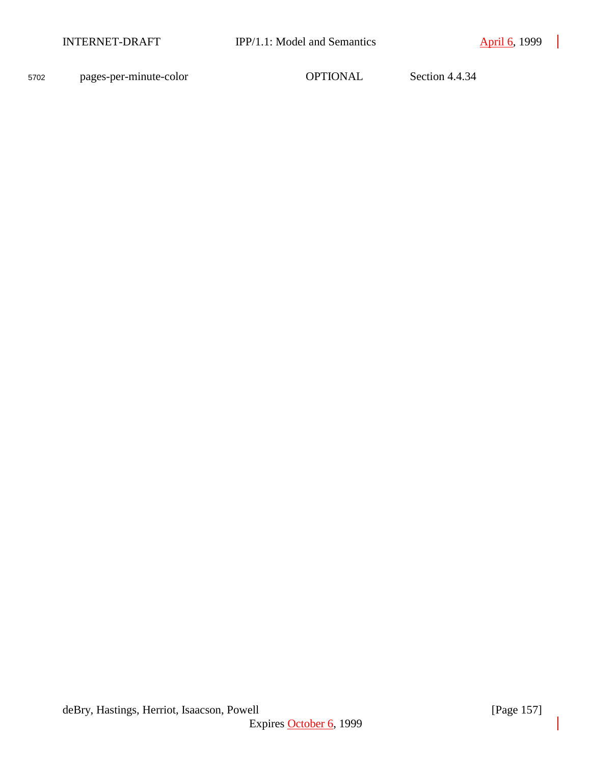<sup>5702</sup> pages-per-minute-color OPTIONAL Section 4.4.34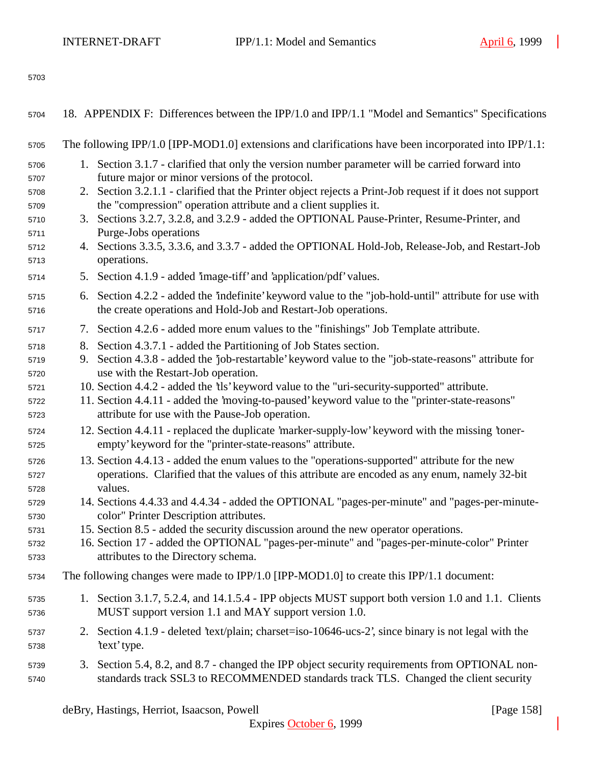| 5704         | 18. APPENDIX F: Differences between the IPP/1.0 and IPP/1.1 "Model and Semantics" Specifications                                                                                               |
|--------------|------------------------------------------------------------------------------------------------------------------------------------------------------------------------------------------------|
| 5705         | The following IPP/1.0 [IPP-MOD1.0] extensions and clarifications have been incorporated into IPP/1.1:                                                                                          |
| 5706         | 1. Section 3.1.7 - clarified that only the version number parameter will be carried forward into                                                                                               |
| 5707<br>5708 | future major or minor versions of the protocol.<br>2. Section 3.2.1.1 - clarified that the Printer object rejects a Print-Job request if it does not support                                   |
| 5709         | the "compression" operation attribute and a client supplies it.                                                                                                                                |
| 5710         | 3. Sections 3.2.7, 3.2.8, and 3.2.9 - added the OPTIONAL Pause-Printer, Resume-Printer, and                                                                                                    |
| 5711         | Purge-Jobs operations                                                                                                                                                                          |
| 5712         | Sections 3.3.5, 3.3.6, and 3.3.7 - added the OPTIONAL Hold-Job, Release-Job, and Restart-Job<br>4.<br>operations.                                                                              |
| 5713<br>5714 | 5. Section 4.1.9 - added 'image-tiff' and 'application/pdf' values.                                                                                                                            |
|              |                                                                                                                                                                                                |
| 5715<br>5716 | 6. Section 4.2.2 - added the 'indefinite' keyword value to the "job-hold-until" attribute for use with<br>the create operations and Hold-Job and Restart-Job operations.                       |
| 5717         | 7. Section 4.2.6 - added more enum values to the "finishings" Job Template attribute.                                                                                                          |
| 5718         | Section 4.3.7.1 - added the Partitioning of Job States section.<br>8.                                                                                                                          |
| 5719         | Section 4.3.8 - added the 'job-restartable' keyword value to the "job-state-reasons" attribute for<br>9.                                                                                       |
| 5720         | use with the Restart-Job operation.                                                                                                                                                            |
| 5721<br>5722 | 10. Section 4.4.2 - added the 'tls' keyword value to the "uri-security-supported" attribute.<br>11. Section 4.4.11 - added the 'moving-to-paused' keyword value to the "printer-state-reasons" |
| 5723         | attribute for use with the Pause-Job operation.                                                                                                                                                |
| 5724         | 12. Section 4.4.11 - replaced the duplicate 'marker-supply-low' keyword with the missing 'toner-                                                                                               |
| 5725         | empty' keyword for the "printer-state-reasons" attribute.                                                                                                                                      |
| 5726         | 13. Section 4.4.13 - added the enum values to the "operations-supported" attribute for the new                                                                                                 |
| 5727         | operations. Clarified that the values of this attribute are encoded as any enum, namely 32-bit                                                                                                 |
| 5728         | values.                                                                                                                                                                                        |
| 5729<br>5730 | 14. Sections 4.4.33 and 4.4.34 - added the OPTIONAL "pages-per-minute" and "pages-per-minute-<br>color" Printer Description attributes.                                                        |
| 5731         | 15. Section 8.5 - added the security discussion around the new operator operations.                                                                                                            |
| 5732         | 16. Section 17 - added the OPTIONAL "pages-per-minute" and "pages-per-minute-color" Printer                                                                                                    |
| 5733         | attributes to the Directory schema.                                                                                                                                                            |
| 5734         | The following changes were made to IPP/1.0 [IPP-MOD1.0] to create this IPP/1.1 document:                                                                                                       |
| 5735<br>5736 | 1. Section 3.1.7, 5.2.4, and 14.1.5.4 - IPP objects MUST support both version 1.0 and 1.1. Clients<br>MUST support version 1.1 and MAY support version 1.0.                                    |
| 5737<br>5738 | 2. Section 4.1.9 - deleted 'text/plain; charset=iso-10646-ucs-2', since binary is not legal with the<br>'text' type.                                                                           |
| 5739<br>5740 | 3. Section 5.4, 8.2, and 8.7 - changed the IPP object security requirements from OPTIONAL non-<br>standards track SSL3 to RECOMMENDED standards track TLS. Changed the client security         |